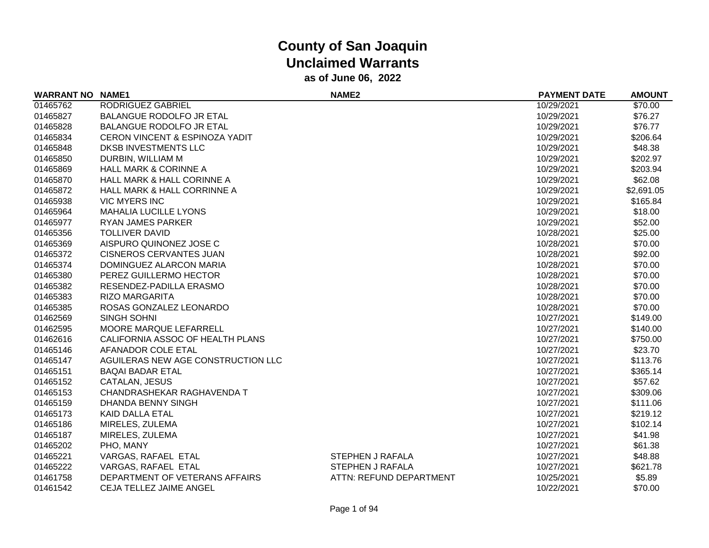| <b>WARRANT NO NAME1</b> |                                           | <b>NAME2</b>            | <b>PAYMENT DATE</b> | <b>AMOUNT</b> |
|-------------------------|-------------------------------------------|-------------------------|---------------------|---------------|
| 01465762                | RODRIGUEZ GABRIEL                         |                         | 10/29/2021          | \$70.00       |
| 01465827                | <b>BALANGUE RODOLFO JR ETAL</b>           |                         | 10/29/2021          | \$76.27       |
| 01465828                | <b>BALANGUE RODOLFO JR ETAL</b>           |                         | 10/29/2021          | \$76.77       |
| 01465834                | <b>CERON VINCENT &amp; ESPINOZA YADIT</b> |                         | 10/29/2021          | \$206.64      |
| 01465848                | DKSB INVESTMENTS LLC                      |                         | 10/29/2021          | \$48.38       |
| 01465850                | DURBIN, WILLIAM M                         |                         | 10/29/2021          | \$202.97      |
| 01465869                | <b>HALL MARK &amp; CORINNE A</b>          |                         | 10/29/2021          | \$203.94      |
| 01465870                | <b>HALL MARK &amp; HALL CORINNE A</b>     |                         | 10/29/2021          | \$62.08       |
| 01465872                | HALL MARK & HALL CORRINNE A               |                         | 10/29/2021          | \$2,691.05    |
| 01465938                | <b>VIC MYERS INC</b>                      |                         | 10/29/2021          | \$165.84      |
| 01465964                | <b>MAHALIA LUCILLE LYONS</b>              |                         | 10/29/2021          | \$18.00       |
| 01465977                | <b>RYAN JAMES PARKER</b>                  |                         | 10/29/2021          | \$52.00       |
| 01465356                | <b>TOLLIVER DAVID</b>                     |                         | 10/28/2021          | \$25.00       |
| 01465369                | AISPURO QUINONEZ JOSE C                   |                         | 10/28/2021          | \$70.00       |
| 01465372                | <b>CISNEROS CERVANTES JUAN</b>            |                         | 10/28/2021          | \$92.00       |
| 01465374                | DOMINGUEZ ALARCON MARIA                   |                         | 10/28/2021          | \$70.00       |
| 01465380                | PEREZ GUILLERMO HECTOR                    |                         | 10/28/2021          | \$70.00       |
| 01465382                | RESENDEZ-PADILLA ERASMO                   |                         | 10/28/2021          | \$70.00       |
| 01465383                | <b>RIZO MARGARITA</b>                     |                         | 10/28/2021          | \$70.00       |
| 01465385                | ROSAS GONZALEZ LEONARDO                   |                         | 10/28/2021          | \$70.00       |
| 01462569                | <b>SINGH SOHNI</b>                        |                         | 10/27/2021          | \$149.00      |
| 01462595                | MOORE MARQUE LEFARRELL                    |                         | 10/27/2021          | \$140.00      |
| 01462616                | CALIFORNIA ASSOC OF HEALTH PLANS          |                         | 10/27/2021          | \$750.00      |
| 01465146                | AFANADOR COLE ETAL                        |                         | 10/27/2021          | \$23.70       |
| 01465147                | AGUILERAS NEW AGE CONSTRUCTION LLC        |                         | 10/27/2021          | \$113.76      |
| 01465151                | <b>BAQAI BADAR ETAL</b>                   |                         | 10/27/2021          | \$365.14      |
| 01465152                | CATALAN, JESUS                            |                         | 10/27/2021          | \$57.62       |
| 01465153                | CHANDRASHEKAR RAGHAVENDA T                |                         | 10/27/2021          | \$309.06      |
| 01465159                | DHANDA BENNY SINGH                        |                         | 10/27/2021          | \$111.06      |
| 01465173                | KAID DALLA ETAL                           |                         | 10/27/2021          | \$219.12      |
| 01465186                | MIRELES, ZULEMA                           |                         | 10/27/2021          | \$102.14      |
| 01465187                | MIRELES, ZULEMA                           |                         | 10/27/2021          | \$41.98       |
| 01465202                | PHO, MANY                                 |                         | 10/27/2021          | \$61.38       |
| 01465221                | VARGAS, RAFAEL ETAL                       | <b>STEPHEN J RAFALA</b> | 10/27/2021          | \$48.88       |
| 01465222                | VARGAS, RAFAEL ETAL                       | <b>STEPHEN J RAFALA</b> | 10/27/2021          | \$621.78      |
| 01461758                | DEPARTMENT OF VETERANS AFFAIRS            | ATTN: REFUND DEPARTMENT | 10/25/2021          | \$5.89        |
| 01461542                | <b>CEJA TELLEZ JAIME ANGEL</b>            |                         | 10/22/2021          | \$70.00       |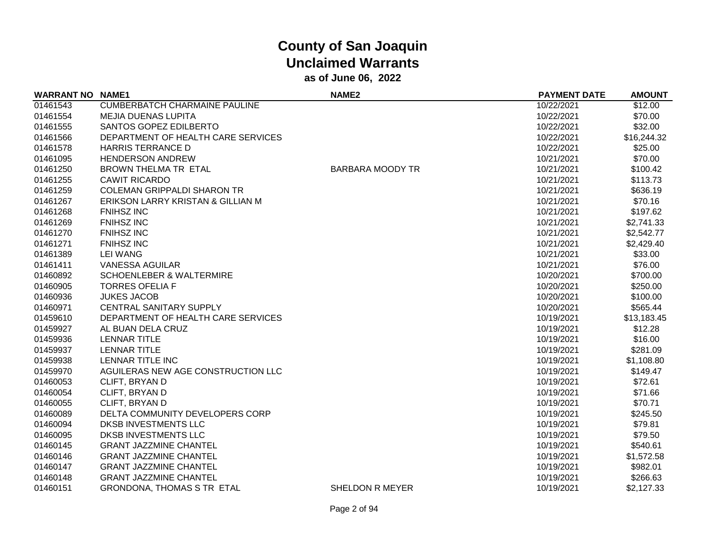| <b>WARRANT NO NAME1</b> |                                      | <b>NAME2</b>            | <b>PAYMENT DATE</b> | <b>AMOUNT</b> |
|-------------------------|--------------------------------------|-------------------------|---------------------|---------------|
| 01461543                | <b>CUMBERBATCH CHARMAINE PAULINE</b> |                         | 10/22/2021          | \$12.00       |
| 01461554                | <b>MEJIA DUENAS LUPITA</b>           |                         | 10/22/2021          | \$70.00       |
| 01461555                | SANTOS GOPEZ EDILBERTO               |                         | 10/22/2021          | \$32.00       |
| 01461566                | DEPARTMENT OF HEALTH CARE SERVICES   |                         | 10/22/2021          | \$16,244.32   |
| 01461578                | <b>HARRIS TERRANCE D</b>             |                         | 10/22/2021          | \$25.00       |
| 01461095                | <b>HENDERSON ANDREW</b>              |                         | 10/21/2021          | \$70.00       |
| 01461250                | <b>BROWN THELMA TR ETAL</b>          | <b>BARBARA MOODY TR</b> | 10/21/2021          | \$100.42      |
| 01461255                | <b>CAWIT RICARDO</b>                 |                         | 10/21/2021          | \$113.73      |
| 01461259                | <b>COLEMAN GRIPPALDI SHARON TR</b>   |                         | 10/21/2021          | \$636.19      |
| 01461267                | ERIKSON LARRY KRISTAN & GILLIAN M    |                         | 10/21/2021          | \$70.16       |
| 01461268                | <b>FNIHSZ INC</b>                    |                         | 10/21/2021          | \$197.62      |
| 01461269                | <b>FNIHSZ INC</b>                    |                         | 10/21/2021          | \$2,741.33    |
| 01461270                | <b>FNIHSZ INC</b>                    |                         | 10/21/2021          | \$2,542.77    |
| 01461271                | <b>FNIHSZ INC</b>                    |                         | 10/21/2021          | \$2,429.40    |
| 01461389                | <b>LEI WANG</b>                      |                         | 10/21/2021          | \$33.00       |
| 01461411                | <b>VANESSA AGUILAR</b>               |                         | 10/21/2021          | \$76.00       |
| 01460892                | <b>SCHOENLEBER &amp; WALTERMIRE</b>  |                         | 10/20/2021          | \$700.00      |
| 01460905                | <b>TORRES OFELIA F</b>               |                         | 10/20/2021          | \$250.00      |
| 01460936                | <b>JUKES JACOB</b>                   |                         | 10/20/2021          | \$100.00      |
| 01460971                | <b>CENTRAL SANITARY SUPPLY</b>       |                         | 10/20/2021          | \$565.44      |
| 01459610                | DEPARTMENT OF HEALTH CARE SERVICES   |                         | 10/19/2021          | \$13,183.45   |
| 01459927                | AL BUAN DELA CRUZ                    |                         | 10/19/2021          | \$12.28       |
| 01459936                | <b>LENNAR TITLE</b>                  |                         | 10/19/2021          | \$16.00       |
| 01459937                | <b>LENNAR TITLE</b>                  |                         | 10/19/2021          | \$281.09      |
| 01459938                | LENNAR TITLE INC                     |                         | 10/19/2021          | \$1,108.80    |
| 01459970                | AGUILERAS NEW AGE CONSTRUCTION LLC   |                         | 10/19/2021          | \$149.47      |
| 01460053                | CLIFT, BRYAN D                       |                         | 10/19/2021          | \$72.61       |
| 01460054                | CLIFT, BRYAN D                       |                         | 10/19/2021          | \$71.66       |
| 01460055                | CLIFT, BRYAN D                       |                         | 10/19/2021          | \$70.71       |
| 01460089                | DELTA COMMUNITY DEVELOPERS CORP      |                         | 10/19/2021          | \$245.50      |
| 01460094                | DKSB INVESTMENTS LLC                 |                         | 10/19/2021          | \$79.81       |
| 01460095                | <b>DKSB INVESTMENTS LLC</b>          |                         | 10/19/2021          | \$79.50       |
| 01460145                | <b>GRANT JAZZMINE CHANTEL</b>        |                         | 10/19/2021          | \$540.61      |
| 01460146                | <b>GRANT JAZZMINE CHANTEL</b>        |                         | 10/19/2021          | \$1,572.58    |
| 01460147                | <b>GRANT JAZZMINE CHANTEL</b>        |                         | 10/19/2021          | \$982.01      |
| 01460148                | <b>GRANT JAZZMINE CHANTEL</b>        |                         | 10/19/2021          | \$266.63      |
| 01460151                | <b>GRONDONA, THOMAS S TR ETAL</b>    | SHELDON R MEYER         | 10/19/2021          | \$2,127.33    |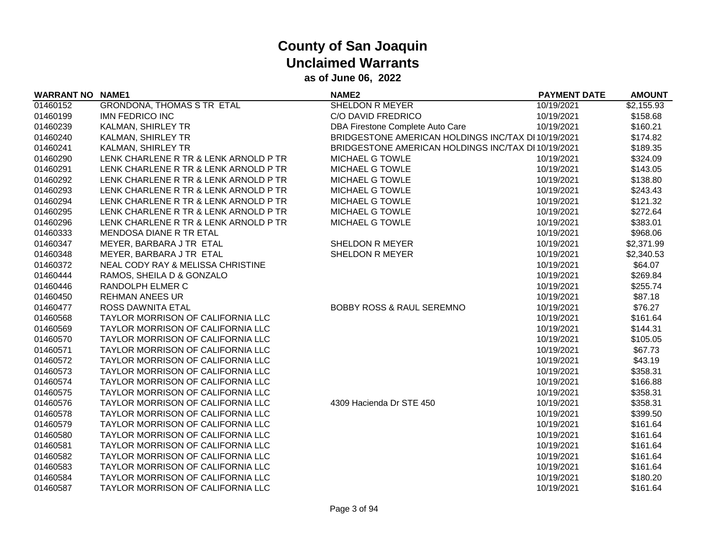| <b>WARRANT NO NAME1</b> |                                          | <b>NAME2</b>                                        | <b>PAYMENT DATE</b> | <b>AMOUNT</b> |
|-------------------------|------------------------------------------|-----------------------------------------------------|---------------------|---------------|
| 01460152                | <b>GRONDONA, THOMAS S TR ETAL</b>        | SHELDON R MEYER                                     | 10/19/2021          | \$2,155.93    |
| 01460199                | <b>IMN FEDRICO INC</b>                   | C/O DAVID FREDRICO                                  | 10/19/2021          | \$158.68      |
| 01460239                | <b>KALMAN, SHIRLEY TR</b>                | DBA Firestone Complete Auto Care                    | 10/19/2021          | \$160.21      |
| 01460240                | KALMAN, SHIRLEY TR                       | BRIDGESTONE AMERICAN HOLDINGS INC/TAX DI 10/19/2021 |                     | \$174.82      |
| 01460241                | <b>KALMAN, SHIRLEY TR</b>                | BRIDGESTONE AMERICAN HOLDINGS INC/TAX DI 10/19/2021 |                     | \$189.35      |
| 01460290                | LENK CHARLENE R TR & LENK ARNOLD P TR    | MICHAEL G TOWLE                                     | 10/19/2021          | \$324.09      |
| 01460291                | LENK CHARLENE R TR & LENK ARNOLD P TR    | MICHAEL G TOWLE                                     | 10/19/2021          | \$143.05      |
| 01460292                | LENK CHARLENE R TR & LENK ARNOLD P TR    | <b>MICHAEL G TOWLE</b>                              | 10/19/2021          | \$138.80      |
| 01460293                | LENK CHARLENE R TR & LENK ARNOLD P TR    | MICHAEL G TOWLE                                     | 10/19/2021          | \$243.43      |
| 01460294                | LENK CHARLENE R TR & LENK ARNOLD P TR    | MICHAEL G TOWLE                                     | 10/19/2021          | \$121.32      |
| 01460295                | LENK CHARLENE R TR & LENK ARNOLD P TR    | MICHAEL G TOWLE                                     | 10/19/2021          | \$272.64      |
| 01460296                | LENK CHARLENE R TR & LENK ARNOLD P TR    | MICHAEL G TOWLE                                     | 10/19/2021          | \$383.01      |
| 01460333                | MENDOSA DIANE R TR ETAL                  |                                                     | 10/19/2021          | \$968.06      |
| 01460347                | MEYER, BARBARA J TR ETAL                 | SHELDON R MEYER                                     | 10/19/2021          | \$2,371.99    |
| 01460348                | MEYER, BARBARA J TR ETAL                 | SHELDON R MEYER                                     | 10/19/2021          | \$2,340.53    |
| 01460372                | NEAL CODY RAY & MELISSA CHRISTINE        |                                                     | 10/19/2021          | \$64.07       |
| 01460444                | RAMOS, SHEILA D & GONZALO                |                                                     | 10/19/2021          | \$269.84      |
| 01460446                | RANDOLPH ELMER C                         |                                                     | 10/19/2021          | \$255.74      |
| 01460450                | <b>REHMAN ANEES UR</b>                   |                                                     | 10/19/2021          | \$87.18       |
| 01460477                | ROSS DAWNITA ETAL                        | <b>BOBBY ROSS &amp; RAUL SEREMNO</b>                | 10/19/2021          | \$76.27       |
| 01460568                | <b>TAYLOR MORRISON OF CALIFORNIA LLC</b> |                                                     | 10/19/2021          | \$161.64      |
| 01460569                | TAYLOR MORRISON OF CALIFORNIA LLC        |                                                     | 10/19/2021          | \$144.31      |
| 01460570                | <b>TAYLOR MORRISON OF CALIFORNIA LLC</b> |                                                     | 10/19/2021          | \$105.05      |
| 01460571                | TAYLOR MORRISON OF CALIFORNIA LLC        |                                                     | 10/19/2021          | \$67.73       |
| 01460572                | TAYLOR MORRISON OF CALIFORNIA LLC        |                                                     | 10/19/2021          | \$43.19       |
| 01460573                | <b>TAYLOR MORRISON OF CALIFORNIA LLC</b> |                                                     | 10/19/2021          | \$358.31      |
| 01460574                | <b>TAYLOR MORRISON OF CALIFORNIA LLC</b> |                                                     | 10/19/2021          | \$166.88      |
| 01460575                | <b>TAYLOR MORRISON OF CALIFORNIA LLC</b> |                                                     | 10/19/2021          | \$358.31      |
| 01460576                | <b>TAYLOR MORRISON OF CALIFORNIA LLC</b> | 4309 Hacienda Dr STE 450                            | 10/19/2021          | \$358.31      |
| 01460578                | <b>TAYLOR MORRISON OF CALIFORNIA LLC</b> |                                                     | 10/19/2021          | \$399.50      |
| 01460579                | TAYLOR MORRISON OF CALIFORNIA LLC        |                                                     | 10/19/2021          | \$161.64      |
| 01460580                | <b>TAYLOR MORRISON OF CALIFORNIA LLC</b> |                                                     | 10/19/2021          | \$161.64      |
| 01460581                | TAYLOR MORRISON OF CALIFORNIA LLC        |                                                     | 10/19/2021          | \$161.64      |
| 01460582                | TAYLOR MORRISON OF CALIFORNIA LLC        |                                                     | 10/19/2021          | \$161.64      |
| 01460583                | TAYLOR MORRISON OF CALIFORNIA LLC        |                                                     | 10/19/2021          | \$161.64      |
| 01460584                | TAYLOR MORRISON OF CALIFORNIA LLC        |                                                     | 10/19/2021          | \$180.20      |
| 01460587                | TAYLOR MORRISON OF CALIFORNIA LLC        |                                                     | 10/19/2021          | \$161.64      |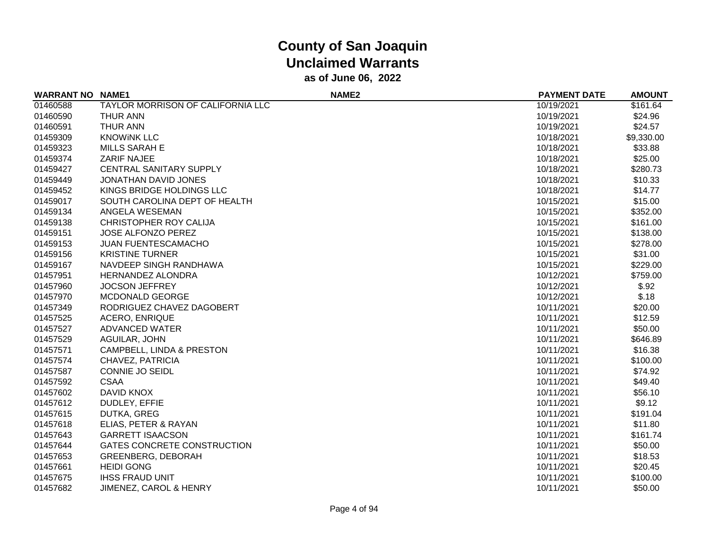| <b>WARRANT NO NAME1</b> |                                   | NAME <sub>2</sub> | <b>PAYMENT DATE</b> | <b>AMOUNT</b> |
|-------------------------|-----------------------------------|-------------------|---------------------|---------------|
| 01460588                | TAYLOR MORRISON OF CALIFORNIA LLC |                   | 10/19/2021          | \$161.64      |
| 01460590                | <b>THUR ANN</b>                   |                   | 10/19/2021          | \$24.96       |
| 01460591                | <b>THUR ANN</b>                   |                   | 10/19/2021          | \$24.57       |
| 01459309                | <b>KNOWINK LLC</b>                |                   | 10/18/2021          | \$9,330.00    |
| 01459323                | MILLS SARAH E                     |                   | 10/18/2021          | \$33.88       |
| 01459374                | ZARIF NAJEE                       |                   | 10/18/2021          | \$25.00       |
| 01459427                | <b>CENTRAL SANITARY SUPPLY</b>    |                   | 10/18/2021          | \$280.73      |
| 01459449                | JONATHAN DAVID JONES              |                   | 10/18/2021          | \$10.33       |
| 01459452                | KINGS BRIDGE HOLDINGS LLC         |                   | 10/18/2021          | \$14.77       |
| 01459017                | SOUTH CAROLINA DEPT OF HEALTH     |                   | 10/15/2021          | \$15.00       |
| 01459134                | ANGELA WESEMAN                    |                   | 10/15/2021          | \$352.00      |
| 01459138                | CHRISTOPHER ROY CALIJA            |                   | 10/15/2021          | \$161.00      |
| 01459151                | <b>JOSE ALFONZO PEREZ</b>         |                   | 10/15/2021          | \$138.00      |
| 01459153                | JUAN FUENTESCAMACHO               |                   | 10/15/2021          | \$278.00      |
| 01459156                | <b>KRISTINE TURNER</b>            |                   | 10/15/2021          | \$31.00       |
| 01459167                | NAVDEEP SINGH RANDHAWA            |                   | 10/15/2021          | \$229.00      |
| 01457951                | HERNANDEZ ALONDRA                 |                   | 10/12/2021          | \$759.00      |
| 01457960                | <b>JOCSON JEFFREY</b>             |                   | 10/12/2021          | \$.92         |
| 01457970                | <b>MCDONALD GEORGE</b>            |                   | 10/12/2021          | \$.18         |
| 01457349                | RODRIGUEZ CHAVEZ DAGOBERT         |                   | 10/11/2021          | \$20.00       |
| 01457525                | <b>ACERO, ENRIQUE</b>             |                   | 10/11/2021          | \$12.59       |
| 01457527                | ADVANCED WATER                    |                   | 10/11/2021          | \$50.00       |
| 01457529                | AGUILAR, JOHN                     |                   | 10/11/2021          | \$646.89      |
| 01457571                | CAMPBELL, LINDA & PRESTON         |                   | 10/11/2021          | \$16.38       |
| 01457574                | CHAVEZ, PATRICIA                  |                   | 10/11/2021          | \$100.00      |
| 01457587                | CONNIE JO SEIDL                   |                   | 10/11/2021          | \$74.92       |
| 01457592                | <b>CSAA</b>                       |                   | 10/11/2021          | \$49.40       |
| 01457602                | DAVID KNOX                        |                   | 10/11/2021          | \$56.10       |
| 01457612                | DUDLEY, EFFIE                     |                   | 10/11/2021          | \$9.12        |
| 01457615                | DUTKA, GREG                       |                   | 10/11/2021          | \$191.04      |
| 01457618                | ELIAS, PETER & RAYAN              |                   | 10/11/2021          | \$11.80       |
| 01457643                | <b>GARRETT ISAACSON</b>           |                   | 10/11/2021          | \$161.74      |
| 01457644                | GATES CONCRETE CONSTRUCTION       |                   | 10/11/2021          | \$50.00       |
| 01457653                | <b>GREENBERG, DEBORAH</b>         |                   | 10/11/2021          | \$18.53       |
| 01457661                | <b>HEIDI GONG</b>                 |                   | 10/11/2021          | \$20.45       |
| 01457675                | <b>IHSS FRAUD UNIT</b>            |                   | 10/11/2021          | \$100.00      |
| 01457682                | JIMENEZ, CAROL & HENRY            |                   | 10/11/2021          | \$50.00       |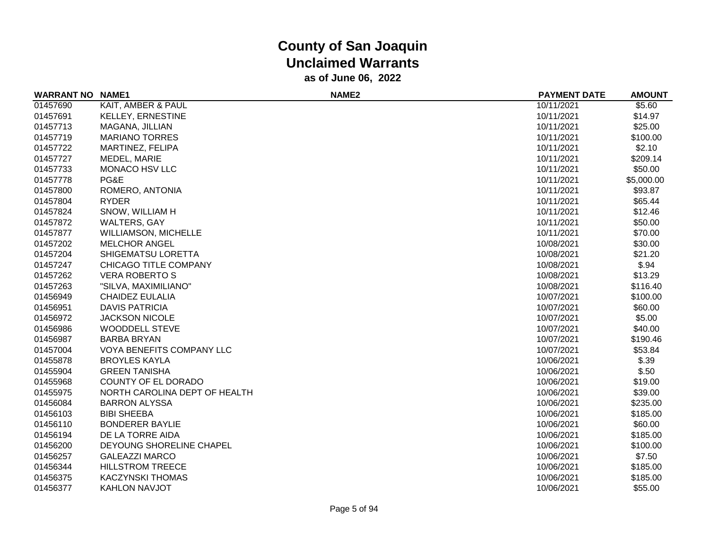| <b>WARRANT NO</b> | <b>NAME1</b>                  | NAME <sub>2</sub> | <b>PAYMENT DATE</b> | <b>AMOUNT</b> |
|-------------------|-------------------------------|-------------------|---------------------|---------------|
| 01457690          | KAIT, AMBER & PAUL            |                   | 10/11/2021          | \$5.60        |
| 01457691          | KELLEY, ERNESTINE             |                   | 10/11/2021          | \$14.97       |
| 01457713          | MAGANA, JILLIAN               |                   | 10/11/2021          | \$25.00       |
| 01457719          | <b>MARIANO TORRES</b>         |                   | 10/11/2021          | \$100.00      |
| 01457722          | MARTINEZ, FELIPA              |                   | 10/11/2021          | \$2.10        |
| 01457727          | MEDEL, MARIE                  |                   | 10/11/2021          | \$209.14      |
| 01457733          | MONACO HSV LLC                |                   | 10/11/2021          | \$50.00       |
| 01457778          | PG&E                          |                   | 10/11/2021          | \$5,000.00    |
| 01457800          | ROMERO, ANTONIA               |                   | 10/11/2021          | \$93.87       |
| 01457804          | <b>RYDER</b>                  |                   | 10/11/2021          | \$65.44       |
| 01457824          | SNOW, WILLIAM H               |                   | 10/11/2021          | \$12.46       |
| 01457872          | <b>WALTERS, GAY</b>           |                   | 10/11/2021          | \$50.00       |
| 01457877          | <b>WILLIAMSON, MICHELLE</b>   |                   | 10/11/2021          | \$70.00       |
| 01457202          | <b>MELCHOR ANGEL</b>          |                   | 10/08/2021          | \$30.00       |
| 01457204          | SHIGEMATSU LORETTA            |                   | 10/08/2021          | \$21.20       |
| 01457247          | CHICAGO TITLE COMPANY         |                   | 10/08/2021          | \$.94         |
| 01457262          | <b>VERA ROBERTO S</b>         |                   | 10/08/2021          | \$13.29       |
| 01457263          | "SILVA, MAXIMILIANO"          |                   | 10/08/2021          | \$116.40      |
| 01456949          | <b>CHAIDEZ EULALIA</b>        |                   | 10/07/2021          | \$100.00      |
| 01456951          | <b>DAVIS PATRICIA</b>         |                   | 10/07/2021          | \$60.00       |
| 01456972          | <b>JACKSON NICOLE</b>         |                   | 10/07/2021          | \$5.00        |
| 01456986          | <b>WOODDELL STEVE</b>         |                   | 10/07/2021          | \$40.00       |
| 01456987          | <b>BARBA BRYAN</b>            |                   | 10/07/2021          | \$190.46      |
| 01457004          | VOYA BENEFITS COMPANY LLC     |                   | 10/07/2021          | \$53.84       |
| 01455878          | <b>BROYLES KAYLA</b>          |                   | 10/06/2021          | \$.39         |
| 01455904          | <b>GREEN TANISHA</b>          |                   | 10/06/2021          | \$.50         |
| 01455968          | COUNTY OF EL DORADO           |                   | 10/06/2021          | \$19.00       |
| 01455975          | NORTH CAROLINA DEPT OF HEALTH |                   | 10/06/2021          | \$39.00       |
| 01456084          | <b>BARRON ALYSSA</b>          |                   | 10/06/2021          | \$235.00      |
| 01456103          | <b>BIBI SHEEBA</b>            |                   | 10/06/2021          | \$185.00      |
| 01456110          | <b>BONDERER BAYLIE</b>        |                   | 10/06/2021          | \$60.00       |
| 01456194          | DE LA TORRE AIDA              |                   | 10/06/2021          | \$185.00      |
| 01456200          | DEYOUNG SHORELINE CHAPEL      |                   | 10/06/2021          | \$100.00      |
| 01456257          | <b>GALEAZZI MARCO</b>         |                   | 10/06/2021          | \$7.50        |
| 01456344          | <b>HILLSTROM TREECE</b>       |                   | 10/06/2021          | \$185.00      |
| 01456375          | <b>KACZYNSKI THOMAS</b>       |                   | 10/06/2021          | \$185.00      |
| 01456377          | <b>KAHLON NAVJOT</b>          |                   | 10/06/2021          | \$55.00       |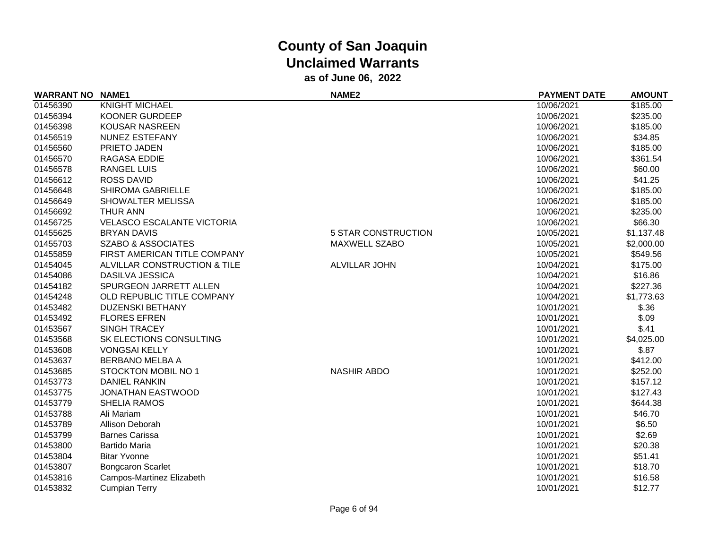| <b>WARRANT NO</b> | <b>NAME1</b>                      | NAME <sub>2</sub>          | <b>PAYMENT DATE</b> | <b>AMOUNT</b> |
|-------------------|-----------------------------------|----------------------------|---------------------|---------------|
| 01456390          | <b>KNIGHT MICHAEL</b>             |                            | 10/06/2021          | \$185.00      |
| 01456394          | <b>KOONER GURDEEP</b>             |                            | 10/06/2021          | \$235.00      |
| 01456398          | <b>KOUSAR NASREEN</b>             |                            | 10/06/2021          | \$185.00      |
| 01456519          | <b>NUNEZ ESTEFANY</b>             |                            | 10/06/2021          | \$34.85       |
| 01456560          | PRIETO JADEN                      |                            | 10/06/2021          | \$185.00      |
| 01456570          | RAGASA EDDIE                      |                            | 10/06/2021          | \$361.54      |
| 01456578          | <b>RANGEL LUIS</b>                |                            | 10/06/2021          | \$60.00       |
| 01456612          | <b>ROSS DAVID</b>                 |                            | 10/06/2021          | \$41.25       |
| 01456648          | <b>SHIROMA GABRIELLE</b>          |                            | 10/06/2021          | \$185.00      |
| 01456649          | SHOWALTER MELISSA                 |                            | 10/06/2021          | \$185.00      |
| 01456692          | <b>THUR ANN</b>                   |                            | 10/06/2021          | \$235.00      |
| 01456725          | <b>VELASCO ESCALANTE VICTORIA</b> |                            | 10/06/2021          | \$66.30       |
| 01455625          | <b>BRYAN DAVIS</b>                | <b>5 STAR CONSTRUCTION</b> | 10/05/2021          | \$1,137.48    |
| 01455703          | <b>SZABO &amp; ASSOCIATES</b>     | <b>MAXWELL SZABO</b>       | 10/05/2021          | \$2,000.00    |
| 01455859          | FIRST AMERICAN TITLE COMPANY      |                            | 10/05/2021          | \$549.56      |
| 01454045          | ALVILLAR CONSTRUCTION & TILE      | <b>ALVILLAR JOHN</b>       | 10/04/2021          | \$175.00      |
| 01454086          | <b>DASILVA JESSICA</b>            |                            | 10/04/2021          | \$16.86       |
| 01454182          | SPURGEON JARRETT ALLEN            |                            | 10/04/2021          | \$227.36      |
| 01454248          | OLD REPUBLIC TITLE COMPANY        |                            | 10/04/2021          | \$1,773.63    |
| 01453482          | <b>DUZENSKI BETHANY</b>           |                            | 10/01/2021          | \$.36         |
| 01453492          | <b>FLORES EFREN</b>               |                            | 10/01/2021          | \$.09         |
| 01453567          | <b>SINGH TRACEY</b>               |                            | 10/01/2021          | \$.41         |
| 01453568          | SK ELECTIONS CONSULTING           |                            | 10/01/2021          | \$4,025.00    |
| 01453608          | <b>VONGSAI KELLY</b>              |                            | 10/01/2021          | \$.87         |
| 01453637          | <b>BERBANO MELBA A</b>            |                            | 10/01/2021          | \$412.00      |
| 01453685          | STOCKTON MOBIL NO 1               | <b>NASHIR ABDO</b>         | 10/01/2021          | \$252.00      |
| 01453773          | <b>DANIEL RANKIN</b>              |                            | 10/01/2021          | \$157.12      |
| 01453775          | <b>JONATHAN EASTWOOD</b>          |                            | 10/01/2021          | \$127.43      |
| 01453779          | <b>SHELIA RAMOS</b>               |                            | 10/01/2021          | \$644.38      |
| 01453788          | Ali Mariam                        |                            | 10/01/2021          | \$46.70       |
| 01453789          | Allison Deborah                   |                            | 10/01/2021          | \$6.50        |
| 01453799          | <b>Barnes Carissa</b>             |                            | 10/01/2021          | \$2.69        |
| 01453800          | <b>Bartido Maria</b>              |                            | 10/01/2021          | \$20.38       |
| 01453804          | <b>Bitar Yvonne</b>               |                            | 10/01/2021          | \$51.41       |
| 01453807          | <b>Bongcaron Scarlet</b>          |                            | 10/01/2021          | \$18.70       |
| 01453816          | Campos-Martinez Elizabeth         |                            | 10/01/2021          | \$16.58       |
| 01453832          | <b>Cumpian Terry</b>              |                            | 10/01/2021          | \$12.77       |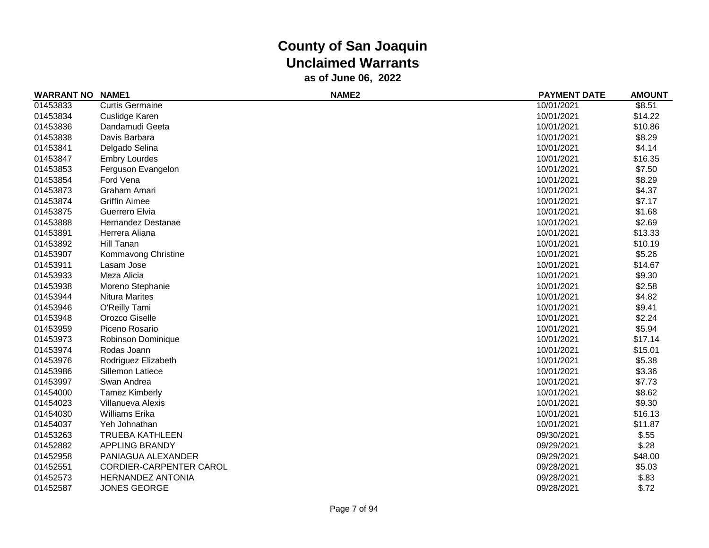| <b>WARRANT NO</b> | <b>NAME1</b>             | NAME <sub>2</sub> | <b>PAYMENT DATE</b> | <b>AMOUNT</b> |
|-------------------|--------------------------|-------------------|---------------------|---------------|
| 01453833          | <b>Curtis Germaine</b>   |                   | 10/01/2021          | \$8.51        |
| 01453834          | Cuslidge Karen           |                   | 10/01/2021          | \$14.22       |
| 01453836          | Dandamudi Geeta          |                   | 10/01/2021          | \$10.86       |
| 01453838          | Davis Barbara            |                   | 10/01/2021          | \$8.29        |
| 01453841          | Delgado Selina           |                   | 10/01/2021          | \$4.14        |
| 01453847          | <b>Embry Lourdes</b>     |                   | 10/01/2021          | \$16.35       |
| 01453853          | Ferguson Evangelon       |                   | 10/01/2021          | \$7.50        |
| 01453854          | Ford Vena                |                   | 10/01/2021          | \$8.29        |
| 01453873          | Graham Amari             |                   | 10/01/2021          | \$4.37        |
| 01453874          | <b>Griffin Aimee</b>     |                   | 10/01/2021          | \$7.17        |
| 01453875          | Guerrero Elvia           |                   | 10/01/2021          | \$1.68        |
| 01453888          | Hernandez Destanae       |                   | 10/01/2021          | \$2.69        |
| 01453891          | Herrera Aliana           |                   | 10/01/2021          | \$13.33       |
| 01453892          | Hill Tanan               |                   | 10/01/2021          | \$10.19       |
| 01453907          | Kommavong Christine      |                   | 10/01/2021          | \$5.26        |
| 01453911          | Lasam Jose               |                   | 10/01/2021          | \$14.67       |
| 01453933          | Meza Alicia              |                   | 10/01/2021          | \$9.30        |
| 01453938          | Moreno Stephanie         |                   | 10/01/2021          | \$2.58        |
| 01453944          | <b>Nitura Marites</b>    |                   | 10/01/2021          | \$4.82        |
| 01453946          | O'Reilly Tami            |                   | 10/01/2021          | \$9.41        |
| 01453948          | Orozco Giselle           |                   | 10/01/2021          | \$2.24        |
| 01453959          | Piceno Rosario           |                   | 10/01/2021          | \$5.94        |
| 01453973          | Robinson Dominique       |                   | 10/01/2021          | \$17.14       |
| 01453974          | Rodas Joann              |                   | 10/01/2021          | \$15.01       |
| 01453976          | Rodriguez Elizabeth      |                   | 10/01/2021          | \$5.38        |
| 01453986          | Sillemon Latiece         |                   | 10/01/2021          | \$3.36        |
| 01453997          | Swan Andrea              |                   | 10/01/2021          | \$7.73        |
| 01454000          | <b>Tamez Kimberly</b>    |                   | 10/01/2021          | \$8.62        |
| 01454023          | Villanueva Alexis        |                   | 10/01/2021          | \$9.30        |
| 01454030          | Williams Erika           |                   | 10/01/2021          | \$16.13       |
| 01454037          | Yeh Johnathan            |                   | 10/01/2021          | \$11.87       |
| 01453263          | <b>TRUEBA KATHLEEN</b>   |                   | 09/30/2021          | \$.55         |
| 01452882          | <b>APPLING BRANDY</b>    |                   | 09/29/2021          | \$.28         |
| 01452958          | PANIAGUA ALEXANDER       |                   | 09/29/2021          | \$48.00       |
| 01452551          | CORDIER-CARPENTER CAROL  |                   | 09/28/2021          | \$5.03        |
| 01452573          | <b>HERNANDEZ ANTONIA</b> |                   | 09/28/2021          | \$.83         |
| 01452587          | <b>JONES GEORGE</b>      |                   | 09/28/2021          | \$.72         |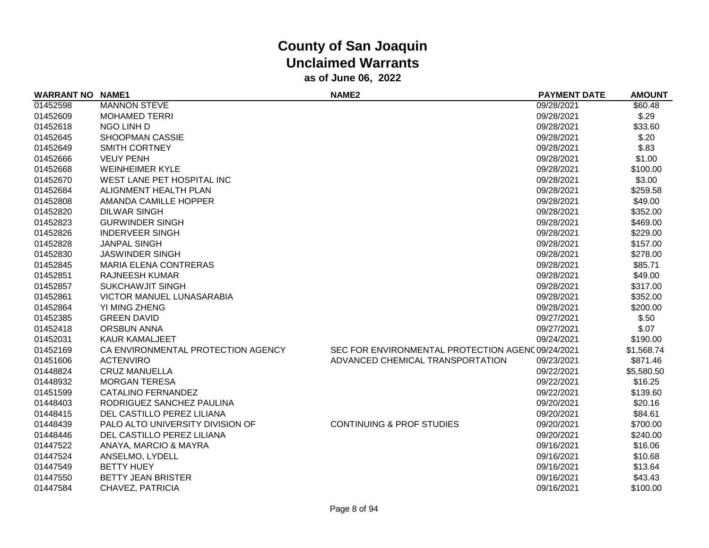| <b>WARRANT NO NAME1</b> |                                    | <b>NAME2</b>                                      | <b>PAYMENT DATE</b> | <b>AMOUNT</b> |
|-------------------------|------------------------------------|---------------------------------------------------|---------------------|---------------|
| 01452598                | <b>MANNON STEVE</b>                |                                                   | 09/28/2021          | \$60.48       |
| 01452609                | <b>MOHAMED TERRI</b>               |                                                   | 09/28/2021          | \$.29         |
| 01452618                | NGO LINH D                         |                                                   | 09/28/2021          | \$33.60       |
| 01452645                | SHOOPMAN CASSIE                    |                                                   | 09/28/2021          | \$.20         |
| 01452649                | <b>SMITH CORTNEY</b>               |                                                   | 09/28/2021          | \$.83         |
| 01452666                | <b>VEUY PENH</b>                   |                                                   | 09/28/2021          | \$1.00        |
| 01452668                | <b>WEINHEIMER KYLE</b>             |                                                   | 09/28/2021          | \$100.00      |
| 01452670                | WEST LANE PET HOSPITAL INC         |                                                   | 09/28/2021          | \$3.00        |
| 01452684                | ALIGNMENT HEALTH PLAN              |                                                   | 09/28/2021          | \$259.58      |
| 01452808                | AMANDA CAMILLE HOPPER              |                                                   | 09/28/2021          | \$49.00       |
| 01452820                | <b>DILWAR SINGH</b>                |                                                   | 09/28/2021          | \$352.00      |
| 01452823                | <b>GURWINDER SINGH</b>             |                                                   | 09/28/2021          | \$469.00      |
| 01452826                | <b>INDERVEER SINGH</b>             |                                                   | 09/28/2021          | \$229.00      |
| 01452828                | <b>JANPAL SINGH</b>                |                                                   | 09/28/2021          | \$157.00      |
| 01452830                | <b>JASWINDER SINGH</b>             |                                                   | 09/28/2021          | \$278.00      |
| 01452845                | <b>MARIA ELENA CONTRERAS</b>       |                                                   | 09/28/2021          | \$85.71       |
| 01452851                | <b>RAJNEESH KUMAR</b>              |                                                   | 09/28/2021          | \$49.00       |
| 01452857                | <b>SUKCHAWJIT SINGH</b>            |                                                   | 09/28/2021          | \$317.00      |
| 01452861                | <b>VICTOR MANUEL LUNASARABIA</b>   |                                                   | 09/28/2021          | \$352.00      |
| 01452864                | YI MING ZHENG                      |                                                   | 09/28/2021          | \$200.00      |
| 01452385                | <b>GREEN DAVID</b>                 |                                                   | 09/27/2021          | \$.50         |
| 01452418                | <b>ORSBUN ANNA</b>                 |                                                   | 09/27/2021          | \$.07         |
| 01452031                | KAUR KAMALJEET                     |                                                   | 09/24/2021          | \$190.00      |
| 01452169                | CA ENVIRONMENTAL PROTECTION AGENCY | SEC FOR ENVIRONMENTAL PROTECTION AGENC 09/24/2021 |                     | \$1,568.74    |
| 01451606                | <b>ACTENVIRO</b>                   | ADVANCED CHEMICAL TRANSPORTATION                  | 09/23/2021          | \$871.46      |
| 01448824                | <b>CRUZ MANUELLA</b>               |                                                   | 09/22/2021          | \$5,580.50    |
| 01448932                | <b>MORGAN TERESA</b>               |                                                   | 09/22/2021          | \$16.25       |
| 01451599                | <b>CATALINO FERNANDEZ</b>          |                                                   | 09/22/2021          | \$139.60      |
| 01448403                | RODRIGUEZ SANCHEZ PAULINA          |                                                   | 09/20/2021          | \$20.16       |
| 01448415                | DEL CASTILLO PEREZ LILIANA         |                                                   | 09/20/2021          | \$84.61       |
| 01448439                | PALO ALTO UNIVERSITY DIVISION OF   | <b>CONTINUING &amp; PROF STUDIES</b>              | 09/20/2021          | \$700.00      |
| 01448446                | DEL CASTILLO PEREZ LILIANA         |                                                   | 09/20/2021          | \$240.00      |
| 01447522                | ANAYA, MARCIO & MAYRA              |                                                   | 09/16/2021          | \$16.06       |
| 01447524                | ANSELMO, LYDELL                    |                                                   | 09/16/2021          | \$10.68       |
| 01447549                | <b>BETTY HUEY</b>                  |                                                   | 09/16/2021          | \$13.64       |
| 01447550                | <b>BETTY JEAN BRISTER</b>          |                                                   | 09/16/2021          | \$43.43       |
| 01447584                | CHAVEZ, PATRICIA                   |                                                   | 09/16/2021          | \$100.00      |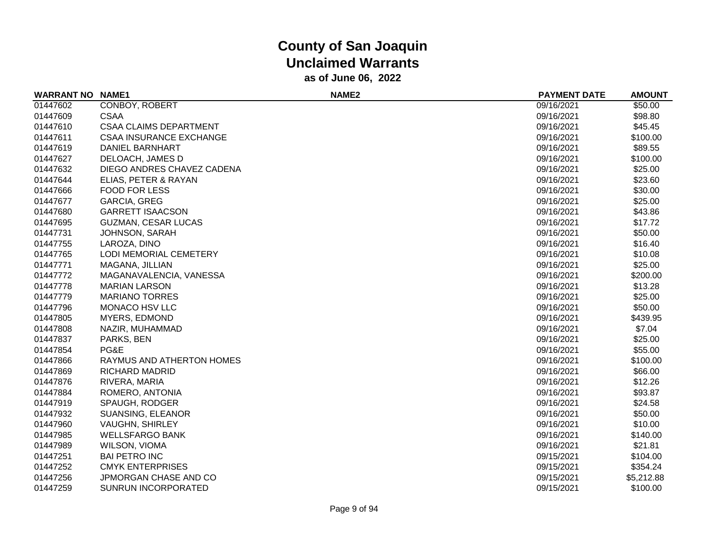| <b>WARRANT NO</b> | <b>NAME1</b>                   | NAME <sub>2</sub> | <b>PAYMENT DATE</b> | <b>AMOUNT</b> |
|-------------------|--------------------------------|-------------------|---------------------|---------------|
| 01447602          | CONBOY, ROBERT                 |                   | 09/16/2021          | \$50.00       |
| 01447609          | <b>CSAA</b>                    |                   | 09/16/2021          | \$98.80       |
| 01447610          | <b>CSAA CLAIMS DEPARTMENT</b>  |                   | 09/16/2021          | \$45.45       |
| 01447611          | <b>CSAA INSURANCE EXCHANGE</b> |                   | 09/16/2021          | \$100.00      |
| 01447619          | DANIEL BARNHART                |                   | 09/16/2021          | \$89.55       |
| 01447627          | DELOACH, JAMES D               |                   | 09/16/2021          | \$100.00      |
| 01447632          | DIEGO ANDRES CHAVEZ CADENA     |                   | 09/16/2021          | \$25.00       |
| 01447644          | ELIAS, PETER & RAYAN           |                   | 09/16/2021          | \$23.60       |
| 01447666          | <b>FOOD FOR LESS</b>           |                   | 09/16/2021          | \$30.00       |
| 01447677          | <b>GARCIA, GREG</b>            |                   | 09/16/2021          | \$25.00       |
| 01447680          | <b>GARRETT ISAACSON</b>        |                   | 09/16/2021          | \$43.86       |
| 01447695          | <b>GUZMAN, CESAR LUCAS</b>     |                   | 09/16/2021          | \$17.72       |
| 01447731          | JOHNSON, SARAH                 |                   | 09/16/2021          | \$50.00       |
| 01447755          | LAROZA, DINO                   |                   | 09/16/2021          | \$16.40       |
| 01447765          | <b>LODI MEMORIAL CEMETERY</b>  |                   | 09/16/2021          | \$10.08       |
| 01447771          | MAGANA, JILLIAN                |                   | 09/16/2021          | \$25.00       |
| 01447772          | MAGANAVALENCIA, VANESSA        |                   | 09/16/2021          | \$200.00      |
| 01447778          | <b>MARIAN LARSON</b>           |                   | 09/16/2021          | \$13.28       |
| 01447779          | <b>MARIANO TORRES</b>          |                   | 09/16/2021          | \$25.00       |
| 01447796          | MONACO HSV LLC                 |                   | 09/16/2021          | \$50.00       |
| 01447805          | <b>MYERS, EDMOND</b>           |                   | 09/16/2021          | \$439.95      |
| 01447808          | NAZIR, MUHAMMAD                |                   | 09/16/2021          | \$7.04        |
| 01447837          | PARKS, BEN                     |                   | 09/16/2021          | \$25.00       |
| 01447854          | PG&E                           |                   | 09/16/2021          | \$55.00       |
| 01447866          | RAYMUS AND ATHERTON HOMES      |                   | 09/16/2021          | \$100.00      |
| 01447869          | <b>RICHARD MADRID</b>          |                   | 09/16/2021          | \$66.00       |
| 01447876          | RIVERA, MARIA                  |                   | 09/16/2021          | \$12.26       |
| 01447884          | ROMERO, ANTONIA                |                   | 09/16/2021          | \$93.87       |
| 01447919          | SPAUGH, RODGER                 |                   | 09/16/2021          | \$24.58       |
| 01447932          | <b>SUANSING, ELEANOR</b>       |                   | 09/16/2021          | \$50.00       |
| 01447960          | <b>VAUGHN, SHIRLEY</b>         |                   | 09/16/2021          | \$10.00       |
| 01447985          | <b>WELLSFARGO BANK</b>         |                   | 09/16/2021          | \$140.00      |
| 01447989          | WILSON, VIOMA                  |                   | 09/16/2021          | \$21.81       |
| 01447251          | <b>BAI PETRO INC</b>           |                   | 09/15/2021          | \$104.00      |
| 01447252          | <b>CMYK ENTERPRISES</b>        |                   | 09/15/2021          | \$354.24      |
| 01447256          | JPMORGAN CHASE AND CO          |                   | 09/15/2021          | \$5,212.88    |
| 01447259          | <b>SUNRUN INCORPORATED</b>     |                   | 09/15/2021          | \$100.00      |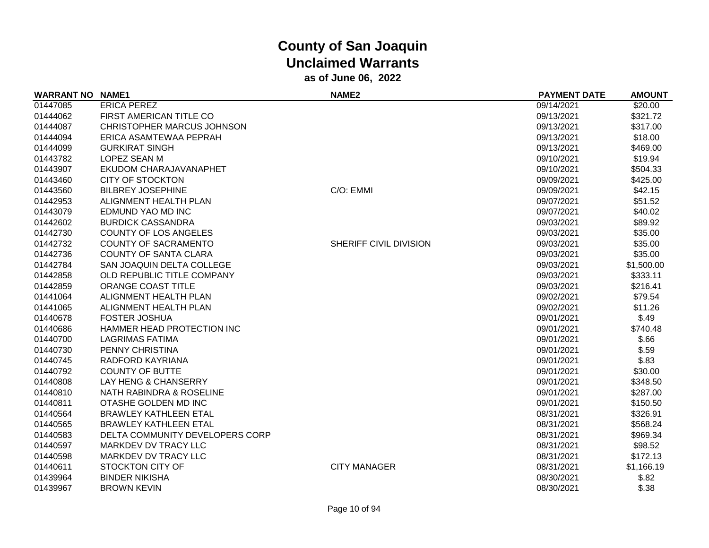| <b>WARRANT NO NAME1</b> |                                 | <b>NAME2</b>           | <b>PAYMENT DATE</b> | <b>AMOUNT</b> |
|-------------------------|---------------------------------|------------------------|---------------------|---------------|
| 01447085                | <b>ERICA PEREZ</b>              |                        | 09/14/2021          | \$20.00       |
| 01444062                | FIRST AMERICAN TITLE CO         |                        | 09/13/2021          | \$321.72      |
| 01444087                | CHRISTOPHER MARCUS JOHNSON      |                        | 09/13/2021          | \$317.00      |
| 01444094                | ERICA ASAMTEWAA PEPRAH          |                        | 09/13/2021          | \$18.00       |
| 01444099                | <b>GURKIRAT SINGH</b>           |                        | 09/13/2021          | \$469.00      |
| 01443782                | <b>LOPEZ SEAN M</b>             |                        | 09/10/2021          | \$19.94       |
| 01443907                | EKUDOM CHARAJAVANAPHET          |                        | 09/10/2021          | \$504.33      |
| 01443460                | <b>CITY OF STOCKTON</b>         |                        | 09/09/2021          | \$425.00      |
| 01443560                | <b>BILBREY JOSEPHINE</b>        | C/O: EMMI              | 09/09/2021          | \$42.15       |
| 01442953                | ALIGNMENT HEALTH PLAN           |                        | 09/07/2021          | \$51.52       |
| 01443079                | EDMUND YAO MD INC               |                        | 09/07/2021          | \$40.02       |
| 01442602                | <b>BURDICK CASSANDRA</b>        |                        | 09/03/2021          | \$89.92       |
| 01442730                | <b>COUNTY OF LOS ANGELES</b>    |                        | 09/03/2021          | \$35.00       |
| 01442732                | <b>COUNTY OF SACRAMENTO</b>     | SHERIFF CIVIL DIVISION | 09/03/2021          | \$35.00       |
| 01442736                | <b>COUNTY OF SANTA CLARA</b>    |                        | 09/03/2021          | \$35.00       |
| 01442784                | SAN JOAQUIN DELTA COLLEGE       |                        | 09/03/2021          | \$1,500.00    |
| 01442858                | OLD REPUBLIC TITLE COMPANY      |                        | 09/03/2021          | \$333.11      |
| 01442859                | ORANGE COAST TITLE              |                        | 09/03/2021          | \$216.41      |
| 01441064                | ALIGNMENT HEALTH PLAN           |                        | 09/02/2021          | \$79.54       |
| 01441065                | ALIGNMENT HEALTH PLAN           |                        | 09/02/2021          | \$11.26       |
| 01440678                | <b>FOSTER JOSHUA</b>            |                        | 09/01/2021          | \$.49         |
| 01440686                | HAMMER HEAD PROTECTION INC      |                        | 09/01/2021          | \$740.48      |
| 01440700                | <b>LAGRIMAS FATIMA</b>          |                        | 09/01/2021          | \$.66         |
| 01440730                | PENNY CHRISTINA                 |                        | 09/01/2021          | \$.59         |
| 01440745                | RADFORD KAYRIANA                |                        | 09/01/2021          | \$.83         |
| 01440792                | <b>COUNTY OF BUTTE</b>          |                        | 09/01/2021          | \$30.00       |
| 01440808                | LAY HENG & CHANSERRY            |                        | 09/01/2021          | \$348.50      |
| 01440810                | NATH RABINDRA & ROSELINE        |                        | 09/01/2021          | \$287.00      |
| 01440811                | OTASHE GOLDEN MD INC            |                        | 09/01/2021          | \$150.50      |
| 01440564                | <b>BRAWLEY KATHLEEN ETAL</b>    |                        | 08/31/2021          | \$326.91      |
| 01440565                | <b>BRAWLEY KATHLEEN ETAL</b>    |                        | 08/31/2021          | \$568.24      |
| 01440583                | DELTA COMMUNITY DEVELOPERS CORP |                        | 08/31/2021          | \$969.34      |
| 01440597                | MARKDEV DV TRACY LLC            |                        | 08/31/2021          | \$98.52       |
| 01440598                | MARKDEV DV TRACY LLC            |                        | 08/31/2021          | \$172.13      |
| 01440611                | <b>STOCKTON CITY OF</b>         | <b>CITY MANAGER</b>    | 08/31/2021          | \$1,166.19    |
| 01439964                | <b>BINDER NIKISHA</b>           |                        | 08/30/2021          | \$.82         |
| 01439967                | <b>BROWN KEVIN</b>              |                        | 08/30/2021          | \$.38         |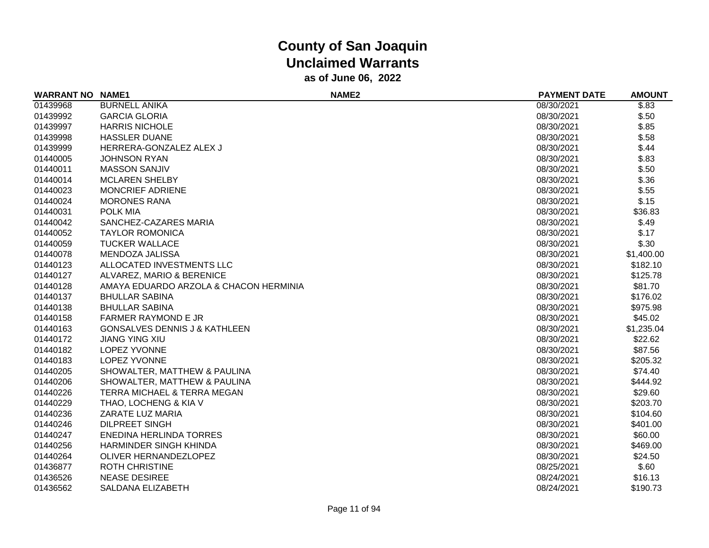| <b>WARRANT NO NAME1</b> |                                          | NAME <sub>2</sub> | <b>PAYMENT DATE</b> | <b>AMOUNT</b> |
|-------------------------|------------------------------------------|-------------------|---------------------|---------------|
| 01439968                | <b>BURNELL ANIKA</b>                     |                   | 08/30/2021          | \$.83         |
| 01439992                | <b>GARCIA GLORIA</b>                     |                   | 08/30/2021          | \$.50         |
| 01439997                | <b>HARRIS NICHOLE</b>                    |                   | 08/30/2021          | \$.85         |
| 01439998                | <b>HASSLER DUANE</b>                     |                   | 08/30/2021          | \$.58         |
| 01439999                | HERRERA-GONZALEZ ALEX J                  |                   | 08/30/2021          | \$.44         |
| 01440005                | <b>JOHNSON RYAN</b>                      |                   | 08/30/2021          | \$.83         |
| 01440011                | <b>MASSON SANJIV</b>                     |                   | 08/30/2021          | \$.50         |
| 01440014                | <b>MCLAREN SHELBY</b>                    |                   | 08/30/2021          | \$.36         |
| 01440023                | <b>MONCRIEF ADRIENE</b>                  |                   | 08/30/2021          | \$.55         |
| 01440024                | <b>MORONES RANA</b>                      |                   | 08/30/2021          | \$.15         |
| 01440031                | POLK MIA                                 |                   | 08/30/2021          | \$36.83       |
| 01440042                | SANCHEZ-CAZARES MARIA                    |                   | 08/30/2021          | \$.49         |
| 01440052                | <b>TAYLOR ROMONICA</b>                   |                   | 08/30/2021          | \$.17         |
| 01440059                | <b>TUCKER WALLACE</b>                    |                   | 08/30/2021          | \$.30         |
| 01440078                | MENDOZA JALISSA                          |                   | 08/30/2021          | \$1,400.00    |
| 01440123                | ALLOCATED INVESTMENTS LLC                |                   | 08/30/2021          | \$182.10      |
| 01440127                | ALVAREZ, MARIO & BERENICE                |                   | 08/30/2021          | \$125.78      |
| 01440128                | AMAYA EDUARDO ARZOLA & CHACON HERMINIA   |                   | 08/30/2021          | \$81.70       |
| 01440137                | <b>BHULLAR SABINA</b>                    |                   | 08/30/2021          | \$176.02      |
| 01440138                | <b>BHULLAR SABINA</b>                    |                   | 08/30/2021          | \$975.98      |
| 01440158                | <b>FARMER RAYMOND E JR</b>               |                   | 08/30/2021          | \$45.02       |
| 01440163                | <b>GONSALVES DENNIS J &amp; KATHLEEN</b> |                   | 08/30/2021          | \$1,235.04    |
| 01440172                | <b>JIANG YING XIU</b>                    |                   | 08/30/2021          | \$22.62       |
| 01440182                | <b>LOPEZ YVONNE</b>                      |                   | 08/30/2021          | \$87.56       |
| 01440183                | LOPEZ YVONNE                             |                   | 08/30/2021          | \$205.32      |
| 01440205                | SHOWALTER, MATTHEW & PAULINA             |                   | 08/30/2021          | \$74.40       |
| 01440206                | SHOWALTER, MATTHEW & PAULINA             |                   | 08/30/2021          | \$444.92      |
| 01440226                | <b>TERRA MICHAEL &amp; TERRA MEGAN</b>   |                   | 08/30/2021          | \$29.60       |
| 01440229                | THAO, LOCHENG & KIA V                    |                   | 08/30/2021          | \$203.70      |
| 01440236                | ZARATE LUZ MARIA                         |                   | 08/30/2021          | \$104.60      |
| 01440246                | <b>DILPREET SINGH</b>                    |                   | 08/30/2021          | \$401.00      |
| 01440247                | <b>ENEDINA HERLINDA TORRES</b>           |                   | 08/30/2021          | \$60.00       |
| 01440256                | <b>HARMINDER SINGH KHINDA</b>            |                   | 08/30/2021          | \$469.00      |
| 01440264                | OLIVER HERNANDEZLOPEZ                    |                   | 08/30/2021          | \$24.50       |
| 01436877                | <b>ROTH CHRISTINE</b>                    |                   | 08/25/2021          | \$.60         |
| 01436526                | <b>NEASE DESIREE</b>                     |                   | 08/24/2021          | \$16.13       |
| 01436562                | SALDANA ELIZABETH                        |                   | 08/24/2021          | \$190.73      |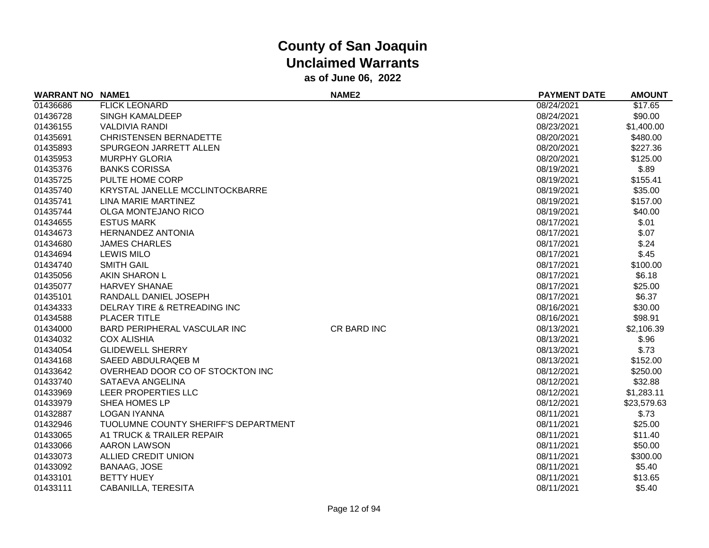| <b>WARRANT NO</b> | <b>NAME1</b>                         | <b>NAME2</b> | <b>PAYMENT DATE</b> | <b>AMOUNT</b> |
|-------------------|--------------------------------------|--------------|---------------------|---------------|
| 01436686          | <b>FLICK LEONARD</b>                 |              | 08/24/2021          | \$17.65       |
| 01436728          | <b>SINGH KAMALDEEP</b>               |              | 08/24/2021          | \$90.00       |
| 01436155          | <b>VALDIVIA RANDI</b>                |              | 08/23/2021          | \$1,400.00    |
| 01435691          | <b>CHRISTENSEN BERNADETTE</b>        |              | 08/20/2021          | \$480.00      |
| 01435893          | SPURGEON JARRETT ALLEN               |              | 08/20/2021          | \$227.36      |
| 01435953          | <b>MURPHY GLORIA</b>                 |              | 08/20/2021          | \$125.00      |
| 01435376          | <b>BANKS CORISSA</b>                 |              | 08/19/2021          | \$.89         |
| 01435725          | PULTE HOME CORP                      |              | 08/19/2021          | \$155.41      |
| 01435740          | KRYSTAL JANELLE MCCLINTOCKBARRE      |              | 08/19/2021          | \$35.00       |
| 01435741          | <b>LINA MARIE MARTINEZ</b>           |              | 08/19/2021          | \$157.00      |
| 01435744          | <b>OLGA MONTEJANO RICO</b>           |              | 08/19/2021          | \$40.00       |
| 01434655          | <b>ESTUS MARK</b>                    |              | 08/17/2021          | \$.01         |
| 01434673          | <b>HERNANDEZ ANTONIA</b>             |              | 08/17/2021          | \$.07         |
| 01434680          | <b>JAMES CHARLES</b>                 |              | 08/17/2021          | \$.24         |
| 01434694          | <b>LEWIS MILO</b>                    |              | 08/17/2021          | \$.45         |
| 01434740          | <b>SMITH GAIL</b>                    |              | 08/17/2021          | \$100.00      |
| 01435056          | AKIN SHARON L                        |              | 08/17/2021          | \$6.18        |
| 01435077          | <b>HARVEY SHANAE</b>                 |              | 08/17/2021          | \$25.00       |
| 01435101          | RANDALL DANIEL JOSEPH                |              | 08/17/2021          | \$6.37        |
| 01434333          | DELRAY TIRE & RETREADING INC         |              | 08/16/2021          | \$30.00       |
| 01434588          | <b>PLACER TITLE</b>                  |              | 08/16/2021          | \$98.91       |
| 01434000          | BARD PERIPHERAL VASCULAR INC         | CR BARD INC  | 08/13/2021          | \$2,106.39    |
| 01434032          | <b>COX ALISHIA</b>                   |              | 08/13/2021          | \$.96         |
| 01434054          | <b>GLIDEWELL SHERRY</b>              |              | 08/13/2021          | \$.73         |
| 01434168          | SAEED ABDULRAQEB M                   |              | 08/13/2021          | \$152.00      |
| 01433642          | OVERHEAD DOOR CO OF STOCKTON INC     |              | 08/12/2021          | \$250.00      |
| 01433740          | SATAEVA ANGELINA                     |              | 08/12/2021          | \$32.88       |
| 01433969          | LEER PROPERTIES LLC                  |              | 08/12/2021          | \$1,283.11    |
| 01433979          | <b>SHEA HOMES LP</b>                 |              | 08/12/2021          | \$23,579.63   |
| 01432887          | <b>LOGAN IYANNA</b>                  |              | 08/11/2021          | \$.73         |
| 01432946          | TUOLUMNE COUNTY SHERIFF'S DEPARTMENT |              | 08/11/2021          | \$25.00       |
| 01433065          | A1 TRUCK & TRAILER REPAIR            |              | 08/11/2021          | \$11.40       |
| 01433066          | <b>AARON LAWSON</b>                  |              | 08/11/2021          | \$50.00       |
| 01433073          | ALLIED CREDIT UNION                  |              | 08/11/2021          | \$300.00      |
| 01433092          | <b>BANAAG, JOSE</b>                  |              | 08/11/2021          | \$5.40        |
| 01433101          | <b>BETTY HUEY</b>                    |              | 08/11/2021          | \$13.65       |
| 01433111          | CABANILLA, TERESITA                  |              | 08/11/2021          | \$5.40        |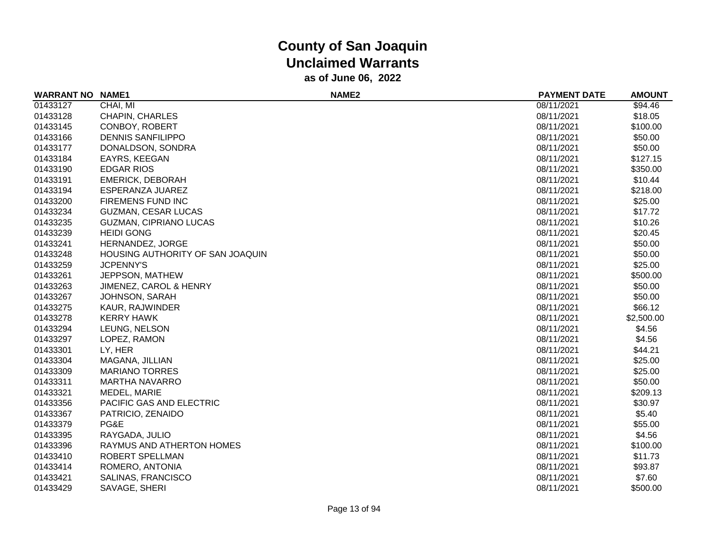| <b>WARRANT NO</b> | <b>NAME1</b>                     | NAME <sub>2</sub> | <b>PAYMENT DATE</b> | <b>AMOUNT</b> |
|-------------------|----------------------------------|-------------------|---------------------|---------------|
| 01433127          | CHAI, MI                         |                   | 08/11/2021          | \$94.46       |
| 01433128          | CHAPIN, CHARLES                  |                   | 08/11/2021          | \$18.05       |
| 01433145          | CONBOY, ROBERT                   |                   | 08/11/2021          | \$100.00      |
| 01433166          | <b>DENNIS SANFILIPPO</b>         |                   | 08/11/2021          | \$50.00       |
| 01433177          | DONALDSON, SONDRA                |                   | 08/11/2021          | \$50.00       |
| 01433184          | EAYRS, KEEGAN                    |                   | 08/11/2021          | \$127.15      |
| 01433190          | <b>EDGAR RIOS</b>                |                   | 08/11/2021          | \$350.00      |
| 01433191          | <b>EMERICK, DEBORAH</b>          |                   | 08/11/2021          | \$10.44       |
| 01433194          | ESPERANZA JUAREZ                 |                   | 08/11/2021          | \$218.00      |
| 01433200          | FIREMENS FUND INC                |                   | 08/11/2021          | \$25.00       |
| 01433234          | <b>GUZMAN, CESAR LUCAS</b>       |                   | 08/11/2021          | \$17.72       |
| 01433235          | <b>GUZMAN, CIPRIANO LUCAS</b>    |                   | 08/11/2021          | \$10.26       |
| 01433239          | <b>HEIDI GONG</b>                |                   | 08/11/2021          | \$20.45       |
| 01433241          | HERNANDEZ, JORGE                 |                   | 08/11/2021          | \$50.00       |
| 01433248          | HOUSING AUTHORITY OF SAN JOAQUIN |                   | 08/11/2021          | \$50.00       |
| 01433259          | <b>JCPENNY'S</b>                 |                   | 08/11/2021          | \$25.00       |
| 01433261          | JEPPSON, MATHEW                  |                   | 08/11/2021          | \$500.00      |
| 01433263          | JIMENEZ, CAROL & HENRY           |                   | 08/11/2021          | \$50.00       |
| 01433267          | JOHNSON, SARAH                   |                   | 08/11/2021          | \$50.00       |
| 01433275          | KAUR, RAJWINDER                  |                   | 08/11/2021          | \$66.12       |
| 01433278          | <b>KERRY HAWK</b>                |                   | 08/11/2021          | \$2,500.00    |
| 01433294          | LEUNG, NELSON                    |                   | 08/11/2021          | \$4.56        |
| 01433297          | LOPEZ, RAMON                     |                   | 08/11/2021          | \$4.56        |
| 01433301          | LY, HER                          |                   | 08/11/2021          | \$44.21       |
| 01433304          | MAGANA, JILLIAN                  |                   | 08/11/2021          | \$25.00       |
| 01433309          | <b>MARIANO TORRES</b>            |                   | 08/11/2021          | \$25.00       |
| 01433311          | <b>MARTHA NAVARRO</b>            |                   | 08/11/2021          | \$50.00       |
| 01433321          | MEDEL, MARIE                     |                   | 08/11/2021          | \$209.13      |
| 01433356          | PACIFIC GAS AND ELECTRIC         |                   | 08/11/2021          | \$30.97       |
| 01433367          | PATRICIO, ZENAIDO                |                   | 08/11/2021          | \$5.40        |
| 01433379          | PG&E                             |                   | 08/11/2021          | \$55.00       |
| 01433395          | RAYGADA, JULIO                   |                   | 08/11/2021          | \$4.56        |
| 01433396          | RAYMUS AND ATHERTON HOMES        |                   | 08/11/2021          | \$100.00      |
| 01433410          | ROBERT SPELLMAN                  |                   | 08/11/2021          | \$11.73       |
| 01433414          | ROMERO, ANTONIA                  |                   | 08/11/2021          | \$93.87       |
| 01433421          | SALINAS, FRANCISCO               |                   | 08/11/2021          | \$7.60        |
| 01433429          | SAVAGE, SHERI                    |                   | 08/11/2021          | \$500.00      |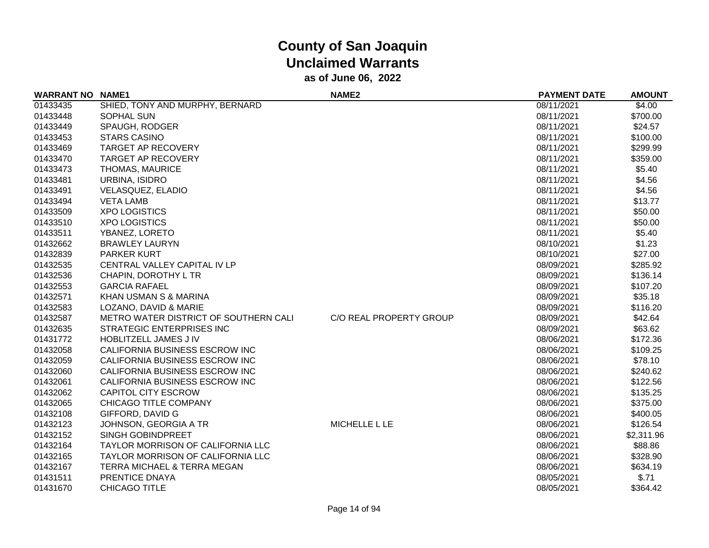| <b>WARRANT NO NAME1</b> |                                       | <b>NAME2</b>            | <b>PAYMENT DATE</b> | <b>AMOUNT</b> |
|-------------------------|---------------------------------------|-------------------------|---------------------|---------------|
| 01433435                | SHIED, TONY AND MURPHY, BERNARD       |                         | 08/11/2021          | \$4.00        |
| 01433448                | SOPHAL SUN                            |                         | 08/11/2021          | \$700.00      |
| 01433449                | SPAUGH, RODGER                        |                         | 08/11/2021          | \$24.57       |
| 01433453                | <b>STARS CASINO</b>                   |                         | 08/11/2021          | \$100.00      |
| 01433469                | <b>TARGET AP RECOVERY</b>             |                         | 08/11/2021          | \$299.99      |
| 01433470                | <b>TARGET AP RECOVERY</b>             |                         | 08/11/2021          | \$359.00      |
| 01433473                | THOMAS, MAURICE                       |                         | 08/11/2021          | \$5.40        |
| 01433481                | URBINA, ISIDRO                        |                         | 08/11/2021          | \$4.56        |
| 01433491                | VELASQUEZ, ELADIO                     |                         | 08/11/2021          | \$4.56        |
| 01433494                | <b>VETA LAMB</b>                      |                         | 08/11/2021          | \$13.77       |
| 01433509                | <b>XPO LOGISTICS</b>                  |                         | 08/11/2021          | \$50.00       |
| 01433510                | <b>XPO LOGISTICS</b>                  |                         | 08/11/2021          | \$50.00       |
| 01433511                | YBANEZ, LORETO                        |                         | 08/11/2021          | \$5.40        |
| 01432662                | <b>BRAWLEY LAURYN</b>                 |                         | 08/10/2021          | \$1.23        |
| 01432839                | <b>PARKER KURT</b>                    |                         | 08/10/2021          | \$27.00       |
| 01432535                | CENTRAL VALLEY CAPITAL IV LP          |                         | 08/09/2021          | \$285.92      |
| 01432536                | CHAPIN, DOROTHY L TR                  |                         | 08/09/2021          | \$136.14      |
| 01432553                | <b>GARCIA RAFAEL</b>                  |                         | 08/09/2021          | \$107.20      |
| 01432571                | KHAN USMAN S & MARINA                 |                         | 08/09/2021          | \$35.18       |
| 01432583                | LOZANO, DAVID & MARIE                 |                         | 08/09/2021          | \$116.20      |
| 01432587                | METRO WATER DISTRICT OF SOUTHERN CALI | C/O REAL PROPERTY GROUP | 08/09/2021          | \$42.64       |
| 01432635                | STRATEGIC ENTERPRISES INC             |                         | 08/09/2021          | \$63.62       |
| 01431772                | <b>HOBLITZELL JAMES JIV</b>           |                         | 08/06/2021          | \$172.36      |
| 01432058                | CALIFORNIA BUSINESS ESCROW INC        |                         | 08/06/2021          | \$109.25      |
| 01432059                | CALIFORNIA BUSINESS ESCROW INC        |                         | 08/06/2021          | \$78.10       |
| 01432060                | CALIFORNIA BUSINESS ESCROW INC        |                         | 08/06/2021          | \$240.62      |
| 01432061                | CALIFORNIA BUSINESS ESCROW INC        |                         | 08/06/2021          | \$122.56      |
| 01432062                | <b>CAPITOL CITY ESCROW</b>            |                         | 08/06/2021          | \$135.25      |
| 01432065                | CHICAGO TITLE COMPANY                 |                         | 08/06/2021          | \$375.00      |
| 01432108                | GIFFORD, DAVID G                      |                         | 08/06/2021          | \$400.05      |
| 01432123                | JOHNSON, GEORGIA A TR                 | MICHELLE L LE           | 08/06/2021          | \$126.54      |
| 01432152                | SINGH GOBINDPREET                     |                         | 08/06/2021          | \$2,311.96    |
| 01432164                | TAYLOR MORRISON OF CALIFORNIA LLC     |                         | 08/06/2021          | \$88.86       |
| 01432165                | TAYLOR MORRISON OF CALIFORNIA LLC     |                         | 08/06/2021          | \$328.90      |
| 01432167                | TERRA MICHAEL & TERRA MEGAN           |                         | 08/06/2021          | \$634.19      |
| 01431511                | PRENTICE DNAYA                        |                         | 08/05/2021          | \$.71         |
| 01431670                | <b>CHICAGO TITLE</b>                  |                         | 08/05/2021          | \$364.42      |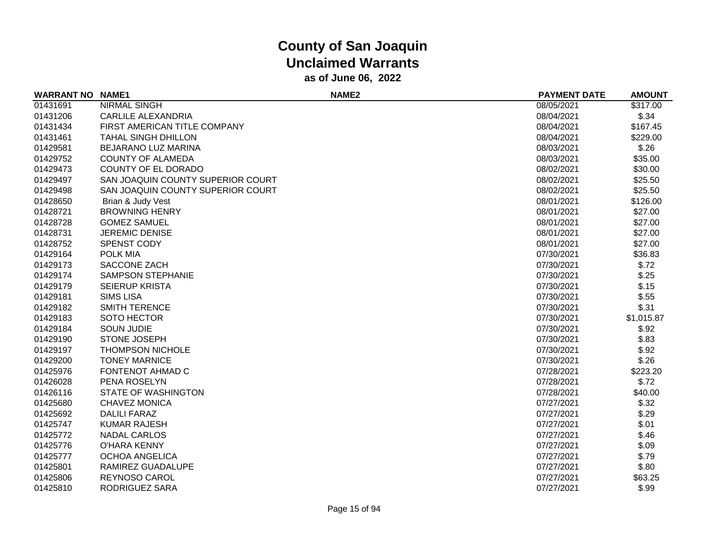| <b>WARRANT NO</b> | <b>NAME1</b>                      | NAME <sub>2</sub> | <b>PAYMENT DATE</b> | <b>AMOUNT</b> |
|-------------------|-----------------------------------|-------------------|---------------------|---------------|
| 01431691          | <b>NIRMAL SINGH</b>               |                   | 08/05/2021          | \$317.00      |
| 01431206          | <b>CARLILE ALEXANDRIA</b>         |                   | 08/04/2021          | \$.34         |
| 01431434          | FIRST AMERICAN TITLE COMPANY      |                   | 08/04/2021          | \$167.45      |
| 01431461          | <b>TAHAL SINGH DHILLON</b>        |                   | 08/04/2021          | \$229.00      |
| 01429581          | BEJARANO LUZ MARINA               |                   | 08/03/2021          | \$.26         |
| 01429752          | <b>COUNTY OF ALAMEDA</b>          |                   | 08/03/2021          | \$35.00       |
| 01429473          | <b>COUNTY OF EL DORADO</b>        |                   | 08/02/2021          | \$30.00       |
| 01429497          | SAN JOAQUIN COUNTY SUPERIOR COURT |                   | 08/02/2021          | \$25.50       |
| 01429498          | SAN JOAQUIN COUNTY SUPERIOR COURT |                   | 08/02/2021          | \$25.50       |
| 01428650          | Brian & Judy Vest                 |                   | 08/01/2021          | \$126.00      |
| 01428721          | <b>BROWNING HENRY</b>             |                   | 08/01/2021          | \$27.00       |
| 01428728          | <b>GOMEZ SAMUEL</b>               |                   | 08/01/2021          | \$27.00       |
| 01428731          | <b>JEREMIC DENISE</b>             |                   | 08/01/2021          | \$27.00       |
| 01428752          | SPENST CODY                       |                   | 08/01/2021          | \$27.00       |
| 01429164          | POLK MIA                          |                   | 07/30/2021          | \$36.83       |
| 01429173          | SACCONE ZACH                      |                   | 07/30/2021          | \$.72         |
| 01429174          | <b>SAMPSON STEPHANIE</b>          |                   | 07/30/2021          | \$.25         |
| 01429179          | <b>SEIERUP KRISTA</b>             |                   | 07/30/2021          | \$.15         |
| 01429181          | <b>SIMS LISA</b>                  |                   | 07/30/2021          | \$.55         |
| 01429182          | SMITH TERENCE                     |                   | 07/30/2021          | \$.31         |
| 01429183          | SOTO HECTOR                       |                   | 07/30/2021          | \$1,015.87    |
| 01429184          | <b>SOUN JUDIE</b>                 |                   | 07/30/2021          | \$.92         |
| 01429190          | STONE JOSEPH                      |                   | 07/30/2021          | \$.83         |
| 01429197          | <b>THOMPSON NICHOLE</b>           |                   | 07/30/2021          | \$.92         |
| 01429200          | <b>TONEY MARNICE</b>              |                   | 07/30/2021          | \$.26         |
| 01425976          | FONTENOT AHMAD C                  |                   | 07/28/2021          | \$223.20      |
| 01426028          | PENA ROSELYN                      |                   | 07/28/2021          | \$.72         |
| 01426116          | <b>STATE OF WASHINGTON</b>        |                   | 07/28/2021          | \$40.00       |
| 01425680          | <b>CHAVEZ MONICA</b>              |                   | 07/27/2021          | \$.32         |
| 01425692          | <b>DALILI FARAZ</b>               |                   | 07/27/2021          | \$.29         |
| 01425747          | <b>KUMAR RAJESH</b>               |                   | 07/27/2021          | \$.01         |
| 01425772          | <b>NADAL CARLOS</b>               |                   | 07/27/2021          | \$.46         |
| 01425776          | <b>O'HARA KENNY</b>               |                   | 07/27/2021          | \$.09         |
| 01425777          | <b>OCHOA ANGELICA</b>             |                   | 07/27/2021          | \$.79         |
| 01425801          | RAMIREZ GUADALUPE                 |                   | 07/27/2021          | \$.80         |
| 01425806          | <b>REYNOSO CAROL</b>              |                   | 07/27/2021          | \$63.25       |
| 01425810          | RODRIGUEZ SARA                    |                   | 07/27/2021          | \$.99         |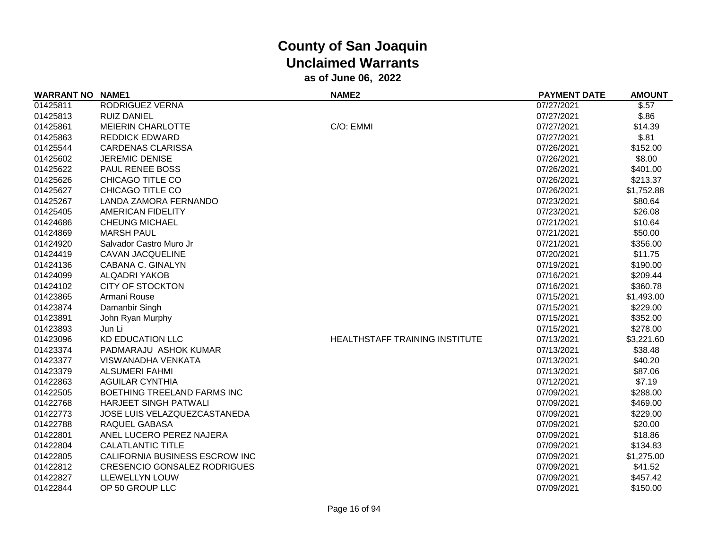| <b>WARRANT NO NAME1</b> |                                     | <b>NAME2</b>                          | <b>PAYMENT DATE</b> | <b>AMOUNT</b> |
|-------------------------|-------------------------------------|---------------------------------------|---------------------|---------------|
| 01425811                | RODRIGUEZ VERNA                     |                                       | 07/27/2021          | \$.57         |
| 01425813                | <b>RUIZ DANIEL</b>                  |                                       | 07/27/2021          | \$.86         |
| 01425861                | <b>MEIERIN CHARLOTTE</b>            | C/O: EMMI                             | 07/27/2021          | \$14.39       |
| 01425863                | <b>REDDICK EDWARD</b>               |                                       | 07/27/2021          | \$.81         |
| 01425544                | <b>CARDENAS CLARISSA</b>            |                                       | 07/26/2021          | \$152.00      |
| 01425602                | <b>JEREMIC DENISE</b>               |                                       | 07/26/2021          | \$8.00        |
| 01425622                | PAUL RENEE BOSS                     |                                       | 07/26/2021          | \$401.00      |
| 01425626                | CHICAGO TITLE CO                    |                                       | 07/26/2021          | \$213.37      |
| 01425627                | CHICAGO TITLE CO                    |                                       | 07/26/2021          | \$1,752.88    |
| 01425267                | LANDA ZAMORA FERNANDO               |                                       | 07/23/2021          | \$80.64       |
| 01425405                | <b>AMERICAN FIDELITY</b>            |                                       | 07/23/2021          | \$26.08       |
| 01424686                | <b>CHEUNG MICHAEL</b>               |                                       | 07/21/2021          | \$10.64       |
| 01424869                | <b>MARSH PAUL</b>                   |                                       | 07/21/2021          | \$50.00       |
| 01424920                | Salvador Castro Muro Jr             |                                       | 07/21/2021          | \$356.00      |
| 01424419                | CAVAN JACQUELINE                    |                                       | 07/20/2021          | \$11.75       |
| 01424136                | CABANA C. GINALYN                   |                                       | 07/19/2021          | \$190.00      |
| 01424099                | <b>ALQADRI YAKOB</b>                |                                       | 07/16/2021          | \$209.44      |
| 01424102                | <b>CITY OF STOCKTON</b>             |                                       | 07/16/2021          | \$360.78      |
| 01423865                | Armani Rouse                        |                                       | 07/15/2021          | \$1,493.00    |
| 01423874                | Damanbir Singh                      |                                       | 07/15/2021          | \$229.00      |
| 01423891                | John Ryan Murphy                    |                                       | 07/15/2021          | \$352.00      |
| 01423893                | Jun Li                              |                                       | 07/15/2021          | \$278.00      |
| 01423096                | <b>KD EDUCATION LLC</b>             | <b>HEALTHSTAFF TRAINING INSTITUTE</b> | 07/13/2021          | \$3,221.60    |
| 01423374                | PADMARAJU ASHOK KUMAR               |                                       | 07/13/2021          | \$38.48       |
| 01423377                | <b>VISWANADHA VENKATA</b>           |                                       | 07/13/2021          | \$40.20       |
| 01423379                | <b>ALSUMERI FAHMI</b>               |                                       | 07/13/2021          | \$87.06       |
| 01422863                | <b>AGUILAR CYNTHIA</b>              |                                       | 07/12/2021          | \$7.19        |
| 01422505                | BOETHING TREELAND FARMS INC         |                                       | 07/09/2021          | \$288.00      |
| 01422768                | HARJEET SINGH PATWALI               |                                       | 07/09/2021          | \$469.00      |
| 01422773                | JOSE LUIS VELAZQUEZCASTANEDA        |                                       | 07/09/2021          | \$229.00      |
| 01422788                | RAQUEL GABASA                       |                                       | 07/09/2021          | \$20.00       |
| 01422801                | ANEL LUCERO PEREZ NAJERA            |                                       | 07/09/2021          | \$18.86       |
| 01422804                | <b>CALATLANTIC TITLE</b>            |                                       | 07/09/2021          | \$134.83      |
| 01422805                | CALIFORNIA BUSINESS ESCROW INC      |                                       | 07/09/2021          | \$1,275.00    |
| 01422812                | <b>CRESENCIO GONSALEZ RODRIGUES</b> |                                       | 07/09/2021          | \$41.52       |
| 01422827                | <b>LLEWELLYN LOUW</b>               |                                       | 07/09/2021          | \$457.42      |
| 01422844                | OP 50 GROUP LLC                     |                                       | 07/09/2021          | \$150.00      |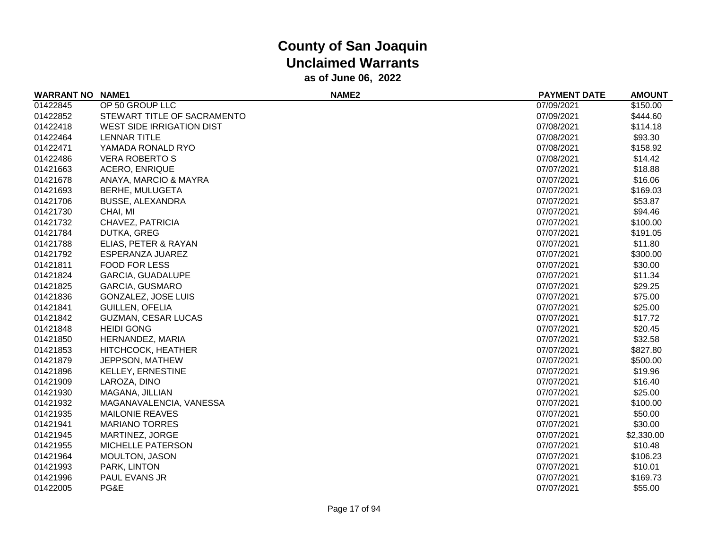| <b>WARRANT NO</b> | <b>NAME1</b>                | NAME <sub>2</sub> | <b>PAYMENT DATE</b> | <b>AMOUNT</b> |
|-------------------|-----------------------------|-------------------|---------------------|---------------|
| 01422845          | OP 50 GROUP LLC             |                   | 07/09/2021          | \$150.00      |
| 01422852          | STEWART TITLE OF SACRAMENTO |                   | 07/09/2021          | \$444.60      |
| 01422418          | WEST SIDE IRRIGATION DIST   |                   | 07/08/2021          | \$114.18      |
| 01422464          | <b>LENNAR TITLE</b>         |                   | 07/08/2021          | \$93.30       |
| 01422471          | YAMADA RONALD RYO           |                   | 07/08/2021          | \$158.92      |
| 01422486          | <b>VERA ROBERTO S</b>       |                   | 07/08/2021          | \$14.42       |
| 01421663          | <b>ACERO, ENRIQUE</b>       |                   | 07/07/2021          | \$18.88       |
| 01421678          | ANAYA, MARCIO & MAYRA       |                   | 07/07/2021          | \$16.06       |
| 01421693          | <b>BERHE, MULUGETA</b>      |                   | 07/07/2021          | \$169.03      |
| 01421706          | <b>BUSSE, ALEXANDRA</b>     |                   | 07/07/2021          | \$53.87       |
| 01421730          | CHAI, MI                    |                   | 07/07/2021          | \$94.46       |
| 01421732          | CHAVEZ, PATRICIA            |                   | 07/07/2021          | \$100.00      |
| 01421784          | <b>DUTKA, GREG</b>          |                   | 07/07/2021          | \$191.05      |
| 01421788          | ELIAS, PETER & RAYAN        |                   | 07/07/2021          | \$11.80       |
| 01421792          | ESPERANZA JUAREZ            |                   | 07/07/2021          | \$300.00      |
| 01421811          | <b>FOOD FOR LESS</b>        |                   | 07/07/2021          | \$30.00       |
| 01421824          | GARCIA, GUADALUPE           |                   | 07/07/2021          | \$11.34       |
| 01421825          | <b>GARCIA, GUSMARO</b>      |                   | 07/07/2021          | \$29.25       |
| 01421836          | <b>GONZALEZ, JOSE LUIS</b>  |                   | 07/07/2021          | \$75.00       |
| 01421841          | <b>GUILLEN, OFELIA</b>      |                   | 07/07/2021          | \$25.00       |
| 01421842          | <b>GUZMAN, CESAR LUCAS</b>  |                   | 07/07/2021          | \$17.72       |
| 01421848          | <b>HEIDI GONG</b>           |                   | 07/07/2021          | \$20.45       |
| 01421850          | HERNANDEZ, MARIA            |                   | 07/07/2021          | \$32.58       |
| 01421853          | HITCHCOCK, HEATHER          |                   | 07/07/2021          | \$827.80      |
| 01421879          | JEPPSON, MATHEW             |                   | 07/07/2021          | \$500.00      |
| 01421896          | KELLEY, ERNESTINE           |                   | 07/07/2021          | \$19.96       |
| 01421909          | LAROZA, DINO                |                   | 07/07/2021          | \$16.40       |
| 01421930          | MAGANA, JILLIAN             |                   | 07/07/2021          | \$25.00       |
| 01421932          | MAGANAVALENCIA, VANESSA     |                   | 07/07/2021          | \$100.00      |
| 01421935          | <b>MAILONIE REAVES</b>      |                   | 07/07/2021          | \$50.00       |
| 01421941          | <b>MARIANO TORRES</b>       |                   | 07/07/2021          | \$30.00       |
| 01421945          | MARTINEZ, JORGE             |                   | 07/07/2021          | \$2,330.00    |
| 01421955          | <b>MICHELLE PATERSON</b>    |                   | 07/07/2021          | \$10.48       |
| 01421964          | <b>MOULTON, JASON</b>       |                   | 07/07/2021          | \$106.23      |
| 01421993          | PARK, LINTON                |                   | 07/07/2021          | \$10.01       |
| 01421996          | PAUL EVANS JR               |                   | 07/07/2021          | \$169.73      |
| 01422005          | PG&E                        |                   | 07/07/2021          | \$55.00       |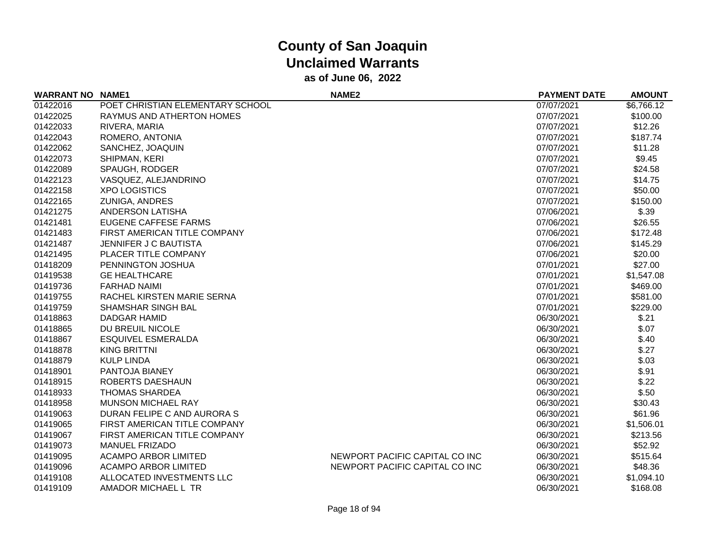| <b>WARRANT NO</b> | <b>NAME1</b>                     | NAME <sub>2</sub>              | <b>PAYMENT DATE</b> | <b>AMOUNT</b> |
|-------------------|----------------------------------|--------------------------------|---------------------|---------------|
| 01422016          | POET CHRISTIAN ELEMENTARY SCHOOL |                                | 07/07/2021          | \$6,766.12    |
| 01422025          | RAYMUS AND ATHERTON HOMES        |                                | 07/07/2021          | \$100.00      |
| 01422033          | RIVERA, MARIA                    |                                | 07/07/2021          | \$12.26       |
| 01422043          | ROMERO, ANTONIA                  |                                | 07/07/2021          | \$187.74      |
| 01422062          | SANCHEZ, JOAQUIN                 |                                | 07/07/2021          | \$11.28       |
| 01422073          | SHIPMAN, KERI                    |                                | 07/07/2021          | \$9.45        |
| 01422089          | SPAUGH, RODGER                   |                                | 07/07/2021          | \$24.58       |
| 01422123          | VASQUEZ, ALEJANDRINO             |                                | 07/07/2021          | \$14.75       |
| 01422158          | <b>XPO LOGISTICS</b>             |                                | 07/07/2021          | \$50.00       |
| 01422165          | <b>ZUNIGA, ANDRES</b>            |                                | 07/07/2021          | \$150.00      |
| 01421275          | <b>ANDERSON LATISHA</b>          |                                | 07/06/2021          | \$.39         |
| 01421481          | <b>EUGENE CAFFESE FARMS</b>      |                                | 07/06/2021          | \$26.55       |
| 01421483          | FIRST AMERICAN TITLE COMPANY     |                                | 07/06/2021          | \$172.48      |
| 01421487          | JENNIFER J C BAUTISTA            |                                | 07/06/2021          | \$145.29      |
| 01421495          | PLACER TITLE COMPANY             |                                | 07/06/2021          | \$20.00       |
| 01418209          | PENNINGTON JOSHUA                |                                | 07/01/2021          | \$27.00       |
| 01419538          | <b>GE HEALTHCARE</b>             |                                | 07/01/2021          | \$1,547.08    |
| 01419736          | <b>FARHAD NAIMI</b>              |                                | 07/01/2021          | \$469.00      |
| 01419755          | RACHEL KIRSTEN MARIE SERNA       |                                | 07/01/2021          | \$581.00      |
| 01419759          | SHAMSHAR SINGH BAL               |                                | 07/01/2021          | \$229.00      |
| 01418863          | DADGAR HAMID                     |                                | 06/30/2021          | \$.21         |
| 01418865          | DU BREUIL NICOLE                 |                                | 06/30/2021          | \$.07         |
| 01418867          | <b>ESQUIVEL ESMERALDA</b>        |                                | 06/30/2021          | \$.40         |
| 01418878          | <b>KING BRITTNI</b>              |                                | 06/30/2021          | \$.27         |
| 01418879          | <b>KULP LINDA</b>                |                                | 06/30/2021          | \$.03         |
| 01418901          | PANTOJA BIANEY                   |                                | 06/30/2021          | \$.91         |
| 01418915          | ROBERTS DAESHAUN                 |                                | 06/30/2021          | \$.22         |
| 01418933          | <b>THOMAS SHARDEA</b>            |                                | 06/30/2021          | \$.50         |
| 01418958          | MUNSON MICHAEL RAY               |                                | 06/30/2021          | \$30.43       |
| 01419063          | DURAN FELIPE C AND AURORA S      |                                | 06/30/2021          | \$61.96       |
| 01419065          | FIRST AMERICAN TITLE COMPANY     |                                | 06/30/2021          | \$1,506.01    |
| 01419067          | FIRST AMERICAN TITLE COMPANY     |                                | 06/30/2021          | \$213.56      |
| 01419073          | <b>MANUEL FRIZADO</b>            |                                | 06/30/2021          | \$52.92       |
| 01419095          | <b>ACAMPO ARBOR LIMITED</b>      | NEWPORT PACIFIC CAPITAL CO INC | 06/30/2021          | \$515.64      |
| 01419096          | <b>ACAMPO ARBOR LIMITED</b>      | NEWPORT PACIFIC CAPITAL CO INC | 06/30/2021          | \$48.36       |
| 01419108          | ALLOCATED INVESTMENTS LLC        |                                | 06/30/2021          | \$1,094.10    |
| 01419109          | AMADOR MICHAEL L TR              |                                | 06/30/2021          | \$168.08      |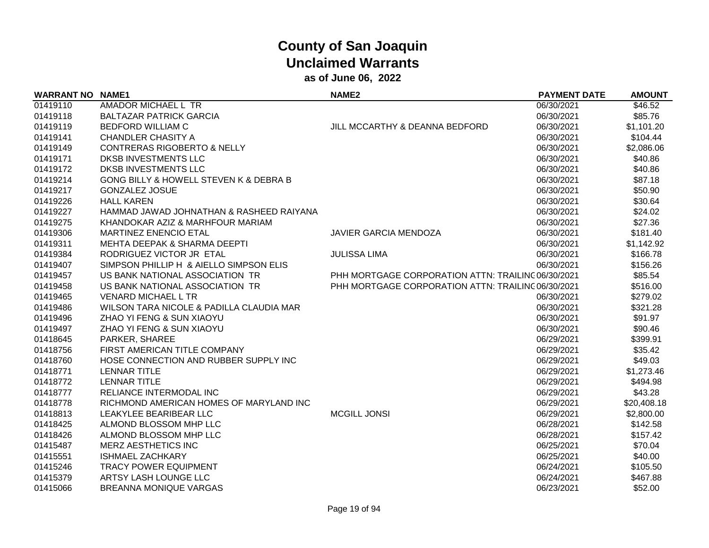| <b>WARRANT NO NAME1</b> |                                          | <b>NAME2</b>                                       | <b>PAYMENT DATE</b> | <b>AMOUNT</b> |
|-------------------------|------------------------------------------|----------------------------------------------------|---------------------|---------------|
| 01419110                | AMADOR MICHAEL L TR                      |                                                    | 06/30/2021          | \$46.52       |
| 01419118                | <b>BALTAZAR PATRICK GARCIA</b>           |                                                    | 06/30/2021          | \$85.76       |
| 01419119                | <b>BEDFORD WILLIAM C</b>                 | JILL MCCARTHY & DEANNA BEDFORD                     | 06/30/2021          | \$1,101.20    |
| 01419141                | <b>CHANDLER CHASITY A</b>                |                                                    | 06/30/2021          | \$104.44      |
| 01419149                | <b>CONTRERAS RIGOBERTO &amp; NELLY</b>   |                                                    | 06/30/2021          | \$2,086.06    |
| 01419171                | DKSB INVESTMENTS LLC                     |                                                    | 06/30/2021          | \$40.86       |
| 01419172                | <b>DKSB INVESTMENTS LLC</b>              |                                                    | 06/30/2021          | \$40.86       |
| 01419214                | GONG BILLY & HOWELL STEVEN K & DEBRA B   |                                                    | 06/30/2021          | \$87.18       |
| 01419217                | <b>GONZALEZ JOSUE</b>                    |                                                    | 06/30/2021          | \$50.90       |
| 01419226                | <b>HALL KAREN</b>                        |                                                    | 06/30/2021          | \$30.64       |
| 01419227                | HAMMAD JAWAD JOHNATHAN & RASHEED RAIYANA |                                                    | 06/30/2021          | \$24.02       |
| 01419275                | KHANDOKAR AZIZ & MARHFOUR MARIAM         |                                                    | 06/30/2021          | \$27.36       |
| 01419306                | <b>MARTINEZ ENENCIO ETAL</b>             | <b>JAVIER GARCIA MENDOZA</b>                       | 06/30/2021          | \$181.40      |
| 01419311                | MEHTA DEEPAK & SHARMA DEEPTI             |                                                    | 06/30/2021          | \$1,142.92    |
| 01419384                | RODRIGUEZ VICTOR JR ETAL                 | <b>JULISSA LIMA</b>                                | 06/30/2021          | \$166.78      |
| 01419407                | SIMPSON PHILLIP H & AIELLO SIMPSON ELIS  |                                                    | 06/30/2021          | \$156.26      |
| 01419457                | US BANK NATIONAL ASSOCIATION TR          | PHH MORTGAGE CORPORATION ATTN: TRAILINC 06/30/2021 |                     | \$85.54       |
| 01419458                | US BANK NATIONAL ASSOCIATION TR          | PHH MORTGAGE CORPORATION ATTN: TRAILINC 06/30/2021 |                     | \$516.00      |
| 01419465                | <b>VENARD MICHAEL L TR</b>               |                                                    | 06/30/2021          | \$279.02      |
| 01419486                | WILSON TARA NICOLE & PADILLA CLAUDIA MAR |                                                    | 06/30/2021          | \$321.28      |
| 01419496                | ZHAO YI FENG & SUN XIAOYU                |                                                    | 06/30/2021          | \$91.97       |
| 01419497                | ZHAO YI FENG & SUN XIAOYU                |                                                    | 06/30/2021          | \$90.46       |
| 01418645                | PARKER, SHAREE                           |                                                    | 06/29/2021          | \$399.91      |
| 01418756                | FIRST AMERICAN TITLE COMPANY             |                                                    | 06/29/2021          | \$35.42       |
| 01418760                | HOSE CONNECTION AND RUBBER SUPPLY INC    |                                                    | 06/29/2021          | \$49.03       |
| 01418771                | <b>LENNAR TITLE</b>                      |                                                    | 06/29/2021          | \$1,273.46    |
| 01418772                | <b>LENNAR TITLE</b>                      |                                                    | 06/29/2021          | \$494.98      |
| 01418777                | RELIANCE INTERMODAL INC                  |                                                    | 06/29/2021          | \$43.28       |
| 01418778                | RICHMOND AMERICAN HOMES OF MARYLAND INC  |                                                    | 06/29/2021          | \$20,408.18   |
| 01418813                | LEAKYLEE BEARIBEAR LLC                   | <b>MCGILL JONSI</b>                                | 06/29/2021          | \$2,800.00    |
| 01418425                | ALMOND BLOSSOM MHP LLC                   |                                                    | 06/28/2021          | \$142.58      |
| 01418426                | ALMOND BLOSSOM MHP LLC                   |                                                    | 06/28/2021          | \$157.42      |
| 01415487                | <b>MERZ AESTHETICS INC</b>               |                                                    | 06/25/2021          | \$70.04       |
| 01415551                | <b>ISHMAEL ZACHKARY</b>                  |                                                    | 06/25/2021          | \$40.00       |
| 01415246                | <b>TRACY POWER EQUIPMENT</b>             |                                                    | 06/24/2021          | \$105.50      |
| 01415379                | ARTSY LASH LOUNGE LLC                    |                                                    | 06/24/2021          | \$467.88      |
| 01415066                | <b>BREANNA MONIQUE VARGAS</b>            |                                                    | 06/23/2021          | \$52.00       |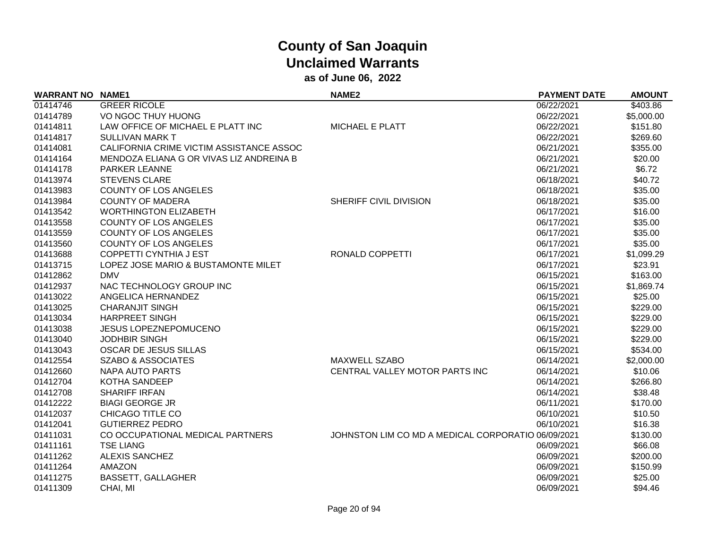| <b>WARRANT NO</b> | <b>NAME1</b>                             | NAME <sub>2</sub>                                  | <b>PAYMENT DATE</b> | <b>AMOUNT</b> |
|-------------------|------------------------------------------|----------------------------------------------------|---------------------|---------------|
| 01414746          | <b>GREER RICOLE</b>                      |                                                    | 06/22/2021          | \$403.86      |
| 01414789          | VO NGOC THUY HUONG                       |                                                    | 06/22/2021          | \$5,000.00    |
| 01414811          | LAW OFFICE OF MICHAEL E PLATT INC        | <b>MICHAEL E PLATT</b>                             | 06/22/2021          | \$151.80      |
| 01414817          | <b>SULLIVAN MARK T</b>                   |                                                    | 06/22/2021          | \$269.60      |
| 01414081          | CALIFORNIA CRIME VICTIM ASSISTANCE ASSOC |                                                    | 06/21/2021          | \$355.00      |
| 01414164          | MENDOZA ELIANA G OR VIVAS LIZ ANDREINA B |                                                    | 06/21/2021          | \$20.00       |
| 01414178          | <b>PARKER LEANNE</b>                     |                                                    | 06/21/2021          | \$6.72        |
| 01413974          | <b>STEVENS CLARE</b>                     |                                                    | 06/18/2021          | \$40.72       |
| 01413983          | <b>COUNTY OF LOS ANGELES</b>             |                                                    | 06/18/2021          | \$35.00       |
| 01413984          | <b>COUNTY OF MADERA</b>                  | SHERIFF CIVIL DIVISION                             | 06/18/2021          | \$35.00       |
| 01413542          | <b>WORTHINGTON ELIZABETH</b>             |                                                    | 06/17/2021          | \$16.00       |
| 01413558          | <b>COUNTY OF LOS ANGELES</b>             |                                                    | 06/17/2021          | \$35.00       |
| 01413559          | <b>COUNTY OF LOS ANGELES</b>             |                                                    | 06/17/2021          | \$35.00       |
| 01413560          | <b>COUNTY OF LOS ANGELES</b>             |                                                    | 06/17/2021          | \$35.00       |
| 01413688          | <b>COPPETTI CYNTHIA J EST</b>            | RONALD COPPETTI                                    | 06/17/2021          | \$1,099.29    |
| 01413715          | LOPEZ JOSE MARIO & BUSTAMONTE MILET      |                                                    | 06/17/2021          | \$23.91       |
| 01412862          | <b>DMV</b>                               |                                                    | 06/15/2021          | \$163.00      |
| 01412937          | NAC TECHNOLOGY GROUP INC                 |                                                    | 06/15/2021          | \$1,869.74    |
| 01413022          | ANGELICA HERNANDEZ                       |                                                    | 06/15/2021          | \$25.00       |
| 01413025          | <b>CHARANJIT SINGH</b>                   |                                                    | 06/15/2021          | \$229.00      |
| 01413034          | <b>HARPREET SINGH</b>                    |                                                    | 06/15/2021          | \$229.00      |
| 01413038          | <b>JESUS LOPEZNEPOMUCENO</b>             |                                                    | 06/15/2021          | \$229.00      |
| 01413040          | <b>JODHBIR SINGH</b>                     |                                                    | 06/15/2021          | \$229.00      |
| 01413043          | OSCAR DE JESUS SILLAS                    |                                                    | 06/15/2021          | \$534.00      |
| 01412554          | <b>SZABO &amp; ASSOCIATES</b>            | MAXWELL SZABO                                      | 06/14/2021          | \$2,000.00    |
| 01412660          | <b>NAPA AUTO PARTS</b>                   | CENTRAL VALLEY MOTOR PARTS INC                     | 06/14/2021          | \$10.06       |
| 01412704          | KOTHA SANDEEP                            |                                                    | 06/14/2021          | \$266.80      |
| 01412708          | <b>SHARIFF IRFAN</b>                     |                                                    | 06/14/2021          | \$38.48       |
| 01412222          | <b>BIAGI GEORGE JR</b>                   |                                                    | 06/11/2021          | \$170.00      |
| 01412037          | CHICAGO TITLE CO                         |                                                    | 06/10/2021          | \$10.50       |
| 01412041          | <b>GUTIERREZ PEDRO</b>                   |                                                    | 06/10/2021          | \$16.38       |
| 01411031          | CO OCCUPATIONAL MEDICAL PARTNERS         | JOHNSTON LIM CO MD A MEDICAL CORPORATIO 06/09/2021 |                     | \$130.00      |
| 01411161          | <b>TSE LIANG</b>                         |                                                    | 06/09/2021          | \$66.08       |
| 01411262          | <b>ALEXIS SANCHEZ</b>                    |                                                    | 06/09/2021          | \$200.00      |
| 01411264          | <b>AMAZON</b>                            |                                                    | 06/09/2021          | \$150.99      |
| 01411275          | <b>BASSETT, GALLAGHER</b>                |                                                    | 06/09/2021          | \$25.00       |
| 01411309          | CHAI, MI                                 |                                                    | 06/09/2021          | \$94.46       |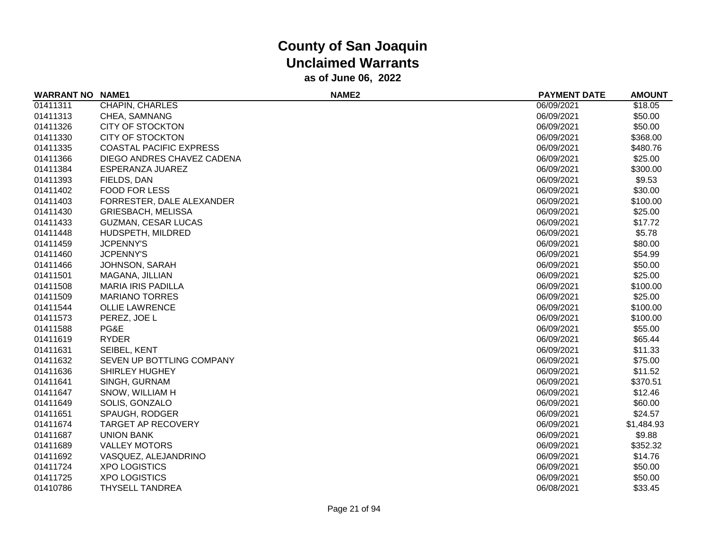| <b>WARRANT NO</b> | <b>NAME1</b>                   | NAME <sub>2</sub> | <b>PAYMENT DATE</b> | <b>AMOUNT</b> |
|-------------------|--------------------------------|-------------------|---------------------|---------------|
| 01411311          | CHAPIN, CHARLES                |                   | 06/09/2021          | \$18.05       |
| 01411313          | CHEA, SAMNANG                  |                   | 06/09/2021          | \$50.00       |
| 01411326          | <b>CITY OF STOCKTON</b>        |                   | 06/09/2021          | \$50.00       |
| 01411330          | <b>CITY OF STOCKTON</b>        |                   | 06/09/2021          | \$368.00      |
| 01411335          | <b>COASTAL PACIFIC EXPRESS</b> |                   | 06/09/2021          | \$480.76      |
| 01411366          | DIEGO ANDRES CHAVEZ CADENA     |                   | 06/09/2021          | \$25.00       |
| 01411384          | ESPERANZA JUAREZ               |                   | 06/09/2021          | \$300.00      |
| 01411393          | FIELDS, DAN                    |                   | 06/09/2021          | \$9.53        |
| 01411402          | <b>FOOD FOR LESS</b>           |                   | 06/09/2021          | \$30.00       |
| 01411403          | FORRESTER, DALE ALEXANDER      |                   | 06/09/2021          | \$100.00      |
| 01411430          | <b>GRIESBACH, MELISSA</b>      |                   | 06/09/2021          | \$25.00       |
| 01411433          | <b>GUZMAN, CESAR LUCAS</b>     |                   | 06/09/2021          | \$17.72       |
| 01411448          | HUDSPETH, MILDRED              |                   | 06/09/2021          | \$5.78        |
| 01411459          | <b>JCPENNY'S</b>               |                   | 06/09/2021          | \$80.00       |
| 01411460          | <b>JCPENNY'S</b>               |                   | 06/09/2021          | \$54.99       |
| 01411466          | JOHNSON, SARAH                 |                   | 06/09/2021          | \$50.00       |
| 01411501          | MAGANA, JILLIAN                |                   | 06/09/2021          | \$25.00       |
| 01411508          | <b>MARIA IRIS PADILLA</b>      |                   | 06/09/2021          | \$100.00      |
| 01411509          | <b>MARIANO TORRES</b>          |                   | 06/09/2021          | \$25.00       |
| 01411544          | <b>OLLIE LAWRENCE</b>          |                   | 06/09/2021          | \$100.00      |
| 01411573          | PEREZ, JOE L                   |                   | 06/09/2021          | \$100.00      |
| 01411588          | PG&E                           |                   | 06/09/2021          | \$55.00       |
| 01411619          | <b>RYDER</b>                   |                   | 06/09/2021          | \$65.44       |
| 01411631          | SEIBEL, KENT                   |                   | 06/09/2021          | \$11.33       |
| 01411632          | SEVEN UP BOTTLING COMPANY      |                   | 06/09/2021          | \$75.00       |
| 01411636          | SHIRLEY HUGHEY                 |                   | 06/09/2021          | \$11.52       |
| 01411641          | SINGH, GURNAM                  |                   | 06/09/2021          | \$370.51      |
| 01411647          | SNOW, WILLIAM H                |                   | 06/09/2021          | \$12.46       |
| 01411649          | SOLIS, GONZALO                 |                   | 06/09/2021          | \$60.00       |
| 01411651          | SPAUGH, RODGER                 |                   | 06/09/2021          | \$24.57       |
| 01411674          | <b>TARGET AP RECOVERY</b>      |                   | 06/09/2021          | \$1,484.93    |
| 01411687          | <b>UNION BANK</b>              |                   | 06/09/2021          | \$9.88        |
| 01411689          | <b>VALLEY MOTORS</b>           |                   | 06/09/2021          | \$352.32      |
| 01411692          | VASQUEZ, ALEJANDRINO           |                   | 06/09/2021          | \$14.76       |
| 01411724          | <b>XPO LOGISTICS</b>           |                   | 06/09/2021          | \$50.00       |
| 01411725          | <b>XPO LOGISTICS</b>           |                   | 06/09/2021          | \$50.00       |
| 01410786          | <b>THYSELL TANDREA</b>         |                   | 06/08/2021          | \$33.45       |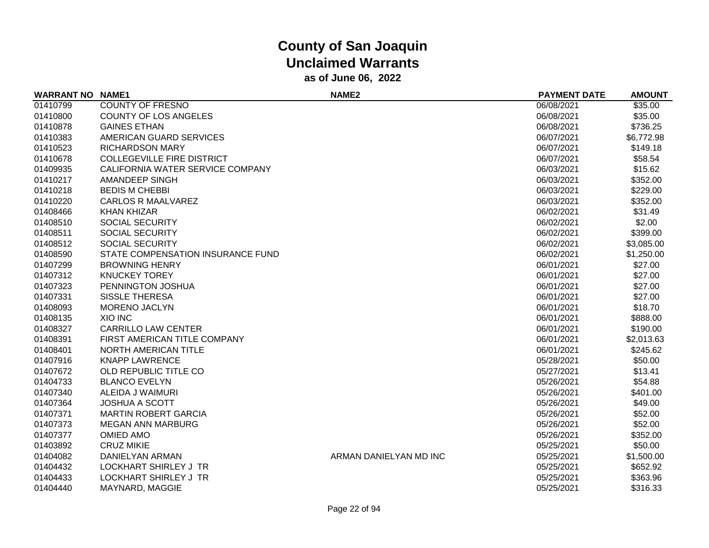| <b>WARRANT NO NAME1</b> |                                   | NAME <sub>2</sub>      | <b>PAYMENT DATE</b> | <b>AMOUNT</b> |
|-------------------------|-----------------------------------|------------------------|---------------------|---------------|
| 01410799                | <b>COUNTY OF FRESNO</b>           |                        | 06/08/2021          | \$35.00       |
| 01410800                | <b>COUNTY OF LOS ANGELES</b>      |                        | 06/08/2021          | \$35.00       |
| 01410878                | <b>GAINES ETHAN</b>               |                        | 06/08/2021          | \$736.25      |
| 01410383                | AMERICAN GUARD SERVICES           |                        | 06/07/2021          | \$6,772.98    |
| 01410523                | <b>RICHARDSON MARY</b>            |                        | 06/07/2021          | \$149.18      |
| 01410678                | <b>COLLEGEVILLE FIRE DISTRICT</b> |                        | 06/07/2021          | \$58.54       |
| 01409935                | CALIFORNIA WATER SERVICE COMPANY  |                        | 06/03/2021          | \$15.62       |
| 01410217                | AMANDEEP SINGH                    |                        | 06/03/2021          | \$352.00      |
| 01410218                | <b>BEDIS M CHEBBI</b>             |                        | 06/03/2021          | \$229.00      |
| 01410220                | <b>CARLOS R MAALVAREZ</b>         |                        | 06/03/2021          | \$352.00      |
| 01408466                | <b>KHAN KHIZAR</b>                |                        | 06/02/2021          | \$31.49       |
| 01408510                | SOCIAL SECURITY                   |                        | 06/02/2021          | \$2.00        |
| 01408511                | <b>SOCIAL SECURITY</b>            |                        | 06/02/2021          | \$399.00      |
| 01408512                | <b>SOCIAL SECURITY</b>            |                        | 06/02/2021          | \$3,085.00    |
| 01408590                | STATE COMPENSATION INSURANCE FUND |                        | 06/02/2021          | \$1,250.00    |
| 01407299                | <b>BROWNING HENRY</b>             |                        | 06/01/2021          | \$27.00       |
| 01407312                | <b>KNUCKEY TOREY</b>              |                        | 06/01/2021          | \$27.00       |
| 01407323                | PENNINGTON JOSHUA                 |                        | 06/01/2021          | \$27.00       |
| 01407331                | <b>SISSLE THERESA</b>             |                        | 06/01/2021          | \$27.00       |
| 01408093                | <b>MORENO JACLYN</b>              |                        | 06/01/2021          | \$18.70       |
| 01408135                | <b>XIO INC</b>                    |                        | 06/01/2021          | \$888.00      |
| 01408327                | <b>CARRILLO LAW CENTER</b>        |                        | 06/01/2021          | \$190.00      |
| 01408391                | FIRST AMERICAN TITLE COMPANY      |                        | 06/01/2021          | \$2,013.63    |
| 01408401                | NORTH AMERICAN TITLE              |                        | 06/01/2021          | \$245.62      |
| 01407916                | <b>KNAPP LAWRENCE</b>             |                        | 05/28/2021          | \$50.00       |
| 01407672                | OLD REPUBLIC TITLE CO             |                        | 05/27/2021          | \$13.41       |
| 01404733                | <b>BLANCO EVELYN</b>              |                        | 05/26/2021          | \$54.88       |
| 01407340                | ALEIDA J WAIMURI                  |                        | 05/26/2021          | \$401.00      |
| 01407364                | <b>JOSHUA A SCOTT</b>             |                        | 05/26/2021          | \$49.00       |
| 01407371                | <b>MARTIN ROBERT GARCIA</b>       |                        | 05/26/2021          | \$52.00       |
| 01407373                | <b>MEGAN ANN MARBURG</b>          |                        | 05/26/2021          | \$52.00       |
| 01407377                | <b>OMIED AMO</b>                  |                        | 05/26/2021          | \$352.00      |
| 01403892                | <b>CRUZ MIKIE</b>                 |                        | 05/25/2021          | \$50.00       |
| 01404082                | DANIELYAN ARMAN                   | ARMAN DANIELYAN MD INC | 05/25/2021          | \$1,500.00    |
| 01404432                | LOCKHART SHIRLEY J TR             |                        | 05/25/2021          | \$652.92      |
| 01404433                | <b>LOCKHART SHIRLEY J TR</b>      |                        | 05/25/2021          | \$363.96      |
| 01404440                | MAYNARD, MAGGIE                   |                        | 05/25/2021          | \$316.33      |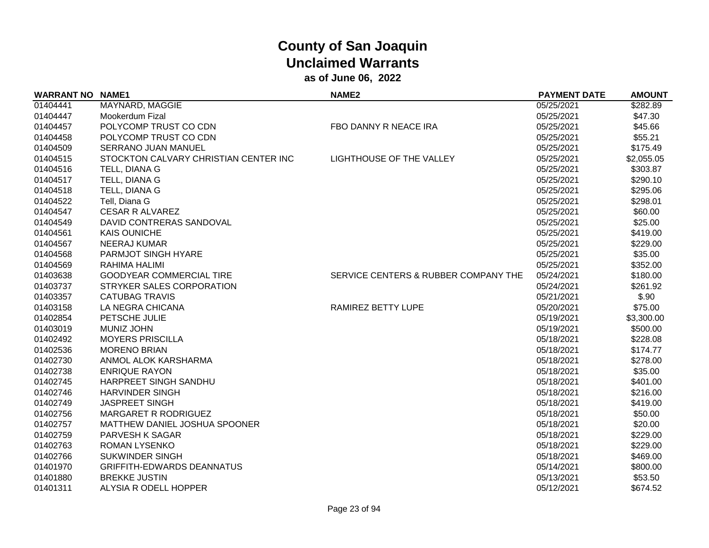| <b>WARRANT NO NAME1</b> |                                       | NAME <sub>2</sub>                    | <b>PAYMENT DATE</b> | <b>AMOUNT</b> |
|-------------------------|---------------------------------------|--------------------------------------|---------------------|---------------|
| 01404441                | MAYNARD, MAGGIE                       |                                      | 05/25/2021          | \$282.89      |
| 01404447                | Mookerdum Fizal                       |                                      | 05/25/2021          | \$47.30       |
| 01404457                | POLYCOMP TRUST CO CDN                 | FBO DANNY R NEACE IRA                | 05/25/2021          | \$45.66       |
| 01404458                | POLYCOMP TRUST CO CDN                 |                                      | 05/25/2021          | \$55.21       |
| 01404509                | SERRANO JUAN MANUEL                   |                                      | 05/25/2021          | \$175.49      |
| 01404515                | STOCKTON CALVARY CHRISTIAN CENTER INC | LIGHTHOUSE OF THE VALLEY             | 05/25/2021          | \$2,055.05    |
| 01404516                | TELL, DIANA G                         |                                      | 05/25/2021          | \$303.87      |
| 01404517                | TELL, DIANA G                         |                                      | 05/25/2021          | \$290.10      |
| 01404518                | TELL, DIANA G                         |                                      | 05/25/2021          | \$295.06      |
| 01404522                | Tell, Diana G                         |                                      | 05/25/2021          | \$298.01      |
| 01404547                | <b>CESAR R ALVAREZ</b>                |                                      | 05/25/2021          | \$60.00       |
| 01404549                | DAVID CONTRERAS SANDOVAL              |                                      | 05/25/2021          | \$25.00       |
| 01404561                | <b>KAIS OUNICHE</b>                   |                                      | 05/25/2021          | \$419.00      |
| 01404567                | <b>NEERAJ KUMAR</b>                   |                                      | 05/25/2021          | \$229.00      |
| 01404568                | PARMJOT SINGH HYARE                   |                                      | 05/25/2021          | \$35.00       |
| 01404569                | <b>RAHIMA HALIMI</b>                  |                                      | 05/25/2021          | \$352.00      |
| 01403638                | <b>GOODYEAR COMMERCIAL TIRE</b>       | SERVICE CENTERS & RUBBER COMPANY THE | 05/24/2021          | \$180.00      |
| 01403737                | STRYKER SALES CORPORATION             |                                      | 05/24/2021          | \$261.92      |
| 01403357                | <b>CATUBAG TRAVIS</b>                 |                                      | 05/21/2021          | \$.90         |
| 01403158                | LA NEGRA CHICANA                      | RAMIREZ BETTY LUPE                   | 05/20/2021          | \$75.00       |
| 01402854                | PETSCHE JULIE                         |                                      | 05/19/2021          | \$3,300.00    |
| 01403019                | <b>MUNIZ JOHN</b>                     |                                      | 05/19/2021          | \$500.00      |
| 01402492                | <b>MOYERS PRISCILLA</b>               |                                      | 05/18/2021          | \$228.08      |
| 01402536                | <b>MORENO BRIAN</b>                   |                                      | 05/18/2021          | \$174.77      |
| 01402730                | ANMOL ALOK KARSHARMA                  |                                      | 05/18/2021          | \$278.00      |
| 01402738                | <b>ENRIQUE RAYON</b>                  |                                      | 05/18/2021          | \$35.00       |
| 01402745                | HARPREET SINGH SANDHU                 |                                      | 05/18/2021          | \$401.00      |
| 01402746                | <b>HARVINDER SINGH</b>                |                                      | 05/18/2021          | \$216.00      |
| 01402749                | <b>JASPREET SINGH</b>                 |                                      | 05/18/2021          | \$419.00      |
| 01402756                | MARGARET R RODRIGUEZ                  |                                      | 05/18/2021          | \$50.00       |
| 01402757                | MATTHEW DANIEL JOSHUA SPOONER         |                                      | 05/18/2021          | \$20.00       |
| 01402759                | PARVESH K SAGAR                       |                                      | 05/18/2021          | \$229.00      |
| 01402763                | ROMAN LYSENKO                         |                                      | 05/18/2021          | \$229.00      |
| 01402766                | <b>SUKWINDER SINGH</b>                |                                      | 05/18/2021          | \$469.00      |
| 01401970                | <b>GRIFFITH-EDWARDS DEANNATUS</b>     |                                      | 05/14/2021          | \$800.00      |
| 01401880                | <b>BREKKE JUSTIN</b>                  |                                      | 05/13/2021          | \$53.50       |
| 01401311                | ALYSIA R ODELL HOPPER                 |                                      | 05/12/2021          | \$674.52      |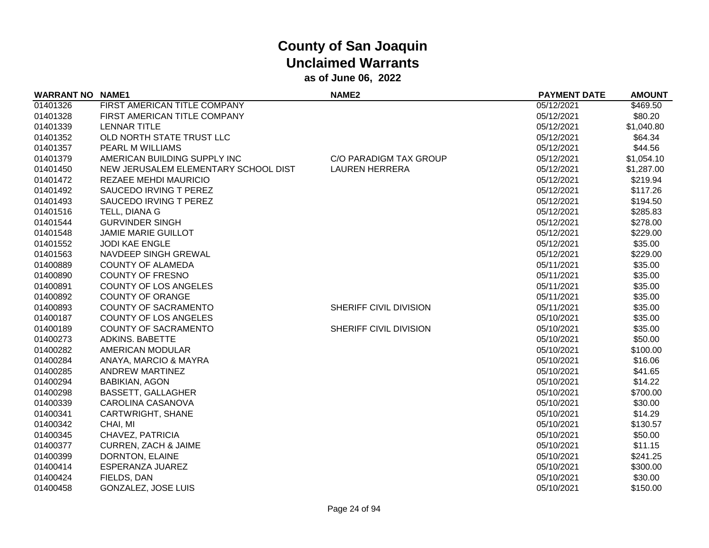| <b>WARRANT NO NAME1</b> |                                      | <b>NAME2</b>           | <b>PAYMENT DATE</b> | <b>AMOUNT</b> |
|-------------------------|--------------------------------------|------------------------|---------------------|---------------|
| 01401326                | FIRST AMERICAN TITLE COMPANY         |                        | 05/12/2021          | \$469.50      |
| 01401328                | FIRST AMERICAN TITLE COMPANY         |                        | 05/12/2021          | \$80.20       |
| 01401339                | LENNAR TITLE                         |                        | 05/12/2021          | \$1,040.80    |
| 01401352                | OLD NORTH STATE TRUST LLC            |                        | 05/12/2021          | \$64.34       |
| 01401357                | <b>PEARL M WILLIAMS</b>              |                        | 05/12/2021          | \$44.56       |
| 01401379                | AMERICAN BUILDING SUPPLY INC         | C/O PARADIGM TAX GROUP | 05/12/2021          | \$1,054.10    |
| 01401450                | NEW JERUSALEM ELEMENTARY SCHOOL DIST | <b>LAUREN HERRERA</b>  | 05/12/2021          | \$1,287.00    |
| 01401472                | REZAEE MEHDI MAURICIO                |                        | 05/12/2021          | \$219.94      |
| 01401492                | SAUCEDO IRVING T PEREZ               |                        | 05/12/2021          | \$117.26      |
| 01401493                | SAUCEDO IRVING T PEREZ               |                        | 05/12/2021          | \$194.50      |
| 01401516                | TELL, DIANA G                        |                        | 05/12/2021          | \$285.83      |
| 01401544                | <b>GURVINDER SINGH</b>               |                        | 05/12/2021          | \$278.00      |
| 01401548                | <b>JAMIE MARIE GUILLOT</b>           |                        | 05/12/2021          | \$229.00      |
| 01401552                | <b>JODI KAE ENGLE</b>                |                        | 05/12/2021          | \$35.00       |
| 01401563                | NAVDEEP SINGH GREWAL                 |                        | 05/12/2021          | \$229.00      |
| 01400889                | <b>COUNTY OF ALAMEDA</b>             |                        | 05/11/2021          | \$35.00       |
| 01400890                | <b>COUNTY OF FRESNO</b>              |                        | 05/11/2021          | \$35.00       |
| 01400891                | COUNTY OF LOS ANGELES                |                        | 05/11/2021          | \$35.00       |
| 01400892                | <b>COUNTY OF ORANGE</b>              |                        | 05/11/2021          | \$35.00       |
| 01400893                | <b>COUNTY OF SACRAMENTO</b>          | SHERIFF CIVIL DIVISION | 05/11/2021          | \$35.00       |
| 01400187                | COUNTY OF LOS ANGELES                |                        | 05/10/2021          | \$35.00       |
| 01400189                | <b>COUNTY OF SACRAMENTO</b>          | SHERIFF CIVIL DIVISION | 05/10/2021          | \$35.00       |
| 01400273                | <b>ADKINS. BABETTE</b>               |                        | 05/10/2021          | \$50.00       |
| 01400282                | AMERICAN MODULAR                     |                        | 05/10/2021          | \$100.00      |
| 01400284                | ANAYA, MARCIO & MAYRA                |                        | 05/10/2021          | \$16.06       |
| 01400285                | ANDREW MARTINEZ                      |                        | 05/10/2021          | \$41.65       |
| 01400294                | <b>BABIKIAN, AGON</b>                |                        | 05/10/2021          | \$14.22       |
| 01400298                | <b>BASSETT, GALLAGHER</b>            |                        | 05/10/2021          | \$700.00      |
| 01400339                | CAROLINA CASANOVA                    |                        | 05/10/2021          | \$30.00       |
| 01400341                | CARTWRIGHT, SHANE                    |                        | 05/10/2021          | \$14.29       |
| 01400342                | CHAI, MI                             |                        | 05/10/2021          | \$130.57      |
| 01400345                | CHAVEZ, PATRICIA                     |                        | 05/10/2021          | \$50.00       |
| 01400377                | <b>CURREN, ZACH &amp; JAIME</b>      |                        | 05/10/2021          | \$11.15       |
| 01400399                | DORNTON, ELAINE                      |                        | 05/10/2021          | \$241.25      |
| 01400414                | ESPERANZA JUAREZ                     |                        | 05/10/2021          | \$300.00      |
| 01400424                | FIELDS, DAN                          |                        | 05/10/2021          | \$30.00       |
| 01400458                | <b>GONZALEZ, JOSE LUIS</b>           |                        | 05/10/2021          | \$150.00      |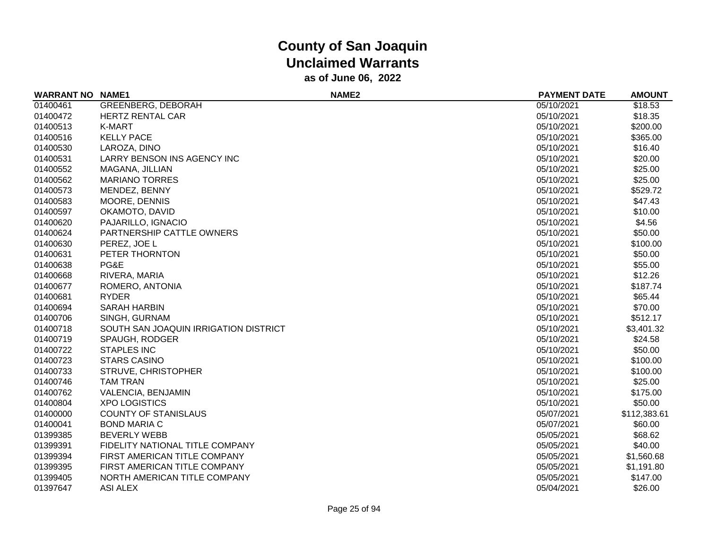| <b>WARRANT NO</b> | <b>NAME1</b>                          | NAME <sub>2</sub> | <b>PAYMENT DATE</b> | <b>AMOUNT</b> |
|-------------------|---------------------------------------|-------------------|---------------------|---------------|
| 01400461          | GREENBERG, DEBORAH                    |                   | 05/10/2021          | \$18.53       |
| 01400472          | <b>HERTZ RENTAL CAR</b>               |                   | 05/10/2021          | \$18.35       |
| 01400513          | K-MART                                |                   | 05/10/2021          | \$200.00      |
| 01400516          | <b>KELLY PACE</b>                     |                   | 05/10/2021          | \$365.00      |
| 01400530          | LAROZA, DINO                          |                   | 05/10/2021          | \$16.40       |
| 01400531          | LARRY BENSON INS AGENCY INC           |                   | 05/10/2021          | \$20.00       |
| 01400552          | MAGANA, JILLIAN                       |                   | 05/10/2021          | \$25.00       |
| 01400562          | <b>MARIANO TORRES</b>                 |                   | 05/10/2021          | \$25.00       |
| 01400573          | MENDEZ, BENNY                         |                   | 05/10/2021          | \$529.72      |
| 01400583          | MOORE, DENNIS                         |                   | 05/10/2021          | \$47.43       |
| 01400597          | OKAMOTO, DAVID                        |                   | 05/10/2021          | \$10.00       |
| 01400620          | PAJARILLO, IGNACIO                    |                   | 05/10/2021          | \$4.56        |
| 01400624          | PARTNERSHIP CATTLE OWNERS             |                   | 05/10/2021          | \$50.00       |
| 01400630          | PEREZ, JOE L                          |                   | 05/10/2021          | \$100.00      |
| 01400631          | PETER THORNTON                        |                   | 05/10/2021          | \$50.00       |
| 01400638          | PG&E                                  |                   | 05/10/2021          | \$55.00       |
| 01400668          | RIVERA, MARIA                         |                   | 05/10/2021          | \$12.26       |
| 01400677          | ROMERO, ANTONIA                       |                   | 05/10/2021          | \$187.74      |
| 01400681          | <b>RYDER</b>                          |                   | 05/10/2021          | \$65.44       |
| 01400694          | <b>SARAH HARBIN</b>                   |                   | 05/10/2021          | \$70.00       |
| 01400706          | SINGH, GURNAM                         |                   | 05/10/2021          | \$512.17      |
| 01400718          | SOUTH SAN JOAQUIN IRRIGATION DISTRICT |                   | 05/10/2021          | \$3,401.32    |
| 01400719          | <b>SPAUGH, RODGER</b>                 |                   | 05/10/2021          | \$24.58       |
| 01400722          | <b>STAPLES INC</b>                    |                   | 05/10/2021          | \$50.00       |
| 01400723          | <b>STARS CASINO</b>                   |                   | 05/10/2021          | \$100.00      |
| 01400733          | STRUVE, CHRISTOPHER                   |                   | 05/10/2021          | \$100.00      |
| 01400746          | <b>TAM TRAN</b>                       |                   | 05/10/2021          | \$25.00       |
| 01400762          | VALENCIA, BENJAMIN                    |                   | 05/10/2021          | \$175.00      |
| 01400804          | <b>XPO LOGISTICS</b>                  |                   | 05/10/2021          | \$50.00       |
| 01400000          | <b>COUNTY OF STANISLAUS</b>           |                   | 05/07/2021          | \$112,383.61  |
| 01400041          | <b>BOND MARIA C</b>                   |                   | 05/07/2021          | \$60.00       |
| 01399385          | <b>BEVERLY WEBB</b>                   |                   | 05/05/2021          | \$68.62       |
| 01399391          | FIDELITY NATIONAL TITLE COMPANY       |                   | 05/05/2021          | \$40.00       |
| 01399394          | FIRST AMERICAN TITLE COMPANY          |                   | 05/05/2021          | \$1,560.68    |
| 01399395          | FIRST AMERICAN TITLE COMPANY          |                   | 05/05/2021          | \$1,191.80    |
| 01399405          | NORTH AMERICAN TITLE COMPANY          |                   | 05/05/2021          | \$147.00      |
| 01397647          | <b>ASI ALEX</b>                       |                   | 05/04/2021          | \$26.00       |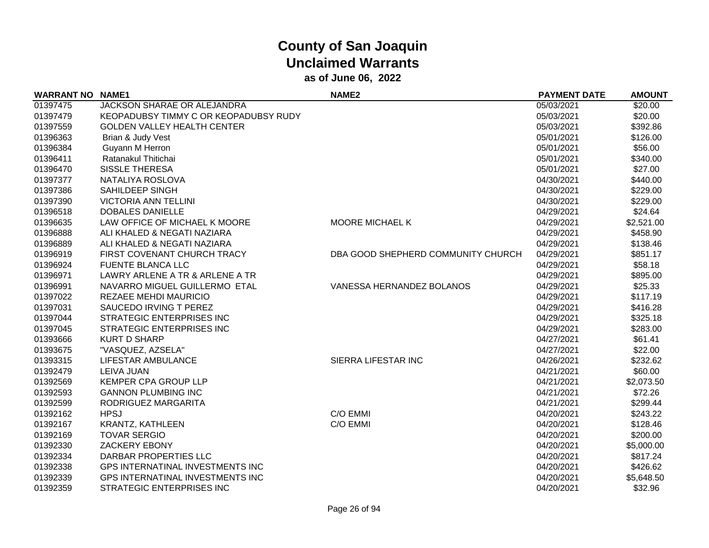| <b>WARRANT NO</b> | <b>NAME1</b>                          | <b>NAME2</b>                       | <b>PAYMENT DATE</b> | <b>AMOUNT</b> |
|-------------------|---------------------------------------|------------------------------------|---------------------|---------------|
| 01397475          | JACKSON SHARAE OR ALEJANDRA           |                                    | 05/03/2021          | \$20.00       |
| 01397479          | KEOPADUBSY TIMMY C OR KEOPADUBSY RUDY |                                    | 05/03/2021          | \$20.00       |
| 01397559          | <b>GOLDEN VALLEY HEALTH CENTER</b>    |                                    | 05/03/2021          | \$392.86      |
| 01396363          | Brian & Judy Vest                     |                                    | 05/01/2021          | \$126.00      |
| 01396384          | Guyann M Herron                       |                                    | 05/01/2021          | \$56.00       |
| 01396411          | Ratanakul Thitichai                   |                                    | 05/01/2021          | \$340.00      |
| 01396470          | <b>SISSLE THERESA</b>                 |                                    | 05/01/2021          | \$27.00       |
| 01397377          | NATALIYA ROSLOVA                      |                                    | 04/30/2021          | \$440.00      |
| 01397386          | SAHILDEEP SINGH                       |                                    | 04/30/2021          | \$229.00      |
| 01397390          | <b>VICTORIA ANN TELLINI</b>           |                                    | 04/30/2021          | \$229.00      |
| 01396518          | <b>DOBALES DANIELLE</b>               |                                    | 04/29/2021          | \$24.64       |
| 01396635          | LAW OFFICE OF MICHAEL K MOORE         | <b>MOORE MICHAEL K</b>             | 04/29/2021          | \$2,521.00    |
| 01396888          | ALI KHALED & NEGATI NAZIARA           |                                    | 04/29/2021          | \$458.90      |
| 01396889          | ALI KHALED & NEGATI NAZIARA           |                                    | 04/29/2021          | \$138.46      |
| 01396919          | FIRST COVENANT CHURCH TRACY           | DBA GOOD SHEPHERD COMMUNITY CHURCH | 04/29/2021          | \$851.17      |
| 01396924          | <b>FUENTE BLANCA LLC</b>              |                                    | 04/29/2021          | \$58.18       |
| 01396971          | LAWRY ARLENE A TR & ARLENE A TR       |                                    | 04/29/2021          | \$895.00      |
| 01396991          | NAVARRO MIGUEL GUILLERMO ETAL         | VANESSA HERNANDEZ BOLANOS          | 04/29/2021          | \$25.33       |
| 01397022          | <b>REZAEE MEHDI MAURICIO</b>          |                                    | 04/29/2021          | \$117.19      |
| 01397031          | SAUCEDO IRVING T PEREZ                |                                    | 04/29/2021          | \$416.28      |
| 01397044          | STRATEGIC ENTERPRISES INC             |                                    | 04/29/2021          | \$325.18      |
| 01397045          | STRATEGIC ENTERPRISES INC             |                                    | 04/29/2021          | \$283.00      |
| 01393666          | <b>KURT D SHARP</b>                   |                                    | 04/27/2021          | \$61.41       |
| 01393675          | "VASQUEZ, AZSELA"                     |                                    | 04/27/2021          | \$22.00       |
| 01393315          | LIFESTAR AMBULANCE                    | SIERRA LIFESTAR INC                | 04/26/2021          | \$232.62      |
| 01392479          | <b>LEIVA JUAN</b>                     |                                    | 04/21/2021          | \$60.00       |
| 01392569          | KEMPER CPA GROUP LLP                  |                                    | 04/21/2021          | \$2,073.50    |
| 01392593          | <b>GANNON PLUMBING INC</b>            |                                    | 04/21/2021          | \$72.26       |
| 01392599          | RODRIGUEZ MARGARITA                   |                                    | 04/21/2021          | \$299.44      |
| 01392162          | <b>HPSJ</b>                           | C/O EMMI                           | 04/20/2021          | \$243.22      |
| 01392167          | KRANTZ, KATHLEEN                      | C/O EMMI                           | 04/20/2021          | \$128.46      |
| 01392169          | <b>TOVAR SERGIO</b>                   |                                    | 04/20/2021          | \$200.00      |
| 01392330          | <b>ZACKERY EBONY</b>                  |                                    | 04/20/2021          | \$5,000.00    |
| 01392334          | DARBAR PROPERTIES LLC                 |                                    | 04/20/2021          | \$817.24      |
| 01392338          | GPS INTERNATINAL INVESTMENTS INC      |                                    | 04/20/2021          | \$426.62      |
| 01392339          | GPS INTERNATINAL INVESTMENTS INC      |                                    | 04/20/2021          | \$5,648.50    |
| 01392359          | <b>STRATEGIC ENTERPRISES INC</b>      |                                    | 04/20/2021          | \$32.96       |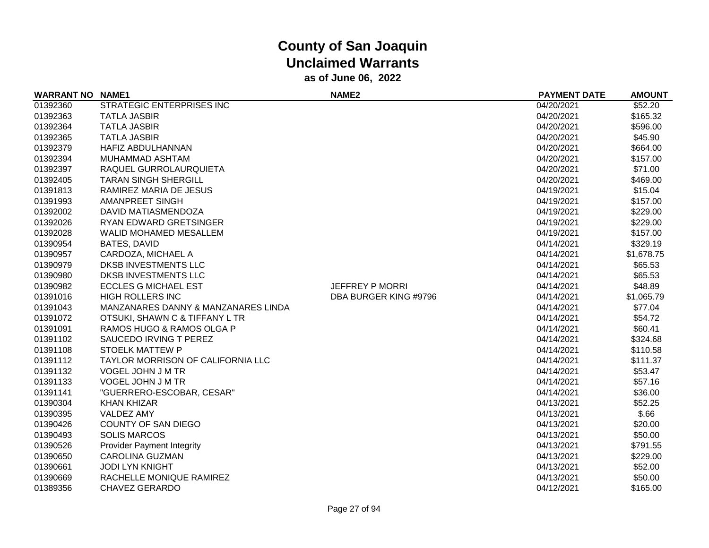| <b>WARRANT NO NAME1</b> |                                     | <b>NAME2</b>           | <b>PAYMENT DATE</b> | <b>AMOUNT</b> |
|-------------------------|-------------------------------------|------------------------|---------------------|---------------|
| 01392360                | STRATEGIC ENTERPRISES INC           |                        | 04/20/2021          | \$52.20       |
| 01392363                | <b>TATLA JASBIR</b>                 |                        | 04/20/2021          | \$165.32      |
| 01392364                | <b>TATLA JASBIR</b>                 |                        | 04/20/2021          | \$596.00      |
| 01392365                | <b>TATLA JASBIR</b>                 |                        | 04/20/2021          | \$45.90       |
| 01392379                | HAFIZ ABDULHANNAN                   |                        | 04/20/2021          | \$664.00      |
| 01392394                | MUHAMMAD ASHTAM                     |                        | 04/20/2021          | \$157.00      |
| 01392397                | RAQUEL GURROLAURQUIETA              |                        | 04/20/2021          | \$71.00       |
| 01392405                | <b>TARAN SINGH SHERGILL</b>         |                        | 04/20/2021          | \$469.00      |
| 01391813                | RAMIREZ MARIA DE JESUS              |                        | 04/19/2021          | \$15.04       |
| 01391993                | AMANPREET SINGH                     |                        | 04/19/2021          | \$157.00      |
| 01392002                | DAVID MATIASMENDOZA                 |                        | 04/19/2021          | \$229.00      |
| 01392026                | RYAN EDWARD GRETSINGER              |                        | 04/19/2021          | \$229.00      |
| 01392028                | <b>WALID MOHAMED MESALLEM</b>       |                        | 04/19/2021          | \$157.00      |
| 01390954                | <b>BATES, DAVID</b>                 |                        | 04/14/2021          | \$329.19      |
| 01390957                | CARDOZA, MICHAEL A                  |                        | 04/14/2021          | \$1,678.75    |
| 01390979                | DKSB INVESTMENTS LLC                |                        | 04/14/2021          | \$65.53       |
| 01390980                | DKSB INVESTMENTS LLC                |                        | 04/14/2021          | \$65.53       |
| 01390982                | <b>ECCLES G MICHAEL EST</b>         | <b>JEFFREY P MORRI</b> | 04/14/2021          | \$48.89       |
| 01391016                | <b>HIGH ROLLERS INC</b>             | DBA BURGER KING #9796  | 04/14/2021          | \$1,065.79    |
| 01391043                | MANZANARES DANNY & MANZANARES LINDA |                        | 04/14/2021          | \$77.04       |
| 01391072                | OTSUKI, SHAWN C & TIFFANY L TR      |                        | 04/14/2021          | \$54.72       |
| 01391091                | RAMOS HUGO & RAMOS OLGA P           |                        | 04/14/2021          | \$60.41       |
| 01391102                | SAUCEDO IRVING T PEREZ              |                        | 04/14/2021          | \$324.68      |
| 01391108                | <b>STOELK MATTEW P</b>              |                        | 04/14/2021          | \$110.58      |
| 01391112                | TAYLOR MORRISON OF CALIFORNIA LLC   |                        | 04/14/2021          | \$111.37      |
| 01391132                | VOGEL JOHN J M TR                   |                        | 04/14/2021          | \$53.47       |
| 01391133                | VOGEL JOHN J M TR                   |                        | 04/14/2021          | \$57.16       |
| 01391141                | "GUERRERO-ESCOBAR, CESAR"           |                        | 04/14/2021          | \$36.00       |
| 01390304                | <b>KHAN KHIZAR</b>                  |                        | 04/13/2021          | \$52.25       |
| 01390395                | VALDEZ AMY                          |                        | 04/13/2021          | \$.66         |
| 01390426                | COUNTY OF SAN DIEGO                 |                        | 04/13/2021          | \$20.00       |
| 01390493                | <b>SOLIS MARCOS</b>                 |                        | 04/13/2021          | \$50.00       |
| 01390526                | <b>Provider Payment Integrity</b>   |                        | 04/13/2021          | \$791.55      |
| 01390650                | <b>CAROLINA GUZMAN</b>              |                        | 04/13/2021          | \$229.00      |
| 01390661                | <b>JODI LYN KNIGHT</b>              |                        | 04/13/2021          | \$52.00       |
| 01390669                | RACHELLE MONIQUE RAMIREZ            |                        | 04/13/2021          | \$50.00       |
| 01389356                | <b>CHAVEZ GERARDO</b>               |                        | 04/12/2021          | \$165.00      |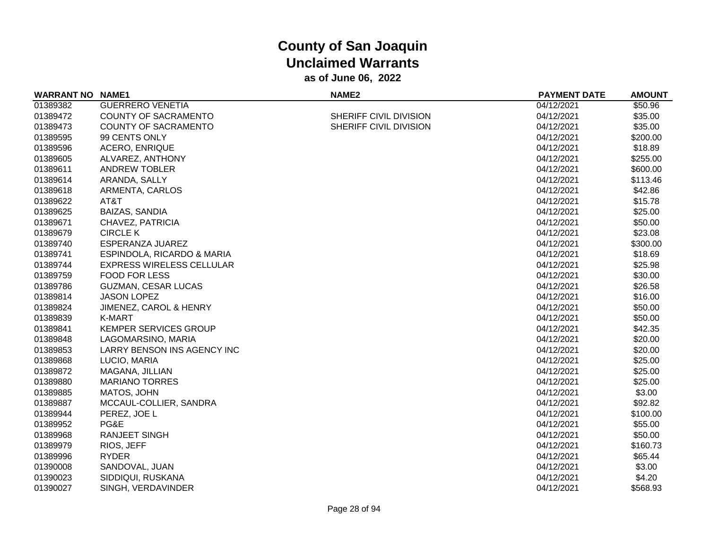| <b>WARRANT NO NAME1</b> |                              | <b>NAME2</b>           | <b>PAYMENT DATE</b> | <b>AMOUNT</b> |
|-------------------------|------------------------------|------------------------|---------------------|---------------|
| 01389382                | <b>GUERRERO VENETIA</b>      |                        | 04/12/2021          | \$50.96       |
| 01389472                | <b>COUNTY OF SACRAMENTO</b>  | SHERIFF CIVIL DIVISION | 04/12/2021          | \$35.00       |
| 01389473                | COUNTY OF SACRAMENTO         | SHERIFF CIVIL DIVISION | 04/12/2021          | \$35.00       |
| 01389595                | 99 CENTS ONLY                |                        | 04/12/2021          | \$200.00      |
| 01389596                | <b>ACERO, ENRIQUE</b>        |                        | 04/12/2021          | \$18.89       |
| 01389605                | ALVAREZ, ANTHONY             |                        | 04/12/2021          | \$255.00      |
| 01389611                | <b>ANDREW TOBLER</b>         |                        | 04/12/2021          | \$600.00      |
| 01389614                | ARANDA, SALLY                |                        | 04/12/2021          | \$113.46      |
| 01389618                | ARMENTA, CARLOS              |                        | 04/12/2021          | \$42.86       |
| 01389622                | AT&T                         |                        | 04/12/2021          | \$15.78       |
| 01389625                | <b>BAIZAS, SANDIA</b>        |                        | 04/12/2021          | \$25.00       |
| 01389671                | CHAVEZ, PATRICIA             |                        | 04/12/2021          | \$50.00       |
| 01389679                | <b>CIRCLE K</b>              |                        | 04/12/2021          | \$23.08       |
| 01389740                | ESPERANZA JUAREZ             |                        | 04/12/2021          | \$300.00      |
| 01389741                | ESPINDOLA, RICARDO & MARIA   |                        | 04/12/2021          | \$18.69       |
| 01389744                | EXPRESS WIRELESS CELLULAR    |                        | 04/12/2021          | \$25.98       |
| 01389759                | <b>FOOD FOR LESS</b>         |                        | 04/12/2021          | \$30.00       |
| 01389786                | <b>GUZMAN, CESAR LUCAS</b>   |                        | 04/12/2021          | \$26.58       |
| 01389814                | <b>JASON LOPEZ</b>           |                        | 04/12/2021          | \$16.00       |
| 01389824                | JIMENEZ, CAROL & HENRY       |                        | 04/12/2021          | \$50.00       |
| 01389839                | K-MART                       |                        | 04/12/2021          | \$50.00       |
| 01389841                | <b>KEMPER SERVICES GROUP</b> |                        | 04/12/2021          | \$42.35       |
| 01389848                | LAGOMARSINO, MARIA           |                        | 04/12/2021          | \$20.00       |
| 01389853                | LARRY BENSON INS AGENCY INC  |                        | 04/12/2021          | \$20.00       |
| 01389868                | LUCIO, MARIA                 |                        | 04/12/2021          | \$25.00       |
| 01389872                | MAGANA, JILLIAN              |                        | 04/12/2021          | \$25.00       |
| 01389880                | <b>MARIANO TORRES</b>        |                        | 04/12/2021          | \$25.00       |
| 01389885                | MATOS, JOHN                  |                        | 04/12/2021          | \$3.00        |
| 01389887                | MCCAUL-COLLIER, SANDRA       |                        | 04/12/2021          | \$92.82       |
| 01389944                | PEREZ, JOE L                 |                        | 04/12/2021          | \$100.00      |
| 01389952                | PG&E                         |                        | 04/12/2021          | \$55.00       |
| 01389968                | <b>RANJEET SINGH</b>         |                        | 04/12/2021          | \$50.00       |
| 01389979                | RIOS, JEFF                   |                        | 04/12/2021          | \$160.73      |
| 01389996                | <b>RYDER</b>                 |                        | 04/12/2021          | \$65.44       |
| 01390008                | SANDOVAL, JUAN               |                        | 04/12/2021          | \$3.00        |
| 01390023                | SIDDIQUI, RUSKANA            |                        | 04/12/2021          | \$4.20        |
| 01390027                | SINGH, VERDAVINDER           |                        | 04/12/2021          | \$568.93      |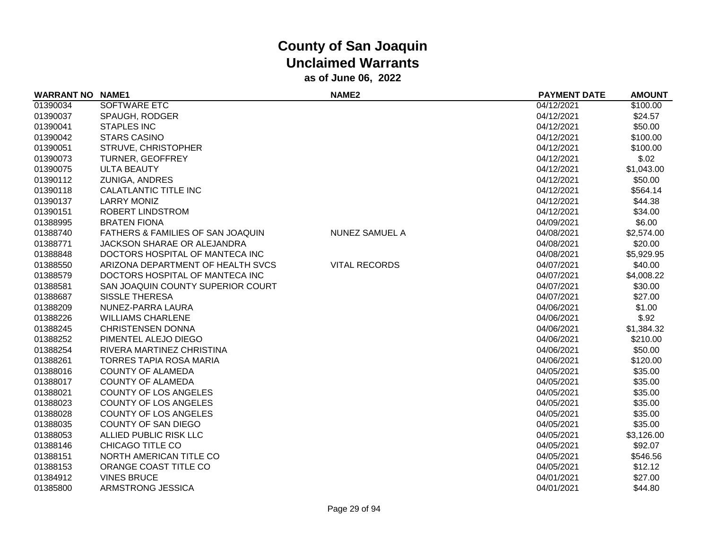| <b>WARRANT NO NAME1</b> |                                   | NAME <sub>2</sub>    | <b>PAYMENT DATE</b> | <b>AMOUNT</b> |
|-------------------------|-----------------------------------|----------------------|---------------------|---------------|
| 01390034                | SOFTWARE ETC                      |                      | 04/12/2021          | \$100.00      |
| 01390037                | <b>SPAUGH, RODGER</b>             |                      | 04/12/2021          | \$24.57       |
| 01390041                | <b>STAPLES INC</b>                |                      | 04/12/2021          | \$50.00       |
| 01390042                | <b>STARS CASINO</b>               |                      | 04/12/2021          | \$100.00      |
| 01390051                | STRUVE, CHRISTOPHER               |                      | 04/12/2021          | \$100.00      |
| 01390073                | <b>TURNER, GEOFFREY</b>           |                      | 04/12/2021          | \$.02         |
| 01390075                | <b>ULTA BEAUTY</b>                |                      | 04/12/2021          | \$1,043.00    |
| 01390112                | <b>ZUNIGA, ANDRES</b>             |                      | 04/12/2021          | \$50.00       |
| 01390118                | <b>CALATLANTIC TITLE INC</b>      |                      | 04/12/2021          | \$564.14      |
| 01390137                | <b>LARRY MONIZ</b>                |                      | 04/12/2021          | \$44.38       |
| 01390151                | ROBERT LINDSTROM                  |                      | 04/12/2021          | \$34.00       |
| 01388995                | <b>BRATEN FIONA</b>               |                      | 04/09/2021          | \$6.00        |
| 01388740                | FATHERS & FAMILIES OF SAN JOAQUIN | NUNEZ SAMUEL A       | 04/08/2021          | \$2,574.00    |
| 01388771                | JACKSON SHARAE OR ALEJANDRA       |                      | 04/08/2021          | \$20.00       |
| 01388848                | DOCTORS HOSPITAL OF MANTECA INC   |                      | 04/08/2021          | \$5,929.95    |
| 01388550                | ARIZONA DEPARTMENT OF HEALTH SVCS | <b>VITAL RECORDS</b> | 04/07/2021          | \$40.00       |
| 01388579                | DOCTORS HOSPITAL OF MANTECA INC   |                      | 04/07/2021          | \$4,008.22    |
| 01388581                | SAN JOAQUIN COUNTY SUPERIOR COURT |                      | 04/07/2021          | \$30.00       |
| 01388687                | <b>SISSLE THERESA</b>             |                      | 04/07/2021          | \$27.00       |
| 01388209                | NUNEZ-PARRA LAURA                 |                      | 04/06/2021          | \$1.00        |
| 01388226                | <b>WILLIAMS CHARLENE</b>          |                      | 04/06/2021          | \$.92         |
| 01388245                | <b>CHRISTENSEN DONNA</b>          |                      | 04/06/2021          | \$1,384.32    |
| 01388252                | PIMENTEL ALEJO DIEGO              |                      | 04/06/2021          | \$210.00      |
| 01388254                | RIVERA MARTINEZ CHRISTINA         |                      | 04/06/2021          | \$50.00       |
| 01388261                | <b>TORRES TAPIA ROSA MARIA</b>    |                      | 04/06/2021          | \$120.00      |
| 01388016                | <b>COUNTY OF ALAMEDA</b>          |                      | 04/05/2021          | \$35.00       |
| 01388017                | <b>COUNTY OF ALAMEDA</b>          |                      | 04/05/2021          | \$35.00       |
| 01388021                | <b>COUNTY OF LOS ANGELES</b>      |                      | 04/05/2021          | \$35.00       |
| 01388023                | <b>COUNTY OF LOS ANGELES</b>      |                      | 04/05/2021          | \$35.00       |
| 01388028                | <b>COUNTY OF LOS ANGELES</b>      |                      | 04/05/2021          | \$35.00       |
| 01388035                | <b>COUNTY OF SAN DIEGO</b>        |                      | 04/05/2021          | \$35.00       |
| 01388053                | ALLIED PUBLIC RISK LLC            |                      | 04/05/2021          | \$3,126.00    |
| 01388146                | CHICAGO TITLE CO                  |                      | 04/05/2021          | \$92.07       |
| 01388151                | NORTH AMERICAN TITLE CO           |                      | 04/05/2021          | \$546.56      |
| 01388153                | ORANGE COAST TITLE CO             |                      | 04/05/2021          | \$12.12       |
| 01384912                | <b>VINES BRUCE</b>                |                      | 04/01/2021          | \$27.00       |
| 01385800                | ARMSTRONG JESSICA                 |                      | 04/01/2021          | \$44.80       |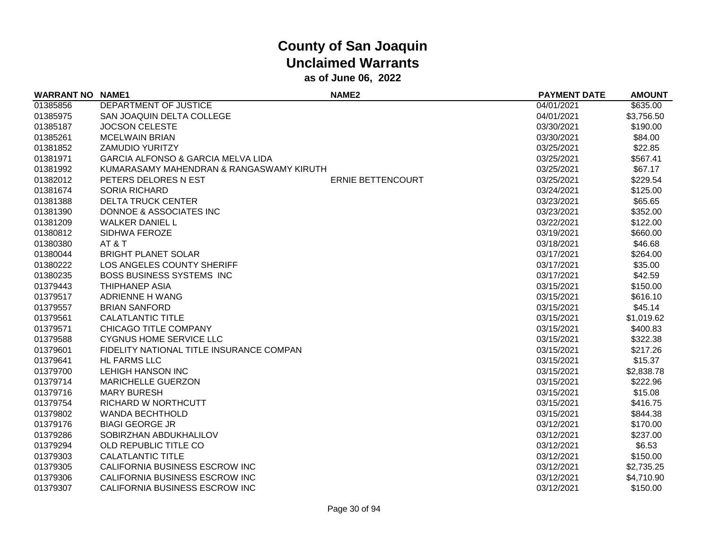| <b>WARRANT NO</b> | <b>NAME1</b>                                  | <b>NAME2</b>             | <b>PAYMENT DATE</b> | <b>AMOUNT</b> |
|-------------------|-----------------------------------------------|--------------------------|---------------------|---------------|
| 01385856          | DEPARTMENT OF JUSTICE                         |                          | 04/01/2021          | \$635.00      |
| 01385975          | SAN JOAQUIN DELTA COLLEGE                     |                          | 04/01/2021          | \$3,756.50    |
| 01385187          | <b>JOCSON CELESTE</b>                         |                          | 03/30/2021          | \$190.00      |
| 01385261          | <b>MCELWAIN BRIAN</b>                         |                          | 03/30/2021          | \$84.00       |
| 01381852          | <b>ZAMUDIO YURITZY</b>                        |                          | 03/25/2021          | \$22.85       |
| 01381971          | <b>GARCIA ALFONSO &amp; GARCIA MELVA LIDA</b> |                          | 03/25/2021          | \$567.41      |
| 01381992          | KUMARASAMY MAHENDRAN & RANGASWAMY KIRUTH      |                          | 03/25/2021          | \$67.17       |
| 01382012          | PETERS DELORES N EST                          | <b>ERNIE BETTENCOURT</b> | 03/25/2021          | \$229.54      |
| 01381674          | <b>SORIA RICHARD</b>                          |                          | 03/24/2021          | \$125.00      |
| 01381388          | <b>DELTA TRUCK CENTER</b>                     |                          | 03/23/2021          | \$65.65       |
| 01381390          | DONNOE & ASSOCIATES INC                       |                          | 03/23/2021          | \$352.00      |
| 01381209          | <b>WALKER DANIEL L</b>                        |                          | 03/22/2021          | \$122.00      |
| 01380812          | SIDHWA FEROZE                                 |                          | 03/19/2021          | \$660.00      |
| 01380380          | AT&T                                          |                          | 03/18/2021          | \$46.68       |
| 01380044          | <b>BRIGHT PLANET SOLAR</b>                    |                          | 03/17/2021          | \$264.00      |
| 01380222          | LOS ANGELES COUNTY SHERIFF                    |                          | 03/17/2021          | \$35.00       |
| 01380235          | <b>BOSS BUSINESS SYSTEMS INC</b>              |                          | 03/17/2021          | \$42.59       |
| 01379443          | <b>THIPHANEP ASIA</b>                         |                          | 03/15/2021          | \$150.00      |
| 01379517          | ADRIENNE H WANG                               |                          | 03/15/2021          | \$616.10      |
| 01379557          | <b>BRIAN SANFORD</b>                          |                          | 03/15/2021          | \$45.14       |
| 01379561          | <b>CALATLANTIC TITLE</b>                      |                          | 03/15/2021          | \$1,019.62    |
| 01379571          | CHICAGO TITLE COMPANY                         |                          | 03/15/2021          | \$400.83      |
| 01379588          | <b>CYGNUS HOME SERVICE LLC</b>                |                          | 03/15/2021          | \$322.38      |
| 01379601          | FIDELITY NATIONAL TITLE INSURANCE COMPAN      |                          | 03/15/2021          | \$217.26      |
| 01379641          | <b>HL FARMS LLC</b>                           |                          | 03/15/2021          | \$15.37       |
| 01379700          | <b>LEHIGH HANSON INC</b>                      |                          | 03/15/2021          | \$2,838.78    |
| 01379714          | <b>MARICHELLE GUERZON</b>                     |                          | 03/15/2021          | \$222.96      |
| 01379716          | <b>MARY BURESH</b>                            |                          | 03/15/2021          | \$15.08       |
| 01379754          | RICHARD W NORTHCUTT                           |                          | 03/15/2021          | \$416.75      |
| 01379802          | <b>WANDA BECHTHOLD</b>                        |                          | 03/15/2021          | \$844.38      |
| 01379176          | <b>BIAGI GEORGE JR</b>                        |                          | 03/12/2021          | \$170.00      |
| 01379286          | SOBIRZHAN ABDUKHALILOV                        |                          | 03/12/2021          | \$237.00      |
| 01379294          | OLD REPUBLIC TITLE CO                         |                          | 03/12/2021          | \$6.53        |
| 01379303          | CALATLANTIC TITLE                             |                          | 03/12/2021          | \$150.00      |
| 01379305          | CALIFORNIA BUSINESS ESCROW INC                |                          | 03/12/2021          | \$2,735.25    |
| 01379306          | CALIFORNIA BUSINESS ESCROW INC                |                          | 03/12/2021          | \$4,710.90    |
| 01379307          | CALIFORNIA BUSINESS ESCROW INC                |                          | 03/12/2021          | \$150.00      |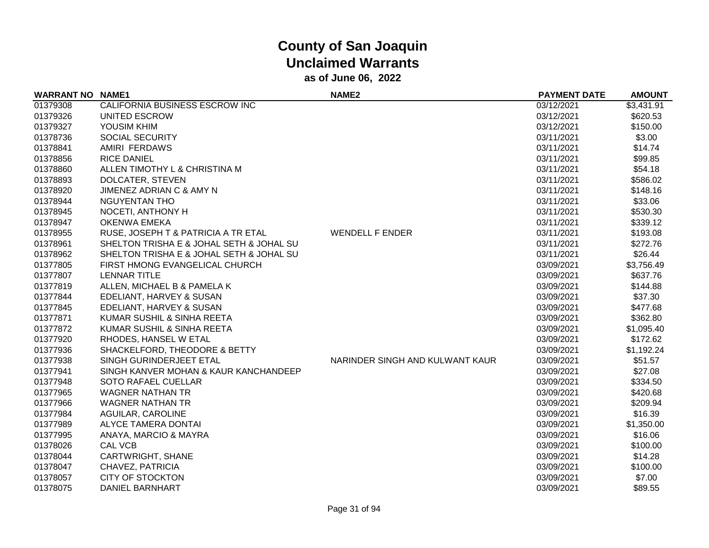| <b>WARRANT NO NAME1</b> |                                          | <b>NAME2</b>                    | <b>PAYMENT DATE</b> | <b>AMOUNT</b> |
|-------------------------|------------------------------------------|---------------------------------|---------------------|---------------|
| 01379308                | CALIFORNIA BUSINESS ESCROW INC           |                                 | 03/12/2021          | \$3,431.91    |
| 01379326                | UNITED ESCROW                            |                                 | 03/12/2021          | \$620.53      |
| 01379327                | YOUSIM KHIM                              |                                 | 03/12/2021          | \$150.00      |
| 01378736                | <b>SOCIAL SECURITY</b>                   |                                 | 03/11/2021          | \$3.00        |
| 01378841                | AMIRI FERDAWS                            |                                 | 03/11/2021          | \$14.74       |
| 01378856                | <b>RICE DANIEL</b>                       |                                 | 03/11/2021          | \$99.85       |
| 01378860                | ALLEN TIMOTHY L & CHRISTINA M            |                                 | 03/11/2021          | \$54.18       |
| 01378893                | DOLCATER, STEVEN                         |                                 | 03/11/2021          | \$586.02      |
| 01378920                | JIMENEZ ADRIAN C & AMY N                 |                                 | 03/11/2021          | \$148.16      |
| 01378944                | <b>NGUYENTAN THO</b>                     |                                 | 03/11/2021          | \$33.06       |
| 01378945                | NOCETI, ANTHONY H                        |                                 | 03/11/2021          | \$530.30      |
| 01378947                | <b>OKENWA EMEKA</b>                      |                                 | 03/11/2021          | \$339.12      |
| 01378955                | RUSE, JOSEPH T & PATRICIA A TR ETAL      | <b>WENDELL F ENDER</b>          | 03/11/2021          | \$193.08      |
| 01378961                | SHELTON TRISHA E & JOHAL SETH & JOHAL SU |                                 | 03/11/2021          | \$272.76      |
| 01378962                | SHELTON TRISHA E & JOHAL SETH & JOHAL SU |                                 | 03/11/2021          | \$26.44       |
| 01377805                | FIRST HMONG EVANGELICAL CHURCH           |                                 | 03/09/2021          | \$3,756.49    |
| 01377807                | <b>LENNAR TITLE</b>                      |                                 | 03/09/2021          | \$637.76      |
| 01377819                | ALLEN, MICHAEL B & PAMELA K              |                                 | 03/09/2021          | \$144.88      |
| 01377844                | EDELIANT, HARVEY & SUSAN                 |                                 | 03/09/2021          | \$37.30       |
| 01377845                | EDELIANT, HARVEY & SUSAN                 |                                 | 03/09/2021          | \$477.68      |
| 01377871                | KUMAR SUSHIL & SINHA REETA               |                                 | 03/09/2021          | \$362.80      |
| 01377872                | KUMAR SUSHIL & SINHA REETA               |                                 | 03/09/2021          | \$1,095.40    |
| 01377920                | RHODES, HANSEL W ETAL                    |                                 | 03/09/2021          | \$172.62      |
| 01377936                | SHACKELFORD, THEODORE & BETTY            |                                 | 03/09/2021          | \$1,192.24    |
| 01377938                | SINGH GURINDERJEET ETAL                  | NARINDER SINGH AND KULWANT KAUR | 03/09/2021          | \$51.57       |
| 01377941                | SINGH KANVER MOHAN & KAUR KANCHANDEEP    |                                 | 03/09/2021          | \$27.08       |
| 01377948                | SOTO RAFAEL CUELLAR                      |                                 | 03/09/2021          | \$334.50      |
| 01377965                | <b>WAGNER NATHAN TR</b>                  |                                 | 03/09/2021          | \$420.68      |
| 01377966                | <b>WAGNER NATHAN TR</b>                  |                                 | 03/09/2021          | \$209.94      |
| 01377984                | AGUILAR, CAROLINE                        |                                 | 03/09/2021          | \$16.39       |
| 01377989                | <b>ALYCE TAMERA DONTAI</b>               |                                 | 03/09/2021          | \$1,350.00    |
| 01377995                | ANAYA, MARCIO & MAYRA                    |                                 | 03/09/2021          | \$16.06       |
| 01378026                | CAL VCB                                  |                                 | 03/09/2021          | \$100.00      |
| 01378044                | CARTWRIGHT, SHANE                        |                                 | 03/09/2021          | \$14.28       |
| 01378047                | CHAVEZ, PATRICIA                         |                                 | 03/09/2021          | \$100.00      |
| 01378057                | <b>CITY OF STOCKTON</b>                  |                                 | 03/09/2021          | \$7.00        |
| 01378075                | DANIEL BARNHART                          |                                 | 03/09/2021          | \$89.55       |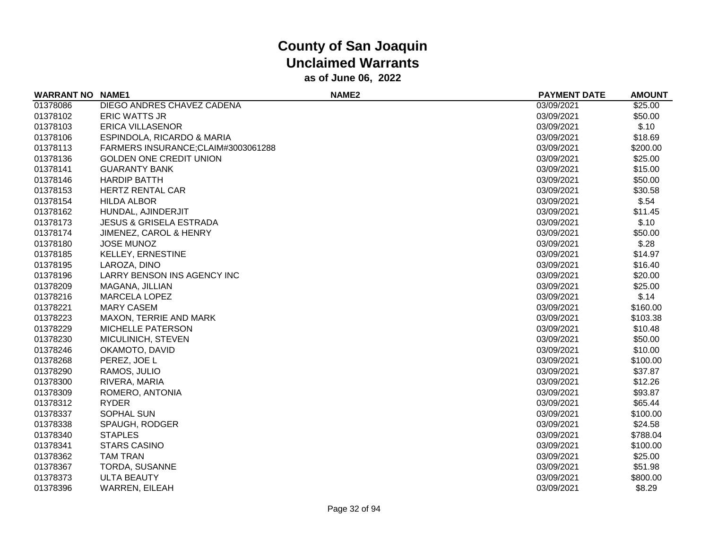| <b>WARRANT NO NAME1</b> |                                    | <b>NAME2</b> | <b>PAYMENT DATE</b> | <b>AMOUNT</b> |
|-------------------------|------------------------------------|--------------|---------------------|---------------|
| 01378086                | DIEGO ANDRES CHAVEZ CADENA         |              | 03/09/2021          | \$25.00       |
| 01378102                | <b>ERIC WATTS JR</b>               |              | 03/09/2021          | \$50.00       |
| 01378103                | <b>ERICA VILLASENOR</b>            |              | 03/09/2021          | \$.10         |
| 01378106                | ESPINDOLA, RICARDO & MARIA         |              | 03/09/2021          | \$18.69       |
| 01378113                | FARMERS INSURANCE;CLAIM#3003061288 |              | 03/09/2021          | \$200.00      |
| 01378136                | <b>GOLDEN ONE CREDIT UNION</b>     |              | 03/09/2021          | \$25.00       |
| 01378141                | <b>GUARANTY BANK</b>               |              | 03/09/2021          | \$15.00       |
| 01378146                | <b>HARDIP BATTH</b>                |              | 03/09/2021          | \$50.00       |
| 01378153                | <b>HERTZ RENTAL CAR</b>            |              | 03/09/2021          | \$30.58       |
| 01378154                | <b>HILDA ALBOR</b>                 |              | 03/09/2021          | \$.54         |
| 01378162                | HUNDAL, AJINDERJIT                 |              | 03/09/2021          | \$11.45       |
| 01378173                | <b>JESUS &amp; GRISELA ESTRADA</b> |              | 03/09/2021          | \$.10         |
| 01378174                | <b>JIMENEZ, CAROL &amp; HENRY</b>  |              | 03/09/2021          | \$50.00       |
| 01378180                | <b>JOSE MUNOZ</b>                  |              | 03/09/2021          | \$.28         |
| 01378185                | <b>KELLEY, ERNESTINE</b>           |              | 03/09/2021          | \$14.97       |
| 01378195                | LAROZA, DINO                       |              | 03/09/2021          | \$16.40       |
| 01378196                | LARRY BENSON INS AGENCY INC        |              | 03/09/2021          | \$20.00       |
| 01378209                | MAGANA, JILLIAN                    |              | 03/09/2021          | \$25.00       |
| 01378216                | <b>MARCELA LOPEZ</b>               |              | 03/09/2021          | \$.14         |
| 01378221                | <b>MARY CASEM</b>                  |              | 03/09/2021          | \$160.00      |
| 01378223                | MAXON, TERRIE AND MARK             |              | 03/09/2021          | \$103.38      |
| 01378229                | <b>MICHELLE PATERSON</b>           |              | 03/09/2021          | \$10.48       |
| 01378230                | MICULINICH, STEVEN                 |              | 03/09/2021          | \$50.00       |
| 01378246                | OKAMOTO, DAVID                     |              | 03/09/2021          | \$10.00       |
| 01378268                | PEREZ, JOE L                       |              | 03/09/2021          | \$100.00      |
| 01378290                | RAMOS, JULIO                       |              | 03/09/2021          | \$37.87       |
| 01378300                | RIVERA, MARIA                      |              | 03/09/2021          | \$12.26       |
| 01378309                | ROMERO, ANTONIA                    |              | 03/09/2021          | \$93.87       |
| 01378312                | <b>RYDER</b>                       |              | 03/09/2021          | \$65.44       |
| 01378337                | <b>SOPHAL SUN</b>                  |              | 03/09/2021          | \$100.00      |
| 01378338                | SPAUGH, RODGER                     |              | 03/09/2021          | \$24.58       |
| 01378340                | <b>STAPLES</b>                     |              | 03/09/2021          | \$788.04      |
| 01378341                | <b>STARS CASINO</b>                |              | 03/09/2021          | \$100.00      |
| 01378362                | <b>TAM TRAN</b>                    |              | 03/09/2021          | \$25.00       |
| 01378367                | TORDA, SUSANNE                     |              | 03/09/2021          | \$51.98       |
| 01378373                | <b>ULTA BEAUTY</b>                 |              | 03/09/2021          | \$800.00      |
| 01378396                | <b>WARREN, EILEAH</b>              |              | 03/09/2021          | \$8.29        |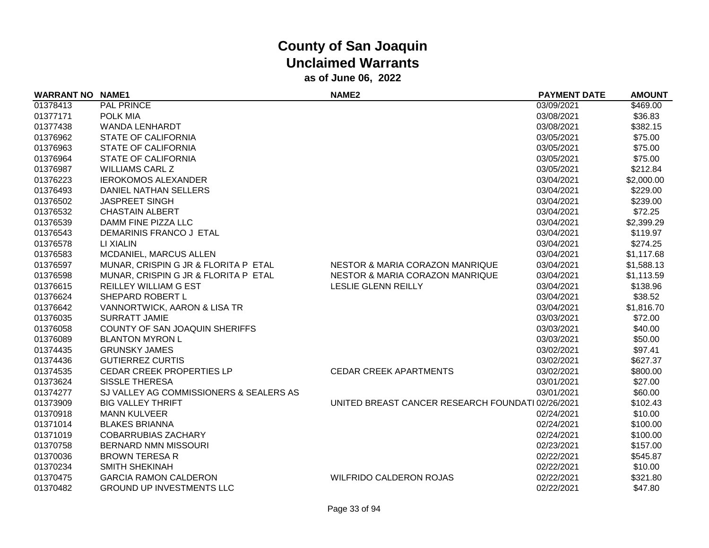| <b>WARRANT NO NAME1</b> |                                         | <b>NAME2</b>                                      | <b>PAYMENT DATE</b> | <b>AMOUNT</b> |
|-------------------------|-----------------------------------------|---------------------------------------------------|---------------------|---------------|
| 01378413                | <b>PAL PRINCE</b>                       |                                                   | 03/09/2021          | \$469.00      |
| 01377171                | <b>POLK MIA</b>                         |                                                   | 03/08/2021          | \$36.83       |
| 01377438                | <b>WANDA LENHARDT</b>                   |                                                   | 03/08/2021          | \$382.15      |
| 01376962                | <b>STATE OF CALIFORNIA</b>              |                                                   | 03/05/2021          | \$75.00       |
| 01376963                | <b>STATE OF CALIFORNIA</b>              |                                                   | 03/05/2021          | \$75.00       |
| 01376964                | <b>STATE OF CALIFORNIA</b>              |                                                   | 03/05/2021          | \$75.00       |
| 01376987                | <b>WILLIAMS CARL Z</b>                  |                                                   | 03/05/2021          | \$212.84      |
| 01376223                | <b>IEROKOMOS ALEXANDER</b>              |                                                   | 03/04/2021          | \$2,000.00    |
| 01376493                | DANIEL NATHAN SELLERS                   |                                                   | 03/04/2021          | \$229.00      |
| 01376502                | <b>JASPREET SINGH</b>                   |                                                   | 03/04/2021          | \$239.00      |
| 01376532                | <b>CHASTAIN ALBERT</b>                  |                                                   | 03/04/2021          | \$72.25       |
| 01376539                | DAMM FINE PIZZA LLC                     |                                                   | 03/04/2021          | \$2,399.29    |
| 01376543                | DEMARINIS FRANCO J ETAL                 |                                                   | 03/04/2021          | \$119.97      |
| 01376578                | LI XIALIN                               |                                                   | 03/04/2021          | \$274.25      |
| 01376583                | MCDANIEL, MARCUS ALLEN                  |                                                   | 03/04/2021          | \$1,117.68    |
| 01376597                | MUNAR, CRISPIN G JR & FLORITA P ETAL    | <b>NESTOR &amp; MARIA CORAZON MANRIQUE</b>        | 03/04/2021          | \$1,588.13    |
| 01376598                | MUNAR, CRISPIN G JR & FLORITA P ETAL    | <b>NESTOR &amp; MARIA CORAZON MANRIQUE</b>        | 03/04/2021          | \$1,113.59    |
| 01376615                | <b>REILLEY WILLIAM G EST</b>            | LESLIE GLENN REILLY                               | 03/04/2021          | \$138.96      |
| 01376624                | SHEPARD ROBERT L                        |                                                   | 03/04/2021          | \$38.52       |
| 01376642                | VANNORTWICK, AARON & LISA TR            |                                                   | 03/04/2021          | \$1,816.70    |
| 01376035                | <b>SURRATT JAMIE</b>                    |                                                   | 03/03/2021          | \$72.00       |
| 01376058                | COUNTY OF SAN JOAQUIN SHERIFFS          |                                                   | 03/03/2021          | \$40.00       |
| 01376089                | <b>BLANTON MYRON L</b>                  |                                                   | 03/03/2021          | \$50.00       |
| 01374435                | <b>GRUNSKY JAMES</b>                    |                                                   | 03/02/2021          | \$97.41       |
| 01374436                | <b>GUTIERREZ CURTIS</b>                 |                                                   | 03/02/2021          | \$627.37      |
| 01374535                | <b>CEDAR CREEK PROPERTIES LP</b>        | <b>CEDAR CREEK APARTMENTS</b>                     | 03/02/2021          | \$800.00      |
| 01373624                | <b>SISSLE THERESA</b>                   |                                                   | 03/01/2021          | \$27.00       |
| 01374277                | SJ VALLEY AG COMMISSIONERS & SEALERS AS |                                                   | 03/01/2021          | \$60.00       |
| 01373909                | <b>BIG VALLEY THRIFT</b>                | UNITED BREAST CANCER RESEARCH FOUNDATI 02/26/2021 |                     | \$102.43      |
| 01370918                | <b>MANN KULVEER</b>                     |                                                   | 02/24/2021          | \$10.00       |
| 01371014                | <b>BLAKES BRIANNA</b>                   |                                                   | 02/24/2021          | \$100.00      |
| 01371019                | <b>COBARRUBIAS ZACHARY</b>              |                                                   | 02/24/2021          | \$100.00      |
| 01370758                | <b>BERNARD NMN MISSOURI</b>             |                                                   | 02/23/2021          | \$157.00      |
| 01370036                | <b>BROWN TERESA R</b>                   |                                                   | 02/22/2021          | \$545.87      |
| 01370234                | <b>SMITH SHEKINAH</b>                   |                                                   | 02/22/2021          | \$10.00       |
| 01370475                | <b>GARCIA RAMON CALDERON</b>            | <b>WILFRIDO CALDERON ROJAS</b>                    | 02/22/2021          | \$321.80      |
| 01370482                | <b>GROUND UP INVESTMENTS LLC</b>        |                                                   | 02/22/2021          | \$47.80       |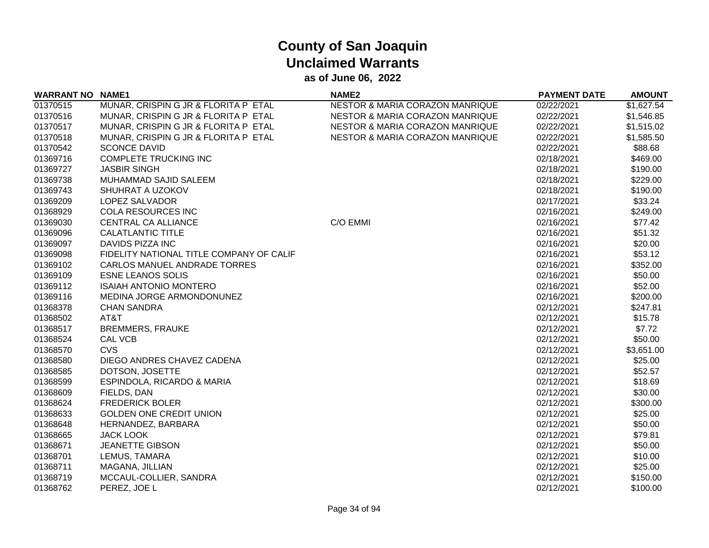| <b>WARRANT NO</b> | <b>NAME1</b>                             | <b>NAME2</b>                    | <b>PAYMENT DATE</b> | <b>AMOUNT</b> |
|-------------------|------------------------------------------|---------------------------------|---------------------|---------------|
| 01370515          | MUNAR, CRISPIN G JR & FLORITA P ETAL     | NESTOR & MARIA CORAZON MANRIQUE | 02/22/2021          | \$1,627.54    |
| 01370516          | MUNAR, CRISPIN G JR & FLORITA P ETAL     | NESTOR & MARIA CORAZON MANRIQUE | 02/22/2021          | \$1,546.85    |
| 01370517          | MUNAR, CRISPIN G JR & FLORITA P ETAL     | NESTOR & MARIA CORAZON MANRIQUE | 02/22/2021          | \$1,515.02    |
| 01370518          | MUNAR, CRISPIN G JR & FLORITA P ETAL     | NESTOR & MARIA CORAZON MANRIQUE | 02/22/2021          | \$1,585.50    |
| 01370542          | <b>SCONCE DAVID</b>                      |                                 | 02/22/2021          | \$88.68       |
| 01369716          | <b>COMPLETE TRUCKING INC</b>             |                                 | 02/18/2021          | \$469.00      |
| 01369727          | <b>JASBIR SINGH</b>                      |                                 | 02/18/2021          | \$190.00      |
| 01369738          | MUHAMMAD SAJID SALEEM                    |                                 | 02/18/2021          | \$229.00      |
| 01369743          | SHUHRAT A UZOKOV                         |                                 | 02/18/2021          | \$190.00      |
| 01369209          | <b>LOPEZ SALVADOR</b>                    |                                 | 02/17/2021          | \$33.24       |
| 01368929          | <b>COLA RESOURCES INC</b>                |                                 | 02/16/2021          | \$249.00      |
| 01369030          | CENTRAL CA ALLIANCE                      | C/O EMMI                        | 02/16/2021          | \$77.42       |
| 01369096          | <b>CALATLANTIC TITLE</b>                 |                                 | 02/16/2021          | \$51.32       |
| 01369097          | <b>DAVIDS PIZZA INC</b>                  |                                 | 02/16/2021          | \$20.00       |
| 01369098          | FIDELITY NATIONAL TITLE COMPANY OF CALIF |                                 | 02/16/2021          | \$53.12       |
| 01369102          | CARLOS MANUEL ANDRADE TORRES             |                                 | 02/16/2021          | \$352.00      |
| 01369109          | <b>ESNE LEANOS SOLIS</b>                 |                                 | 02/16/2021          | \$50.00       |
| 01369112          | <b>ISAIAH ANTONIO MONTERO</b>            |                                 | 02/16/2021          | \$52.00       |
| 01369116          | MEDINA JORGE ARMONDONUNEZ                |                                 | 02/16/2021          | \$200.00      |
| 01368378          | <b>CHAN SANDRA</b>                       |                                 | 02/12/2021          | \$247.81      |
| 01368502          | AT&T                                     |                                 | 02/12/2021          | \$15.78       |
| 01368517          | <b>BREMMERS, FRAUKE</b>                  |                                 | 02/12/2021          | \$7.72        |
| 01368524          | CAL VCB                                  |                                 | 02/12/2021          | \$50.00       |
| 01368570          | CVS                                      |                                 | 02/12/2021          | \$3,651.00    |
| 01368580          | DIEGO ANDRES CHAVEZ CADENA               |                                 | 02/12/2021          | \$25.00       |
| 01368585          | DOTSON, JOSETTE                          |                                 | 02/12/2021          | \$52.57       |
| 01368599          | ESPINDOLA, RICARDO & MARIA               |                                 | 02/12/2021          | \$18.69       |
| 01368609          | FIELDS, DAN                              |                                 | 02/12/2021          | \$30.00       |
| 01368624          | <b>FREDERICK BOLER</b>                   |                                 | 02/12/2021          | \$300.00      |
| 01368633          | <b>GOLDEN ONE CREDIT UNION</b>           |                                 | 02/12/2021          | \$25.00       |
| 01368648          | HERNANDEZ, BARBARA                       |                                 | 02/12/2021          | \$50.00       |
| 01368665          | <b>JACK LOOK</b>                         |                                 | 02/12/2021          | \$79.81       |
| 01368671          | <b>JEANETTE GIBSON</b>                   |                                 | 02/12/2021          | \$50.00       |
| 01368701          | LEMUS, TAMARA                            |                                 | 02/12/2021          | \$10.00       |
| 01368711          | MAGANA, JILLIAN                          |                                 | 02/12/2021          | \$25.00       |
| 01368719          | MCCAUL-COLLIER, SANDRA                   |                                 | 02/12/2021          | \$150.00      |
| 01368762          | PEREZ, JOE L                             |                                 | 02/12/2021          | \$100.00      |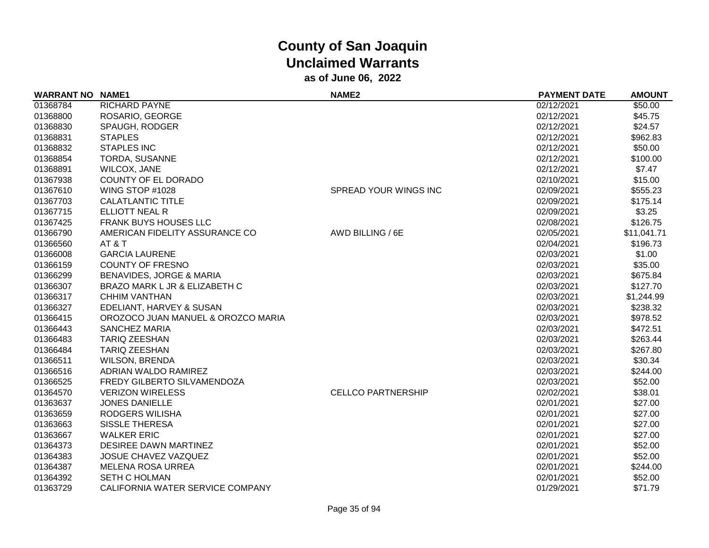| <b>WARRANT NO NAME1</b> |                                     | <b>NAME2</b>              | <b>PAYMENT DATE</b> | <b>AMOUNT</b> |
|-------------------------|-------------------------------------|---------------------------|---------------------|---------------|
| 01368784                | <b>RICHARD PAYNE</b>                |                           | 02/12/2021          | \$50.00       |
| 01368800                | ROSARIO, GEORGE                     |                           | 02/12/2021          | \$45.75       |
| 01368830                | SPAUGH, RODGER                      |                           | 02/12/2021          | \$24.57       |
| 01368831                | <b>STAPLES</b>                      |                           | 02/12/2021          | \$962.83      |
| 01368832                | <b>STAPLES INC</b>                  |                           | 02/12/2021          | \$50.00       |
| 01368854                | TORDA, SUSANNE                      |                           | 02/12/2021          | \$100.00      |
| 01368891                | WILCOX, JANE                        |                           | 02/12/2021          | \$7.47        |
| 01367938                | COUNTY OF EL DORADO                 |                           | 02/10/2021          | \$15.00       |
| 01367610                | WING STOP #1028                     | SPREAD YOUR WINGS INC     | 02/09/2021          | \$555.23      |
| 01367703                | CALATLANTIC TITLE                   |                           | 02/09/2021          | \$175.14      |
| 01367715                | ELLIOTT NEAL R                      |                           | 02/09/2021          | \$3.25        |
| 01367425                | <b>FRANK BUYS HOUSES LLC</b>        |                           | 02/08/2021          | \$126.75      |
| 01366790                | AMERICAN FIDELITY ASSURANCE CO      | AWD BILLING / 6E          | 02/05/2021          | \$11,041.71   |
| 01366560                | AT&T                                |                           | 02/04/2021          | \$196.73      |
| 01366008                | <b>GARCIA LAURENE</b>               |                           | 02/03/2021          | \$1.00        |
| 01366159                | <b>COUNTY OF FRESNO</b>             |                           | 02/03/2021          | \$35.00       |
| 01366299                | <b>BENAVIDES, JORGE &amp; MARIA</b> |                           | 02/03/2021          | \$675.84      |
| 01366307                | BRAZO MARK L JR & ELIZABETH C       |                           | 02/03/2021          | \$127.70      |
| 01366317                | <b>CHHIM VANTHAN</b>                |                           | 02/03/2021          | \$1,244.99    |
| 01366327                | EDELIANT, HARVEY & SUSAN            |                           | 02/03/2021          | \$238.32      |
| 01366415                | OROZOCO JUAN MANUEL & OROZCO MARIA  |                           | 02/03/2021          | \$978.52      |
| 01366443                | <b>SANCHEZ MARIA</b>                |                           | 02/03/2021          | \$472.51      |
| 01366483                | <b>TARIQ ZEESHAN</b>                |                           | 02/03/2021          | \$263.44      |
| 01366484                | <b>TARIQ ZEESHAN</b>                |                           | 02/03/2021          | \$267.80      |
| 01366511                | <b>WILSON, BRENDA</b>               |                           | 02/03/2021          | \$30.34       |
| 01366516                | ADRIAN WALDO RAMIREZ                |                           | 02/03/2021          | \$244.00      |
| 01366525                | <b>FREDY GILBERTO SILVAMENDOZA</b>  |                           | 02/03/2021          | \$52.00       |
| 01364570                | <b>VERIZON WIRELESS</b>             | <b>CELLCO PARTNERSHIP</b> | 02/02/2021          | \$38.01       |
| 01363637                | <b>JONES DANIELLE</b>               |                           | 02/01/2021          | \$27.00       |
| 01363659                | RODGERS WILISHA                     |                           | 02/01/2021          | \$27.00       |
| 01363663                | <b>SISSLE THERESA</b>               |                           | 02/01/2021          | \$27.00       |
| 01363667                | <b>WALKER ERIC</b>                  |                           | 02/01/2021          | \$27.00       |
| 01364373                | DESIREE DAWN MARTINEZ               |                           | 02/01/2021          | \$52.00       |
| 01364383                | <b>JOSUE CHAVEZ VAZQUEZ</b>         |                           | 02/01/2021          | \$52.00       |
| 01364387                | <b>MELENA ROSA URREA</b>            |                           | 02/01/2021          | \$244.00      |
| 01364392                | <b>SETH C HOLMAN</b>                |                           | 02/01/2021          | \$52.00       |
| 01363729                | CALIFORNIA WATER SERVICE COMPANY    |                           | 01/29/2021          | \$71.79       |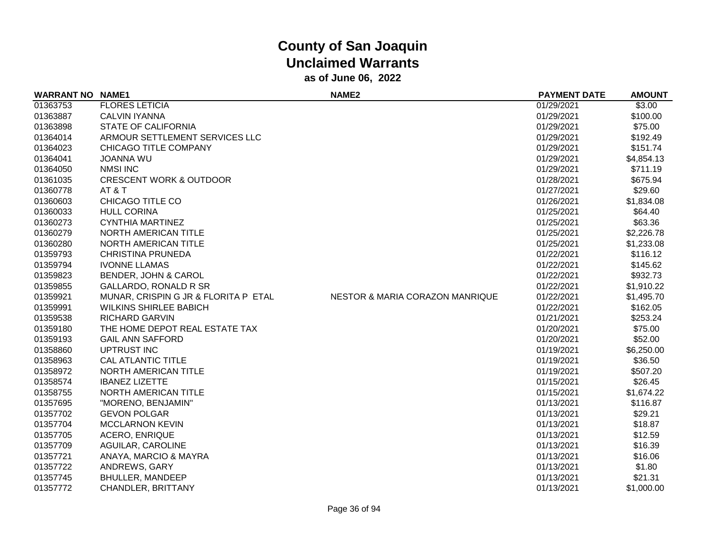| <b>WARRANT NO NAME1</b> |                                      | <b>NAME2</b>                               | <b>PAYMENT DATE</b> | <b>AMOUNT</b> |
|-------------------------|--------------------------------------|--------------------------------------------|---------------------|---------------|
| 01363753                | <b>FLORES LETICIA</b>                |                                            | 01/29/2021          | \$3.00        |
| 01363887                | CALVIN IYANNA                        |                                            | 01/29/2021          | \$100.00      |
| 01363898                | <b>STATE OF CALIFORNIA</b>           |                                            | 01/29/2021          | \$75.00       |
| 01364014                | ARMOUR SETTLEMENT SERVICES LLC       |                                            | 01/29/2021          | \$192.49      |
| 01364023                | CHICAGO TITLE COMPANY                |                                            | 01/29/2021          | \$151.74      |
| 01364041                | <b>JOANNA WU</b>                     |                                            | 01/29/2021          | \$4,854.13    |
| 01364050                | <b>NMSI INC</b>                      |                                            | 01/29/2021          | \$711.19      |
| 01361035                | <b>CRESCENT WORK &amp; OUTDOOR</b>   |                                            | 01/28/2021          | \$675.94      |
| 01360778                | AT&T                                 |                                            | 01/27/2021          | \$29.60       |
| 01360603                | CHICAGO TITLE CO                     |                                            | 01/26/2021          | \$1,834.08    |
| 01360033                | <b>HULL CORINA</b>                   |                                            | 01/25/2021          | \$64.40       |
| 01360273                | <b>CYNTHIA MARTINEZ</b>              |                                            | 01/25/2021          | \$63.36       |
| 01360279                | NORTH AMERICAN TITLE                 |                                            | 01/25/2021          | \$2,226.78    |
| 01360280                | NORTH AMERICAN TITLE                 |                                            | 01/25/2021          | \$1,233.08    |
| 01359793                | <b>CHRISTINA PRUNEDA</b>             |                                            | 01/22/2021          | \$116.12      |
| 01359794                | <b>IVONNE LLAMAS</b>                 |                                            | 01/22/2021          | \$145.62      |
| 01359823                | BENDER, JOHN & CAROL                 |                                            | 01/22/2021          | \$932.73      |
| 01359855                | <b>GALLARDO, RONALD R SR</b>         |                                            | 01/22/2021          | \$1,910.22    |
| 01359921                | MUNAR, CRISPIN G JR & FLORITA P ETAL | <b>NESTOR &amp; MARIA CORAZON MANRIQUE</b> | 01/22/2021          | \$1,495.70    |
| 01359991                | <b>WILKINS SHIRLEE BABICH</b>        |                                            | 01/22/2021          | \$162.05      |
| 01359538                | <b>RICHARD GARVIN</b>                |                                            | 01/21/2021          | \$253.24      |
| 01359180                | THE HOME DEPOT REAL ESTATE TAX       |                                            | 01/20/2021          | \$75.00       |
| 01359193                | <b>GAIL ANN SAFFORD</b>              |                                            | 01/20/2021          | \$52.00       |
| 01358860                | UPTRUST INC                          |                                            | 01/19/2021          | \$6,250.00    |
| 01358963                | <b>CAL ATLANTIC TITLE</b>            |                                            | 01/19/2021          | \$36.50       |
| 01358972                | NORTH AMERICAN TITLE                 |                                            | 01/19/2021          | \$507.20      |
| 01358574                | <b>IBANEZ LIZETTE</b>                |                                            | 01/15/2021          | \$26.45       |
| 01358755                | NORTH AMERICAN TITLE                 |                                            | 01/15/2021          | \$1,674.22    |
| 01357695                | "MORENO, BENJAMIN"                   |                                            | 01/13/2021          | \$116.87      |
| 01357702                | <b>GEVON POLGAR</b>                  |                                            | 01/13/2021          | \$29.21       |
| 01357704                | <b>MCCLARNON KEVIN</b>               |                                            | 01/13/2021          | \$18.87       |
| 01357705                | <b>ACERO, ENRIQUE</b>                |                                            | 01/13/2021          | \$12.59       |
| 01357709                | AGUILAR, CAROLINE                    |                                            | 01/13/2021          | \$16.39       |
| 01357721                | ANAYA, MARCIO & MAYRA                |                                            | 01/13/2021          | \$16.06       |
| 01357722                | ANDREWS, GARY                        |                                            | 01/13/2021          | \$1.80        |
| 01357745                | <b>BHULLER, MANDEEP</b>              |                                            | 01/13/2021          | \$21.31       |
| 01357772                | CHANDLER, BRITTANY                   |                                            | 01/13/2021          | \$1,000.00    |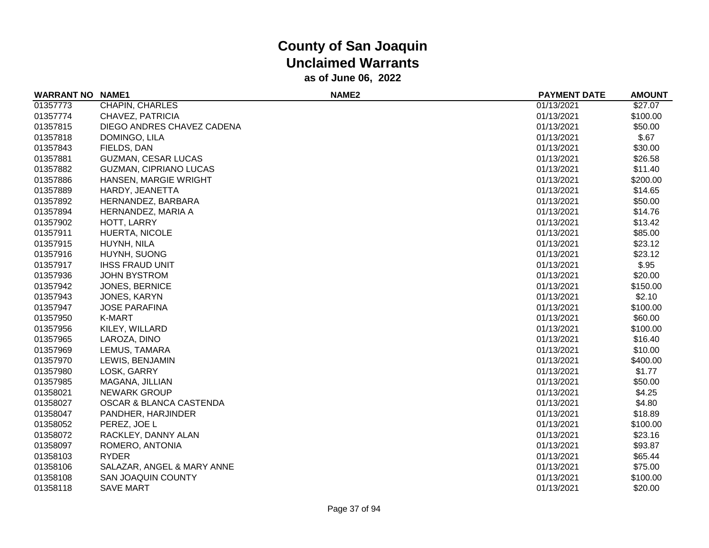| <b>WARRANT NO NAME1</b> |                               | NAME <sub>2</sub> | <b>PAYMENT DATE</b> | <b>AMOUNT</b> |
|-------------------------|-------------------------------|-------------------|---------------------|---------------|
| 01357773                | CHAPIN, CHARLES               |                   | 01/13/2021          | \$27.07       |
| 01357774                | CHAVEZ, PATRICIA              |                   | 01/13/2021          | \$100.00      |
| 01357815                | DIEGO ANDRES CHAVEZ CADENA    |                   | 01/13/2021          | \$50.00       |
| 01357818                | DOMINGO, LILA                 |                   | 01/13/2021          | \$.67         |
| 01357843                | FIELDS, DAN                   |                   | 01/13/2021          | \$30.00       |
| 01357881                | <b>GUZMAN, CESAR LUCAS</b>    |                   | 01/13/2021          | \$26.58       |
| 01357882                | <b>GUZMAN, CIPRIANO LUCAS</b> |                   | 01/13/2021          | \$11.40       |
| 01357886                | HANSEN, MARGIE WRIGHT         |                   | 01/13/2021          | \$200.00      |
| 01357889                | HARDY, JEANETTA               |                   | 01/13/2021          | \$14.65       |
| 01357892                | HERNANDEZ, BARBARA            |                   | 01/13/2021          | \$50.00       |
| 01357894                | HERNANDEZ, MARIA A            |                   | 01/13/2021          | \$14.76       |
| 01357902                | HOTT, LARRY                   |                   | 01/13/2021          | \$13.42       |
| 01357911                | HUERTA, NICOLE                |                   | 01/13/2021          | \$85.00       |
| 01357915                | HUYNH, NILA                   |                   | 01/13/2021          | \$23.12       |
| 01357916                | HUYNH, SUONG                  |                   | 01/13/2021          | \$23.12       |
| 01357917                | <b>IHSS FRAUD UNIT</b>        |                   | 01/13/2021          | \$.95         |
| 01357936                | <b>JOHN BYSTROM</b>           |                   | 01/13/2021          | \$20.00       |
| 01357942                | JONES, BERNICE                |                   | 01/13/2021          | \$150.00      |
| 01357943                | JONES, KARYN                  |                   | 01/13/2021          | \$2.10        |
| 01357947                | <b>JOSE PARAFINA</b>          |                   | 01/13/2021          | \$100.00      |
| 01357950                | K-MART                        |                   | 01/13/2021          | \$60.00       |
| 01357956                | KILEY, WILLARD                |                   | 01/13/2021          | \$100.00      |
| 01357965                | LAROZA, DINO                  |                   | 01/13/2021          | \$16.40       |
| 01357969                | LEMUS, TAMARA                 |                   | 01/13/2021          | \$10.00       |
| 01357970                | LEWIS, BENJAMIN               |                   | 01/13/2021          | \$400.00      |
| 01357980                | LOSK, GARRY                   |                   | 01/13/2021          | \$1.77        |
| 01357985                | MAGANA, JILLIAN               |                   | 01/13/2021          | \$50.00       |
| 01358021                | <b>NEWARK GROUP</b>           |                   | 01/13/2021          | \$4.25        |
| 01358027                | OSCAR & BLANCA CASTENDA       |                   | 01/13/2021          | \$4.80        |
| 01358047                | PANDHER, HARJINDER            |                   | 01/13/2021          | \$18.89       |
| 01358052                | PEREZ, JOE L                  |                   | 01/13/2021          | \$100.00      |
| 01358072                | RACKLEY, DANNY ALAN           |                   | 01/13/2021          | \$23.16       |
| 01358097                | ROMERO, ANTONIA               |                   | 01/13/2021          | \$93.87       |
| 01358103                | <b>RYDER</b>                  |                   | 01/13/2021          | \$65.44       |
| 01358106                | SALAZAR, ANGEL & MARY ANNE    |                   | 01/13/2021          | \$75.00       |
| 01358108                | <b>SAN JOAQUIN COUNTY</b>     |                   | 01/13/2021          | \$100.00      |
| 01358118                | <b>SAVE MART</b>              |                   | 01/13/2021          | \$20.00       |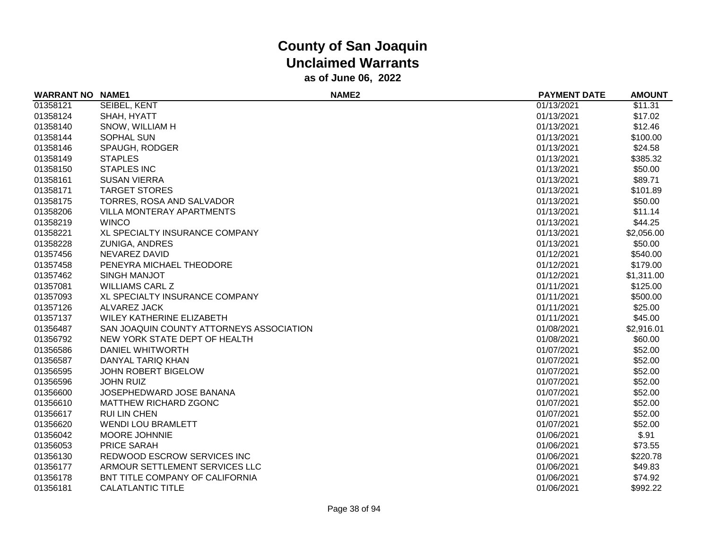| <b>WARRANT NO</b> | <b>NAME1</b>                             | NAME <sub>2</sub> | <b>PAYMENT DATE</b> | <b>AMOUNT</b> |
|-------------------|------------------------------------------|-------------------|---------------------|---------------|
| 01358121          | SEIBEL, KENT                             |                   | 01/13/2021          | \$11.31       |
| 01358124          | SHAH, HYATT                              |                   | 01/13/2021          | \$17.02       |
| 01358140          | SNOW, WILLIAM H                          |                   | 01/13/2021          | \$12.46       |
| 01358144          | SOPHAL SUN                               |                   | 01/13/2021          | \$100.00      |
| 01358146          | SPAUGH, RODGER                           |                   | 01/13/2021          | \$24.58       |
| 01358149          | <b>STAPLES</b>                           |                   | 01/13/2021          | \$385.32      |
| 01358150          | <b>STAPLES INC</b>                       |                   | 01/13/2021          | \$50.00       |
| 01358161          | <b>SUSAN VIERRA</b>                      |                   | 01/13/2021          | \$89.71       |
| 01358171          | <b>TARGET STORES</b>                     |                   | 01/13/2021          | \$101.89      |
| 01358175          | TORRES, ROSA AND SALVADOR                |                   | 01/13/2021          | \$50.00       |
| 01358206          | VILLA MONTERAY APARTMENTS                |                   | 01/13/2021          | \$11.14       |
| 01358219          | <b>WINCO</b>                             |                   | 01/13/2021          | \$44.25       |
| 01358221          | XL SPECIALTY INSURANCE COMPANY           |                   | 01/13/2021          | \$2,056.00    |
| 01358228          | <b>ZUNIGA, ANDRES</b>                    |                   | 01/13/2021          | \$50.00       |
| 01357456          | NEVAREZ DAVID                            |                   | 01/12/2021          | \$540.00      |
| 01357458          | PENEYRA MICHAEL THEODORE                 |                   | 01/12/2021          | \$179.00      |
| 01357462          | <b>SINGH MANJOT</b>                      |                   | 01/12/2021          | \$1,311.00    |
| 01357081          | <b>WILLIAMS CARL Z</b>                   |                   | 01/11/2021          | \$125.00      |
| 01357093          | XL SPECIALTY INSURANCE COMPANY           |                   | 01/11/2021          | \$500.00      |
| 01357126          | ALVAREZ JACK                             |                   | 01/11/2021          | \$25.00       |
| 01357137          | WILEY KATHERINE ELIZABETH                |                   | 01/11/2021          | \$45.00       |
| 01356487          | SAN JOAQUIN COUNTY ATTORNEYS ASSOCIATION |                   | 01/08/2021          | \$2,916.01    |
| 01356792          | NEW YORK STATE DEPT OF HEALTH            |                   | 01/08/2021          | \$60.00       |
| 01356586          | DANIEL WHITWORTH                         |                   | 01/07/2021          | \$52.00       |
| 01356587          | DANYAL TARIQ KHAN                        |                   | 01/07/2021          | \$52.00       |
| 01356595          | JOHN ROBERT BIGELOW                      |                   | 01/07/2021          | \$52.00       |
| 01356596          | <b>JOHN RUIZ</b>                         |                   | 01/07/2021          | \$52.00       |
| 01356600          | JOSEPHEDWARD JOSE BANANA                 |                   | 01/07/2021          | \$52.00       |
| 01356610          | MATTHEW RICHARD ZGONC                    |                   | 01/07/2021          | \$52.00       |
| 01356617          | RUI LIN CHEN                             |                   | 01/07/2021          | \$52.00       |
| 01356620          | <b>WENDI LOU BRAMLETT</b>                |                   | 01/07/2021          | \$52.00       |
| 01356042          | <b>MOORE JOHNNIE</b>                     |                   | 01/06/2021          | \$.91         |
| 01356053          | <b>PRICE SARAH</b>                       |                   | 01/06/2021          | \$73.55       |
| 01356130          | REDWOOD ESCROW SERVICES INC              |                   | 01/06/2021          | \$220.78      |
| 01356177          | ARMOUR SETTLEMENT SERVICES LLC           |                   | 01/06/2021          | \$49.83       |
| 01356178          | BNT TITLE COMPANY OF CALIFORNIA          |                   | 01/06/2021          | \$74.92       |
| 01356181          | <b>CALATLANTIC TITLE</b>                 |                   | 01/06/2021          | \$992.22      |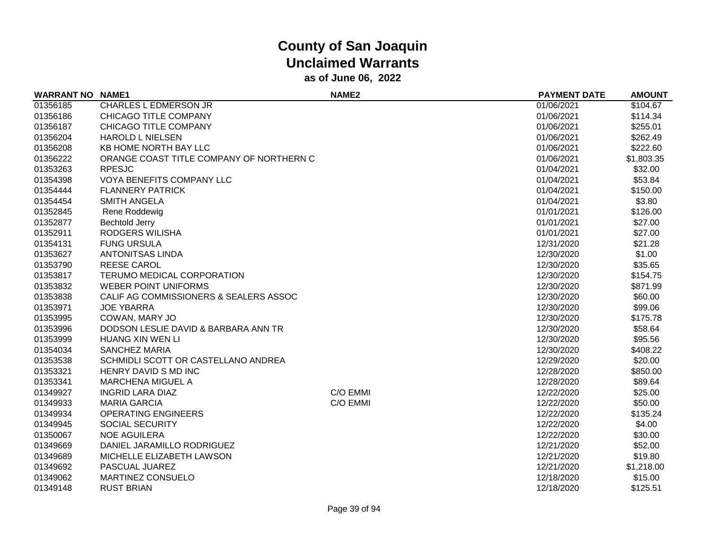| <b>WARRANT NO NAME1</b> |                                          | <b>NAME2</b> | <b>PAYMENT DATE</b> | <b>AMOUNT</b> |
|-------------------------|------------------------------------------|--------------|---------------------|---------------|
| 01356185                | <b>CHARLES L EDMERSON JR</b>             |              | 01/06/2021          | \$104.67      |
| 01356186                | CHICAGO TITLE COMPANY                    |              | 01/06/2021          | \$114.34      |
| 01356187                | CHICAGO TITLE COMPANY                    |              | 01/06/2021          | \$255.01      |
| 01356204                | <b>HAROLD L NIELSEN</b>                  |              | 01/06/2021          | \$262.49      |
| 01356208                | KB HOME NORTH BAY LLC                    |              | 01/06/2021          | \$222.60      |
| 01356222                | ORANGE COAST TITLE COMPANY OF NORTHERN C |              | 01/06/2021          | \$1,803.35    |
| 01353263                | <b>RPESJC</b>                            |              | 01/04/2021          | \$32.00       |
| 01354398                | VOYA BENEFITS COMPANY LLC                |              | 01/04/2021          | \$53.84       |
| 01354444                | <b>FLANNERY PATRICK</b>                  |              | 01/04/2021          | \$150.00      |
| 01354454                | <b>SMITH ANGELA</b>                      |              | 01/04/2021          | \$3.80        |
| 01352845                | Rene Roddewig                            |              | 01/01/2021          | \$126.00      |
| 01352877                | <b>Bechtold Jerry</b>                    |              | 01/01/2021          | \$27.00       |
| 01352911                | RODGERS WILISHA                          |              | 01/01/2021          | \$27.00       |
| 01354131                | <b>FUNG URSULA</b>                       |              | 12/31/2020          | \$21.28       |
| 01353627                | <b>ANTONITSAS LINDA</b>                  |              | 12/30/2020          | \$1.00        |
| 01353790                | <b>REESE CAROL</b>                       |              | 12/30/2020          | \$35.65       |
| 01353817                | TERUMO MEDICAL CORPORATION               |              | 12/30/2020          | \$154.75      |
| 01353832                | <b>WEBER POINT UNIFORMS</b>              |              | 12/30/2020          | \$871.99      |
| 01353838                | CALIF AG COMMISSIONERS & SEALERS ASSOC   |              | 12/30/2020          | \$60.00       |
| 01353971                | <b>JOE YBARRA</b>                        |              | 12/30/2020          | \$99.06       |
| 01353995                | COWAN, MARY JO                           |              | 12/30/2020          | \$175.78      |
| 01353996                | DODSON LESLIE DAVID & BARBARA ANN TR     |              | 12/30/2020          | \$58.64       |
| 01353999                | <b>HUANG XIN WEN LI</b>                  |              | 12/30/2020          | \$95.56       |
| 01354034                | <b>SANCHEZ MARIA</b>                     |              | 12/30/2020          | \$408.22      |
| 01353538                | SCHMIDLI SCOTT OR CASTELLANO ANDREA      |              | 12/29/2020          | \$20.00       |
| 01353321                | HENRY DAVID S MD INC                     |              | 12/28/2020          | \$850.00      |
| 01353341                | MARCHENA MIGUEL A                        |              | 12/28/2020          | \$89.64       |
| 01349927                | <b>INGRID LARA DIAZ</b>                  | C/O EMMI     | 12/22/2020          | \$25.00       |
| 01349933                | <b>MARIA GARCIA</b>                      | C/O EMMI     | 12/22/2020          | \$50.00       |
| 01349934                | <b>OPERATING ENGINEERS</b>               |              | 12/22/2020          | \$135.24      |
| 01349945                | <b>SOCIAL SECURITY</b>                   |              | 12/22/2020          | \$4.00        |
| 01350067                | <b>NOE AGUILERA</b>                      |              | 12/22/2020          | \$30.00       |
| 01349669                | DANIEL JARAMILLO RODRIGUEZ               |              | 12/21/2020          | \$52.00       |
| 01349689                | MICHELLE ELIZABETH LAWSON                |              | 12/21/2020          | \$19.80       |
| 01349692                | PASCUAL JUAREZ                           |              | 12/21/2020          | \$1,218.00    |
| 01349062                | MARTINEZ CONSUELO                        |              | 12/18/2020          | \$15.00       |
| 01349148                | <b>RUST BRIAN</b>                        |              | 12/18/2020          | \$125.51      |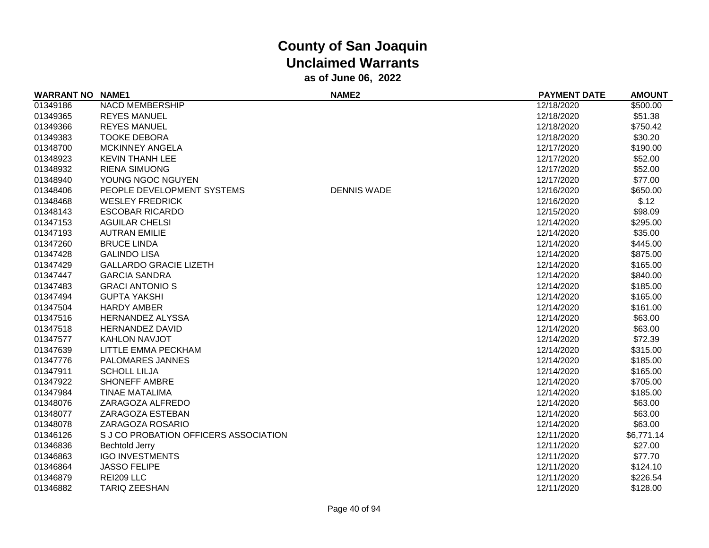| <b>WARRANT NO NAME1</b> |                                       | NAME <sub>2</sub>  | <b>PAYMENT DATE</b> | <b>AMOUNT</b> |
|-------------------------|---------------------------------------|--------------------|---------------------|---------------|
| 01349186                | <b>NACD MEMBERSHIP</b>                |                    | 12/18/2020          | \$500.00      |
| 01349365                | <b>REYES MANUEL</b>                   |                    | 12/18/2020          | \$51.38       |
| 01349366                | <b>REYES MANUEL</b>                   |                    | 12/18/2020          | \$750.42      |
| 01349383                | <b>TOOKE DEBORA</b>                   |                    | 12/18/2020          | \$30.20       |
| 01348700                | <b>MCKINNEY ANGELA</b>                |                    | 12/17/2020          | \$190.00      |
| 01348923                | <b>KEVIN THANH LEE</b>                |                    | 12/17/2020          | \$52.00       |
| 01348932                | <b>RIENA SIMUONG</b>                  |                    | 12/17/2020          | \$52.00       |
| 01348940                | YOUNG NGOC NGUYEN                     |                    | 12/17/2020          | \$77.00       |
| 01348406                | PEOPLE DEVELOPMENT SYSTEMS            | <b>DENNIS WADE</b> | 12/16/2020          | \$650.00      |
| 01348468                | <b>WESLEY FREDRICK</b>                |                    | 12/16/2020          | \$.12         |
| 01348143                | <b>ESCOBAR RICARDO</b>                |                    | 12/15/2020          | \$98.09       |
| 01347153                | <b>AGUILAR CHELSI</b>                 |                    | 12/14/2020          | \$295.00      |
| 01347193                | <b>AUTRAN EMILIE</b>                  |                    | 12/14/2020          | \$35.00       |
| 01347260                | <b>BRUCE LINDA</b>                    |                    | 12/14/2020          | \$445.00      |
| 01347428                | <b>GALINDO LISA</b>                   |                    | 12/14/2020          | \$875.00      |
| 01347429                | <b>GALLARDO GRACIE LIZETH</b>         |                    | 12/14/2020          | \$165.00      |
| 01347447                | <b>GARCIA SANDRA</b>                  |                    | 12/14/2020          | \$840.00      |
| 01347483                | <b>GRACI ANTONIO S</b>                |                    | 12/14/2020          | \$185.00      |
| 01347494                | <b>GUPTA YAKSHI</b>                   |                    | 12/14/2020          | \$165.00      |
| 01347504                | <b>HARDY AMBER</b>                    |                    | 12/14/2020          | \$161.00      |
| 01347516                | <b>HERNANDEZ ALYSSA</b>               |                    | 12/14/2020          | \$63.00       |
| 01347518                | <b>HERNANDEZ DAVID</b>                |                    | 12/14/2020          | \$63.00       |
| 01347577                | <b>KAHLON NAVJOT</b>                  |                    | 12/14/2020          | \$72.39       |
| 01347639                | LITTLE EMMA PECKHAM                   |                    | 12/14/2020          | \$315.00      |
| 01347776                | <b>PALOMARES JANNES</b>               |                    | 12/14/2020          | \$185.00      |
| 01347911                | <b>SCHOLL LILJA</b>                   |                    | 12/14/2020          | \$165.00      |
| 01347922                | <b>SHONEFF AMBRE</b>                  |                    | 12/14/2020          | \$705.00      |
| 01347984                | <b>TINAE MATALIMA</b>                 |                    | 12/14/2020          | \$185.00      |
| 01348076                | ZARAGOZA ALFREDO                      |                    | 12/14/2020          | \$63.00       |
| 01348077                | ZARAGOZA ESTEBAN                      |                    | 12/14/2020          | \$63.00       |
| 01348078                | ZARAGOZA ROSARIO                      |                    | 12/14/2020          | \$63.00       |
| 01346126                | S J CO PROBATION OFFICERS ASSOCIATION |                    | 12/11/2020          | \$6,771.14    |
| 01346836                | <b>Bechtold Jerry</b>                 |                    | 12/11/2020          | \$27.00       |
| 01346863                | <b>IGO INVESTMENTS</b>                |                    | 12/11/2020          | \$77.70       |
| 01346864                | <b>JASSO FELIPE</b>                   |                    | 12/11/2020          | \$124.10      |
| 01346879                | REI209 LLC                            |                    | 12/11/2020          | \$226.54      |
| 01346882                | <b>TARIQ ZEESHAN</b>                  |                    | 12/11/2020          | \$128.00      |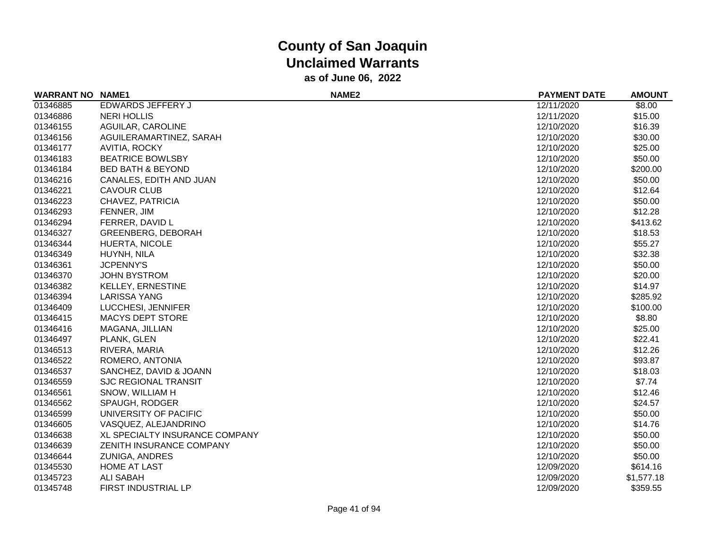| <b>WARRANT NO</b> | <b>NAME1</b>                   | NAME <sub>2</sub> | <b>PAYMENT DATE</b> | <b>AMOUNT</b> |
|-------------------|--------------------------------|-------------------|---------------------|---------------|
| 01346885          | EDWARDS JEFFERY J              |                   | 12/11/2020          | \$8.00        |
| 01346886          | <b>NERI HOLLIS</b>             |                   | 12/11/2020          | \$15.00       |
| 01346155          | AGUILAR, CAROLINE              |                   | 12/10/2020          | \$16.39       |
| 01346156          | AGUILERAMARTINEZ, SARAH        |                   | 12/10/2020          | \$30.00       |
| 01346177          | AVITIA, ROCKY                  |                   | 12/10/2020          | \$25.00       |
| 01346183          | <b>BEATRICE BOWLSBY</b>        |                   | 12/10/2020          | \$50.00       |
| 01346184          | <b>BED BATH &amp; BEYOND</b>   |                   | 12/10/2020          | \$200.00      |
| 01346216          | CANALES, EDITH AND JUAN        |                   | 12/10/2020          | \$50.00       |
| 01346221          | <b>CAVOUR CLUB</b>             |                   | 12/10/2020          | \$12.64       |
| 01346223          | CHAVEZ, PATRICIA               |                   | 12/10/2020          | \$50.00       |
| 01346293          | FENNER, JIM                    |                   | 12/10/2020          | \$12.28       |
| 01346294          | FERRER, DAVID L                |                   | 12/10/2020          | \$413.62      |
| 01346327          | <b>GREENBERG, DEBORAH</b>      |                   | 12/10/2020          | \$18.53       |
| 01346344          | HUERTA, NICOLE                 |                   | 12/10/2020          | \$55.27       |
| 01346349          | HUYNH, NILA                    |                   | 12/10/2020          | \$32.38       |
| 01346361          | <b>JCPENNY'S</b>               |                   | 12/10/2020          | \$50.00       |
| 01346370          | <b>JOHN BYSTROM</b>            |                   | 12/10/2020          | \$20.00       |
| 01346382          | <b>KELLEY, ERNESTINE</b>       |                   | 12/10/2020          | \$14.97       |
| 01346394          | <b>LARISSA YANG</b>            |                   | 12/10/2020          | \$285.92      |
| 01346409          | LUCCHESI, JENNIFER             |                   | 12/10/2020          | \$100.00      |
| 01346415          | <b>MACYS DEPT STORE</b>        |                   | 12/10/2020          | \$8.80        |
| 01346416          | MAGANA, JILLIAN                |                   | 12/10/2020          | \$25.00       |
| 01346497          | PLANK, GLEN                    |                   | 12/10/2020          | \$22.41       |
| 01346513          | RIVERA, MARIA                  |                   | 12/10/2020          | \$12.26       |
| 01346522          | ROMERO, ANTONIA                |                   | 12/10/2020          | \$93.87       |
| 01346537          | SANCHEZ, DAVID & JOANN         |                   | 12/10/2020          | \$18.03       |
| 01346559          | <b>SJC REGIONAL TRANSIT</b>    |                   | 12/10/2020          | \$7.74        |
| 01346561          | SNOW, WILLIAM H                |                   | 12/10/2020          | \$12.46       |
| 01346562          | SPAUGH, RODGER                 |                   | 12/10/2020          | \$24.57       |
| 01346599          | UNIVERSITY OF PACIFIC          |                   | 12/10/2020          | \$50.00       |
| 01346605          | VASQUEZ, ALEJANDRINO           |                   | 12/10/2020          | \$14.76       |
| 01346638          | XL SPECIALTY INSURANCE COMPANY |                   | 12/10/2020          | \$50.00       |
| 01346639          | ZENITH INSURANCE COMPANY       |                   | 12/10/2020          | \$50.00       |
| 01346644          | <b>ZUNIGA, ANDRES</b>          |                   | 12/10/2020          | \$50.00       |
| 01345530          | <b>HOME AT LAST</b>            |                   | 12/09/2020          | \$614.16      |
| 01345723          | ALI SABAH                      |                   | 12/09/2020          | \$1,577.18    |
| 01345748          | FIRST INDUSTRIAL LP            |                   | 12/09/2020          | \$359.55      |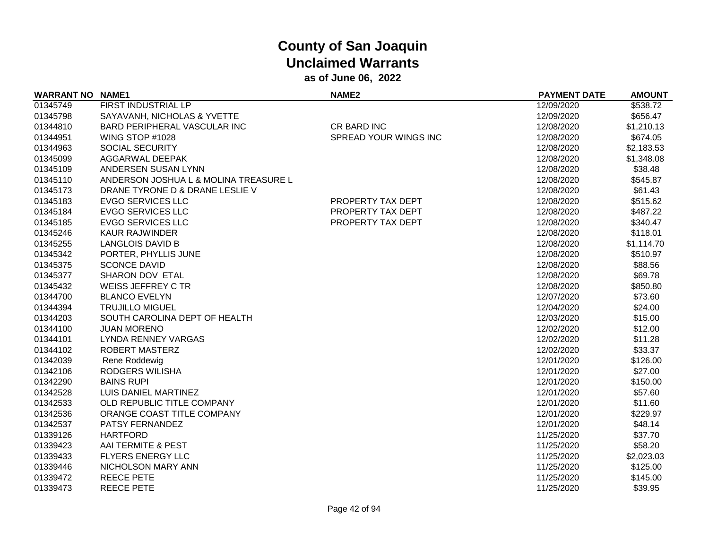| <b>WARRANT NO NAME1</b> |                                       | <b>NAME2</b>          | <b>PAYMENT DATE</b> | <b>AMOUNT</b> |
|-------------------------|---------------------------------------|-----------------------|---------------------|---------------|
| 01345749                | FIRST INDUSTRIAL LP                   |                       | 12/09/2020          | \$538.72      |
| 01345798                | SAYAVANH, NICHOLAS & YVETTE           |                       | 12/09/2020          | \$656.47      |
| 01344810                | BARD PERIPHERAL VASCULAR INC          | CR BARD INC           | 12/08/2020          | \$1,210.13    |
| 01344951                | WING STOP #1028                       | SPREAD YOUR WINGS INC | 12/08/2020          | \$674.05      |
| 01344963                | SOCIAL SECURITY                       |                       | 12/08/2020          | \$2,183.53    |
| 01345099                | AGGARWAL DEEPAK                       |                       | 12/08/2020          | \$1,348.08    |
| 01345109                | ANDERSEN SUSAN LYNN                   |                       | 12/08/2020          | \$38.48       |
| 01345110                | ANDERSON JOSHUA L & MOLINA TREASURE L |                       | 12/08/2020          | \$545.87      |
| 01345173                | DRANE TYRONE D & DRANE LESLIE V       |                       | 12/08/2020          | \$61.43       |
| 01345183                | <b>EVGO SERVICES LLC</b>              | PROPERTY TAX DEPT     | 12/08/2020          | \$515.62      |
| 01345184                | <b>EVGO SERVICES LLC</b>              | PROPERTY TAX DEPT     | 12/08/2020          | \$487.22      |
| 01345185                | <b>EVGO SERVICES LLC</b>              | PROPERTY TAX DEPT     | 12/08/2020          | \$340.47      |
| 01345246                | <b>KAUR RAJWINDER</b>                 |                       | 12/08/2020          | \$118.01      |
| 01345255                | <b>LANGLOIS DAVID B</b>               |                       | 12/08/2020          | \$1,114.70    |
| 01345342                | PORTER, PHYLLIS JUNE                  |                       | 12/08/2020          | \$510.97      |
| 01345375                | <b>SCONCE DAVID</b>                   |                       | 12/08/2020          | \$88.56       |
| 01345377                | SHARON DOV ETAL                       |                       | 12/08/2020          | \$69.78       |
| 01345432                | WEISS JEFFREY C TR                    |                       | 12/08/2020          | \$850.80      |
| 01344700                | <b>BLANCO EVELYN</b>                  |                       | 12/07/2020          | \$73.60       |
| 01344394                | <b>TRUJILLO MIGUEL</b>                |                       | 12/04/2020          | \$24.00       |
| 01344203                | SOUTH CAROLINA DEPT OF HEALTH         |                       | 12/03/2020          | \$15.00       |
| 01344100                | <b>JUAN MORENO</b>                    |                       | 12/02/2020          | \$12.00       |
| 01344101                | LYNDA RENNEY VARGAS                   |                       | 12/02/2020          | \$11.28       |
| 01344102                | <b>ROBERT MASTERZ</b>                 |                       | 12/02/2020          | \$33.37       |
| 01342039                | Rene Roddewig                         |                       | 12/01/2020          | \$126.00      |
| 01342106                | RODGERS WILISHA                       |                       | 12/01/2020          | \$27.00       |
| 01342290                | <b>BAINS RUPI</b>                     |                       | 12/01/2020          | \$150.00      |
| 01342528                | LUIS DANIEL MARTINEZ                  |                       | 12/01/2020          | \$57.60       |
| 01342533                | OLD REPUBLIC TITLE COMPANY            |                       | 12/01/2020          | \$11.60       |
| 01342536                | ORANGE COAST TITLE COMPANY            |                       | 12/01/2020          | \$229.97      |
| 01342537                | PATSY FERNANDEZ                       |                       | 12/01/2020          | \$48.14       |
| 01339126                | <b>HARTFORD</b>                       |                       | 11/25/2020          | \$37.70       |
| 01339423                | AAI TERMITE & PEST                    |                       | 11/25/2020          | \$58.20       |
| 01339433                | <b>FLYERS ENERGY LLC</b>              |                       | 11/25/2020          | \$2,023.03    |
| 01339446                | NICHOLSON MARY ANN                    |                       | 11/25/2020          | \$125.00      |
| 01339472                | <b>REECE PETE</b>                     |                       | 11/25/2020          | \$145.00      |
| 01339473                | <b>REECE PETE</b>                     |                       | 11/25/2020          | \$39.95       |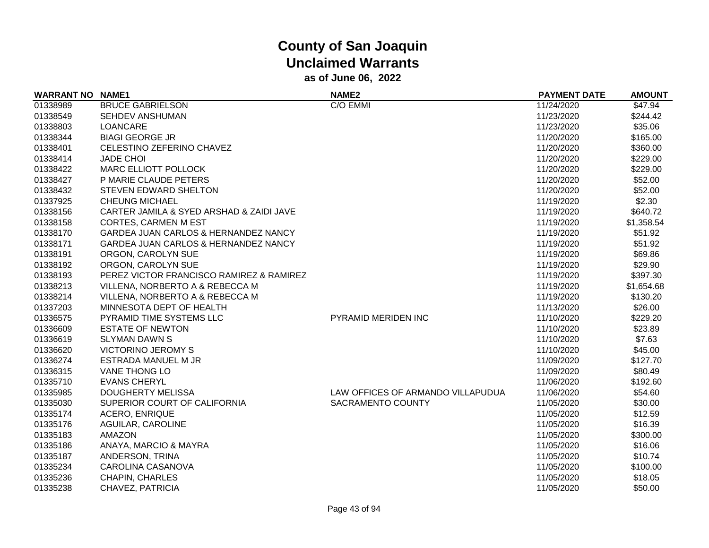| <b>WARRANT NO NAME1</b> |                                          | NAME <sub>2</sub>                 | <b>PAYMENT DATE</b> | <b>AMOUNT</b> |
|-------------------------|------------------------------------------|-----------------------------------|---------------------|---------------|
| 01338989                | <b>BRUCE GABRIELSON</b>                  | C/O EMMI                          | 11/24/2020          | \$47.94       |
| 01338549                | SEHDEV ANSHUMAN                          |                                   | 11/23/2020          | \$244.42      |
| 01338803                | <b>LOANCARE</b>                          |                                   | 11/23/2020          | \$35.06       |
| 01338344                | <b>BIAGI GEORGE JR</b>                   |                                   | 11/20/2020          | \$165.00      |
| 01338401                | CELESTINO ZEFERINO CHAVEZ                |                                   | 11/20/2020          | \$360.00      |
| 01338414                | <b>JADE CHOI</b>                         |                                   | 11/20/2020          | \$229.00      |
| 01338422                | <b>MARC ELLIOTT POLLOCK</b>              |                                   | 11/20/2020          | \$229.00      |
| 01338427                | P MARIE CLAUDE PETERS                    |                                   | 11/20/2020          | \$52.00       |
| 01338432                | <b>STEVEN EDWARD SHELTON</b>             |                                   | 11/20/2020          | \$52.00       |
| 01337925                | <b>CHEUNG MICHAEL</b>                    |                                   | 11/19/2020          | \$2.30        |
| 01338156                | CARTER JAMILA & SYED ARSHAD & ZAIDI JAVE |                                   | 11/19/2020          | \$640.72      |
| 01338158                | <b>CORTES, CARMEN M EST</b>              |                                   | 11/19/2020          | \$1,358.54    |
| 01338170                | GARDEA JUAN CARLOS & HERNANDEZ NANCY     |                                   | 11/19/2020          | \$51.92       |
| 01338171                | GARDEA JUAN CARLOS & HERNANDEZ NANCY     |                                   | 11/19/2020          | \$51.92       |
| 01338191                | ORGON, CAROLYN SUE                       |                                   | 11/19/2020          | \$69.86       |
| 01338192                | ORGON, CAROLYN SUE                       |                                   | 11/19/2020          | \$29.90       |
| 01338193                | PEREZ VICTOR FRANCISCO RAMIREZ & RAMIREZ |                                   | 11/19/2020          | \$397.30      |
| 01338213                | VILLENA, NORBERTO A & REBECCA M          |                                   | 11/19/2020          | \$1,654.68    |
| 01338214                | VILLENA, NORBERTO A & REBECCA M          |                                   | 11/19/2020          | \$130.20      |
| 01337203                | MINNESOTA DEPT OF HEALTH                 |                                   | 11/13/2020          | \$26.00       |
| 01336575                | PYRAMID TIME SYSTEMS LLC                 | PYRAMID MERIDEN INC               | 11/10/2020          | \$229.20      |
| 01336609                | <b>ESTATE OF NEWTON</b>                  |                                   | 11/10/2020          | \$23.89       |
| 01336619                | <b>SLYMAN DAWN S</b>                     |                                   | 11/10/2020          | \$7.63        |
| 01336620                | <b>VICTORINO JEROMY S</b>                |                                   | 11/10/2020          | \$45.00       |
| 01336274                | ESTRADA MANUEL M JR                      |                                   | 11/09/2020          | \$127.70      |
| 01336315                | <b>VANE THONG LO</b>                     |                                   | 11/09/2020          | \$80.49       |
| 01335710                | <b>EVANS CHERYL</b>                      |                                   | 11/06/2020          | \$192.60      |
| 01335985                | DOUGHERTY MELISSA                        | LAW OFFICES OF ARMANDO VILLAPUDUA | 11/06/2020          | \$54.60       |
| 01335030                | SUPERIOR COURT OF CALIFORNIA             | SACRAMENTO COUNTY                 | 11/05/2020          | \$30.00       |
| 01335174                | <b>ACERO, ENRIQUE</b>                    |                                   | 11/05/2020          | \$12.59       |
| 01335176                | AGUILAR, CAROLINE                        |                                   | 11/05/2020          | \$16.39       |
| 01335183                | AMAZON                                   |                                   | 11/05/2020          | \$300.00      |
| 01335186                | ANAYA, MARCIO & MAYRA                    |                                   | 11/05/2020          | \$16.06       |
| 01335187                | ANDERSON, TRINA                          |                                   | 11/05/2020          | \$10.74       |
| 01335234                | CAROLINA CASANOVA                        |                                   | 11/05/2020          | \$100.00      |
| 01335236                | <b>CHAPIN, CHARLES</b>                   |                                   | 11/05/2020          | \$18.05       |
| 01335238                | CHAVEZ, PATRICIA                         |                                   | 11/05/2020          | \$50.00       |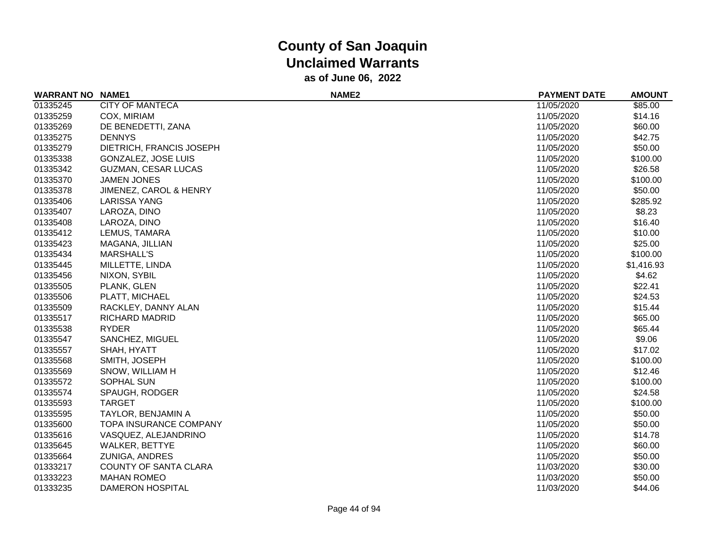| <b>WARRANT NO NAME1</b> |                               | <b>NAME2</b> | <b>PAYMENT DATE</b> | <b>AMOUNT</b> |
|-------------------------|-------------------------------|--------------|---------------------|---------------|
| 01335245                | <b>CITY OF MANTECA</b>        |              | 11/05/2020          | \$85.00       |
| 01335259                | COX, MIRIAM                   |              | 11/05/2020          | \$14.16       |
| 01335269                | DE BENEDETTI, ZANA            |              | 11/05/2020          | \$60.00       |
| 01335275                | <b>DENNYS</b>                 |              | 11/05/2020          | \$42.75       |
| 01335279                | DIETRICH, FRANCIS JOSEPH      |              | 11/05/2020          | \$50.00       |
| 01335338                | <b>GONZALEZ, JOSE LUIS</b>    |              | 11/05/2020          | \$100.00      |
| 01335342                | <b>GUZMAN, CESAR LUCAS</b>    |              | 11/05/2020          | \$26.58       |
| 01335370                | <b>JAMEN JONES</b>            |              | 11/05/2020          | \$100.00      |
| 01335378                | JIMENEZ, CAROL & HENRY        |              | 11/05/2020          | \$50.00       |
| 01335406                | <b>LARISSA YANG</b>           |              | 11/05/2020          | \$285.92      |
| 01335407                | LAROZA, DINO                  |              | 11/05/2020          | \$8.23        |
| 01335408                | LAROZA, DINO                  |              | 11/05/2020          | \$16.40       |
| 01335412                | LEMUS, TAMARA                 |              | 11/05/2020          | \$10.00       |
| 01335423                | MAGANA, JILLIAN               |              | 11/05/2020          | \$25.00       |
| 01335434                | <b>MARSHALL'S</b>             |              | 11/05/2020          | \$100.00      |
| 01335445                | MILLETTE, LINDA               |              | 11/05/2020          | \$1,416.93    |
| 01335456                | NIXON, SYBIL                  |              | 11/05/2020          | \$4.62        |
| 01335505                | PLANK, GLEN                   |              | 11/05/2020          | \$22.41       |
| 01335506                | PLATT, MICHAEL                |              | 11/05/2020          | \$24.53       |
| 01335509                | RACKLEY, DANNY ALAN           |              | 11/05/2020          | \$15.44       |
| 01335517                | <b>RICHARD MADRID</b>         |              | 11/05/2020          | \$65.00       |
| 01335538                | <b>RYDER</b>                  |              | 11/05/2020          | \$65.44       |
| 01335547                | SANCHEZ, MIGUEL               |              | 11/05/2020          | \$9.06        |
| 01335557                | SHAH, HYATT                   |              | 11/05/2020          | \$17.02       |
| 01335568                | SMITH, JOSEPH                 |              | 11/05/2020          | \$100.00      |
| 01335569                | SNOW, WILLIAM H               |              | 11/05/2020          | \$12.46       |
| 01335572                | SOPHAL SUN                    |              | 11/05/2020          | \$100.00      |
| 01335574                | SPAUGH, RODGER                |              | 11/05/2020          | \$24.58       |
| 01335593                | <b>TARGET</b>                 |              | 11/05/2020          | \$100.00      |
| 01335595                | TAYLOR, BENJAMIN A            |              | 11/05/2020          | \$50.00       |
| 01335600                | <b>TOPA INSURANCE COMPANY</b> |              | 11/05/2020          | \$50.00       |
| 01335616                | VASQUEZ, ALEJANDRINO          |              | 11/05/2020          | \$14.78       |
| 01335645                | WALKER, BETTYE                |              | 11/05/2020          | \$60.00       |
| 01335664                | <b>ZUNIGA, ANDRES</b>         |              | 11/05/2020          | \$50.00       |
| 01333217                | COUNTY OF SANTA CLARA         |              | 11/03/2020          | \$30.00       |
| 01333223                | <b>MAHAN ROMEO</b>            |              | 11/03/2020          | \$50.00       |
| 01333235                | DAMERON HOSPITAL              |              | 11/03/2020          | \$44.06       |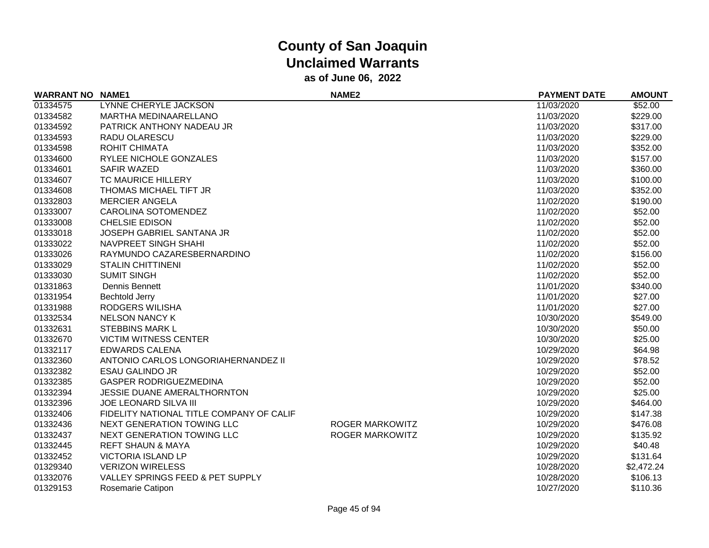| <b>WARRANT NO NAME1</b> |                                          | NAME <sub>2</sub>      | <b>PAYMENT DATE</b> | <b>AMOUNT</b> |
|-------------------------|------------------------------------------|------------------------|---------------------|---------------|
| 01334575                | LYNNE CHERYLE JACKSON                    |                        | 11/03/2020          | \$52.00       |
| 01334582                | <b>MARTHA MEDINAARELLANO</b>             |                        | 11/03/2020          | \$229.00      |
| 01334592                | PATRICK ANTHONY NADEAU JR                |                        | 11/03/2020          | \$317.00      |
| 01334593                | RADU OLARESCU                            |                        | 11/03/2020          | \$229.00      |
| 01334598                | ROHIT CHIMATA                            |                        | 11/03/2020          | \$352.00      |
| 01334600                | RYLEE NICHOLE GONZALES                   |                        | 11/03/2020          | \$157.00      |
| 01334601                | <b>SAFIR WAZED</b>                       |                        | 11/03/2020          | \$360.00      |
| 01334607                | TC MAURICE HILLERY                       |                        | 11/03/2020          | \$100.00      |
| 01334608                | THOMAS MICHAEL TIFT JR                   |                        | 11/03/2020          | \$352.00      |
| 01332803                | <b>MERCIER ANGELA</b>                    |                        | 11/02/2020          | \$190.00      |
| 01333007                | <b>CAROLINA SOTOMENDEZ</b>               |                        | 11/02/2020          | \$52.00       |
| 01333008                | <b>CHELSIE EDISON</b>                    |                        | 11/02/2020          | \$52.00       |
| 01333018                | JOSEPH GABRIEL SANTANA JR                |                        | 11/02/2020          | \$52.00       |
| 01333022                | NAVPREET SINGH SHAHI                     |                        | 11/02/2020          | \$52.00       |
| 01333026                | RAYMUNDO CAZARESBERNARDINO               |                        | 11/02/2020          | \$156.00      |
| 01333029                | <b>STALIN CHITTINENI</b>                 |                        | 11/02/2020          | \$52.00       |
| 01333030                | <b>SUMIT SINGH</b>                       |                        | 11/02/2020          | \$52.00       |
| 01331863                | Dennis Bennett                           |                        | 11/01/2020          | \$340.00      |
| 01331954                | <b>Bechtold Jerry</b>                    |                        | 11/01/2020          | \$27.00       |
| 01331988                | RODGERS WILISHA                          |                        | 11/01/2020          | \$27.00       |
| 01332534                | <b>NELSON NANCY K</b>                    |                        | 10/30/2020          | \$549.00      |
| 01332631                | <b>STEBBINS MARK L</b>                   |                        | 10/30/2020          | \$50.00       |
| 01332670                | <b>VICTIM WITNESS CENTER</b>             |                        | 10/30/2020          | \$25.00       |
| 01332117                | <b>EDWARDS CALENA</b>                    |                        | 10/29/2020          | \$64.98       |
| 01332360                | ANTONIO CARLOS LONGORIAHERNANDEZ II      |                        | 10/29/2020          | \$78.52       |
| 01332382                | <b>ESAU GALINDO JR</b>                   |                        | 10/29/2020          | \$52.00       |
| 01332385                | <b>GASPER RODRIGUEZMEDINA</b>            |                        | 10/29/2020          | \$52.00       |
| 01332394                | <b>JESSIE DUANE AMERALTHORNTON</b>       |                        | 10/29/2020          | \$25.00       |
| 01332396                | <b>JOE LEONARD SILVA III</b>             |                        | 10/29/2020          | \$464.00      |
| 01332406                | FIDELITY NATIONAL TITLE COMPANY OF CALIF |                        | 10/29/2020          | \$147.38      |
| 01332436                | NEXT GENERATION TOWING LLC               | <b>ROGER MARKOWITZ</b> | 10/29/2020          | \$476.08      |
| 01332437                | NEXT GENERATION TOWING LLC               | <b>ROGER MARKOWITZ</b> | 10/29/2020          | \$135.92      |
| 01332445                | <b>REFT SHAUN &amp; MAYA</b>             |                        | 10/29/2020          | \$40.48       |
| 01332452                | <b>VICTORIA ISLAND LP</b>                |                        | 10/29/2020          | \$131.64      |
| 01329340                | <b>VERIZON WIRELESS</b>                  |                        | 10/28/2020          | \$2,472.24    |
| 01332076                | VALLEY SPRINGS FEED & PET SUPPLY         |                        | 10/28/2020          | \$106.13      |
| 01329153                | Rosemarie Catipon                        |                        | 10/27/2020          | \$110.36      |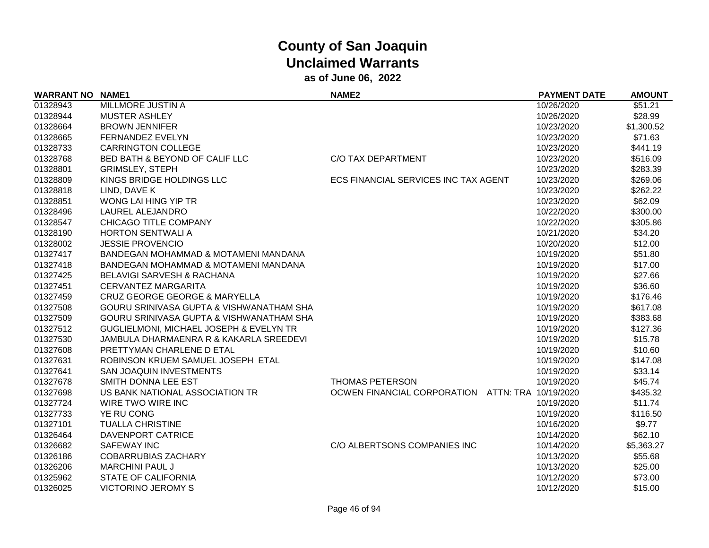| <b>WARRANT NO NAME1</b> |                                                    | NAME <sub>2</sub>                    | <b>PAYMENT DATE</b>  | <b>AMOUNT</b> |
|-------------------------|----------------------------------------------------|--------------------------------------|----------------------|---------------|
| 01328943                | MILLMORE JUSTIN A                                  |                                      | 10/26/2020           | \$51.21       |
| 01328944                | <b>MUSTER ASHLEY</b>                               |                                      | 10/26/2020           | \$28.99       |
| 01328664                | <b>BROWN JENNIFER</b>                              |                                      | 10/23/2020           | \$1,300.52    |
| 01328665                | FERNANDEZ EVELYN                                   |                                      | 10/23/2020           | \$71.63       |
| 01328733                | <b>CARRINGTON COLLEGE</b>                          |                                      | 10/23/2020           | \$441.19      |
| 01328768                | BED BATH & BEYOND OF CALIF LLC                     | C/O TAX DEPARTMENT                   | 10/23/2020           | \$516.09      |
| 01328801                | <b>GRIMSLEY, STEPH</b>                             |                                      | 10/23/2020           | \$283.39      |
| 01328809                | KINGS BRIDGE HOLDINGS LLC                          | ECS FINANCIAL SERVICES INC TAX AGENT | 10/23/2020           | \$269.06      |
| 01328818                | LIND, DAVE K                                       |                                      | 10/23/2020           | \$262.22      |
| 01328851                | WONG LAI HING YIP TR                               |                                      | 10/23/2020           | \$62.09       |
| 01328496                | LAUREL ALEJANDRO                                   |                                      | 10/22/2020           | \$300.00      |
| 01328547                | CHICAGO TITLE COMPANY                              |                                      | 10/22/2020           | \$305.86      |
| 01328190                | <b>HORTON SENTWALI A</b>                           |                                      | 10/21/2020           | \$34.20       |
| 01328002                | <b>JESSIE PROVENCIO</b>                            |                                      | 10/20/2020           | \$12.00       |
| 01327417                | BANDEGAN MOHAMMAD & MOTAMENI MANDANA               |                                      | 10/19/2020           | \$51.80       |
| 01327418                | BANDEGAN MOHAMMAD & MOTAMENI MANDANA               |                                      | 10/19/2020           | \$17.00       |
| 01327425                | <b>BELAVIGI SARVESH &amp; RACHANA</b>              |                                      | 10/19/2020           | \$27.66       |
| 01327451                | <b>CERVANTEZ MARGARITA</b>                         |                                      | 10/19/2020           | \$36.60       |
| 01327459                | <b>CRUZ GEORGE GEORGE &amp; MARYELLA</b>           |                                      | 10/19/2020           | \$176.46      |
| 01327508                | GOURU SRINIVASA GUPTA & VISHWANATHAM SHA           |                                      | 10/19/2020           | \$617.08      |
| 01327509                | GOURU SRINIVASA GUPTA & VISHWANATHAM SHA           |                                      | 10/19/2020           | \$383.68      |
| 01327512                | <b>GUGLIELMONI, MICHAEL JOSEPH &amp; EVELYN TR</b> |                                      | 10/19/2020           | \$127.36      |
| 01327530                | JAMBULA DHARMAENRA R & KAKARLA SREEDEVI            |                                      | 10/19/2020           | \$15.78       |
| 01327608                | PRETTYMAN CHARLENE D ETAL                          |                                      | 10/19/2020           | \$10.60       |
| 01327631                | ROBINSON KRUEM SAMUEL JOSEPH ETAL                  |                                      | 10/19/2020           | \$147.08      |
| 01327641                | <b>SAN JOAQUIN INVESTMENTS</b>                     |                                      | 10/19/2020           | \$33.14       |
| 01327678                | SMITH DONNA LEE EST                                | <b>THOMAS PETERSON</b>               | 10/19/2020           | \$45.74       |
| 01327698                | US BANK NATIONAL ASSOCIATION TR                    | OCWEN FINANCIAL CORPORATION          | ATTN: TRA 10/19/2020 | \$435.32      |
| 01327724                | WIRE TWO WIRE INC                                  |                                      | 10/19/2020           | \$11.74       |
| 01327733                | YE RU CONG                                         |                                      | 10/19/2020           | \$116.50      |
| 01327101                | <b>TUALLA CHRISTINE</b>                            |                                      | 10/16/2020           | \$9.77        |
| 01326464                | DAVENPORT CATRICE                                  |                                      | 10/14/2020           | \$62.10       |
| 01326682                | <b>SAFEWAY INC</b>                                 | C/O ALBERTSONS COMPANIES INC         | 10/14/2020           | \$5,363.27    |
| 01326186                | <b>COBARRUBIAS ZACHARY</b>                         |                                      | 10/13/2020           | \$55.68       |
| 01326206                | <b>MARCHINI PAUL J</b>                             |                                      | 10/13/2020           | \$25.00       |
| 01325962                | <b>STATE OF CALIFORNIA</b>                         |                                      | 10/12/2020           | \$73.00       |
| 01326025                | <b>VICTORINO JEROMY S</b>                          |                                      | 10/12/2020           | \$15.00       |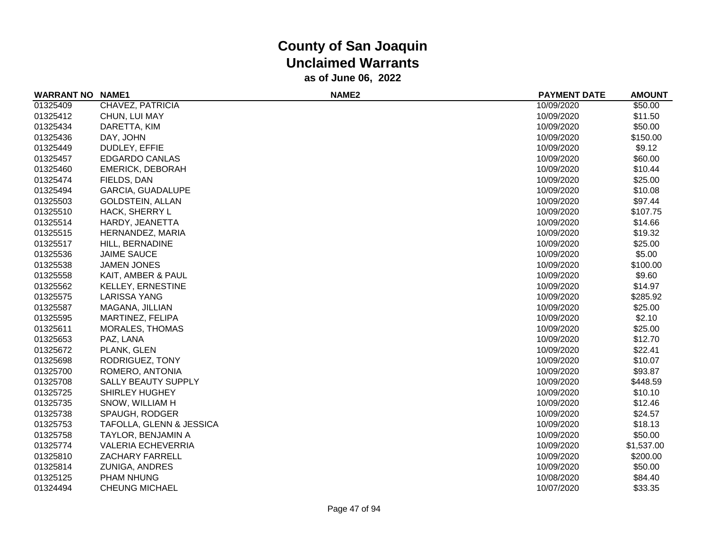| <b>WARRANT NO</b> | <b>NAME1</b>              | <b>NAME2</b> | <b>PAYMENT DATE</b> | <b>AMOUNT</b> |
|-------------------|---------------------------|--------------|---------------------|---------------|
| 01325409          | CHAVEZ, PATRICIA          |              | 10/09/2020          | \$50.00       |
| 01325412          | CHUN, LUI MAY             |              | 10/09/2020          | \$11.50       |
| 01325434          | DARETTA, KIM              |              | 10/09/2020          | \$50.00       |
| 01325436          | DAY, JOHN                 |              | 10/09/2020          | \$150.00      |
| 01325449          | DUDLEY, EFFIE             |              | 10/09/2020          | \$9.12        |
| 01325457          | <b>EDGARDO CANLAS</b>     |              | 10/09/2020          | \$60.00       |
| 01325460          | <b>EMERICK, DEBORAH</b>   |              | 10/09/2020          | \$10.44       |
| 01325474          | FIELDS, DAN               |              | 10/09/2020          | \$25.00       |
| 01325494          | GARCIA, GUADALUPE         |              | 10/09/2020          | \$10.08       |
| 01325503          | <b>GOLDSTEIN, ALLAN</b>   |              | 10/09/2020          | \$97.44       |
| 01325510          | HACK, SHERRY L            |              | 10/09/2020          | \$107.75      |
| 01325514          | HARDY, JEANETTA           |              | 10/09/2020          | \$14.66       |
| 01325515          | HERNANDEZ, MARIA          |              | 10/09/2020          | \$19.32       |
| 01325517          | HILL, BERNADINE           |              | 10/09/2020          | \$25.00       |
| 01325536          | <b>JAIME SAUCE</b>        |              | 10/09/2020          | \$5.00        |
| 01325538          | <b>JAMEN JONES</b>        |              | 10/09/2020          | \$100.00      |
| 01325558          | KAIT, AMBER & PAUL        |              | 10/09/2020          | \$9.60        |
| 01325562          | <b>KELLEY, ERNESTINE</b>  |              | 10/09/2020          | \$14.97       |
| 01325575          | <b>LARISSA YANG</b>       |              | 10/09/2020          | \$285.92      |
| 01325587          | MAGANA, JILLIAN           |              | 10/09/2020          | \$25.00       |
| 01325595          | MARTINEZ, FELIPA          |              | 10/09/2020          | \$2.10        |
| 01325611          | <b>MORALES, THOMAS</b>    |              | 10/09/2020          | \$25.00       |
| 01325653          | PAZ, LANA                 |              | 10/09/2020          | \$12.70       |
| 01325672          | PLANK, GLEN               |              | 10/09/2020          | \$22.41       |
| 01325698          | RODRIGUEZ, TONY           |              | 10/09/2020          | \$10.07       |
| 01325700          | ROMERO, ANTONIA           |              | 10/09/2020          | \$93.87       |
| 01325708          | SALLY BEAUTY SUPPLY       |              | 10/09/2020          | \$448.59      |
| 01325725          | <b>SHIRLEY HUGHEY</b>     |              | 10/09/2020          | \$10.10       |
| 01325735          | SNOW, WILLIAM H           |              | 10/09/2020          | \$12.46       |
| 01325738          | <b>SPAUGH, RODGER</b>     |              | 10/09/2020          | \$24.57       |
| 01325753          | TAFOLLA, GLENN & JESSICA  |              | 10/09/2020          | \$18.13       |
| 01325758          | TAYLOR, BENJAMIN A        |              | 10/09/2020          | \$50.00       |
| 01325774          | <b>VALERIA ECHEVERRIA</b> |              | 10/09/2020          | \$1,537.00    |
| 01325810          | ZACHARY FARRELL           |              | 10/09/2020          | \$200.00      |
| 01325814          | ZUNIGA, ANDRES            |              | 10/09/2020          | \$50.00       |
| 01325125          | <b>PHAM NHUNG</b>         |              | 10/08/2020          | \$84.40       |
| 01324494          | <b>CHEUNG MICHAEL</b>     |              | 10/07/2020          | \$33.35       |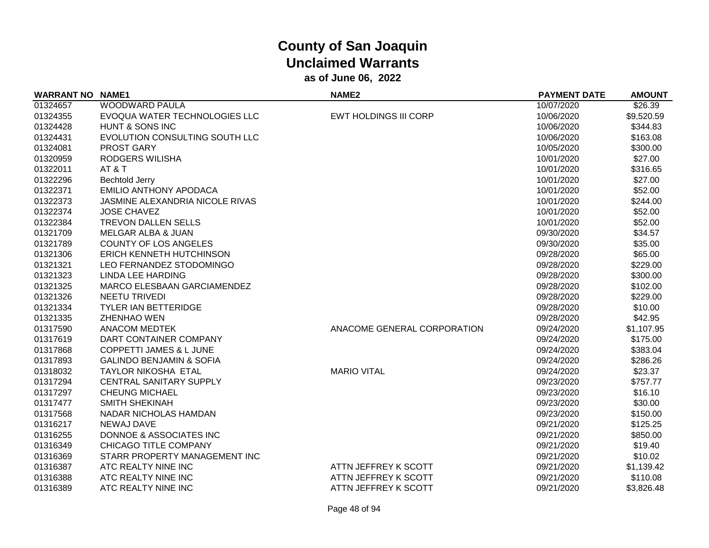| <b>WARRANT NO</b> | <b>NAME1</b>                        | NAME <sub>2</sub>            | <b>PAYMENT DATE</b> | <b>AMOUNT</b> |
|-------------------|-------------------------------------|------------------------------|---------------------|---------------|
| 01324657          | WOODWARD PAULA                      |                              | 10/07/2020          | \$26.39       |
| 01324355          | EVOQUA WATER TECHNOLOGIES LLC       | <b>EWT HOLDINGS III CORP</b> | 10/06/2020          | \$9,520.59    |
| 01324428          | HUNT & SONS INC                     |                              | 10/06/2020          | \$344.83      |
| 01324431          | EVOLUTION CONSULTING SOUTH LLC      |                              | 10/06/2020          | \$163.08      |
| 01324081          | PROST GARY                          |                              | 10/05/2020          | \$300.00      |
| 01320959          | RODGERS WILISHA                     |                              | 10/01/2020          | \$27.00       |
| 01322011          | AT&T                                |                              | 10/01/2020          | \$316.65      |
| 01322296          | <b>Bechtold Jerry</b>               |                              | 10/01/2020          | \$27.00       |
| 01322371          | <b>EMILIO ANTHONY APODACA</b>       |                              | 10/01/2020          | \$52.00       |
| 01322373          | JASMINE ALEXANDRIA NICOLE RIVAS     |                              | 10/01/2020          | \$244.00      |
| 01322374          | <b>JOSE CHAVEZ</b>                  |                              | 10/01/2020          | \$52.00       |
| 01322384          | TREVON DALLEN SELLS                 |                              | 10/01/2020          | \$52.00       |
| 01321709          | MELGAR ALBA & JUAN                  |                              | 09/30/2020          | \$34.57       |
| 01321789          | <b>COUNTY OF LOS ANGELES</b>        |                              | 09/30/2020          | \$35.00       |
| 01321306          | ERICH KENNETH HUTCHINSON            |                              | 09/28/2020          | \$65.00       |
| 01321321          | LEO FERNANDEZ STODOMINGO            |                              | 09/28/2020          | \$229.00      |
| 01321323          | <b>LINDA LEE HARDING</b>            |                              | 09/28/2020          | \$300.00      |
| 01321325          | MARCO ELESBAAN GARCIAMENDEZ         |                              | 09/28/2020          | \$102.00      |
| 01321326          | NEETU TRIVEDI                       |                              | 09/28/2020          | \$229.00      |
| 01321334          | TYLER IAN BETTERIDGE                |                              | 09/28/2020          | \$10.00       |
| 01321335          | <b>ZHENHAO WEN</b>                  |                              | 09/28/2020          | \$42.95       |
| 01317590          | <b>ANACOM MEDTEK</b>                | ANACOME GENERAL CORPORATION  | 09/24/2020          | \$1,107.95    |
| 01317619          | DART CONTAINER COMPANY              |                              | 09/24/2020          | \$175.00      |
| 01317868          | <b>COPPETTI JAMES &amp; L JUNE</b>  |                              | 09/24/2020          | \$383.04      |
| 01317893          | <b>GALINDO BENJAMIN &amp; SOFIA</b> |                              | 09/24/2020          | \$286.26      |
| 01318032          | TAYLOR NIKOSHA ETAL                 | <b>MARIO VITAL</b>           | 09/24/2020          | \$23.37       |
| 01317294          | CENTRAL SANITARY SUPPLY             |                              | 09/23/2020          | \$757.77      |
| 01317297          | <b>CHEUNG MICHAEL</b>               |                              | 09/23/2020          | \$16.10       |
| 01317477          | <b>SMITH SHEKINAH</b>               |                              | 09/23/2020          | \$30.00       |
| 01317568          | NADAR NICHOLAS HAMDAN               |                              | 09/23/2020          | \$150.00      |
| 01316217          | <b>NEWAJ DAVE</b>                   |                              | 09/21/2020          | \$125.25      |
| 01316255          | DONNOE & ASSOCIATES INC             |                              | 09/21/2020          | \$850.00      |
| 01316349          | CHICAGO TITLE COMPANY               |                              | 09/21/2020          | \$19.40       |
| 01316369          | STARR PROPERTY MANAGEMENT INC       |                              | 09/21/2020          | \$10.02       |
| 01316387          | ATC REALTY NINE INC                 | ATTN JEFFREY K SCOTT         | 09/21/2020          | \$1,139.42    |
| 01316388          | ATC REALTY NINE INC                 | ATTN JEFFREY K SCOTT         | 09/21/2020          | \$110.08      |
| 01316389          | ATC REALTY NINE INC                 | ATTN JEFFREY K SCOTT         | 09/21/2020          | \$3,826.48    |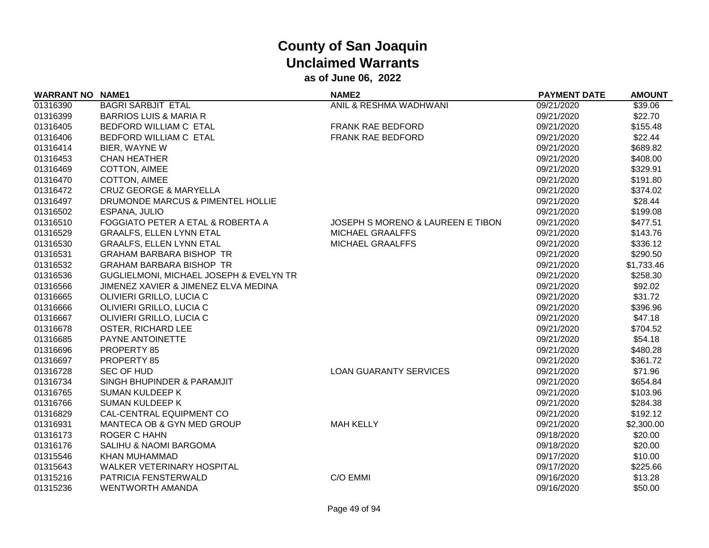| <b>WARRANT NO</b> | <b>NAME1</b>                            | NAME <sub>2</sub>                            | <b>PAYMENT DATE</b> | <b>AMOUNT</b> |
|-------------------|-----------------------------------------|----------------------------------------------|---------------------|---------------|
| 01316390          | <b>BAGRI SARBJIT ETAL</b>               | ANIL & RESHMA WADHWANI                       | 09/21/2020          | \$39.06       |
| 01316399          | <b>BARRIOS LUIS &amp; MARIA R</b>       |                                              | 09/21/2020          | \$22.70       |
| 01316405          | BEDFORD WILLIAM C ETAL                  | FRANK RAE BEDFORD                            | 09/21/2020          | \$155.48      |
| 01316406          | BEDFORD WILLIAM C ETAL                  | FRANK RAE BEDFORD                            | 09/21/2020          | \$22.44       |
| 01316414          | BIER, WAYNE W                           |                                              | 09/21/2020          | \$689.82      |
| 01316453          | <b>CHAN HEATHER</b>                     |                                              | 09/21/2020          | \$408.00      |
| 01316469          | COTTON, AIMEE                           |                                              | 09/21/2020          | \$329.91      |
| 01316470          | COTTON, AIMEE                           |                                              | 09/21/2020          | \$191.80      |
| 01316472          | <b>CRUZ GEORGE &amp; MARYELLA</b>       |                                              | 09/21/2020          | \$374.02      |
| 01316497          | DRUMONDE MARCUS & PIMENTEL HOLLIE       |                                              | 09/21/2020          | \$28.44       |
| 01316502          | ESPANA, JULIO                           |                                              | 09/21/2020          | \$199.08      |
| 01316510          | FOGGIATO PETER A ETAL & ROBERTA A       | <b>JOSEPH S MORENO &amp; LAUREEN E TIBON</b> | 09/21/2020          | \$477.51      |
| 01316529          | <b>GRAALFS, ELLEN LYNN ETAL</b>         | <b>MICHAEL GRAALFFS</b>                      | 09/21/2020          | \$143.76      |
| 01316530          | <b>GRAALFS, ELLEN LYNN ETAL</b>         | <b>MICHAEL GRAALFFS</b>                      | 09/21/2020          | \$336.12      |
| 01316531          | <b>GRAHAM BARBARA BISHOP TR</b>         |                                              | 09/21/2020          | \$290.50      |
| 01316532          | <b>GRAHAM BARBARA BISHOP TR</b>         |                                              | 09/21/2020          | \$1,733.46    |
| 01316536          | GUGLIELMONI, MICHAEL JOSEPH & EVELYN TR |                                              | 09/21/2020          | \$258.30      |
| 01316566          | JIMENEZ XAVIER & JIMENEZ ELVA MEDINA    |                                              | 09/21/2020          | \$92.02       |
| 01316665          | OLIVIERI GRILLO, LUCIA C                |                                              | 09/21/2020          | \$31.72       |
| 01316666          | OLIVIERI GRILLO, LUCIA C                |                                              | 09/21/2020          | \$396.96      |
| 01316667          | OLIVIERI GRILLO, LUCIA C                |                                              | 09/21/2020          | \$47.18       |
| 01316678          | OSTER, RICHARD LEE                      |                                              | 09/21/2020          | \$704.52      |
| 01316685          | PAYNE ANTOINETTE                        |                                              | 09/21/2020          | \$54.18       |
| 01316696          | PROPERTY 85                             |                                              | 09/21/2020          | \$480.28      |
| 01316697          | PROPERTY 85                             |                                              | 09/21/2020          | \$361.72      |
| 01316728          | <b>SEC OF HUD</b>                       | <b>LOAN GUARANTY SERVICES</b>                | 09/21/2020          | \$71.96       |
| 01316734          | SINGH BHUPINDER & PARAMJIT              |                                              | 09/21/2020          | \$654.84      |
| 01316765          | <b>SUMAN KULDEEP K</b>                  |                                              | 09/21/2020          | \$103.96      |
| 01316766          | <b>SUMAN KULDEEP K</b>                  |                                              | 09/21/2020          | \$284.38      |
| 01316829          | CAL-CENTRAL EQUIPMENT CO                |                                              | 09/21/2020          | \$192.12      |
| 01316931          | MANTECA OB & GYN MED GROUP              | <b>MAH KELLY</b>                             | 09/21/2020          | \$2,300.00    |
| 01316173          | <b>ROGER C HAHN</b>                     |                                              | 09/18/2020          | \$20.00       |
| 01316176          | SALIHU & NAOMI BARGOMA                  |                                              | 09/18/2020          | \$20.00       |
| 01315546          | KHAN MUHAMMAD                           |                                              | 09/17/2020          | \$10.00       |
| 01315643          | <b>WALKER VETERINARY HOSPITAL</b>       |                                              | 09/17/2020          | \$225.66      |
| 01315216          | PATRICIA FENSTERWALD                    | C/O EMMI                                     | 09/16/2020          | \$13.28       |
| 01315236          | <b>WENTWORTH AMANDA</b>                 |                                              | 09/16/2020          | \$50.00       |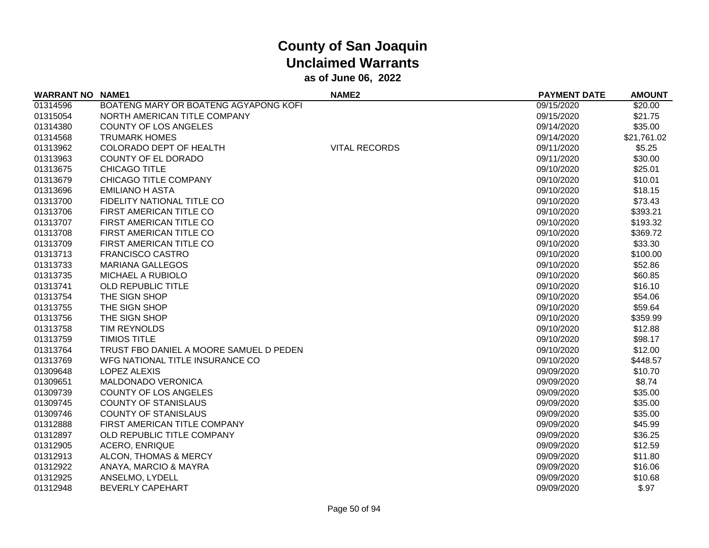| <b>WARRANT NO NAME1</b> |                                         | <b>NAME2</b>         | <b>PAYMENT DATE</b> | <b>AMOUNT</b> |
|-------------------------|-----------------------------------------|----------------------|---------------------|---------------|
| 01314596                | BOATENG MARY OR BOATENG AGYAPONG KOFI   |                      | 09/15/2020          | \$20.00       |
| 01315054                | NORTH AMERICAN TITLE COMPANY            |                      | 09/15/2020          | \$21.75       |
| 01314380                | <b>COUNTY OF LOS ANGELES</b>            |                      | 09/14/2020          | \$35.00       |
| 01314568                | <b>TRUMARK HOMES</b>                    |                      | 09/14/2020          | \$21,761.02   |
| 01313962                | COLORADO DEPT OF HEALTH                 | <b>VITAL RECORDS</b> | 09/11/2020          | \$5.25        |
| 01313963                | COUNTY OF EL DORADO                     |                      | 09/11/2020          | \$30.00       |
| 01313675                | CHICAGO TITLE                           |                      | 09/10/2020          | \$25.01       |
| 01313679                | <b>CHICAGO TITLE COMPANY</b>            |                      | 09/10/2020          | \$10.01       |
| 01313696                | <b>EMILIANO H ASTA</b>                  |                      | 09/10/2020          | \$18.15       |
| 01313700                | FIDELITY NATIONAL TITLE CO              |                      | 09/10/2020          | \$73.43       |
| 01313706                | FIRST AMERICAN TITLE CO                 |                      | 09/10/2020          | \$393.21      |
| 01313707                | FIRST AMERICAN TITLE CO                 |                      | 09/10/2020          | \$193.32      |
| 01313708                | FIRST AMERICAN TITLE CO                 |                      | 09/10/2020          | \$369.72      |
| 01313709                | FIRST AMERICAN TITLE CO                 |                      | 09/10/2020          | \$33.30       |
| 01313713                | <b>FRANCISCO CASTRO</b>                 |                      | 09/10/2020          | \$100.00      |
| 01313733                | <b>MARIANA GALLEGOS</b>                 |                      | 09/10/2020          | \$52.86       |
| 01313735                | MICHAEL A RUBIOLO                       |                      | 09/10/2020          | \$60.85       |
| 01313741                | OLD REPUBLIC TITLE                      |                      | 09/10/2020          | \$16.10       |
| 01313754                | THE SIGN SHOP                           |                      | 09/10/2020          | \$54.06       |
| 01313755                | THE SIGN SHOP                           |                      | 09/10/2020          | \$59.64       |
| 01313756                | THE SIGN SHOP                           |                      | 09/10/2020          | \$359.99      |
| 01313758                | TIM REYNOLDS                            |                      | 09/10/2020          | \$12.88       |
| 01313759                | <b>TIMIOS TITLE</b>                     |                      | 09/10/2020          | \$98.17       |
| 01313764                | TRUST FBO DANIEL A MOORE SAMUEL D PEDEN |                      | 09/10/2020          | \$12.00       |
| 01313769                | WFG NATIONAL TITLE INSURANCE CO         |                      | 09/10/2020          | \$448.57      |
| 01309648                | <b>LOPEZ ALEXIS</b>                     |                      | 09/09/2020          | \$10.70       |
| 01309651                | <b>MALDONADO VERONICA</b>               |                      | 09/09/2020          | \$8.74        |
| 01309739                | COUNTY OF LOS ANGELES                   |                      | 09/09/2020          | \$35.00       |
| 01309745                | <b>COUNTY OF STANISLAUS</b>             |                      | 09/09/2020          | \$35.00       |
| 01309746                | <b>COUNTY OF STANISLAUS</b>             |                      | 09/09/2020          | \$35.00       |
| 01312888                | FIRST AMERICAN TITLE COMPANY            |                      | 09/09/2020          | \$45.99       |
| 01312897                | OLD REPUBLIC TITLE COMPANY              |                      | 09/09/2020          | \$36.25       |
| 01312905                | <b>ACERO, ENRIQUE</b>                   |                      | 09/09/2020          | \$12.59       |
| 01312913                | ALCON, THOMAS & MERCY                   |                      | 09/09/2020          | \$11.80       |
| 01312922                | ANAYA, MARCIO & MAYRA                   |                      | 09/09/2020          | \$16.06       |
| 01312925                | ANSELMO, LYDELL                         |                      | 09/09/2020          | \$10.68       |
| 01312948                | <b>BEVERLY CAPEHART</b>                 |                      | 09/09/2020          | \$.97         |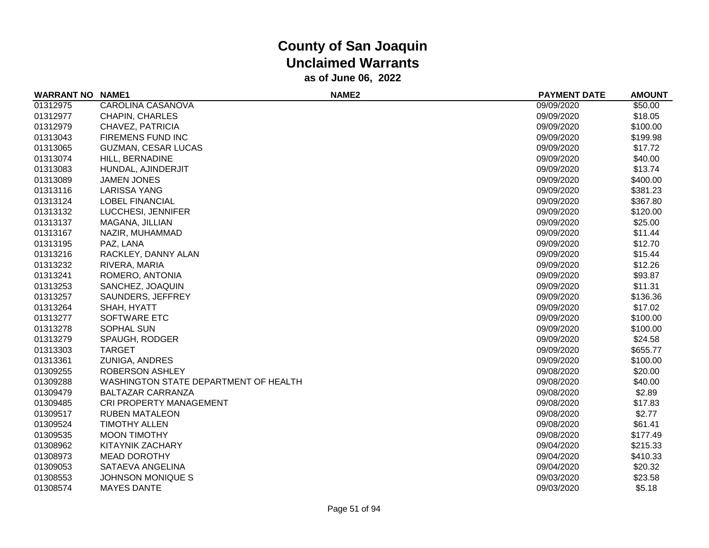| <b>WARRANT NO NAME1</b> |                                       | NAME <sub>2</sub> | <b>PAYMENT DATE</b> | <b>AMOUNT</b> |
|-------------------------|---------------------------------------|-------------------|---------------------|---------------|
| 01312975                | CAROLINA CASANOVA                     |                   | 09/09/2020          | \$50.00       |
| 01312977                | CHAPIN, CHARLES                       |                   | 09/09/2020          | \$18.05       |
| 01312979                | CHAVEZ, PATRICIA                      |                   | 09/09/2020          | \$100.00      |
| 01313043                | FIREMENS FUND INC                     |                   | 09/09/2020          | \$199.98      |
| 01313065                | <b>GUZMAN, CESAR LUCAS</b>            |                   | 09/09/2020          | \$17.72       |
| 01313074                | HILL, BERNADINE                       |                   | 09/09/2020          | \$40.00       |
| 01313083                | HUNDAL, AJINDERJIT                    |                   | 09/09/2020          | \$13.74       |
| 01313089                | <b>JAMEN JONES</b>                    |                   | 09/09/2020          | \$400.00      |
| 01313116                | <b>LARISSA YANG</b>                   |                   | 09/09/2020          | \$381.23      |
| 01313124                | <b>LOBEL FINANCIAL</b>                |                   | 09/09/2020          | \$367.80      |
| 01313132                | LUCCHESI, JENNIFER                    |                   | 09/09/2020          | \$120.00      |
| 01313137                | MAGANA, JILLIAN                       |                   | 09/09/2020          | \$25.00       |
| 01313167                | NAZIR, MUHAMMAD                       |                   | 09/09/2020          | \$11.44       |
| 01313195                | PAZ, LANA                             |                   | 09/09/2020          | \$12.70       |
| 01313216                | RACKLEY, DANNY ALAN                   |                   | 09/09/2020          | \$15.44       |
| 01313232                | RIVERA, MARIA                         |                   | 09/09/2020          | \$12.26       |
| 01313241                | ROMERO, ANTONIA                       |                   | 09/09/2020          | \$93.87       |
| 01313253                | SANCHEZ, JOAQUIN                      |                   | 09/09/2020          | \$11.31       |
| 01313257                | SAUNDERS, JEFFREY                     |                   | 09/09/2020          | \$136.36      |
| 01313264                | SHAH, HYATT                           |                   | 09/09/2020          | \$17.02       |
| 01313277                | SOFTWARE ETC                          |                   | 09/09/2020          | \$100.00      |
| 01313278                | SOPHAL SUN                            |                   | 09/09/2020          | \$100.00      |
| 01313279                | SPAUGH, RODGER                        |                   | 09/09/2020          | \$24.58       |
| 01313303                | <b>TARGET</b>                         |                   | 09/09/2020          | \$655.77      |
| 01313361                | <b>ZUNIGA, ANDRES</b>                 |                   | 09/09/2020          | \$100.00      |
| 01309255                | <b>ROBERSON ASHLEY</b>                |                   | 09/08/2020          | \$20.00       |
| 01309288                | WASHINGTON STATE DEPARTMENT OF HEALTH |                   | 09/08/2020          | \$40.00       |
| 01309479                | <b>BALTAZAR CARRANZA</b>              |                   | 09/08/2020          | \$2.89        |
| 01309485                | <b>CRI PROPERTY MANAGEMENT</b>        |                   | 09/08/2020          | \$17.83       |
| 01309517                | <b>RUBEN MATALEON</b>                 |                   | 09/08/2020          | \$2.77        |
| 01309524                | <b>TIMOTHY ALLEN</b>                  |                   | 09/08/2020          | \$61.41       |
| 01309535                | <b>MOON TIMOTHY</b>                   |                   | 09/08/2020          | \$177.49      |
| 01308962                | KITAYNIK ZACHARY                      |                   | 09/04/2020          | \$215.33      |
| 01308973                | <b>MEAD DOROTHY</b>                   |                   | 09/04/2020          | \$410.33      |
| 01309053                | SATAEVA ANGELINA                      |                   | 09/04/2020          | \$20.32       |
| 01308553                | <b>JOHNSON MONIQUE S</b>              |                   | 09/03/2020          | \$23.58       |
| 01308574                | <b>MAYES DANTE</b>                    |                   | 09/03/2020          | \$5.18        |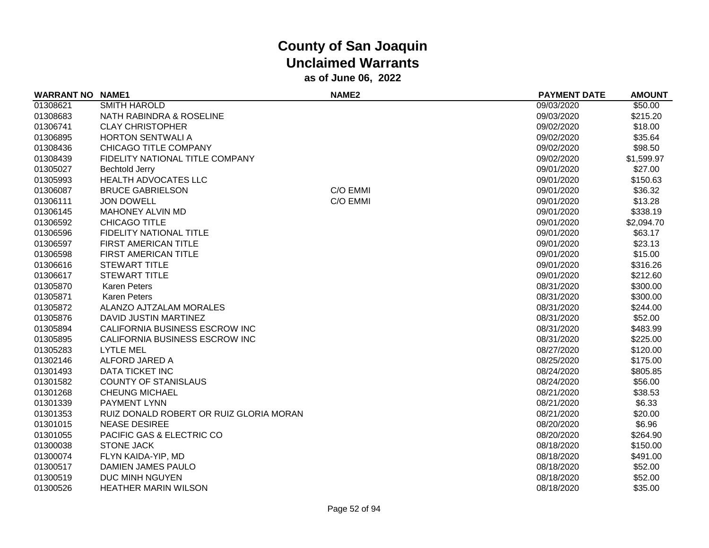| <b>WARRANT NO NAME1</b> |                                         | NAME <sub>2</sub> | <b>PAYMENT DATE</b> | <b>AMOUNT</b> |
|-------------------------|-----------------------------------------|-------------------|---------------------|---------------|
| 01308621                | <b>SMITH HAROLD</b>                     |                   | 09/03/2020          | \$50.00       |
| 01308683                | NATH RABINDRA & ROSELINE                |                   | 09/03/2020          | \$215.20      |
| 01306741                | <b>CLAY CHRISTOPHER</b>                 |                   | 09/02/2020          | \$18.00       |
| 01306895                | <b>HORTON SENTWALI A</b>                |                   | 09/02/2020          | \$35.64       |
| 01308436                | CHICAGO TITLE COMPANY                   |                   | 09/02/2020          | \$98.50       |
| 01308439                | FIDELITY NATIONAL TITLE COMPANY         |                   | 09/02/2020          | \$1,599.97    |
| 01305027                | <b>Bechtold Jerry</b>                   |                   | 09/01/2020          | \$27.00       |
| 01305993                | HEALTH ADVOCATES LLC                    |                   | 09/01/2020          | \$150.63      |
| 01306087                | <b>BRUCE GABRIELSON</b>                 | C/O EMMI          | 09/01/2020          | \$36.32       |
| 01306111                | <b>JON DOWELL</b>                       | C/O EMMI          | 09/01/2020          | \$13.28       |
| 01306145                | <b>MAHONEY ALVIN MD</b>                 |                   | 09/01/2020          | \$338.19      |
| 01306592                | <b>CHICAGO TITLE</b>                    |                   | 09/01/2020          | \$2,094.70    |
| 01306596                | FIDELITY NATIONAL TITLE                 |                   | 09/01/2020          | \$63.17       |
| 01306597                | FIRST AMERICAN TITLE                    |                   | 09/01/2020          | \$23.13       |
| 01306598                | FIRST AMERICAN TITLE                    |                   | 09/01/2020          | \$15.00       |
| 01306616                | <b>STEWART TITLE</b>                    |                   | 09/01/2020          | \$316.26      |
| 01306617                | <b>STEWART TITLE</b>                    |                   | 09/01/2020          | \$212.60      |
| 01305870                | <b>Karen Peters</b>                     |                   | 08/31/2020          | \$300.00      |
| 01305871                | <b>Karen Peters</b>                     |                   | 08/31/2020          | \$300.00      |
| 01305872                | ALANZO AJTZALAM MORALES                 |                   | 08/31/2020          | \$244.00      |
| 01305876                | DAVID JUSTIN MARTINEZ                   |                   | 08/31/2020          | \$52.00       |
| 01305894                | CALIFORNIA BUSINESS ESCROW INC          |                   | 08/31/2020          | \$483.99      |
| 01305895                | CALIFORNIA BUSINESS ESCROW INC          |                   | 08/31/2020          | \$225.00      |
| 01305283                | <b>LYTLE MEL</b>                        |                   | 08/27/2020          | \$120.00      |
| 01302146                | ALFORD JARED A                          |                   | 08/25/2020          | \$175.00      |
| 01301493                | <b>DATA TICKET INC</b>                  |                   | 08/24/2020          | \$805.85      |
| 01301582                | <b>COUNTY OF STANISLAUS</b>             |                   | 08/24/2020          | \$56.00       |
| 01301268                | <b>CHEUNG MICHAEL</b>                   |                   | 08/21/2020          | \$38.53       |
| 01301339                | PAYMENT LYNN                            |                   | 08/21/2020          | \$6.33        |
| 01301353                | RUIZ DONALD ROBERT OR RUIZ GLORIA MORAN |                   | 08/21/2020          | \$20.00       |
| 01301015                | <b>NEASE DESIREE</b>                    |                   | 08/20/2020          | \$6.96        |
| 01301055                | PACIFIC GAS & ELECTRIC CO               |                   | 08/20/2020          | \$264.90      |
| 01300038                | <b>STONE JACK</b>                       |                   | 08/18/2020          | \$150.00      |
| 01300074                | FLYN KAIDA-YIP, MD                      |                   | 08/18/2020          | \$491.00      |
| 01300517                | <b>DAMIEN JAMES PAULO</b>               |                   | 08/18/2020          | \$52.00       |
| 01300519                | DUC MINH NGUYEN                         |                   | 08/18/2020          | \$52.00       |
| 01300526                | <b>HEATHER MARIN WILSON</b>             |                   | 08/18/2020          | \$35.00       |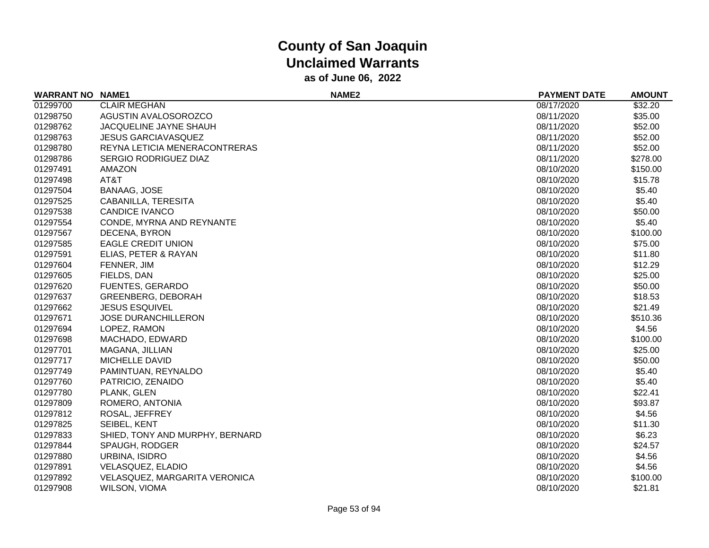| <b>WARRANT NO NAME1</b> |                                      | NAME <sub>2</sub> | <b>PAYMENT DATE</b> | <b>AMOUNT</b> |
|-------------------------|--------------------------------------|-------------------|---------------------|---------------|
| 01299700                | <b>CLAIR MEGHAN</b>                  |                   | 08/17/2020          | \$32.20       |
| 01298750                | AGUSTIN AVALOSOROZCO                 |                   | 08/11/2020          | \$35.00       |
| 01298762                | <b>JACQUELINE JAYNE SHAUH</b>        |                   | 08/11/2020          | \$52.00       |
| 01298763                | <b>JESUS GARCIAVASQUEZ</b>           |                   | 08/11/2020          | \$52.00       |
| 01298780                | REYNA LETICIA MENERACONTRERAS        |                   | 08/11/2020          | \$52.00       |
| 01298786                | <b>SERGIO RODRIGUEZ DIAZ</b>         |                   | 08/11/2020          | \$278.00      |
| 01297491                | AMAZON                               |                   | 08/10/2020          | \$150.00      |
| 01297498                | AT&T                                 |                   | 08/10/2020          | \$15.78       |
| 01297504                | <b>BANAAG, JOSE</b>                  |                   | 08/10/2020          | \$5.40        |
| 01297525                | CABANILLA, TERESITA                  |                   | 08/10/2020          | \$5.40        |
| 01297538                | <b>CANDICE IVANCO</b>                |                   | 08/10/2020          | \$50.00       |
| 01297554                | CONDE, MYRNA AND REYNANTE            |                   | 08/10/2020          | \$5.40        |
| 01297567                | DECENA, BYRON                        |                   | 08/10/2020          | \$100.00      |
| 01297585                | <b>EAGLE CREDIT UNION</b>            |                   | 08/10/2020          | \$75.00       |
| 01297591                | ELIAS, PETER & RAYAN                 |                   | 08/10/2020          | \$11.80       |
| 01297604                | FENNER, JIM                          |                   | 08/10/2020          | \$12.29       |
| 01297605                | FIELDS, DAN                          |                   | 08/10/2020          | \$25.00       |
| 01297620                | <b>FUENTES, GERARDO</b>              |                   | 08/10/2020          | \$50.00       |
| 01297637                | <b>GREENBERG, DEBORAH</b>            |                   | 08/10/2020          | \$18.53       |
| 01297662                | <b>JESUS ESQUIVEL</b>                |                   | 08/10/2020          | \$21.49       |
| 01297671                | <b>JOSE DURANCHILLERON</b>           |                   | 08/10/2020          | \$510.36      |
| 01297694                | LOPEZ, RAMON                         |                   | 08/10/2020          | \$4.56        |
| 01297698                | MACHADO, EDWARD                      |                   | 08/10/2020          | \$100.00      |
| 01297701                | MAGANA, JILLIAN                      |                   | 08/10/2020          | \$25.00       |
| 01297717                | MICHELLE DAVID                       |                   | 08/10/2020          | \$50.00       |
| 01297749                | PAMINTUAN, REYNALDO                  |                   | 08/10/2020          | \$5.40        |
| 01297760                | PATRICIO, ZENAIDO                    |                   | 08/10/2020          | \$5.40        |
| 01297780                | PLANK, GLEN                          |                   | 08/10/2020          | \$22.41       |
| 01297809                | ROMERO, ANTONIA                      |                   | 08/10/2020          | \$93.87       |
| 01297812                | ROSAL, JEFFREY                       |                   | 08/10/2020          | \$4.56        |
| 01297825                | SEIBEL, KENT                         |                   | 08/10/2020          | \$11.30       |
| 01297833                | SHIED, TONY AND MURPHY, BERNARD      |                   | 08/10/2020          | \$6.23        |
| 01297844                | SPAUGH, RODGER                       |                   | 08/10/2020          | \$24.57       |
| 01297880                | URBINA, ISIDRO                       |                   | 08/10/2020          | \$4.56        |
| 01297891                | VELASQUEZ, ELADIO                    |                   | 08/10/2020          | \$4.56        |
| 01297892                | <b>VELASQUEZ, MARGARITA VERONICA</b> |                   | 08/10/2020          | \$100.00      |
| 01297908                | <b>WILSON, VIOMA</b>                 |                   | 08/10/2020          | \$21.81       |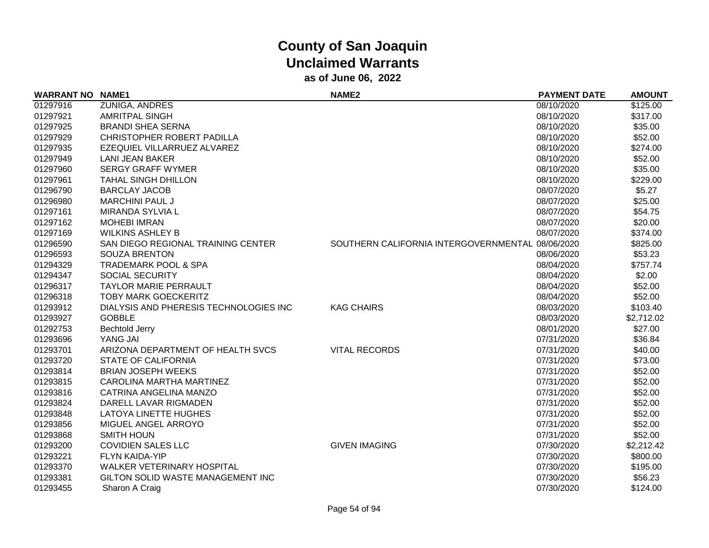| <b>WARRANT NO NAME1</b> |                                        | <b>NAME2</b>                                     | <b>PAYMENT DATE</b> | <b>AMOUNT</b> |
|-------------------------|----------------------------------------|--------------------------------------------------|---------------------|---------------|
| 01297916                | <b>ZUNIGA, ANDRES</b>                  |                                                  | 08/10/2020          | \$125.00      |
| 01297921                | <b>AMRITPAL SINGH</b>                  |                                                  | 08/10/2020          | \$317.00      |
| 01297925                | <b>BRANDI SHEA SERNA</b>               |                                                  | 08/10/2020          | \$35.00       |
| 01297929                | CHRISTOPHER ROBERT PADILLA             |                                                  | 08/10/2020          | \$52.00       |
| 01297935                | EZEQUIEL VILLARRUEZ ALVAREZ            |                                                  | 08/10/2020          | \$274.00      |
| 01297949                | <b>LANI JEAN BAKER</b>                 |                                                  | 08/10/2020          | \$52.00       |
| 01297960                | <b>SERGY GRAFF WYMER</b>               |                                                  | 08/10/2020          | \$35.00       |
| 01297961                | <b>TAHAL SINGH DHILLON</b>             |                                                  | 08/10/2020          | \$229.00      |
| 01296790                | <b>BARCLAY JACOB</b>                   |                                                  | 08/07/2020          | \$5.27        |
| 01296980                | <b>MARCHINI PAUL J</b>                 |                                                  | 08/07/2020          | \$25.00       |
| 01297161                | MIRANDA SYLVIA L                       |                                                  | 08/07/2020          | \$54.75       |
| 01297162                | <b>MOHEBI IMRAN</b>                    |                                                  | 08/07/2020          | \$20.00       |
| 01297169                | <b>WILKINS ASHLEY B</b>                |                                                  | 08/07/2020          | \$374.00      |
| 01296590                | SAN DIEGO REGIONAL TRAINING CENTER     | SOUTHERN CALIFORNIA INTERGOVERNMENTAL 08/06/2020 |                     | \$825.00      |
| 01296593                | <b>SOUZA BRENTON</b>                   |                                                  | 08/06/2020          | \$53.23       |
| 01294329                | <b>TRADEMARK POOL &amp; SPA</b>        |                                                  | 08/04/2020          | \$757.74      |
| 01294347                | <b>SOCIAL SECURITY</b>                 |                                                  | 08/04/2020          | \$2.00        |
| 01296317                | <b>TAYLOR MARIE PERRAULT</b>           |                                                  | 08/04/2020          | \$52.00       |
| 01296318                | <b>TOBY MARK GOECKERITZ</b>            |                                                  | 08/04/2020          | \$52.00       |
| 01293912                | DIALYSIS AND PHERESIS TECHNOLOGIES INC | <b>KAG CHAIRS</b>                                | 08/03/2020          | \$103.40      |
| 01293927                | <b>GOBBLE</b>                          |                                                  | 08/03/2020          | \$2,712.02    |
| 01292753                | <b>Bechtold Jerry</b>                  |                                                  | 08/01/2020          | \$27.00       |
| 01293696                | YANG JAI                               |                                                  | 07/31/2020          | \$36.84       |
| 01293701                | ARIZONA DEPARTMENT OF HEALTH SVCS      | <b>VITAL RECORDS</b>                             | 07/31/2020          | \$40.00       |
| 01293720                | <b>STATE OF CALIFORNIA</b>             |                                                  | 07/31/2020          | \$73.00       |
| 01293814                | <b>BRIAN JOSEPH WEEKS</b>              |                                                  | 07/31/2020          | \$52.00       |
| 01293815                | CAROLINA MARTHA MARTINEZ               |                                                  | 07/31/2020          | \$52.00       |
| 01293816                | CATRINA ANGELINA MANZO                 |                                                  | 07/31/2020          | \$52.00       |
| 01293824                | DARELL LAVAR RIGMADEN                  |                                                  | 07/31/2020          | \$52.00       |
| 01293848                | LATOYA LINETTE HUGHES                  |                                                  | 07/31/2020          | \$52.00       |
| 01293856                | MIGUEL ANGEL ARROYO                    |                                                  | 07/31/2020          | \$52.00       |
| 01293868                | <b>SMITH HOUN</b>                      |                                                  | 07/31/2020          | \$52.00       |
| 01293200                | <b>COVIDIEN SALES LLC</b>              | <b>GIVEN IMAGING</b>                             | 07/30/2020          | \$2,212.42    |
| 01293221                | <b>FLYN KAIDA-YIP</b>                  |                                                  | 07/30/2020          | \$800.00      |
| 01293370                | <b>WALKER VETERINARY HOSPITAL</b>      |                                                  | 07/30/2020          | \$195.00      |
| 01293381                | GILTON SOLID WASTE MANAGEMENT INC      |                                                  | 07/30/2020          | \$56.23       |
| 01293455                | Sharon A Craig                         |                                                  | 07/30/2020          | \$124.00      |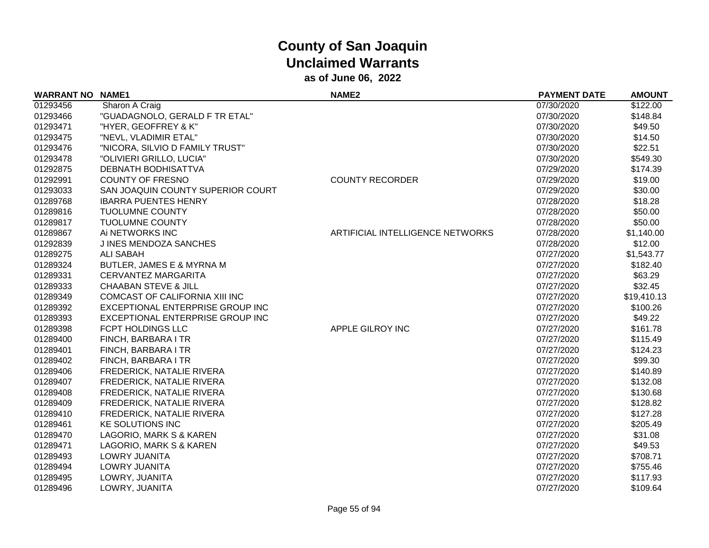| <b>WARRANT NO</b> | <b>NAME1</b>                      | <b>NAME2</b>                     | <b>PAYMENT DATE</b> | <b>AMOUNT</b> |
|-------------------|-----------------------------------|----------------------------------|---------------------|---------------|
| 01293456          | Sharon A Craig                    |                                  | 07/30/2020          | \$122.00      |
| 01293466          | "GUADAGNOLO, GERALD F TR ETAL"    |                                  | 07/30/2020          | \$148.84      |
| 01293471          | "HYER, GEOFFREY & K"              |                                  | 07/30/2020          | \$49.50       |
| 01293475          | "NEVL, VLADIMIR ETAL"             |                                  | 07/30/2020          | \$14.50       |
| 01293476          | "NICORA, SILVIO D FAMILY TRUST"   |                                  | 07/30/2020          | \$22.51       |
| 01293478          | "OLIVIERI GRILLO, LUCIA"          |                                  | 07/30/2020          | \$549.30      |
| 01292875          | <b>DEBNATH BODHISATTVA</b>        |                                  | 07/29/2020          | \$174.39      |
| 01292991          | <b>COUNTY OF FRESNO</b>           | <b>COUNTY RECORDER</b>           | 07/29/2020          | \$19.00       |
| 01293033          | SAN JOAQUIN COUNTY SUPERIOR COURT |                                  | 07/29/2020          | \$30.00       |
| 01289768          | <b>IBARRA PUENTES HENRY</b>       |                                  | 07/28/2020          | \$18.28       |
| 01289816          | <b>TUOLUMNE COUNTY</b>            |                                  | 07/28/2020          | \$50.00       |
| 01289817          | <b>TUOLUMNE COUNTY</b>            |                                  | 07/28/2020          | \$50.00       |
| 01289867          | Ai NETWORKS INC                   | ARTIFICIAL INTELLIGENCE NETWORKS | 07/28/2020          | \$1,140.00    |
| 01292839          | J INES MENDOZA SANCHES            |                                  | 07/28/2020          | \$12.00       |
| 01289275          | <b>ALI SABAH</b>                  |                                  | 07/27/2020          | \$1,543.77    |
| 01289324          | BUTLER, JAMES E & MYRNA M         |                                  | 07/27/2020          | \$182.40      |
| 01289331          | <b>CERVANTEZ MARGARITA</b>        |                                  | 07/27/2020          | \$63.29       |
| 01289333          | <b>CHAABAN STEVE &amp; JILL</b>   |                                  | 07/27/2020          | \$32.45       |
| 01289349          | COMCAST OF CALIFORNIA XIII INC    |                                  | 07/27/2020          | \$19,410.13   |
| 01289392          | EXCEPTIONAL ENTERPRISE GROUP INC  |                                  | 07/27/2020          | \$100.26      |
| 01289393          | EXCEPTIONAL ENTERPRISE GROUP INC  |                                  | 07/27/2020          | \$49.22       |
| 01289398          | FCPT HOLDINGS LLC                 | APPLE GILROY INC                 | 07/27/2020          | \$161.78      |
| 01289400          | FINCH, BARBARA I TR               |                                  | 07/27/2020          | \$115.49      |
| 01289401          | FINCH, BARBARA I TR               |                                  | 07/27/2020          | \$124.23      |
| 01289402          | FINCH, BARBARA I TR               |                                  | 07/27/2020          | \$99.30       |
| 01289406          | FREDERICK, NATALIE RIVERA         |                                  | 07/27/2020          | \$140.89      |
| 01289407          | FREDERICK, NATALIE RIVERA         |                                  | 07/27/2020          | \$132.08      |
| 01289408          | <b>FREDERICK, NATALIE RIVERA</b>  |                                  | 07/27/2020          | \$130.68      |
| 01289409          | FREDERICK, NATALIE RIVERA         |                                  | 07/27/2020          | \$128.82      |
| 01289410          | FREDERICK, NATALIE RIVERA         |                                  | 07/27/2020          | \$127.28      |
| 01289461          | <b>KE SOLUTIONS INC</b>           |                                  | 07/27/2020          | \$205.49      |
| 01289470          | LAGORIO, MARK S & KAREN           |                                  | 07/27/2020          | \$31.08       |
| 01289471          | LAGORIO, MARK S & KAREN           |                                  | 07/27/2020          | \$49.53       |
| 01289493          | LOWRY JUANITA                     |                                  | 07/27/2020          | \$708.71      |
| 01289494          | LOWRY JUANITA                     |                                  | 07/27/2020          | \$755.46      |
| 01289495          | LOWRY, JUANITA                    |                                  | 07/27/2020          | \$117.93      |
| 01289496          | LOWRY, JUANITA                    |                                  | 07/27/2020          | \$109.64      |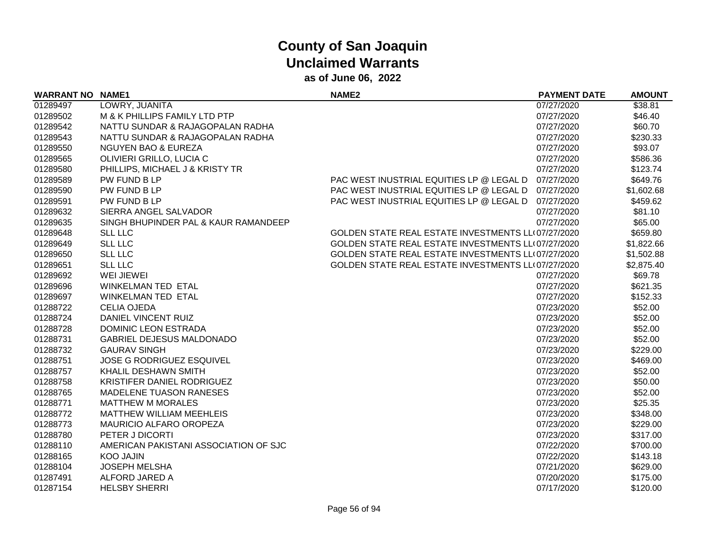| <b>WARRANT NO</b> | <b>NAME1</b>                          | <b>NAME2</b>                                        | <b>PAYMENT DATE</b> | <b>AMOUNT</b> |
|-------------------|---------------------------------------|-----------------------------------------------------|---------------------|---------------|
| 01289497          | LOWRY, JUANITA                        |                                                     | 07/27/2020          | \$38.81       |
| 01289502          | M & K PHILLIPS FAMILY LTD PTP         |                                                     | 07/27/2020          | \$46.40       |
| 01289542          | NATTU SUNDAR & RAJAGOPALAN RADHA      |                                                     | 07/27/2020          | \$60.70       |
| 01289543          | NATTU SUNDAR & RAJAGOPALAN RADHA      |                                                     | 07/27/2020          | \$230.33      |
| 01289550          | <b>NGUYEN BAO &amp; EUREZA</b>        |                                                     | 07/27/2020          | \$93.07       |
| 01289565          | OLIVIERI GRILLO, LUCIA C              |                                                     | 07/27/2020          | \$586.36      |
| 01289580          | PHILLIPS, MICHAEL J & KRISTY TR       |                                                     | 07/27/2020          | \$123.74      |
| 01289589          | PW FUND B LP                          | PAC WEST INUSTRIAL EQUITIES LP @ LEGAL D            | 07/27/2020          | \$649.76      |
| 01289590          | PW FUND B LP                          | PAC WEST INUSTRIAL EQUITIES LP @ LEGAL D 07/27/2020 |                     | \$1,602.68    |
| 01289591          | PW FUND B LP                          | PAC WEST INUSTRIAL EQUITIES LP @ LEGAL D 07/27/2020 |                     | \$459.62      |
| 01289632          | SIERRA ANGEL SALVADOR                 |                                                     | 07/27/2020          | \$81.10       |
| 01289635          | SINGH BHUPINDER PAL & KAUR RAMANDEEP  |                                                     | 07/27/2020          | \$65.00       |
| 01289648          | <b>SLL LLC</b>                        | GOLDEN STATE REAL ESTATE INVESTMENTS LL(07/27/2020  |                     | \$659.80      |
| 01289649          | <b>SLL LLC</b>                        | GOLDEN STATE REAL ESTATE INVESTMENTS LL(07/27/2020  |                     | \$1,822.66    |
| 01289650          | <b>SLL LLC</b>                        | GOLDEN STATE REAL ESTATE INVESTMENTS LL(07/27/2020  |                     | \$1,502.88    |
| 01289651          | <b>SLL LLC</b>                        | GOLDEN STATE REAL ESTATE INVESTMENTS LL(07/27/2020  |                     | \$2,875.40    |
| 01289692          | WEI JIEWEI                            |                                                     | 07/27/2020          | \$69.78       |
| 01289696          | WINKELMAN TED ETAL                    |                                                     | 07/27/2020          | \$621.35      |
| 01289697          | <b>WINKELMAN TED ETAL</b>             |                                                     | 07/27/2020          | \$152.33      |
| 01288722          | <b>CELIA OJEDA</b>                    |                                                     | 07/23/2020          | \$52.00       |
| 01288724          | DANIEL VINCENT RUIZ                   |                                                     | 07/23/2020          | \$52.00       |
| 01288728          | <b>DOMINIC LEON ESTRADA</b>           |                                                     | 07/23/2020          | \$52.00       |
| 01288731          | <b>GABRIEL DEJESUS MALDONADO</b>      |                                                     | 07/23/2020          | \$52.00       |
| 01288732          | <b>GAURAV SINGH</b>                   |                                                     | 07/23/2020          | \$229.00      |
| 01288751          | <b>JOSE G RODRIGUEZ ESQUIVEL</b>      |                                                     | 07/23/2020          | \$469.00      |
| 01288757          | KHALIL DESHAWN SMITH                  |                                                     | 07/23/2020          | \$52.00       |
| 01288758          | KRISTIFER DANIEL RODRIGUEZ            |                                                     | 07/23/2020          | \$50.00       |
| 01288765          | <b>MADELENE TUASON RANESES</b>        |                                                     | 07/23/2020          | \$52.00       |
| 01288771          | <b>MATTHEW M MORALES</b>              |                                                     | 07/23/2020          | \$25.35       |
| 01288772          | <b>MATTHEW WILLIAM MEEHLEIS</b>       |                                                     | 07/23/2020          | \$348.00      |
| 01288773          | MAURICIO ALFARO OROPEZA               |                                                     | 07/23/2020          | \$229.00      |
| 01288780          | PETER J DICORTI                       |                                                     | 07/23/2020          | \$317.00      |
| 01288110          | AMERICAN PAKISTANI ASSOCIATION OF SJC |                                                     | 07/22/2020          | \$700.00      |
| 01288165          | <b>KOO JAJIN</b>                      |                                                     | 07/22/2020          | \$143.18      |
| 01288104          | <b>JOSEPH MELSHA</b>                  |                                                     | 07/21/2020          | \$629.00      |
| 01287491          | ALFORD JARED A                        |                                                     | 07/20/2020          | \$175.00      |
| 01287154          | <b>HELSBY SHERRI</b>                  |                                                     | 07/17/2020          | \$120.00      |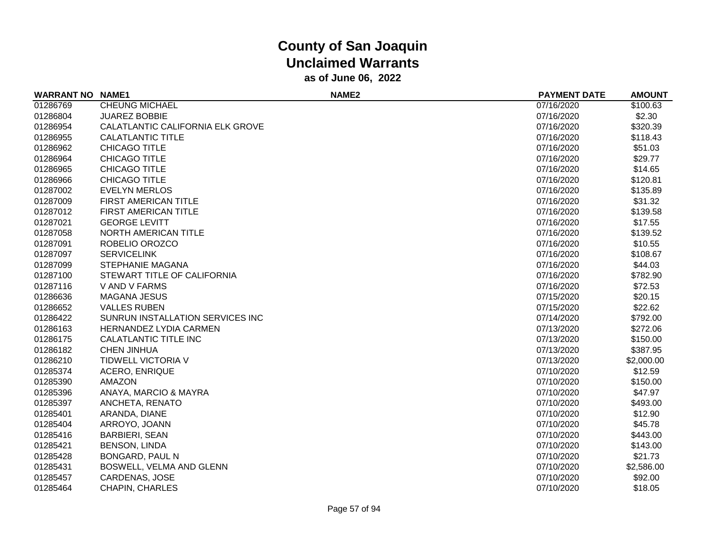| <b>WARRANT NO</b> | <b>NAME1</b>                     | NAME <sub>2</sub> | <b>PAYMENT DATE</b> | <b>AMOUNT</b> |
|-------------------|----------------------------------|-------------------|---------------------|---------------|
| 01286769          | <b>CHEUNG MICHAEL</b>            |                   | 07/16/2020          | \$100.63      |
| 01286804          | <b>JUAREZ BOBBIE</b>             |                   | 07/16/2020          | \$2.30        |
| 01286954          | CALATLANTIC CALIFORNIA ELK GROVE |                   | 07/16/2020          | \$320.39      |
| 01286955          | CALATLANTIC TITLE                |                   | 07/16/2020          | \$118.43      |
| 01286962          | <b>CHICAGO TITLE</b>             |                   | 07/16/2020          | \$51.03       |
| 01286964          | <b>CHICAGO TITLE</b>             |                   | 07/16/2020          | \$29.77       |
| 01286965          | <b>CHICAGO TITLE</b>             |                   | 07/16/2020          | \$14.65       |
| 01286966          | CHICAGO TITLE                    |                   | 07/16/2020          | \$120.81      |
| 01287002          | <b>EVELYN MERLOS</b>             |                   | 07/16/2020          | \$135.89      |
| 01287009          | FIRST AMERICAN TITLE             |                   | 07/16/2020          | \$31.32       |
| 01287012          | <b>FIRST AMERICAN TITLE</b>      |                   | 07/16/2020          | \$139.58      |
| 01287021          | <b>GEORGE LEVITT</b>             |                   | 07/16/2020          | \$17.55       |
| 01287058          | NORTH AMERICAN TITLE             |                   | 07/16/2020          | \$139.52      |
| 01287091          | ROBELIO OROZCO                   |                   | 07/16/2020          | \$10.55       |
| 01287097          | <b>SERVICELINK</b>               |                   | 07/16/2020          | \$108.67      |
| 01287099          | <b>STEPHANIE MAGANA</b>          |                   | 07/16/2020          | \$44.03       |
| 01287100          | STEWART TITLE OF CALIFORNIA      |                   | 07/16/2020          | \$782.90      |
| 01287116          | V AND V FARMS                    |                   | 07/16/2020          | \$72.53       |
| 01286636          | <b>MAGANA JESUS</b>              |                   | 07/15/2020          | \$20.15       |
| 01286652          | <b>VALLES RUBEN</b>              |                   | 07/15/2020          | \$22.62       |
| 01286422          | SUNRUN INSTALLATION SERVICES INC |                   | 07/14/2020          | \$792.00      |
| 01286163          | <b>HERNANDEZ LYDIA CARMEN</b>    |                   | 07/13/2020          | \$272.06      |
| 01286175          | <b>CALATLANTIC TITLE INC</b>     |                   | 07/13/2020          | \$150.00      |
| 01286182          | <b>CHEN JINHUA</b>               |                   | 07/13/2020          | \$387.95      |
| 01286210          | TIDWELL VICTORIA V               |                   | 07/13/2020          | \$2,000.00    |
| 01285374          | <b>ACERO, ENRIQUE</b>            |                   | 07/10/2020          | \$12.59       |
| 01285390          | AMAZON                           |                   | 07/10/2020          | \$150.00      |
| 01285396          | ANAYA, MARCIO & MAYRA            |                   | 07/10/2020          | \$47.97       |
| 01285397          | ANCHETA, RENATO                  |                   | 07/10/2020          | \$493.00      |
| 01285401          | ARANDA, DIANE                    |                   | 07/10/2020          | \$12.90       |
| 01285404          | ARROYO, JOANN                    |                   | 07/10/2020          | \$45.78       |
| 01285416          | <b>BARBIERI, SEAN</b>            |                   | 07/10/2020          | \$443.00      |
| 01285421          | <b>BENSON, LINDA</b>             |                   | 07/10/2020          | \$143.00      |
| 01285428          | <b>BONGARD, PAUL N</b>           |                   | 07/10/2020          | \$21.73       |
| 01285431          | BOSWELL, VELMA AND GLENN         |                   | 07/10/2020          | \$2,586.00    |
| 01285457          | <b>CARDENAS, JOSE</b>            |                   | 07/10/2020          | \$92.00       |
| 01285464          | <b>CHAPIN, CHARLES</b>           |                   | 07/10/2020          | \$18.05       |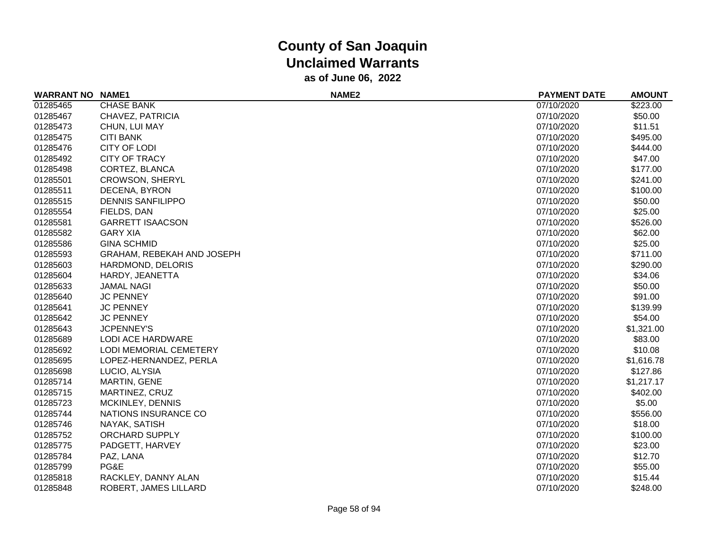| <b>WARRANT NO NAME1</b> |                            | NAME <sub>2</sub> | <b>PAYMENT DATE</b> | <b>AMOUNT</b> |
|-------------------------|----------------------------|-------------------|---------------------|---------------|
| 01285465                | <b>CHASE BANK</b>          |                   | 07/10/2020          | \$223.00      |
| 01285467                | CHAVEZ, PATRICIA           |                   | 07/10/2020          | \$50.00       |
| 01285473                | CHUN, LUI MAY              |                   | 07/10/2020          | \$11.51       |
| 01285475                | <b>CITI BANK</b>           |                   | 07/10/2020          | \$495.00      |
| 01285476                | <b>CITY OF LODI</b>        |                   | 07/10/2020          | \$444.00      |
| 01285492                | <b>CITY OF TRACY</b>       |                   | 07/10/2020          | \$47.00       |
| 01285498                | CORTEZ, BLANCA             |                   | 07/10/2020          | \$177.00      |
| 01285501                | <b>CROWSON, SHERYL</b>     |                   | 07/10/2020          | \$241.00      |
| 01285511                | DECENA, BYRON              |                   | 07/10/2020          | \$100.00      |
| 01285515                | <b>DENNIS SANFILIPPO</b>   |                   | 07/10/2020          | \$50.00       |
| 01285554                | FIELDS, DAN                |                   | 07/10/2020          | \$25.00       |
| 01285581                | <b>GARRETT ISAACSON</b>    |                   | 07/10/2020          | \$526.00      |
| 01285582                | <b>GARY XIA</b>            |                   | 07/10/2020          | \$62.00       |
| 01285586                | <b>GINA SCHMID</b>         |                   | 07/10/2020          | \$25.00       |
| 01285593                | GRAHAM, REBEKAH AND JOSEPH |                   | 07/10/2020          | \$711.00      |
| 01285603                | HARDMOND, DELORIS          |                   | 07/10/2020          | \$290.00      |
| 01285604                | HARDY, JEANETTA            |                   | 07/10/2020          | \$34.06       |
| 01285633                | <b>JAMAL NAGI</b>          |                   | 07/10/2020          | \$50.00       |
| 01285640                | <b>JC PENNEY</b>           |                   | 07/10/2020          | \$91.00       |
| 01285641                | <b>JC PENNEY</b>           |                   | 07/10/2020          | \$139.99      |
| 01285642                | <b>JC PENNEY</b>           |                   | 07/10/2020          | \$54.00       |
| 01285643                | <b>JCPENNEY'S</b>          |                   | 07/10/2020          | \$1,321.00    |
| 01285689                | LODI ACE HARDWARE          |                   | 07/10/2020          | \$83.00       |
| 01285692                | LODI MEMORIAL CEMETERY     |                   | 07/10/2020          | \$10.08       |
| 01285695                | LOPEZ-HERNANDEZ, PERLA     |                   | 07/10/2020          | \$1,616.78    |
| 01285698                | LUCIO, ALYSIA              |                   | 07/10/2020          | \$127.86      |
| 01285714                | MARTIN, GENE               |                   | 07/10/2020          | \$1,217.17    |
| 01285715                | MARTINEZ, CRUZ             |                   | 07/10/2020          | \$402.00      |
| 01285723                | <b>MCKINLEY, DENNIS</b>    |                   | 07/10/2020          | \$5.00        |
| 01285744                | NATIONS INSURANCE CO       |                   | 07/10/2020          | \$556.00      |
| 01285746                | NAYAK, SATISH              |                   | 07/10/2020          | \$18.00       |
| 01285752                | <b>ORCHARD SUPPLY</b>      |                   | 07/10/2020          | \$100.00      |
| 01285775                | PADGETT, HARVEY            |                   | 07/10/2020          | \$23.00       |
| 01285784                | PAZ, LANA                  |                   | 07/10/2020          | \$12.70       |
| 01285799                | PG&E                       |                   | 07/10/2020          | \$55.00       |
| 01285818                | RACKLEY, DANNY ALAN        |                   | 07/10/2020          | \$15.44       |
| 01285848                | ROBERT, JAMES LILLARD      |                   | 07/10/2020          | \$248.00      |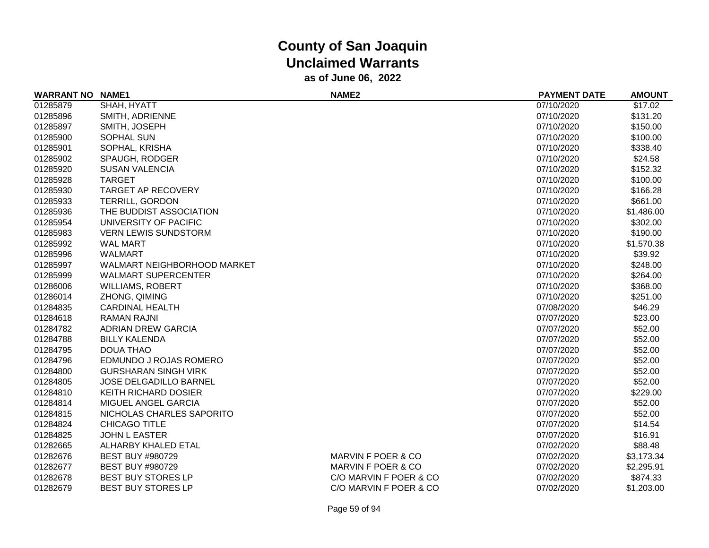| <b>WARRANT NO NAME1</b> |                             | NAME <sub>2</sub>      | <b>PAYMENT DATE</b> | <b>AMOUNT</b> |
|-------------------------|-----------------------------|------------------------|---------------------|---------------|
| 01285879                | SHAH, HYATT                 |                        | 07/10/2020          | \$17.02       |
| 01285896                | SMITH, ADRIENNE             |                        | 07/10/2020          | \$131.20      |
| 01285897                | SMITH, JOSEPH               |                        | 07/10/2020          | \$150.00      |
| 01285900                | SOPHAL SUN                  |                        | 07/10/2020          | \$100.00      |
| 01285901                | SOPHAL, KRISHA              |                        | 07/10/2020          | \$338.40      |
| 01285902                | SPAUGH, RODGER              |                        | 07/10/2020          | \$24.58       |
| 01285920                | <b>SUSAN VALENCIA</b>       |                        | 07/10/2020          | \$152.32      |
| 01285928                | <b>TARGET</b>               |                        | 07/10/2020          | \$100.00      |
| 01285930                | <b>TARGET AP RECOVERY</b>   |                        | 07/10/2020          | \$166.28      |
| 01285933                | <b>TERRILL, GORDON</b>      |                        | 07/10/2020          | \$661.00      |
| 01285936                | THE BUDDIST ASSOCIATION     |                        | 07/10/2020          | \$1,486.00    |
| 01285954                | UNIVERSITY OF PACIFIC       |                        | 07/10/2020          | \$302.00      |
| 01285983                | <b>VERN LEWIS SUNDSTORM</b> |                        | 07/10/2020          | \$190.00      |
| 01285992                | <b>WAL MART</b>             |                        | 07/10/2020          | \$1,570.38    |
| 01285996                | <b>WALMART</b>              |                        | 07/10/2020          | \$39.92       |
| 01285997                | WALMART NEIGHBORHOOD MARKET |                        | 07/10/2020          | \$248.00      |
| 01285999                | <b>WALMART SUPERCENTER</b>  |                        | 07/10/2020          | \$264.00      |
| 01286006                | <b>WILLIAMS, ROBERT</b>     |                        | 07/10/2020          | \$368.00      |
| 01286014                | ZHONG, QIMING               |                        | 07/10/2020          | \$251.00      |
| 01284835                | <b>CARDINAL HEALTH</b>      |                        | 07/08/2020          | \$46.29       |
| 01284618                | <b>RAMAN RAJNI</b>          |                        | 07/07/2020          | \$23.00       |
| 01284782                | ADRIAN DREW GARCIA          |                        | 07/07/2020          | \$52.00       |
| 01284788                | <b>BILLY KALENDA</b>        |                        | 07/07/2020          | \$52.00       |
| 01284795                | <b>DOUA THAO</b>            |                        | 07/07/2020          | \$52.00       |
| 01284796                | EDMUNDO J ROJAS ROMERO      |                        | 07/07/2020          | \$52.00       |
| 01284800                | <b>GURSHARAN SINGH VIRK</b> |                        | 07/07/2020          | \$52.00       |
| 01284805                | JOSE DELGADILLO BARNEL      |                        | 07/07/2020          | \$52.00       |
| 01284810                | <b>KEITH RICHARD DOSIER</b> |                        | 07/07/2020          | \$229.00      |
| 01284814                | MIGUEL ANGEL GARCIA         |                        | 07/07/2020          | \$52.00       |
| 01284815                | NICHOLAS CHARLES SAPORITO   |                        | 07/07/2020          | \$52.00       |
| 01284824                | CHICAGO TITLE               |                        | 07/07/2020          | \$14.54       |
| 01284825                | <b>JOHN L EASTER</b>        |                        | 07/07/2020          | \$16.91       |
| 01282665                | ALHARBY KHALED ETAL         |                        | 07/02/2020          | \$88.48       |
| 01282676                | <b>BEST BUY #980729</b>     | MARVIN F POER & CO     | 07/02/2020          | \$3,173.34    |
| 01282677                | <b>BEST BUY #980729</b>     | MARVIN F POER & CO     | 07/02/2020          | \$2,295.91    |
| 01282678                | <b>BEST BUY STORES LP</b>   | C/O MARVIN F POER & CO | 07/02/2020          | \$874.33      |
| 01282679                | BEST BUY STORES LP          | C/O MARVIN F POER & CO | 07/02/2020          | \$1,203.00    |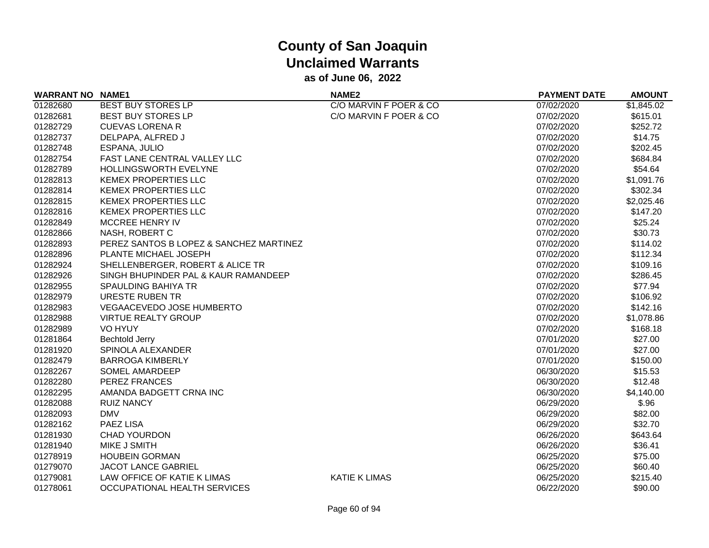| <b>WARRANT NO NAME1</b> |                                         | NAME <sub>2</sub>      | <b>PAYMENT DATE</b> | <b>AMOUNT</b> |
|-------------------------|-----------------------------------------|------------------------|---------------------|---------------|
| 01282680                | <b>BEST BUY STORES LP</b>               | C/O MARVIN F POER & CO | 07/02/2020          | \$1,845.02    |
| 01282681                | <b>BEST BUY STORES LP</b>               | C/O MARVIN F POER & CO | 07/02/2020          | \$615.01      |
| 01282729                | <b>CUEVAS LORENA R</b>                  |                        | 07/02/2020          | \$252.72      |
| 01282737                | DELPAPA, ALFRED J                       |                        | 07/02/2020          | \$14.75       |
| 01282748                | ESPANA, JULIO                           |                        | 07/02/2020          | \$202.45      |
| 01282754                | FAST LANE CENTRAL VALLEY LLC            |                        | 07/02/2020          | \$684.84      |
| 01282789                | <b>HOLLINGSWORTH EVELYNE</b>            |                        | 07/02/2020          | \$54.64       |
| 01282813                | <b>KEMEX PROPERTIES LLC</b>             |                        | 07/02/2020          | \$1,091.76    |
| 01282814                | <b>KEMEX PROPERTIES LLC</b>             |                        | 07/02/2020          | \$302.34      |
| 01282815                | <b>KEMEX PROPERTIES LLC</b>             |                        | 07/02/2020          | \$2,025.46    |
| 01282816                | <b>KEMEX PROPERTIES LLC</b>             |                        | 07/02/2020          | \$147.20      |
| 01282849                | MCCREE HENRY IV                         |                        | 07/02/2020          | \$25.24       |
| 01282866                | NASH, ROBERT C                          |                        | 07/02/2020          | \$30.73       |
| 01282893                | PEREZ SANTOS B LOPEZ & SANCHEZ MARTINEZ |                        | 07/02/2020          | \$114.02      |
| 01282896                | PLANTE MICHAEL JOSEPH                   |                        | 07/02/2020          | \$112.34      |
| 01282924                | SHELLENBERGER, ROBERT & ALICE TR        |                        | 07/02/2020          | \$109.16      |
| 01282926                | SINGH BHUPINDER PAL & KAUR RAMANDEEP    |                        | 07/02/2020          | \$286.45      |
| 01282955                | <b>SPAULDING BAHIYA TR</b>              |                        | 07/02/2020          | \$77.94       |
| 01282979                | URESTE RUBEN TR                         |                        | 07/02/2020          | \$106.92      |
| 01282983                | <b>VEGAACEVEDO JOSE HUMBERTO</b>        |                        | 07/02/2020          | \$142.16      |
| 01282988                | <b>VIRTUE REALTY GROUP</b>              |                        | 07/02/2020          | \$1,078.86    |
| 01282989                | VO HYUY                                 |                        | 07/02/2020          | \$168.18      |
| 01281864                | Bechtold Jerry                          |                        | 07/01/2020          | \$27.00       |
| 01281920                | SPINOLA ALEXANDER                       |                        | 07/01/2020          | \$27.00       |
| 01282479                | <b>BARROGA KIMBERLY</b>                 |                        | 07/01/2020          | \$150.00      |
| 01282267                | <b>SOMEL AMARDEEP</b>                   |                        | 06/30/2020          | \$15.53       |
| 01282280                | PEREZ FRANCES                           |                        | 06/30/2020          | \$12.48       |
| 01282295                | AMANDA BADGETT CRNA INC                 |                        | 06/30/2020          | \$4,140.00    |
| 01282088                | <b>RUIZ NANCY</b>                       |                        | 06/29/2020          | \$.96         |
| 01282093                | <b>DMV</b>                              |                        | 06/29/2020          | \$82.00       |
| 01282162                | <b>PAEZ LISA</b>                        |                        | 06/29/2020          | \$32.70       |
| 01281930                | CHAD YOURDON                            |                        | 06/26/2020          | \$643.64      |
| 01281940                | MIKE J SMITH                            |                        | 06/26/2020          | \$36.41       |
| 01278919                | <b>HOUBEIN GORMAN</b>                   |                        | 06/25/2020          | \$75.00       |
| 01279070                | <b>JACOT LANCE GABRIEL</b>              |                        | 06/25/2020          | \$60.40       |
| 01279081                | LAW OFFICE OF KATIE K LIMAS             | <b>KATIE K LIMAS</b>   | 06/25/2020          | \$215.40      |
| 01278061                | OCCUPATIONAL HEALTH SERVICES            |                        | 06/22/2020          | \$90.00       |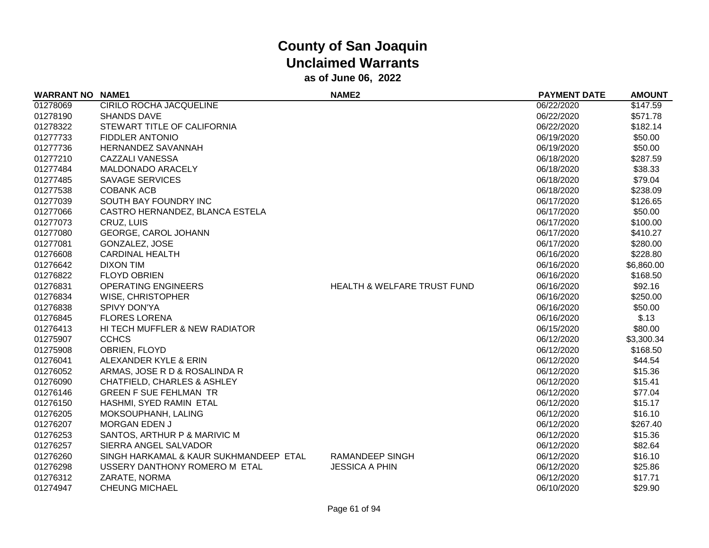| <b>WARRANT NO NAME1</b> |                                        | <b>NAME2</b>                           | <b>PAYMENT DATE</b> | <b>AMOUNT</b> |
|-------------------------|----------------------------------------|----------------------------------------|---------------------|---------------|
| 01278069                | CIRILO ROCHA JACQUELINE                |                                        | 06/22/2020          | \$147.59      |
| 01278190                | <b>SHANDS DAVE</b>                     |                                        | 06/22/2020          | \$571.78      |
| 01278322                | STEWART TITLE OF CALIFORNIA            |                                        | 06/22/2020          | \$182.14      |
| 01277733                | <b>FIDDLER ANTONIO</b>                 |                                        | 06/19/2020          | \$50.00       |
| 01277736                | <b>HERNANDEZ SAVANNAH</b>              |                                        | 06/19/2020          | \$50.00       |
| 01277210                | <b>CAZZALI VANESSA</b>                 |                                        | 06/18/2020          | \$287.59      |
| 01277484                | MALDONADO ARACELY                      |                                        | 06/18/2020          | \$38.33       |
| 01277485                | <b>SAVAGE SERVICES</b>                 |                                        | 06/18/2020          | \$79.04       |
| 01277538                | <b>COBANK ACB</b>                      |                                        | 06/18/2020          | \$238.09      |
| 01277039                | SOUTH BAY FOUNDRY INC                  |                                        | 06/17/2020          | \$126.65      |
| 01277066                | CASTRO HERNANDEZ, BLANCA ESTELA        |                                        | 06/17/2020          | \$50.00       |
| 01277073                | CRUZ, LUIS                             |                                        | 06/17/2020          | \$100.00      |
| 01277080                | GEORGE, CAROL JOHANN                   |                                        | 06/17/2020          | \$410.27      |
| 01277081                | GONZALEZ, JOSE                         |                                        | 06/17/2020          | \$280.00      |
| 01276608                | <b>CARDINAL HEALTH</b>                 |                                        | 06/16/2020          | \$228.80      |
| 01276642                | <b>DIXON TIM</b>                       |                                        | 06/16/2020          | \$6,860.00    |
| 01276822                | <b>FLOYD OBRIEN</b>                    |                                        | 06/16/2020          | \$168.50      |
| 01276831                | <b>OPERATING ENGINEERS</b>             | <b>HEALTH &amp; WELFARE TRUST FUND</b> | 06/16/2020          | \$92.16       |
| 01276834                | WISE, CHRISTOPHER                      |                                        | 06/16/2020          | \$250.00      |
| 01276838                | <b>SPIVY DON'YA</b>                    |                                        | 06/16/2020          | \$50.00       |
| 01276845                | <b>FLORES LORENA</b>                   |                                        | 06/16/2020          | \$.13         |
| 01276413                | HI TECH MUFFLER & NEW RADIATOR         |                                        | 06/15/2020          | \$80.00       |
| 01275907                | <b>CCHCS</b>                           |                                        | 06/12/2020          | \$3,300.34    |
| 01275908                | <b>OBRIEN, FLOYD</b>                   |                                        | 06/12/2020          | \$168.50      |
| 01276041                | ALEXANDER KYLE & ERIN                  |                                        | 06/12/2020          | \$44.54       |
| 01276052                | ARMAS, JOSE R D & ROSALINDA R          |                                        | 06/12/2020          | \$15.36       |
| 01276090                | CHATFIELD, CHARLES & ASHLEY            |                                        | 06/12/2020          | \$15.41       |
| 01276146                | <b>GREEN F SUE FEHLMAN TR</b>          |                                        | 06/12/2020          | \$77.04       |
| 01276150                | HASHMI, SYED RAMIN ETAL                |                                        | 06/12/2020          | \$15.17       |
| 01276205                | MOKSOUPHANH, LALING                    |                                        | 06/12/2020          | \$16.10       |
| 01276207                | <b>MORGAN EDEN J</b>                   |                                        | 06/12/2020          | \$267.40      |
| 01276253                | SANTOS, ARTHUR P & MARIVIC M           |                                        | 06/12/2020          | \$15.36       |
| 01276257                | SIERRA ANGEL SALVADOR                  |                                        | 06/12/2020          | \$82.64       |
| 01276260                | SINGH HARKAMAL & KAUR SUKHMANDEEP ETAL | <b>RAMANDEEP SINGH</b>                 | 06/12/2020          | \$16.10       |
| 01276298                | USSERY DANTHONY ROMERO M ETAL          | <b>JESSICA A PHIN</b>                  | 06/12/2020          | \$25.86       |
| 01276312                | ZARATE, NORMA                          |                                        | 06/12/2020          | \$17.71       |
| 01274947                | <b>CHEUNG MICHAEL</b>                  |                                        | 06/10/2020          | \$29.90       |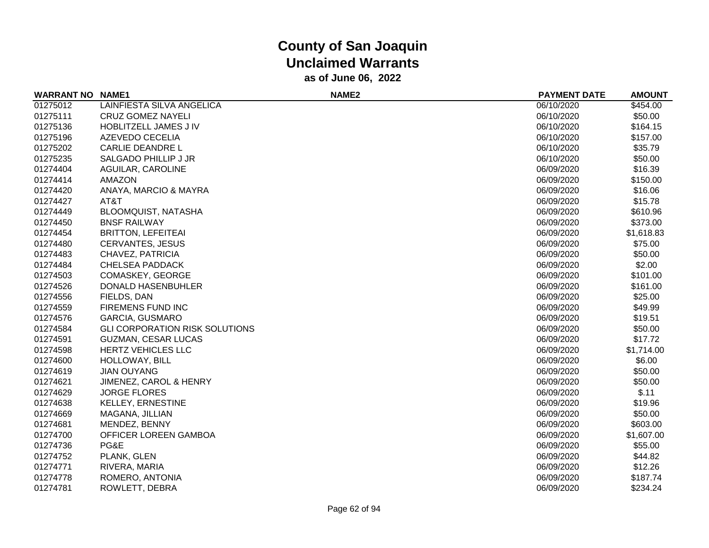| <b>WARRANT NO</b> | <b>NAME1</b>                          | NAME <sub>2</sub> | <b>PAYMENT DATE</b> | <b>AMOUNT</b> |
|-------------------|---------------------------------------|-------------------|---------------------|---------------|
| 01275012          | LAINFIESTA SILVA ANGELICA             |                   | 06/10/2020          | \$454.00      |
| 01275111          | <b>CRUZ GOMEZ NAYELI</b>              |                   | 06/10/2020          | \$50.00       |
| 01275136          | HOBLITZELL JAMES J IV                 |                   | 06/10/2020          | \$164.15      |
| 01275196          | AZEVEDO CECELIA                       |                   | 06/10/2020          | \$157.00      |
| 01275202          | <b>CARLIE DEANDRE L</b>               |                   | 06/10/2020          | \$35.79       |
| 01275235          | SALGADO PHILLIP J JR                  |                   | 06/10/2020          | \$50.00       |
| 01274404          | AGUILAR, CAROLINE                     |                   | 06/09/2020          | \$16.39       |
| 01274414          | <b>AMAZON</b>                         |                   | 06/09/2020          | \$150.00      |
| 01274420          | ANAYA, MARCIO & MAYRA                 |                   | 06/09/2020          | \$16.06       |
| 01274427          | AT&T                                  |                   | 06/09/2020          | \$15.78       |
| 01274449          | BLOOMQUIST, NATASHA                   |                   | 06/09/2020          | \$610.96      |
| 01274450          | <b>BNSF RAILWAY</b>                   |                   | 06/09/2020          | \$373.00      |
| 01274454          | <b>BRITTON, LEFEITEAI</b>             |                   | 06/09/2020          | \$1,618.83    |
| 01274480          | <b>CERVANTES, JESUS</b>               |                   | 06/09/2020          | \$75.00       |
| 01274483          | CHAVEZ, PATRICIA                      |                   | 06/09/2020          | \$50.00       |
| 01274484          | <b>CHELSEA PADDACK</b>                |                   | 06/09/2020          | \$2.00        |
| 01274503          | COMASKEY, GEORGE                      |                   | 06/09/2020          | \$101.00      |
| 01274526          | DONALD HASENBUHLER                    |                   | 06/09/2020          | \$161.00      |
| 01274556          | FIELDS, DAN                           |                   | 06/09/2020          | \$25.00       |
| 01274559          | FIREMENS FUND INC                     |                   | 06/09/2020          | \$49.99       |
| 01274576          | <b>GARCIA, GUSMARO</b>                |                   | 06/09/2020          | \$19.51       |
| 01274584          | <b>GLI CORPORATION RISK SOLUTIONS</b> |                   | 06/09/2020          | \$50.00       |
| 01274591          | GUZMAN, CESAR LUCAS                   |                   | 06/09/2020          | \$17.72       |
| 01274598          | <b>HERTZ VEHICLES LLC</b>             |                   | 06/09/2020          | \$1,714.00    |
| 01274600          | HOLLOWAY, BILL                        |                   | 06/09/2020          | \$6.00        |
| 01274619          | <b>JIAN OUYANG</b>                    |                   | 06/09/2020          | \$50.00       |
| 01274621          | JIMENEZ, CAROL & HENRY                |                   | 06/09/2020          | \$50.00       |
| 01274629          | <b>JORGE FLORES</b>                   |                   | 06/09/2020          | \$.11         |
| 01274638          | <b>KELLEY, ERNESTINE</b>              |                   | 06/09/2020          | \$19.96       |
| 01274669          | MAGANA, JILLIAN                       |                   | 06/09/2020          | \$50.00       |
| 01274681          | MENDEZ, BENNY                         |                   | 06/09/2020          | \$603.00      |
| 01274700          | OFFICER LOREEN GAMBOA                 |                   | 06/09/2020          | \$1,607.00    |
| 01274736          | PG&E                                  |                   | 06/09/2020          | \$55.00       |
| 01274752          | PLANK, GLEN                           |                   | 06/09/2020          | \$44.82       |
| 01274771          | RIVERA, MARIA                         |                   | 06/09/2020          | \$12.26       |
| 01274778          | ROMERO, ANTONIA                       |                   | 06/09/2020          | \$187.74      |
| 01274781          | ROWLETT, DEBRA                        |                   | 06/09/2020          | \$234.24      |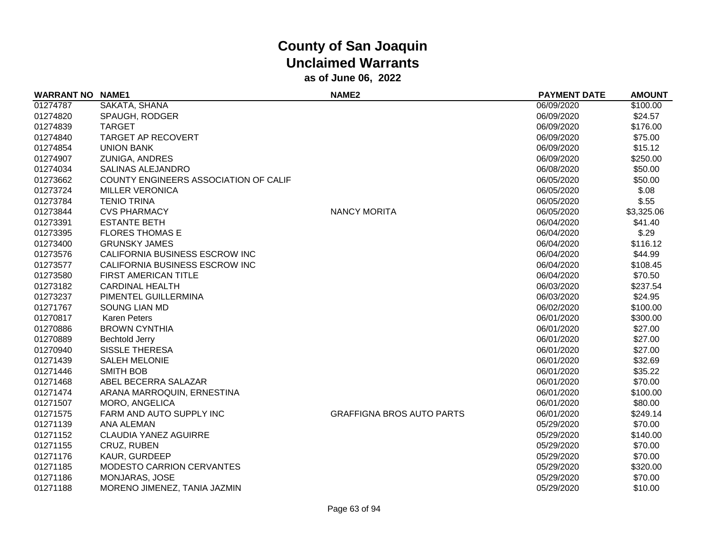| <b>WARRANT NO NAME1</b> |                                       | NAME <sub>2</sub>                | <b>PAYMENT DATE</b> | <b>AMOUNT</b> |
|-------------------------|---------------------------------------|----------------------------------|---------------------|---------------|
| 01274787                | SAKATA, SHANA                         |                                  | 06/09/2020          | \$100.00      |
| 01274820                | SPAUGH, RODGER                        |                                  | 06/09/2020          | \$24.57       |
| 01274839                | <b>TARGET</b>                         |                                  | 06/09/2020          | \$176.00      |
| 01274840                | <b>TARGET AP RECOVERT</b>             |                                  | 06/09/2020          | \$75.00       |
| 01274854                | <b>UNION BANK</b>                     |                                  | 06/09/2020          | \$15.12       |
| 01274907                | ZUNIGA, ANDRES                        |                                  | 06/09/2020          | \$250.00      |
| 01274034                | <b>SALINAS ALEJANDRO</b>              |                                  | 06/08/2020          | \$50.00       |
| 01273662                | COUNTY ENGINEERS ASSOCIATION OF CALIF |                                  | 06/05/2020          | \$50.00       |
| 01273724                | <b>MILLER VERONICA</b>                |                                  | 06/05/2020          | \$.08         |
| 01273784                | <b>TENIO TRINA</b>                    |                                  | 06/05/2020          | \$.55         |
| 01273844                | <b>CVS PHARMACY</b>                   | <b>NANCY MORITA</b>              | 06/05/2020          | \$3,325.06    |
| 01273391                | <b>ESTANTE BETH</b>                   |                                  | 06/04/2020          | \$41.40       |
| 01273395                | <b>FLORES THOMAS E</b>                |                                  | 06/04/2020          | \$.29         |
| 01273400                | <b>GRUNSKY JAMES</b>                  |                                  | 06/04/2020          | \$116.12      |
| 01273576                | CALIFORNIA BUSINESS ESCROW INC        |                                  | 06/04/2020          | \$44.99       |
| 01273577                | CALIFORNIA BUSINESS ESCROW INC        |                                  | 06/04/2020          | \$108.45      |
| 01273580                | <b>FIRST AMERICAN TITLE</b>           |                                  | 06/04/2020          | \$70.50       |
| 01273182                | <b>CARDINAL HEALTH</b>                |                                  | 06/03/2020          | \$237.54      |
| 01273237                | PIMENTEL GUILLERMINA                  |                                  | 06/03/2020          | \$24.95       |
| 01271767                | <b>SOUNG LIAN MD</b>                  |                                  | 06/02/2020          | \$100.00      |
| 01270817                | <b>Karen Peters</b>                   |                                  | 06/01/2020          | \$300.00      |
| 01270886                | <b>BROWN CYNTHIA</b>                  |                                  | 06/01/2020          | \$27.00       |
| 01270889                | <b>Bechtold Jerry</b>                 |                                  | 06/01/2020          | \$27.00       |
| 01270940                | <b>SISSLE THERESA</b>                 |                                  | 06/01/2020          | \$27.00       |
| 01271439                | <b>SALEH MELONIE</b>                  |                                  | 06/01/2020          | \$32.69       |
| 01271446                | <b>SMITH BOB</b>                      |                                  | 06/01/2020          | \$35.22       |
| 01271468                | ABEL BECERRA SALAZAR                  |                                  | 06/01/2020          | \$70.00       |
| 01271474                | ARANA MARROQUIN, ERNESTINA            |                                  | 06/01/2020          | \$100.00      |
| 01271507                | MORO, ANGELICA                        |                                  | 06/01/2020          | \$80.00       |
| 01271575                | FARM AND AUTO SUPPLY INC              | <b>GRAFFIGNA BROS AUTO PARTS</b> | 06/01/2020          | \$249.14      |
| 01271139                | <b>ANA ALEMAN</b>                     |                                  | 05/29/2020          | \$70.00       |
| 01271152                | <b>CLAUDIA YANEZ AGUIRRE</b>          |                                  | 05/29/2020          | \$140.00      |
| 01271155                | CRUZ, RUBEN                           |                                  | 05/29/2020          | \$70.00       |
| 01271176                | KAUR, GURDEEP                         |                                  | 05/29/2020          | \$70.00       |
| 01271185                | <b>MODESTO CARRION CERVANTES</b>      |                                  | 05/29/2020          | \$320.00      |
| 01271186                | MONJARAS, JOSE                        |                                  | 05/29/2020          | \$70.00       |
| 01271188                | MORENO JIMENEZ, TANIA JAZMIN          |                                  | 05/29/2020          | \$10.00       |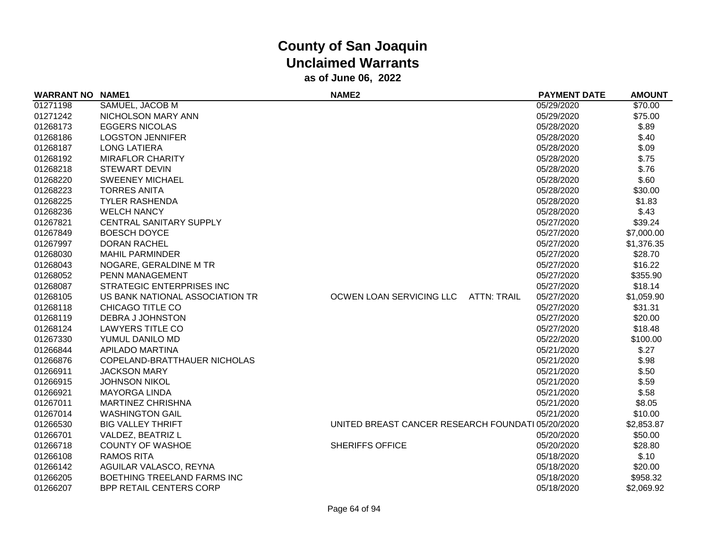| <b>WARRANT NO NAME1</b> |                                 | NAME <sub>2</sub>                                 | <b>PAYMENT DATE</b> | <b>AMOUNT</b> |
|-------------------------|---------------------------------|---------------------------------------------------|---------------------|---------------|
| 01271198                | SAMUEL, JACOB M                 |                                                   | 05/29/2020          | \$70.00       |
| 01271242                | NICHOLSON MARY ANN              |                                                   | 05/29/2020          | \$75.00       |
| 01268173                | <b>EGGERS NICOLAS</b>           |                                                   | 05/28/2020          | \$.89         |
| 01268186                | <b>LOGSTON JENNIFER</b>         |                                                   | 05/28/2020          | \$.40         |
| 01268187                | <b>LONG LATIERA</b>             |                                                   | 05/28/2020          | \$.09         |
| 01268192                | <b>MIRAFLOR CHARITY</b>         |                                                   | 05/28/2020          | \$.75         |
| 01268218                | <b>STEWART DEVIN</b>            |                                                   | 05/28/2020          | \$.76         |
| 01268220                | <b>SWEENEY MICHAEL</b>          |                                                   | 05/28/2020          | \$.60         |
| 01268223                | <b>TORRES ANITA</b>             |                                                   | 05/28/2020          | \$30.00       |
| 01268225                | <b>TYLER RASHENDA</b>           |                                                   | 05/28/2020          | \$1.83        |
| 01268236                | <b>WELCH NANCY</b>              |                                                   | 05/28/2020          | \$.43         |
| 01267821                | CENTRAL SANITARY SUPPLY         |                                                   | 05/27/2020          | \$39.24       |
| 01267849                | <b>BOESCH DOYCE</b>             |                                                   | 05/27/2020          | \$7,000.00    |
| 01267997                | <b>DORAN RACHEL</b>             |                                                   | 05/27/2020          | \$1,376.35    |
| 01268030                | <b>MAHIL PARMINDER</b>          |                                                   | 05/27/2020          | \$28.70       |
| 01268043                | NOGARE, GERALDINE M TR          |                                                   | 05/27/2020          | \$16.22       |
| 01268052                | PENN MANAGEMENT                 |                                                   | 05/27/2020          | \$355.90      |
| 01268087                | STRATEGIC ENTERPRISES INC       |                                                   | 05/27/2020          | \$18.14       |
| 01268105                | US BANK NATIONAL ASSOCIATION TR | OCWEN LOAN SERVICING LLC<br><b>ATTN: TRAIL</b>    | 05/27/2020          | \$1,059.90    |
| 01268118                | CHICAGO TITLE CO                |                                                   | 05/27/2020          | \$31.31       |
| 01268119                | DEBRA J JOHNSTON                |                                                   | 05/27/2020          | \$20.00       |
| 01268124                | <b>LAWYERS TITLE CO</b>         |                                                   | 05/27/2020          | \$18.48       |
| 01267330                | YUMUL DANILO MD                 |                                                   | 05/22/2020          | \$100.00      |
| 01266844                | APILADO MARTINA                 |                                                   | 05/21/2020          | \$.27         |
| 01266876                | COPELAND-BRATTHAUER NICHOLAS    |                                                   | 05/21/2020          | \$.98         |
| 01266911                | <b>JACKSON MARY</b>             |                                                   | 05/21/2020          | \$.50         |
| 01266915                | <b>JOHNSON NIKOL</b>            |                                                   | 05/21/2020          | \$.59         |
| 01266921                | <b>MAYORGA LINDA</b>            |                                                   | 05/21/2020          | \$.58         |
| 01267011                | <b>MARTINEZ CHRISHNA</b>        |                                                   | 05/21/2020          | \$8.05        |
| 01267014                | <b>WASHINGTON GAIL</b>          |                                                   | 05/21/2020          | \$10.00       |
| 01266530                | <b>BIG VALLEY THRIFT</b>        | UNITED BREAST CANCER RESEARCH FOUNDATI 05/20/2020 |                     | \$2,853.87    |
| 01266701                | VALDEZ, BEATRIZ L               |                                                   | 05/20/2020          | \$50.00       |
| 01266718                | <b>COUNTY OF WASHOE</b>         | <b>SHERIFFS OFFICE</b>                            | 05/20/2020          | \$28.80       |
| 01266108                | <b>RAMOS RITA</b>               |                                                   | 05/18/2020          | \$.10         |
| 01266142                | AGUILAR VALASCO, REYNA          |                                                   | 05/18/2020          | \$20.00       |
| 01266205                | BOETHING TREELAND FARMS INC     |                                                   | 05/18/2020          | \$958.32      |
| 01266207                | BPP RETAIL CENTERS CORP         |                                                   | 05/18/2020          | \$2,069.92    |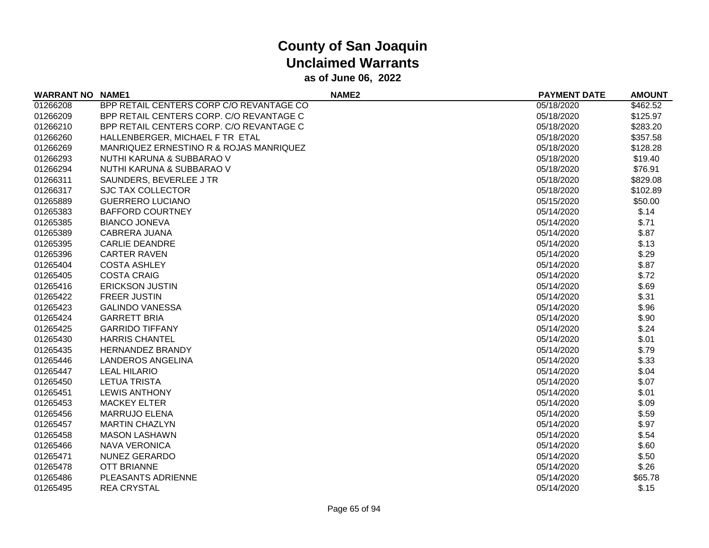| <b>WARRANT NO</b> | <b>NAME1</b>                             | NAME <sub>2</sub> | <b>PAYMENT DATE</b> | <b>AMOUNT</b> |
|-------------------|------------------------------------------|-------------------|---------------------|---------------|
| 01266208          | BPP RETAIL CENTERS CORP C/O REVANTAGE CO |                   | 05/18/2020          | \$462.52      |
| 01266209          | BPP RETAIL CENTERS CORP. C/O REVANTAGE C |                   | 05/18/2020          | \$125.97      |
| 01266210          | BPP RETAIL CENTERS CORP. C/O REVANTAGE C |                   | 05/18/2020          | \$283.20      |
| 01266260          | HALLENBERGER, MICHAEL F TR ETAL          |                   | 05/18/2020          | \$357.58      |
| 01266269          | MANRIQUEZ ERNESTINO R & ROJAS MANRIQUEZ  |                   | 05/18/2020          | \$128.28      |
| 01266293          | NUTHI KARUNA & SUBBARAO V                |                   | 05/18/2020          | \$19.40       |
| 01266294          | <b>NUTHI KARUNA &amp; SUBBARAO V</b>     |                   | 05/18/2020          | \$76.91       |
| 01266311          | SAUNDERS, BEVERLEE J TR                  |                   | 05/18/2020          | \$829.08      |
| 01266317          | <b>SJC TAX COLLECTOR</b>                 |                   | 05/18/2020          | \$102.89      |
| 01265889          | <b>GUERRERO LUCIANO</b>                  |                   | 05/15/2020          | \$50.00       |
| 01265383          | <b>BAFFORD COURTNEY</b>                  |                   | 05/14/2020          | \$.14         |
| 01265385          | <b>BIANCO JONEVA</b>                     |                   | 05/14/2020          | \$.71         |
| 01265389          | <b>CABRERA JUANA</b>                     |                   | 05/14/2020          | \$.87         |
| 01265395          | <b>CARLIE DEANDRE</b>                    |                   | 05/14/2020          | \$.13         |
| 01265396          | <b>CARTER RAVEN</b>                      |                   | 05/14/2020          | \$.29         |
| 01265404          | <b>COSTA ASHLEY</b>                      |                   | 05/14/2020          | \$.87         |
| 01265405          | <b>COSTA CRAIG</b>                       |                   | 05/14/2020          | \$.72         |
| 01265416          | <b>ERICKSON JUSTIN</b>                   |                   | 05/14/2020          | \$.69         |
| 01265422          | <b>FREER JUSTIN</b>                      |                   | 05/14/2020          | \$.31         |
| 01265423          | <b>GALINDO VANESSA</b>                   |                   | 05/14/2020          | \$.96         |
| 01265424          | <b>GARRETT BRIA</b>                      |                   | 05/14/2020          | \$.90         |
| 01265425          | <b>GARRIDO TIFFANY</b>                   |                   | 05/14/2020          | \$.24         |
| 01265430          | <b>HARRIS CHANTEL</b>                    |                   | 05/14/2020          | \$.01         |
| 01265435          | <b>HERNANDEZ BRANDY</b>                  |                   | 05/14/2020          | \$.79         |
| 01265446          | <b>LANDEROS ANGELINA</b>                 |                   | 05/14/2020          | \$.33         |
| 01265447          | <b>LEAL HILARIO</b>                      |                   | 05/14/2020          | \$.04         |
| 01265450          | <b>LETUA TRISTA</b>                      |                   | 05/14/2020          | \$.07         |
| 01265451          | <b>LEWIS ANTHONY</b>                     |                   | 05/14/2020          | \$.01         |
| 01265453          | <b>MACKEY ELTER</b>                      |                   | 05/14/2020          | \$.09         |
| 01265456          | <b>MARRUJO ELENA</b>                     |                   | 05/14/2020          | \$.59         |
| 01265457          | <b>MARTIN CHAZLYN</b>                    |                   | 05/14/2020          | \$.97         |
| 01265458          | <b>MASON LASHAWN</b>                     |                   | 05/14/2020          | \$.54         |
| 01265466          | <b>NAVA VERONICA</b>                     |                   | 05/14/2020          | \$.60         |
| 01265471          | <b>NUNEZ GERARDO</b>                     |                   | 05/14/2020          | \$.50         |
| 01265478          | <b>OTT BRIANNE</b>                       |                   | 05/14/2020          | \$.26         |
| 01265486          | PLEASANTS ADRIENNE                       |                   | 05/14/2020          | \$65.78       |
| 01265495          | <b>REA CRYSTAL</b>                       |                   | 05/14/2020          | \$.15         |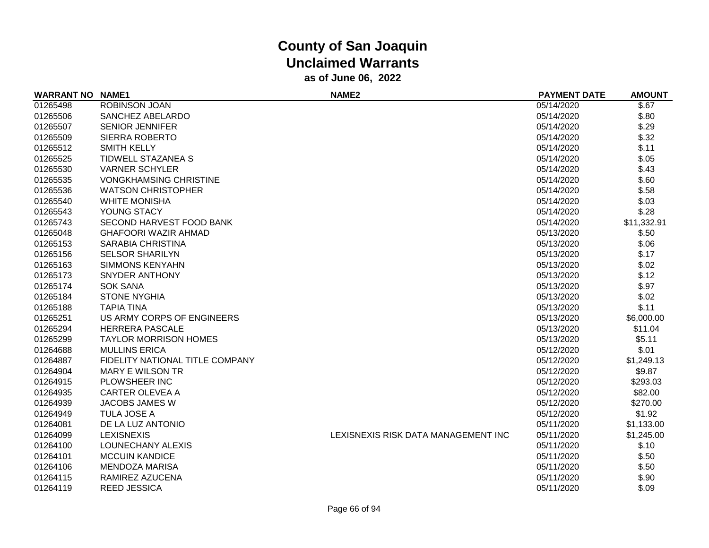| <b>WARRANT NO NAME1</b> |                                 | NAME <sub>2</sub>                   | <b>PAYMENT DATE</b> | <b>AMOUNT</b> |
|-------------------------|---------------------------------|-------------------------------------|---------------------|---------------|
| 01265498                | ROBINSON JOAN                   |                                     | 05/14/2020          | \$.67         |
| 01265506                | SANCHEZ ABELARDO                |                                     | 05/14/2020          | \$.80         |
| 01265507                | <b>SENIOR JENNIFER</b>          |                                     | 05/14/2020          | \$.29         |
| 01265509                | <b>SIERRA ROBERTO</b>           |                                     | 05/14/2020          | \$.32         |
| 01265512                | <b>SMITH KELLY</b>              |                                     | 05/14/2020          | \$.11         |
| 01265525                | TIDWELL STAZANEA S              |                                     | 05/14/2020          | \$.05         |
| 01265530                | <b>VARNER SCHYLER</b>           |                                     | 05/14/2020          | \$.43         |
| 01265535                | <b>VONGKHAMSING CHRISTINE</b>   |                                     | 05/14/2020          | \$.60         |
| 01265536                | <b>WATSON CHRISTOPHER</b>       |                                     | 05/14/2020          | \$.58         |
| 01265540                | <b>WHITE MONISHA</b>            |                                     | 05/14/2020          | \$.03         |
| 01265543                | YOUNG STACY                     |                                     | 05/14/2020          | \$.28         |
| 01265743                | SECOND HARVEST FOOD BANK        |                                     | 05/14/2020          | \$11,332.91   |
| 01265048                | <b>GHAFOORI WAZIR AHMAD</b>     |                                     | 05/13/2020          | \$.50         |
| 01265153                | <b>SARABIA CHRISTINA</b>        |                                     | 05/13/2020          | \$.06         |
| 01265156                | <b>SELSOR SHARILYN</b>          |                                     | 05/13/2020          | \$.17         |
| 01265163                | <b>SIMMONS KENYAHN</b>          |                                     | 05/13/2020          | \$.02         |
| 01265173                | <b>SNYDER ANTHONY</b>           |                                     | 05/13/2020          | \$.12         |
| 01265174                | <b>SOK SANA</b>                 |                                     | 05/13/2020          | \$.97         |
| 01265184                | <b>STONE NYGHIA</b>             |                                     | 05/13/2020          | \$.02         |
| 01265188                | <b>TAPIA TINA</b>               |                                     | 05/13/2020          | \$.11         |
| 01265251                | US ARMY CORPS OF ENGINEERS      |                                     | 05/13/2020          | \$6,000.00    |
| 01265294                | <b>HERRERA PASCALE</b>          |                                     | 05/13/2020          | \$11.04       |
| 01265299                | <b>TAYLOR MORRISON HOMES</b>    |                                     | 05/13/2020          | \$5.11        |
| 01264688                | <b>MULLINS ERICA</b>            |                                     | 05/12/2020          | \$.01         |
| 01264887                | FIDELITY NATIONAL TITLE COMPANY |                                     | 05/12/2020          | \$1,249.13    |
| 01264904                | <b>MARY E WILSON TR</b>         |                                     | 05/12/2020          | \$9.87        |
| 01264915                | PLOWSHEER INC                   |                                     | 05/12/2020          | \$293.03      |
| 01264935                | <b>CARTER OLEVEA A</b>          |                                     | 05/12/2020          | \$82.00       |
| 01264939                | <b>JACOBS JAMES W</b>           |                                     | 05/12/2020          | \$270.00      |
| 01264949                | TULA JOSE A                     |                                     | 05/12/2020          | \$1.92        |
| 01264081                | DE LA LUZ ANTONIO               |                                     | 05/11/2020          | \$1,133.00    |
| 01264099                | <b>LEXISNEXIS</b>               | LEXISNEXIS RISK DATA MANAGEMENT INC | 05/11/2020          | \$1,245.00    |
| 01264100                | LOUNECHANY ALEXIS               |                                     | 05/11/2020          | \$.10         |
| 01264101                | <b>MCCUIN KANDICE</b>           |                                     | 05/11/2020          | \$.50         |
| 01264106                | <b>MENDOZA MARISA</b>           |                                     | 05/11/2020          | \$.50         |
| 01264115                | RAMIREZ AZUCENA                 |                                     | 05/11/2020          | \$.90         |
| 01264119                | <b>REED JESSICA</b>             |                                     | 05/11/2020          | \$.09         |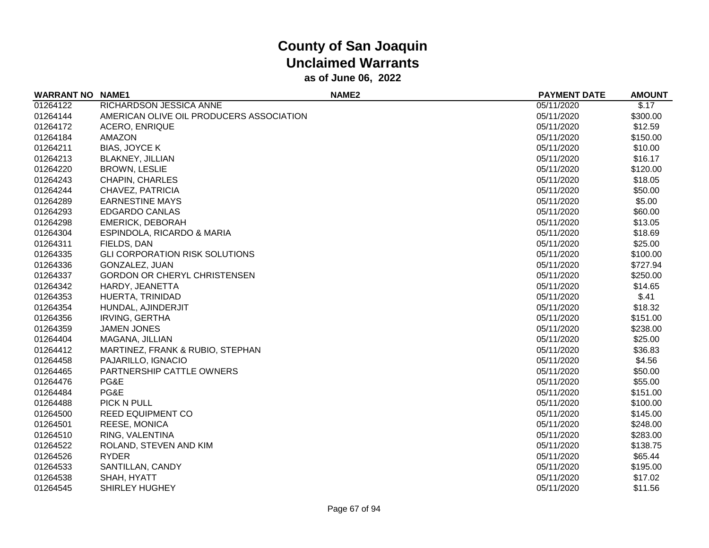| <b>WARRANT NO</b> | <b>NAME1</b>                             | NAME <sub>2</sub> | <b>PAYMENT DATE</b> | <b>AMOUNT</b> |
|-------------------|------------------------------------------|-------------------|---------------------|---------------|
| 01264122          | RICHARDSON JESSICA ANNE                  |                   | 05/11/2020          | \$.17         |
| 01264144          | AMERICAN OLIVE OIL PRODUCERS ASSOCIATION |                   | 05/11/2020          | \$300.00      |
| 01264172          | <b>ACERO, ENRIQUE</b>                    |                   | 05/11/2020          | \$12.59       |
| 01264184          | <b>AMAZON</b>                            |                   | 05/11/2020          | \$150.00      |
| 01264211          | <b>BIAS, JOYCE K</b>                     |                   | 05/11/2020          | \$10.00       |
| 01264213          | <b>BLAKNEY, JILLIAN</b>                  |                   | 05/11/2020          | \$16.17       |
| 01264220          | <b>BROWN, LESLIE</b>                     |                   | 05/11/2020          | \$120.00      |
| 01264243          | <b>CHAPIN, CHARLES</b>                   |                   | 05/11/2020          | \$18.05       |
| 01264244          | CHAVEZ, PATRICIA                         |                   | 05/11/2020          | \$50.00       |
| 01264289          | <b>EARNESTINE MAYS</b>                   |                   | 05/11/2020          | \$5.00        |
| 01264293          | <b>EDGARDO CANLAS</b>                    |                   | 05/11/2020          | \$60.00       |
| 01264298          | <b>EMERICK, DEBORAH</b>                  |                   | 05/11/2020          | \$13.05       |
| 01264304          | ESPINDOLA, RICARDO & MARIA               |                   | 05/11/2020          | \$18.69       |
| 01264311          | FIELDS, DAN                              |                   | 05/11/2020          | \$25.00       |
| 01264335          | <b>GLI CORPORATION RISK SOLUTIONS</b>    |                   | 05/11/2020          | \$100.00      |
| 01264336          | GONZALEZ, JUAN                           |                   | 05/11/2020          | \$727.94      |
| 01264337          | <b>GORDON OR CHERYL CHRISTENSEN</b>      |                   | 05/11/2020          | \$250.00      |
| 01264342          | HARDY, JEANETTA                          |                   | 05/11/2020          | \$14.65       |
| 01264353          | HUERTA, TRINIDAD                         |                   | 05/11/2020          | \$.41         |
| 01264354          | HUNDAL, AJINDERJIT                       |                   | 05/11/2020          | \$18.32       |
| 01264356          | <b>IRVING, GERTHA</b>                    |                   | 05/11/2020          | \$151.00      |
| 01264359          | <b>JAMEN JONES</b>                       |                   | 05/11/2020          | \$238.00      |
| 01264404          | MAGANA, JILLIAN                          |                   | 05/11/2020          | \$25.00       |
| 01264412          | MARTINEZ, FRANK & RUBIO, STEPHAN         |                   | 05/11/2020          | \$36.83       |
| 01264458          | PAJARILLO, IGNACIO                       |                   | 05/11/2020          | \$4.56        |
| 01264465          | PARTNERSHIP CATTLE OWNERS                |                   | 05/11/2020          | \$50.00       |
| 01264476          | PG&E                                     |                   | 05/11/2020          | \$55.00       |
| 01264484          | PG&E                                     |                   | 05/11/2020          | \$151.00      |
| 01264488          | PICK N PULL                              |                   | 05/11/2020          | \$100.00      |
| 01264500          | <b>REED EQUIPMENT CO</b>                 |                   | 05/11/2020          | \$145.00      |
| 01264501          | <b>REESE, MONICA</b>                     |                   | 05/11/2020          | \$248.00      |
| 01264510          | RING, VALENTINA                          |                   | 05/11/2020          | \$283.00      |
| 01264522          | ROLAND, STEVEN AND KIM                   |                   | 05/11/2020          | \$138.75      |
| 01264526          | <b>RYDER</b>                             |                   | 05/11/2020          | \$65.44       |
| 01264533          | SANTILLAN, CANDY                         |                   | 05/11/2020          | \$195.00      |
| 01264538          | SHAH, HYATT                              |                   | 05/11/2020          | \$17.02       |
| 01264545          | SHIRLEY HUGHEY                           |                   | 05/11/2020          | \$11.56       |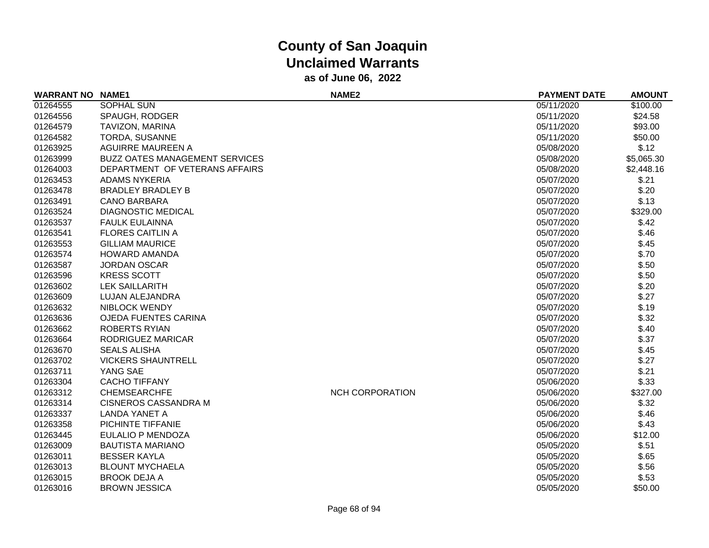| <b>WARRANT NO NAME1</b> |                                       | NAME <sub>2</sub>      | <b>PAYMENT DATE</b> | <b>AMOUNT</b> |
|-------------------------|---------------------------------------|------------------------|---------------------|---------------|
| 01264555                | <b>SOPHAL SUN</b>                     |                        | 05/11/2020          | \$100.00      |
| 01264556                | SPAUGH, RODGER                        |                        | 05/11/2020          | \$24.58       |
| 01264579                | TAVIZON, MARINA                       |                        | 05/11/2020          | \$93.00       |
| 01264582                | TORDA, SUSANNE                        |                        | 05/11/2020          | \$50.00       |
| 01263925                | <b>AGUIRRE MAUREEN A</b>              |                        | 05/08/2020          | \$.12         |
| 01263999                | <b>BUZZ OATES MANAGEMENT SERVICES</b> |                        | 05/08/2020          | \$5,065.30    |
| 01264003                | DEPARTMENT OF VETERANS AFFAIRS        |                        | 05/08/2020          | \$2,448.16    |
| 01263453                | <b>ADAMS NYKERIA</b>                  |                        | 05/07/2020          | \$.21         |
| 01263478                | <b>BRADLEY BRADLEY B</b>              |                        | 05/07/2020          | \$.20         |
| 01263491                | <b>CANO BARBARA</b>                   |                        | 05/07/2020          | \$.13         |
| 01263524                | <b>DIAGNOSTIC MEDICAL</b>             |                        | 05/07/2020          | \$329.00      |
| 01263537                | <b>FAULK EULAINNA</b>                 |                        | 05/07/2020          | \$.42         |
| 01263541                | <b>FLORES CAITLIN A</b>               |                        | 05/07/2020          | \$.46         |
| 01263553                | <b>GILLIAM MAURICE</b>                |                        | 05/07/2020          | \$.45         |
| 01263574                | <b>HOWARD AMANDA</b>                  |                        | 05/07/2020          | \$.70         |
| 01263587                | <b>JORDAN OSCAR</b>                   |                        | 05/07/2020          | \$.50         |
| 01263596                | <b>KRESS SCOTT</b>                    |                        | 05/07/2020          | \$.50         |
| 01263602                | <b>LEK SAILLARITH</b>                 |                        | 05/07/2020          | \$.20         |
| 01263609                | LUJAN ALEJANDRA                       |                        | 05/07/2020          | \$.27         |
| 01263632                | <b>NIBLOCK WENDY</b>                  |                        | 05/07/2020          | \$.19         |
| 01263636                | <b>OJEDA FUENTES CARINA</b>           |                        | 05/07/2020          | \$.32         |
| 01263662                | <b>ROBERTS RYIAN</b>                  |                        | 05/07/2020          | \$.40         |
| 01263664                | RODRIGUEZ MARICAR                     |                        | 05/07/2020          | \$.37         |
| 01263670                | <b>SEALS ALISHA</b>                   |                        | 05/07/2020          | \$.45         |
| 01263702                | <b>VICKERS SHAUNTRELL</b>             |                        | 05/07/2020          | \$.27         |
| 01263711                | YANG SAE                              |                        | 05/07/2020          | \$.21         |
| 01263304                | <b>CACHO TIFFANY</b>                  |                        | 05/06/2020          | \$.33         |
| 01263312                | <b>CHEMSEARCHFE</b>                   | <b>NCH CORPORATION</b> | 05/06/2020          | \$327.00      |
| 01263314                | <b>CISNEROS CASSANDRA M</b>           |                        | 05/06/2020          | \$.32         |
| 01263337                | <b>LANDA YANET A</b>                  |                        | 05/06/2020          | \$.46         |
| 01263358                | PICHINTE TIFFANIE                     |                        | 05/06/2020          | \$.43         |
| 01263445                | EULALIO P MENDOZA                     |                        | 05/06/2020          | \$12.00       |
| 01263009                | <b>BAUTISTA MARIANO</b>               |                        | 05/05/2020          | \$.51         |
| 01263011                | <b>BESSER KAYLA</b>                   |                        | 05/05/2020          | \$.65         |
| 01263013                | <b>BLOUNT MYCHAELA</b>                |                        | 05/05/2020          | \$.56         |
| 01263015                | <b>BROOK DEJA A</b>                   |                        | 05/05/2020          | \$.53         |
| 01263016                | <b>BROWN JESSICA</b>                  |                        | 05/05/2020          | \$50.00       |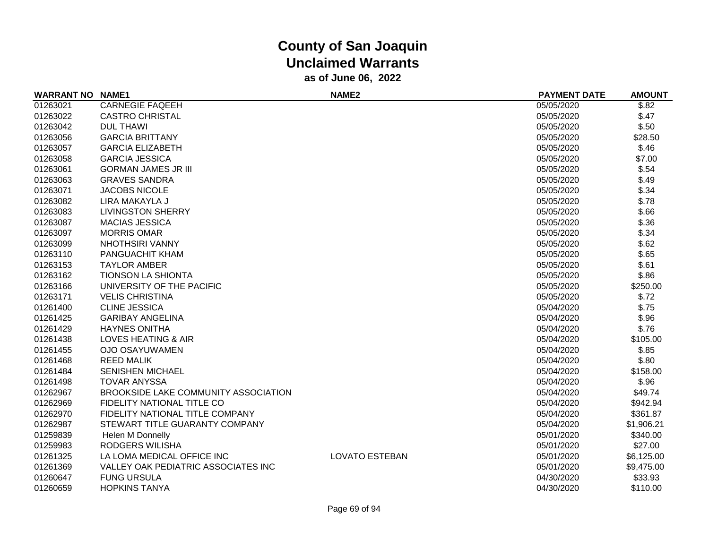| <b>WARRANT NO NAME1</b> |                                      | NAME <sub>2</sub>     | <b>PAYMENT DATE</b> | <b>AMOUNT</b> |
|-------------------------|--------------------------------------|-----------------------|---------------------|---------------|
| 01263021                | <b>CARNEGIE FAQEEH</b>               |                       | 05/05/2020          | \$.82         |
| 01263022                | <b>CASTRO CHRISTAL</b>               |                       | 05/05/2020          | \$.47         |
| 01263042                | <b>DUL THAWI</b>                     |                       | 05/05/2020          | \$.50         |
| 01263056                | <b>GARCIA BRITTANY</b>               |                       | 05/05/2020          | \$28.50       |
| 01263057                | <b>GARCIA ELIZABETH</b>              |                       | 05/05/2020          | \$.46         |
| 01263058                | <b>GARCIA JESSICA</b>                |                       | 05/05/2020          | \$7.00        |
| 01263061                | <b>GORMAN JAMES JR III</b>           |                       | 05/05/2020          | \$.54         |
| 01263063                | <b>GRAVES SANDRA</b>                 |                       | 05/05/2020          | \$.49         |
| 01263071                | <b>JACOBS NICOLE</b>                 |                       | 05/05/2020          | \$.34         |
| 01263082                | LIRA MAKAYLA J                       |                       | 05/05/2020          | \$.78         |
| 01263083                | <b>LIVINGSTON SHERRY</b>             |                       | 05/05/2020          | \$.66         |
| 01263087                | <b>MACIAS JESSICA</b>                |                       | 05/05/2020          | \$.36         |
| 01263097                | <b>MORRIS OMAR</b>                   |                       | 05/05/2020          | \$.34         |
| 01263099                | <b>NHOTHSIRI VANNY</b>               |                       | 05/05/2020          | \$.62         |
| 01263110                | PANGUACHIT KHAM                      |                       | 05/05/2020          | \$.65         |
| 01263153                | <b>TAYLOR AMBER</b>                  |                       | 05/05/2020          | \$.61         |
| 01263162                | <b>TIONSON LA SHIONTA</b>            |                       | 05/05/2020          | \$.86         |
| 01263166                | UNIVERSITY OF THE PACIFIC            |                       | 05/05/2020          | \$250.00      |
| 01263171                | <b>VELIS CHRISTINA</b>               |                       | 05/05/2020          | \$.72         |
| 01261400                | <b>CLINE JESSICA</b>                 |                       | 05/04/2020          | \$.75         |
| 01261425                | <b>GARIBAY ANGELINA</b>              |                       | 05/04/2020          | \$.96         |
| 01261429                | <b>HAYNES ONITHA</b>                 |                       | 05/04/2020          | \$.76         |
| 01261438                | <b>LOVES HEATING &amp; AIR</b>       |                       | 05/04/2020          | \$105.00      |
| 01261455                | <b>OJO OSAYUWAMEN</b>                |                       | 05/04/2020          | \$.85         |
| 01261468                | <b>REED MALIK</b>                    |                       | 05/04/2020          | \$.80         |
| 01261484                | <b>SENISHEN MICHAEL</b>              |                       | 05/04/2020          | \$158.00      |
| 01261498                | <b>TOVAR ANYSSA</b>                  |                       | 05/04/2020          | \$.96         |
| 01262967                | BROOKSIDE LAKE COMMUNITY ASSOCIATION |                       | 05/04/2020          | \$49.74       |
| 01262969                | FIDELITY NATIONAL TITLE CO           |                       | 05/04/2020          | \$942.94      |
| 01262970                | FIDELITY NATIONAL TITLE COMPANY      |                       | 05/04/2020          | \$361.87      |
| 01262987                | STEWART TITLE GUARANTY COMPANY       |                       | 05/04/2020          | \$1,906.21    |
| 01259839                | Helen M Donnelly                     |                       | 05/01/2020          | \$340.00      |
| 01259983                | RODGERS WILISHA                      |                       | 05/01/2020          | \$27.00       |
| 01261325                | LA LOMA MEDICAL OFFICE INC           | <b>LOVATO ESTEBAN</b> | 05/01/2020          | \$6,125.00    |
| 01261369                | VALLEY OAK PEDIATRIC ASSOCIATES INC  |                       | 05/01/2020          | \$9,475.00    |
| 01260647                | <b>FUNG URSULA</b>                   |                       | 04/30/2020          | \$33.93       |
| 01260659                | <b>HOPKINS TANYA</b>                 |                       | 04/30/2020          | \$110.00      |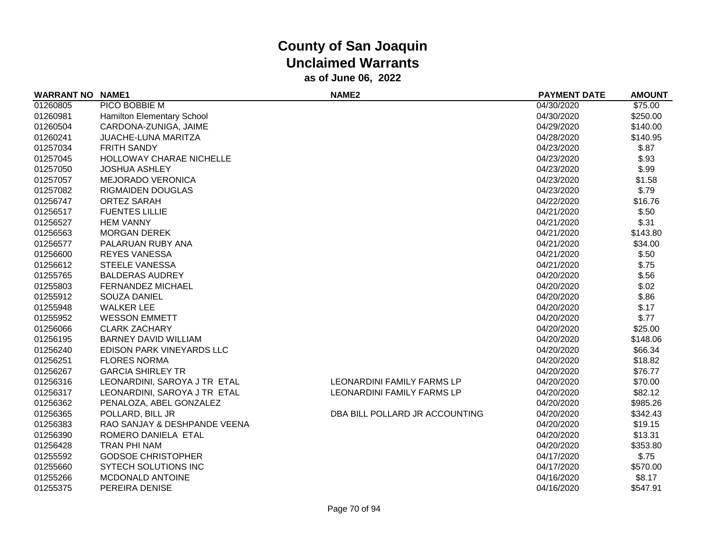| <b>WARRANT NO</b> | <b>NAME1</b>                 | <b>NAME2</b>                      | <b>PAYMENT DATE</b> | <b>AMOUNT</b> |
|-------------------|------------------------------|-----------------------------------|---------------------|---------------|
| 01260805          | PICO BOBBIE M                |                                   | 04/30/2020          | \$75.00       |
| 01260981          | Hamilton Elementary School   |                                   | 04/30/2020          | \$250.00      |
| 01260504          | CARDONA-ZUNIGA, JAIME        |                                   | 04/29/2020          | \$140.00      |
| 01260241          | <b>JUACHE-LUNA MARITZA</b>   |                                   | 04/28/2020          | \$140.95      |
| 01257034          | FRITH SANDY                  |                                   | 04/23/2020          | \$.87         |
| 01257045          | HOLLOWAY CHARAE NICHELLE     |                                   | 04/23/2020          | \$.93         |
| 01257050          | <b>JOSHUA ASHLEY</b>         |                                   | 04/23/2020          | \$.99         |
| 01257057          | <b>MEJORADO VERONICA</b>     |                                   | 04/23/2020          | \$1.58        |
| 01257082          | <b>RIGMAIDEN DOUGLAS</b>     |                                   | 04/23/2020          | \$.79         |
| 01256747          | <b>ORTEZ SARAH</b>           |                                   | 04/22/2020          | \$16.76       |
| 01256517          | <b>FUENTES LILLIE</b>        |                                   | 04/21/2020          | \$.50         |
| 01256527          | <b>HEM VANNY</b>             |                                   | 04/21/2020          | \$.31         |
| 01256563          | <b>MORGAN DEREK</b>          |                                   | 04/21/2020          | \$143.80      |
| 01256577          | PALARUAN RUBY ANA            |                                   | 04/21/2020          | \$34.00       |
| 01256600          | <b>REYES VANESSA</b>         |                                   | 04/21/2020          | \$.50         |
| 01256612          | <b>STEELE VANESSA</b>        |                                   | 04/21/2020          | \$.75         |
| 01255765          | <b>BALDERAS AUDREY</b>       |                                   | 04/20/2020          | \$.56         |
| 01255803          | <b>FERNANDEZ MICHAEL</b>     |                                   | 04/20/2020          | \$.02         |
| 01255912          | <b>SOUZA DANIEL</b>          |                                   | 04/20/2020          | \$.86         |
| 01255948          | <b>WALKER LEE</b>            |                                   | 04/20/2020          | \$.17         |
| 01255952          | <b>WESSON EMMETT</b>         |                                   | 04/20/2020          | \$.77         |
| 01256066          | <b>CLARK ZACHARY</b>         |                                   | 04/20/2020          | \$25.00       |
| 01256195          | <b>BARNEY DAVID WILLIAM</b>  |                                   | 04/20/2020          | \$148.06      |
| 01256240          | EDISON PARK VINEYARDS LLC    |                                   | 04/20/2020          | \$66.34       |
| 01256251          | <b>FLORES NORMA</b>          |                                   | 04/20/2020          | \$18.82       |
| 01256267          | <b>GARCIA SHIRLEY TR</b>     |                                   | 04/20/2020          | \$76.77       |
| 01256316          | LEONARDINI, SAROYA J TR ETAL | <b>LEONARDINI FAMILY FARMS LP</b> | 04/20/2020          | \$70.00       |
| 01256317          | LEONARDINI, SAROYA J TR ETAL | <b>LEONARDINI FAMILY FARMS LP</b> | 04/20/2020          | \$82.12       |
| 01256362          | PENALOZA, ABEL GONZALEZ      |                                   | 04/20/2020          | \$985.26      |
| 01256365          | POLLARD, BILL JR             | DBA BILL POLLARD JR ACCOUNTING    | 04/20/2020          | \$342.43      |
| 01256383          | RAO SANJAY & DESHPANDE VEENA |                                   | 04/20/2020          | \$19.15       |
| 01256390          | ROMERO DANIELA ETAL          |                                   | 04/20/2020          | \$13.31       |
| 01256428          | <b>TRAN PHI NAM</b>          |                                   | 04/20/2020          | \$353.80      |
| 01255592          | <b>GODSOE CHRISTOPHER</b>    |                                   | 04/17/2020          | \$.75         |
| 01255660          | <b>SYTECH SOLUTIONS INC</b>  |                                   | 04/17/2020          | \$570.00      |
| 01255266          | MCDONALD ANTOINE             |                                   | 04/16/2020          | \$8.17        |
| 01255375          | PEREIRA DENISE               |                                   | 04/16/2020          | \$547.91      |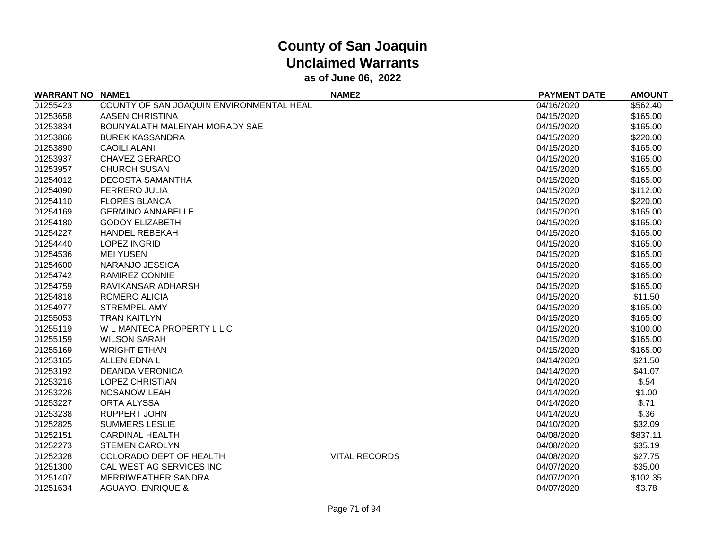| <b>WARRANT NO NAME1</b> |                                          | <b>NAME2</b>         | <b>PAYMENT DATE</b> | <b>AMOUNT</b> |
|-------------------------|------------------------------------------|----------------------|---------------------|---------------|
| 01255423                | COUNTY OF SAN JOAQUIN ENVIRONMENTAL HEAL |                      | 04/16/2020          | \$562.40      |
| 01253658                | <b>AASEN CHRISTINA</b>                   |                      | 04/15/2020          | \$165.00      |
| 01253834                | BOUNYALATH MALEIYAH MORADY SAE           |                      | 04/15/2020          | \$165.00      |
| 01253866                | <b>BUREK KASSANDRA</b>                   |                      | 04/15/2020          | \$220.00      |
| 01253890                | <b>CAOILI ALANI</b>                      |                      | 04/15/2020          | \$165.00      |
| 01253937                | <b>CHAVEZ GERARDO</b>                    |                      | 04/15/2020          | \$165.00      |
| 01253957                | <b>CHURCH SUSAN</b>                      |                      | 04/15/2020          | \$165.00      |
| 01254012                | <b>DECOSTA SAMANTHA</b>                  |                      | 04/15/2020          | \$165.00      |
| 01254090                | <b>FERRERO JULIA</b>                     |                      | 04/15/2020          | \$112.00      |
| 01254110                | <b>FLORES BLANCA</b>                     |                      | 04/15/2020          | \$220.00      |
| 01254169                | <b>GERMINO ANNABELLE</b>                 |                      | 04/15/2020          | \$165.00      |
| 01254180                | <b>GODOY ELIZABETH</b>                   |                      | 04/15/2020          | \$165.00      |
| 01254227                | <b>HANDEL REBEKAH</b>                    |                      | 04/15/2020          | \$165.00      |
| 01254440                | <b>LOPEZ INGRID</b>                      |                      | 04/15/2020          | \$165.00      |
| 01254536                | <b>MEI YUSEN</b>                         |                      | 04/15/2020          | \$165.00      |
| 01254600                | NARANJO JESSICA                          |                      | 04/15/2020          | \$165.00      |
| 01254742                | <b>RAMIREZ CONNIE</b>                    |                      | 04/15/2020          | \$165.00      |
| 01254759                | RAVIKANSAR ADHARSH                       |                      | 04/15/2020          | \$165.00      |
| 01254818                | ROMERO ALICIA                            |                      | 04/15/2020          | \$11.50       |
| 01254977                | <b>STREMPEL AMY</b>                      |                      | 04/15/2020          | \$165.00      |
| 01255053                | <b>TRAN KAITLYN</b>                      |                      | 04/15/2020          | \$165.00      |
| 01255119                | W L MANTECA PROPERTY L L C               |                      | 04/15/2020          | \$100.00      |
| 01255159                | <b>WILSON SARAH</b>                      |                      | 04/15/2020          | \$165.00      |
| 01255169                | <b>WRIGHT ETHAN</b>                      |                      | 04/15/2020          | \$165.00      |
| 01253165                | <b>ALLEN EDNA L</b>                      |                      | 04/14/2020          | \$21.50       |
| 01253192                | <b>DEANDA VERONICA</b>                   |                      | 04/14/2020          | \$41.07       |
| 01253216                | <b>LOPEZ CHRISTIAN</b>                   |                      | 04/14/2020          | \$.54         |
| 01253226                | <b>NOSANOW LEAH</b>                      |                      | 04/14/2020          | \$1.00        |
| 01253227                | <b>ORTA ALYSSA</b>                       |                      | 04/14/2020          | \$.71         |
| 01253238                | <b>RUPPERT JOHN</b>                      |                      | 04/14/2020          | \$.36         |
| 01252825                | <b>SUMMERS LESLIE</b>                    |                      | 04/10/2020          | \$32.09       |
| 01252151                | <b>CARDINAL HEALTH</b>                   |                      | 04/08/2020          | \$837.11      |
| 01252273                | <b>STEMEN CAROLYN</b>                    |                      | 04/08/2020          | \$35.19       |
| 01252328                | COLORADO DEPT OF HEALTH                  | <b>VITAL RECORDS</b> | 04/08/2020          | \$27.75       |
| 01251300                | CAL WEST AG SERVICES INC                 |                      | 04/07/2020          | \$35.00       |
| 01251407                | MERRIWEATHER SANDRA                      |                      | 04/07/2020          | \$102.35      |
| 01251634                | <b>AGUAYO, ENRIQUE &amp;</b>             |                      | 04/07/2020          | \$3.78        |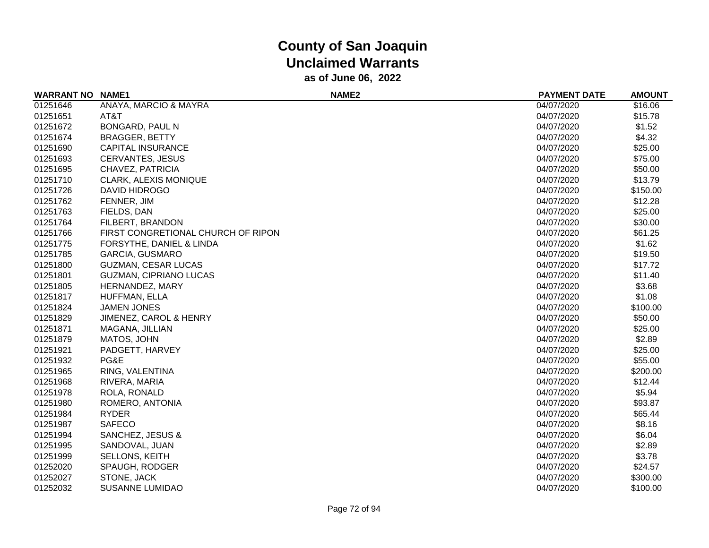| <b>WARRANT NO</b> | <b>NAME1</b>                       | NAME <sub>2</sub> | <b>PAYMENT DATE</b> | <b>AMOUNT</b> |
|-------------------|------------------------------------|-------------------|---------------------|---------------|
| 01251646          | ANAYA, MARCIO & MAYRA              |                   | 04/07/2020          | \$16.06       |
| 01251651          | AT&T                               |                   | 04/07/2020          | \$15.78       |
| 01251672          | BONGARD, PAUL N                    |                   | 04/07/2020          | \$1.52        |
| 01251674          | <b>BRAGGER, BETTY</b>              |                   | 04/07/2020          | \$4.32        |
| 01251690          | <b>CAPITAL INSURANCE</b>           |                   | 04/07/2020          | \$25.00       |
| 01251693          | <b>CERVANTES, JESUS</b>            |                   | 04/07/2020          | \$75.00       |
| 01251695          | CHAVEZ, PATRICIA                   |                   | 04/07/2020          | \$50.00       |
| 01251710          | <b>CLARK, ALEXIS MONIQUE</b>       |                   | 04/07/2020          | \$13.79       |
| 01251726          | DAVID HIDROGO                      |                   | 04/07/2020          | \$150.00      |
| 01251762          | FENNER, JIM                        |                   | 04/07/2020          | \$12.28       |
| 01251763          | FIELDS, DAN                        |                   | 04/07/2020          | \$25.00       |
| 01251764          | FILBERT, BRANDON                   |                   | 04/07/2020          | \$30.00       |
| 01251766          | FIRST CONGRETIONAL CHURCH OF RIPON |                   | 04/07/2020          | \$61.25       |
| 01251775          | FORSYTHE, DANIEL & LINDA           |                   | 04/07/2020          | \$1.62        |
| 01251785          | <b>GARCIA, GUSMARO</b>             |                   | 04/07/2020          | \$19.50       |
| 01251800          | GUZMAN, CESAR LUCAS                |                   | 04/07/2020          | \$17.72       |
| 01251801          | <b>GUZMAN, CIPRIANO LUCAS</b>      |                   | 04/07/2020          | \$11.40       |
| 01251805          | HERNANDEZ, MARY                    |                   | 04/07/2020          | \$3.68        |
| 01251817          | HUFFMAN, ELLA                      |                   | 04/07/2020          | \$1.08        |
| 01251824          | <b>JAMEN JONES</b>                 |                   | 04/07/2020          | \$100.00      |
| 01251829          | JIMENEZ, CAROL & HENRY             |                   | 04/07/2020          | \$50.00       |
| 01251871          | MAGANA, JILLIAN                    |                   | 04/07/2020          | \$25.00       |
| 01251879          | MATOS, JOHN                        |                   | 04/07/2020          | \$2.89        |
| 01251921          | PADGETT, HARVEY                    |                   | 04/07/2020          | \$25.00       |
| 01251932          | PG&E                               |                   | 04/07/2020          | \$55.00       |
| 01251965          | RING, VALENTINA                    |                   | 04/07/2020          | \$200.00      |
| 01251968          | RIVERA, MARIA                      |                   | 04/07/2020          | \$12.44       |
| 01251978          | ROLA, RONALD                       |                   | 04/07/2020          | \$5.94        |
| 01251980          | ROMERO, ANTONIA                    |                   | 04/07/2020          | \$93.87       |
| 01251984          | <b>RYDER</b>                       |                   | 04/07/2020          | \$65.44       |
| 01251987          | <b>SAFECO</b>                      |                   | 04/07/2020          | \$8.16        |
| 01251994          | SANCHEZ, JESUS &                   |                   | 04/07/2020          | \$6.04        |
| 01251995          | SANDOVAL, JUAN                     |                   | 04/07/2020          | \$2.89        |
| 01251999          | <b>SELLONS, KEITH</b>              |                   | 04/07/2020          | \$3.78        |
| 01252020          | SPAUGH, RODGER                     |                   | 04/07/2020          | \$24.57       |
| 01252027          | STONE, JACK                        |                   | 04/07/2020          | \$300.00      |
| 01252032          | SUSANNE LUMIDAO                    |                   | 04/07/2020          | \$100.00      |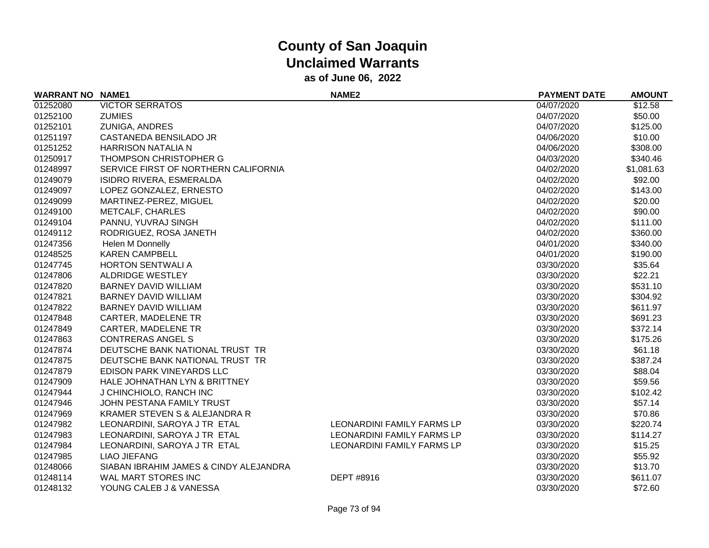| <b>WARRANT NO NAME1</b> |                                        | NAME <sub>2</sub>          | <b>PAYMENT DATE</b> | <b>AMOUNT</b> |
|-------------------------|----------------------------------------|----------------------------|---------------------|---------------|
| 01252080                | <b>VICTOR SERRATOS</b>                 |                            | 04/07/2020          | \$12.58       |
| 01252100                | <b>ZUMIES</b>                          |                            | 04/07/2020          | \$50.00       |
| 01252101                | <b>ZUNIGA, ANDRES</b>                  |                            | 04/07/2020          | \$125.00      |
| 01251197                | CASTANEDA BENSILADO JR                 |                            | 04/06/2020          | \$10.00       |
| 01251252                | <b>HARRISON NATALIA N</b>              |                            | 04/06/2020          | \$308.00      |
| 01250917                | <b>THOMPSON CHRISTOPHER G</b>          |                            | 04/03/2020          | \$340.46      |
| 01248997                | SERVICE FIRST OF NORTHERN CALIFORNIA   |                            | 04/02/2020          | \$1,081.63    |
| 01249079                | ISIDRO RIVERA, ESMERALDA               |                            | 04/02/2020          | \$92.00       |
| 01249097                | LOPEZ GONZALEZ, ERNESTO                |                            | 04/02/2020          | \$143.00      |
| 01249099                | MARTINEZ-PEREZ, MIGUEL                 |                            | 04/02/2020          | \$20.00       |
| 01249100                | <b>METCALF, CHARLES</b>                |                            | 04/02/2020          | \$90.00       |
| 01249104                | PANNU, YUVRAJ SINGH                    |                            | 04/02/2020          | \$111.00      |
| 01249112                | RODRIGUEZ, ROSA JANETH                 |                            | 04/02/2020          | \$360.00      |
| 01247356                | Helen M Donnelly                       |                            | 04/01/2020          | \$340.00      |
| 01248525                | <b>KAREN CAMPBELL</b>                  |                            | 04/01/2020          | \$190.00      |
| 01247745                | <b>HORTON SENTWALI A</b>               |                            | 03/30/2020          | \$35.64       |
| 01247806                | ALDRIDGE WESTLEY                       |                            | 03/30/2020          | \$22.21       |
| 01247820                | <b>BARNEY DAVID WILLIAM</b>            |                            | 03/30/2020          | \$531.10      |
| 01247821                | <b>BARNEY DAVID WILLIAM</b>            |                            | 03/30/2020          | \$304.92      |
| 01247822                | <b>BARNEY DAVID WILLIAM</b>            |                            | 03/30/2020          | \$611.97      |
| 01247848                | <b>CARTER, MADELENE TR</b>             |                            | 03/30/2020          | \$691.23      |
| 01247849                | <b>CARTER, MADELENE TR</b>             |                            | 03/30/2020          | \$372.14      |
| 01247863                | <b>CONTRERAS ANGEL S</b>               |                            | 03/30/2020          | \$175.26      |
| 01247874                | DEUTSCHE BANK NATIONAL TRUST TR        |                            | 03/30/2020          | \$61.18       |
| 01247875                | DEUTSCHE BANK NATIONAL TRUST TR        |                            | 03/30/2020          | \$387.24      |
| 01247879                | EDISON PARK VINEYARDS LLC              |                            | 03/30/2020          | \$88.04       |
| 01247909                | HALE JOHNATHAN LYN & BRITTNEY          |                            | 03/30/2020          | \$59.56       |
| 01247944                | J CHINCHIOLO, RANCH INC                |                            | 03/30/2020          | \$102.42      |
| 01247946                | JOHN PESTANA FAMILY TRUST              |                            | 03/30/2020          | \$57.14       |
| 01247969                | KRAMER STEVEN S & ALEJANDRA R          |                            | 03/30/2020          | \$70.86       |
| 01247982                | LEONARDINI, SAROYA J TR ETAL           | LEONARDINI FAMILY FARMS LP | 03/30/2020          | \$220.74      |
| 01247983                | LEONARDINI, SAROYA J TR ETAL           | LEONARDINI FAMILY FARMS LP | 03/30/2020          | \$114.27      |
| 01247984                | LEONARDINI, SAROYA J TR ETAL           | LEONARDINI FAMILY FARMS LP | 03/30/2020          | \$15.25       |
| 01247985                | LIAO JIEFANG                           |                            | 03/30/2020          | \$55.92       |
| 01248066                | SIABAN IBRAHIM JAMES & CINDY ALEJANDRA |                            | 03/30/2020          | \$13.70       |
| 01248114                | WAL MART STORES INC                    | DEPT #8916                 | 03/30/2020          | \$611.07      |
| 01248132                | YOUNG CALEB J & VANESSA                |                            | 03/30/2020          | \$72.60       |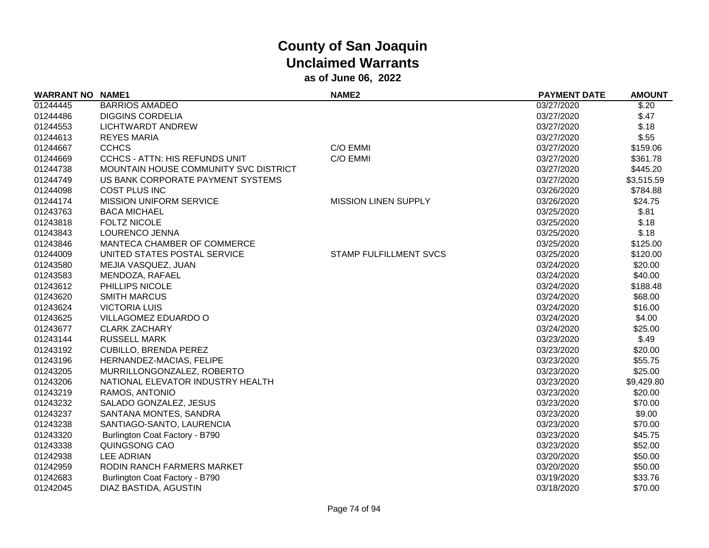| <b>WARRANT NO NAME1</b> |                                       | NAME <sub>2</sub>             | <b>PAYMENT DATE</b> | <b>AMOUNT</b> |
|-------------------------|---------------------------------------|-------------------------------|---------------------|---------------|
| 01244445                | <b>BARRIOS AMADEO</b>                 |                               | 03/27/2020          | \$.20         |
| 01244486                | <b>DIGGINS CORDELIA</b>               |                               | 03/27/2020          | \$.47         |
| 01244553                | LICHTWARDT ANDREW                     |                               | 03/27/2020          | \$.18         |
| 01244613                | <b>REYES MARIA</b>                    |                               | 03/27/2020          | \$.55         |
| 01244667                | <b>CCHCS</b>                          | C/O EMMI                      | 03/27/2020          | \$159.06      |
| 01244669                | <b>CCHCS - ATTN: HIS REFUNDS UNIT</b> | C/O EMMI                      | 03/27/2020          | \$361.78      |
| 01244738                | MOUNTAIN HOUSE COMMUNITY SVC DISTRICT |                               | 03/27/2020          | \$445.20      |
| 01244749                | US BANK CORPORATE PAYMENT SYSTEMS     |                               | 03/27/2020          | \$3,515.59    |
| 01244098                | <b>COST PLUS INC</b>                  |                               | 03/26/2020          | \$784.88      |
| 01244174                | <b>MISSION UNIFORM SERVICE</b>        | <b>MISSION LINEN SUPPLY</b>   | 03/26/2020          | \$24.75       |
| 01243763                | <b>BACA MICHAEL</b>                   |                               | 03/25/2020          | \$.81         |
| 01243818                | <b>FOLTZ NICOLE</b>                   |                               | 03/25/2020          | \$.18         |
| 01243843                | LOURENCO JENNA                        |                               | 03/25/2020          | \$.18         |
| 01243846                | MANTECA CHAMBER OF COMMERCE           |                               | 03/25/2020          | \$125.00      |
| 01244009                | UNITED STATES POSTAL SERVICE          | <b>STAMP FULFILLMENT SVCS</b> | 03/25/2020          | \$120.00      |
| 01243580                | MEJIA VASQUEZ, JUAN                   |                               | 03/24/2020          | \$20.00       |
| 01243583                | MENDOZA, RAFAEL                       |                               | 03/24/2020          | \$40.00       |
| 01243612                | PHILLIPS NICOLE                       |                               | 03/24/2020          | \$188.48      |
| 01243620                | <b>SMITH MARCUS</b>                   |                               | 03/24/2020          | \$68.00       |
| 01243624                | <b>VICTORIA LUIS</b>                  |                               | 03/24/2020          | \$16.00       |
| 01243625                | VILLAGOMEZ EDUARDO O                  |                               | 03/24/2020          | \$4.00        |
| 01243677                | <b>CLARK ZACHARY</b>                  |                               | 03/24/2020          | \$25.00       |
| 01243144                | <b>RUSSELL MARK</b>                   |                               | 03/23/2020          | \$.49         |
| 01243192                | <b>CUBILLO, BRENDA PEREZ</b>          |                               | 03/23/2020          | \$20.00       |
| 01243196                | HERNANDEZ-MACIAS, FELIPE              |                               | 03/23/2020          | \$55.75       |
| 01243205                | MURRILLONGONZALEZ, ROBERTO            |                               | 03/23/2020          | \$25.00       |
| 01243206                | NATIONAL ELEVATOR INDUSTRY HEALTH     |                               | 03/23/2020          | \$9,429.80    |
| 01243219                | RAMOS, ANTONIO                        |                               | 03/23/2020          | \$20.00       |
| 01243232                | SALADO GONZALEZ, JESUS                |                               | 03/23/2020          | \$70.00       |
| 01243237                | SANTANA MONTES, SANDRA                |                               | 03/23/2020          | \$9.00        |
| 01243238                | SANTIAGO-SANTO, LAURENCIA             |                               | 03/23/2020          | \$70.00       |
| 01243320                | Burlington Coat Factory - B790        |                               | 03/23/2020          | \$45.75       |
| 01243338                | QUINGSONG CAO                         |                               | 03/23/2020          | \$52.00       |
| 01242938                | <b>LEE ADRIAN</b>                     |                               | 03/20/2020          | \$50.00       |
| 01242959                | RODIN RANCH FARMERS MARKET            |                               | 03/20/2020          | \$50.00       |
| 01242683                | Burlington Coat Factory - B790        |                               | 03/19/2020          | \$33.76       |
| 01242045                | DIAZ BASTIDA, AGUSTIN                 |                               | 03/18/2020          | \$70.00       |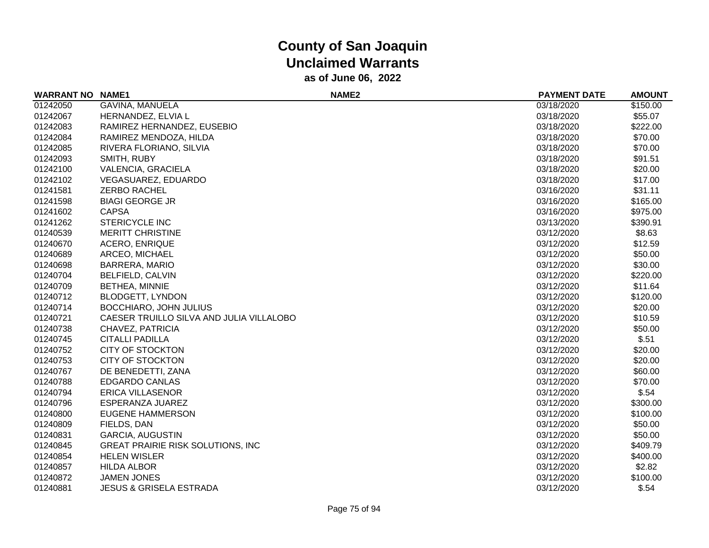| <b>WARRANT NO NAME1</b> |                                          | NAME <sub>2</sub> | <b>PAYMENT DATE</b> | <b>AMOUNT</b> |
|-------------------------|------------------------------------------|-------------------|---------------------|---------------|
| 01242050                | GAVINA, MANUELA                          |                   | 03/18/2020          | \$150.00      |
| 01242067                | HERNANDEZ, ELVIA L                       |                   | 03/18/2020          | \$55.07       |
| 01242083                | RAMIREZ HERNANDEZ, EUSEBIO               |                   | 03/18/2020          | \$222.00      |
| 01242084                | RAMIREZ MENDOZA, HILDA                   |                   | 03/18/2020          | \$70.00       |
| 01242085                | RIVERA FLORIANO, SILVIA                  |                   | 03/18/2020          | \$70.00       |
| 01242093                | SMITH, RUBY                              |                   | 03/18/2020          | \$91.51       |
| 01242100                | VALENCIA, GRACIELA                       |                   | 03/18/2020          | \$20.00       |
| 01242102                | VEGASUAREZ, EDUARDO                      |                   | 03/18/2020          | \$17.00       |
| 01241581                | ZERBO RACHEL                             |                   | 03/16/2020          | \$31.11       |
| 01241598                | <b>BIAGI GEORGE JR</b>                   |                   | 03/16/2020          | \$165.00      |
| 01241602                | <b>CAPSA</b>                             |                   | 03/16/2020          | \$975.00      |
| 01241262                | STERICYCLE INC                           |                   | 03/13/2020          | \$390.91      |
| 01240539                | <b>MERITT CHRISTINE</b>                  |                   | 03/12/2020          | \$8.63        |
| 01240670                | <b>ACERO, ENRIQUE</b>                    |                   | 03/12/2020          | \$12.59       |
| 01240689                | ARCEO, MICHAEL                           |                   | 03/12/2020          | \$50.00       |
| 01240698                | <b>BARRERA, MARIO</b>                    |                   | 03/12/2020          | \$30.00       |
| 01240704                | <b>BELFIELD, CALVIN</b>                  |                   | 03/12/2020          | \$220.00      |
| 01240709                | <b>BETHEA, MINNIE</b>                    |                   | 03/12/2020          | \$11.64       |
| 01240712                | <b>BLODGETT, LYNDON</b>                  |                   | 03/12/2020          | \$120.00      |
| 01240714                | <b>BOCCHIARO, JOHN JULIUS</b>            |                   | 03/12/2020          | \$20.00       |
| 01240721                | CAESER TRUILLO SILVA AND JULIA VILLALOBO |                   | 03/12/2020          | \$10.59       |
| 01240738                | CHAVEZ, PATRICIA                         |                   | 03/12/2020          | \$50.00       |
| 01240745                | <b>CITALLI PADILLA</b>                   |                   | 03/12/2020          | \$.51         |
| 01240752                | <b>CITY OF STOCKTON</b>                  |                   | 03/12/2020          | \$20.00       |
| 01240753                | <b>CITY OF STOCKTON</b>                  |                   | 03/12/2020          | \$20.00       |
| 01240767                | DE BENEDETTI, ZANA                       |                   | 03/12/2020          | \$60.00       |
| 01240788                | <b>EDGARDO CANLAS</b>                    |                   | 03/12/2020          | \$70.00       |
| 01240794                | <b>ERICA VILLASENOR</b>                  |                   | 03/12/2020          | \$.54         |
| 01240796                | ESPERANZA JUAREZ                         |                   | 03/12/2020          | \$300.00      |
| 01240800                | EUGENE HAMMERSON                         |                   | 03/12/2020          | \$100.00      |
| 01240809                | FIELDS, DAN                              |                   | 03/12/2020          | \$50.00       |
| 01240831                | <b>GARCIA, AUGUSTIN</b>                  |                   | 03/12/2020          | \$50.00       |
| 01240845                | <b>GREAT PRAIRIE RISK SOLUTIONS, INC</b> |                   | 03/12/2020          | \$409.79      |
| 01240854                | <b>HELEN WISLER</b>                      |                   | 03/12/2020          | \$400.00      |
| 01240857                | <b>HILDA ALBOR</b>                       |                   | 03/12/2020          | \$2.82        |
| 01240872                | <b>JAMEN JONES</b>                       |                   | 03/12/2020          | \$100.00      |
| 01240881                | <b>JESUS &amp; GRISELA ESTRADA</b>       |                   | 03/12/2020          | \$.54         |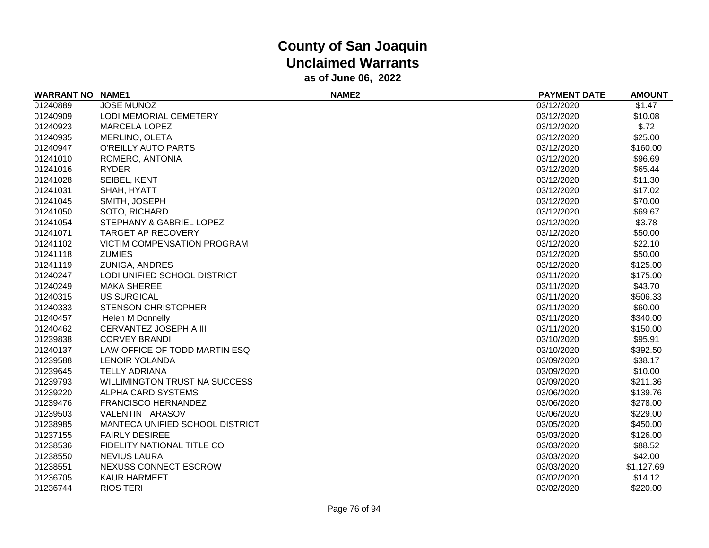| <b>WARRANT NO NAME1</b> |                                      | NAME <sub>2</sub> | <b>PAYMENT DATE</b> | <b>AMOUNT</b> |
|-------------------------|--------------------------------------|-------------------|---------------------|---------------|
| 01240889                | <b>JOSE MUNOZ</b>                    |                   | 03/12/2020          | \$1.47        |
| 01240909                | LODI MEMORIAL CEMETERY               |                   | 03/12/2020          | \$10.08       |
| 01240923                | <b>MARCELA LOPEZ</b>                 |                   | 03/12/2020          | \$.72         |
| 01240935                | MERLINO, OLETA                       |                   | 03/12/2020          | \$25.00       |
| 01240947                | O'REILLY AUTO PARTS                  |                   | 03/12/2020          | \$160.00      |
| 01241010                | ROMERO, ANTONIA                      |                   | 03/12/2020          | \$96.69       |
| 01241016                | <b>RYDER</b>                         |                   | 03/12/2020          | \$65.44       |
| 01241028                | SEIBEL, KENT                         |                   | 03/12/2020          | \$11.30       |
| 01241031                | SHAH, HYATT                          |                   | 03/12/2020          | \$17.02       |
| 01241045                | SMITH, JOSEPH                        |                   | 03/12/2020          | \$70.00       |
| 01241050                | SOTO, RICHARD                        |                   | 03/12/2020          | \$69.67       |
| 01241054                | STEPHANY & GABRIEL LOPEZ             |                   | 03/12/2020          | \$3.78        |
| 01241071                | <b>TARGET AP RECOVERY</b>            |                   | 03/12/2020          | \$50.00       |
| 01241102                | VICTIM COMPENSATION PROGRAM          |                   | 03/12/2020          | \$22.10       |
| 01241118                | <b>ZUMIES</b>                        |                   | 03/12/2020          | \$50.00       |
| 01241119                | ZUNIGA, ANDRES                       |                   | 03/12/2020          | \$125.00      |
| 01240247                | LODI UNIFIED SCHOOL DISTRICT         |                   | 03/11/2020          | \$175.00      |
| 01240249                | <b>MAKA SHEREE</b>                   |                   | 03/11/2020          | \$43.70       |
| 01240315                | <b>US SURGICAL</b>                   |                   | 03/11/2020          | \$506.33      |
| 01240333                | <b>STENSON CHRISTOPHER</b>           |                   | 03/11/2020          | \$60.00       |
| 01240457                | Helen M Donnelly                     |                   | 03/11/2020          | \$340.00      |
| 01240462                | CERVANTEZ JOSEPH A III               |                   | 03/11/2020          | \$150.00      |
| 01239838                | <b>CORVEY BRANDI</b>                 |                   | 03/10/2020          | \$95.91       |
| 01240137                | LAW OFFICE OF TODD MARTIN ESQ        |                   | 03/10/2020          | \$392.50      |
| 01239588                | LENOIR YOLANDA                       |                   | 03/09/2020          | \$38.17       |
| 01239645                | <b>TELLY ADRIANA</b>                 |                   | 03/09/2020          | \$10.00       |
| 01239793                | <b>WILLIMINGTON TRUST NA SUCCESS</b> |                   | 03/09/2020          | \$211.36      |
| 01239220                | ALPHA CARD SYSTEMS                   |                   | 03/06/2020          | \$139.76      |
| 01239476                | <b>FRANCISCO HERNANDEZ</b>           |                   | 03/06/2020          | \$278.00      |
| 01239503                | <b>VALENTIN TARASOV</b>              |                   | 03/06/2020          | \$229.00      |
| 01238985                | MANTECA UNIFIED SCHOOL DISTRICT      |                   | 03/05/2020          | \$450.00      |
| 01237155                | <b>FAIRLY DESIREE</b>                |                   | 03/03/2020          | \$126.00      |
| 01238536                | FIDELITY NATIONAL TITLE CO           |                   | 03/03/2020          | \$88.52       |
| 01238550                | <b>NEVIUS LAURA</b>                  |                   | 03/03/2020          | \$42.00       |
| 01238551                | NEXUSS CONNECT ESCROW                |                   | 03/03/2020          | \$1,127.69    |
| 01236705                | <b>KAUR HARMEET</b>                  |                   | 03/02/2020          | \$14.12       |
| 01236744                | <b>RIOS TERI</b>                     |                   | 03/02/2020          | \$220.00      |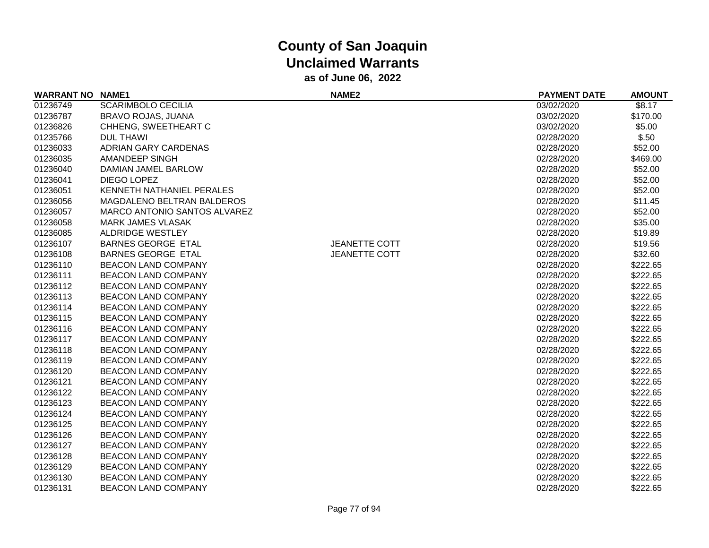| <b>WARRANT NO</b> | <b>NAME1</b>                 | NAME <sub>2</sub>    | <b>PAYMENT DATE</b> | <b>AMOUNT</b> |
|-------------------|------------------------------|----------------------|---------------------|---------------|
| 01236749          | <b>SCARIMBOLO CECILIA</b>    |                      | 03/02/2020          | \$8.17        |
| 01236787          | BRAVO ROJAS, JUANA           |                      | 03/02/2020          | \$170.00      |
| 01236826          | CHHENG, SWEETHEART C         |                      | 03/02/2020          | \$5.00        |
| 01235766          | <b>DUL THAWI</b>             |                      | 02/28/2020          | \$.50         |
| 01236033          | <b>ADRIAN GARY CARDENAS</b>  |                      | 02/28/2020          | \$52.00       |
| 01236035          | AMANDEEP SINGH               |                      | 02/28/2020          | \$469.00      |
| 01236040          | DAMIAN JAMEL BARLOW          |                      | 02/28/2020          | \$52.00       |
| 01236041          | DIEGO LOPEZ                  |                      | 02/28/2020          | \$52.00       |
| 01236051          | KENNETH NATHANIEL PERALES    |                      | 02/28/2020          | \$52.00       |
| 01236056          | MAGDALENO BELTRAN BALDEROS   |                      | 02/28/2020          | \$11.45       |
| 01236057          | MARCO ANTONIO SANTOS ALVAREZ |                      | 02/28/2020          | \$52.00       |
| 01236058          | <b>MARK JAMES VLASAK</b>     |                      | 02/28/2020          | \$35.00       |
| 01236085          | <b>ALDRIDGE WESTLEY</b>      |                      | 02/28/2020          | \$19.89       |
| 01236107          | <b>BARNES GEORGE ETAL</b>    | <b>JEANETTE COTT</b> | 02/28/2020          | \$19.56       |
| 01236108          | <b>BARNES GEORGE ETAL</b>    | <b>JEANETTE COTT</b> | 02/28/2020          | \$32.60       |
| 01236110          | <b>BEACON LAND COMPANY</b>   |                      | 02/28/2020          | \$222.65      |
| 01236111          | <b>BEACON LAND COMPANY</b>   |                      | 02/28/2020          | \$222.65      |
| 01236112          | <b>BEACON LAND COMPANY</b>   |                      | 02/28/2020          | \$222.65      |
| 01236113          | <b>BEACON LAND COMPANY</b>   |                      | 02/28/2020          | \$222.65      |
| 01236114          | <b>BEACON LAND COMPANY</b>   |                      | 02/28/2020          | \$222.65      |
| 01236115          | <b>BEACON LAND COMPANY</b>   |                      | 02/28/2020          | \$222.65      |
| 01236116          | <b>BEACON LAND COMPANY</b>   |                      | 02/28/2020          | \$222.65      |
| 01236117          | <b>BEACON LAND COMPANY</b>   |                      | 02/28/2020          | \$222.65      |
| 01236118          | <b>BEACON LAND COMPANY</b>   |                      | 02/28/2020          | \$222.65      |
| 01236119          | <b>BEACON LAND COMPANY</b>   |                      | 02/28/2020          | \$222.65      |
| 01236120          | <b>BEACON LAND COMPANY</b>   |                      | 02/28/2020          | \$222.65      |
| 01236121          | <b>BEACON LAND COMPANY</b>   |                      | 02/28/2020          | \$222.65      |
| 01236122          | <b>BEACON LAND COMPANY</b>   |                      | 02/28/2020          | \$222.65      |
| 01236123          | <b>BEACON LAND COMPANY</b>   |                      | 02/28/2020          | \$222.65      |
| 01236124          | <b>BEACON LAND COMPANY</b>   |                      | 02/28/2020          | \$222.65      |
| 01236125          | <b>BEACON LAND COMPANY</b>   |                      | 02/28/2020          | \$222.65      |
| 01236126          | <b>BEACON LAND COMPANY</b>   |                      | 02/28/2020          | \$222.65      |
| 01236127          | <b>BEACON LAND COMPANY</b>   |                      | 02/28/2020          | \$222.65      |
| 01236128          | <b>BEACON LAND COMPANY</b>   |                      | 02/28/2020          | \$222.65      |
| 01236129          | <b>BEACON LAND COMPANY</b>   |                      | 02/28/2020          | \$222.65      |
| 01236130          | <b>BEACON LAND COMPANY</b>   |                      | 02/28/2020          | \$222.65      |
| 01236131          | BEACON LAND COMPANY          |                      | 02/28/2020          | \$222.65      |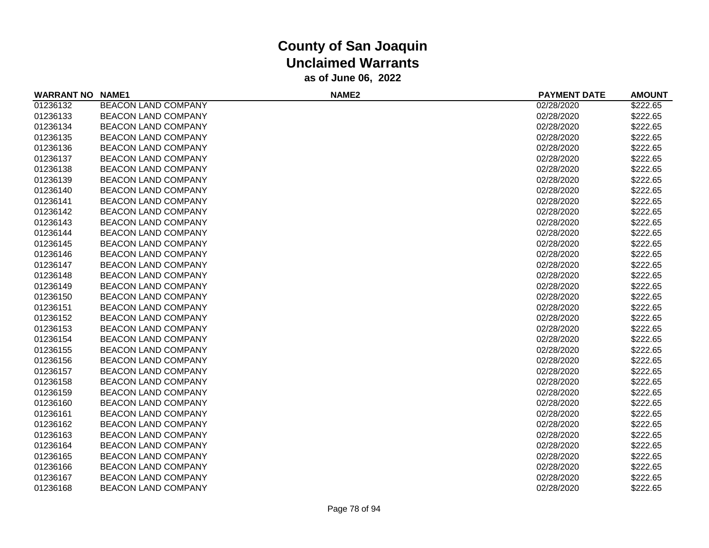| <b>WARRANT NO NAME1</b> |                            | NAME <sub>2</sub> | <b>PAYMENT DATE</b> | <b>AMOUNT</b> |
|-------------------------|----------------------------|-------------------|---------------------|---------------|
| 01236132                | <b>BEACON LAND COMPANY</b> |                   | 02/28/2020          | \$222.65      |
| 01236133                | <b>BEACON LAND COMPANY</b> |                   | 02/28/2020          | \$222.65      |
| 01236134                | <b>BEACON LAND COMPANY</b> |                   | 02/28/2020          | \$222.65      |
| 01236135                | <b>BEACON LAND COMPANY</b> |                   | 02/28/2020          | \$222.65      |
| 01236136                | <b>BEACON LAND COMPANY</b> |                   | 02/28/2020          | \$222.65      |
| 01236137                | <b>BEACON LAND COMPANY</b> |                   | 02/28/2020          | \$222.65      |
| 01236138                | <b>BEACON LAND COMPANY</b> |                   | 02/28/2020          | \$222.65      |
| 01236139                | <b>BEACON LAND COMPANY</b> |                   | 02/28/2020          | \$222.65      |
| 01236140                | <b>BEACON LAND COMPANY</b> |                   | 02/28/2020          | \$222.65      |
| 01236141                | <b>BEACON LAND COMPANY</b> |                   | 02/28/2020          | \$222.65      |
| 01236142                | <b>BEACON LAND COMPANY</b> |                   | 02/28/2020          | \$222.65      |
| 01236143                | <b>BEACON LAND COMPANY</b> |                   | 02/28/2020          | \$222.65      |
| 01236144                | <b>BEACON LAND COMPANY</b> |                   | 02/28/2020          | \$222.65      |
| 01236145                | <b>BEACON LAND COMPANY</b> |                   | 02/28/2020          | \$222.65      |
| 01236146                | <b>BEACON LAND COMPANY</b> |                   | 02/28/2020          | \$222.65      |
| 01236147                | <b>BEACON LAND COMPANY</b> |                   | 02/28/2020          | \$222.65      |
| 01236148                | <b>BEACON LAND COMPANY</b> |                   | 02/28/2020          | \$222.65      |
| 01236149                | <b>BEACON LAND COMPANY</b> |                   | 02/28/2020          | \$222.65      |
| 01236150                | <b>BEACON LAND COMPANY</b> |                   | 02/28/2020          | \$222.65      |
| 01236151                | <b>BEACON LAND COMPANY</b> |                   | 02/28/2020          | \$222.65      |
| 01236152                | <b>BEACON LAND COMPANY</b> |                   | 02/28/2020          | \$222.65      |
| 01236153                | <b>BEACON LAND COMPANY</b> |                   | 02/28/2020          | \$222.65      |
| 01236154                | <b>BEACON LAND COMPANY</b> |                   | 02/28/2020          | \$222.65      |
| 01236155                | <b>BEACON LAND COMPANY</b> |                   | 02/28/2020          | \$222.65      |
| 01236156                | <b>BEACON LAND COMPANY</b> |                   | 02/28/2020          | \$222.65      |
| 01236157                | <b>BEACON LAND COMPANY</b> |                   | 02/28/2020          | \$222.65      |
| 01236158                | <b>BEACON LAND COMPANY</b> |                   | 02/28/2020          | \$222.65      |
| 01236159                | <b>BEACON LAND COMPANY</b> |                   | 02/28/2020          | \$222.65      |
| 01236160                | <b>BEACON LAND COMPANY</b> |                   | 02/28/2020          | \$222.65      |
| 01236161                | <b>BEACON LAND COMPANY</b> |                   | 02/28/2020          | \$222.65      |
| 01236162                | <b>BEACON LAND COMPANY</b> |                   | 02/28/2020          | \$222.65      |
| 01236163                | <b>BEACON LAND COMPANY</b> |                   | 02/28/2020          | \$222.65      |
| 01236164                | <b>BEACON LAND COMPANY</b> |                   | 02/28/2020          | \$222.65      |
| 01236165                | <b>BEACON LAND COMPANY</b> |                   | 02/28/2020          | \$222.65      |
| 01236166                | <b>BEACON LAND COMPANY</b> |                   | 02/28/2020          | \$222.65      |
| 01236167                | <b>BEACON LAND COMPANY</b> |                   | 02/28/2020          | \$222.65      |
| 01236168                | <b>BEACON LAND COMPANY</b> |                   | 02/28/2020          | \$222.65      |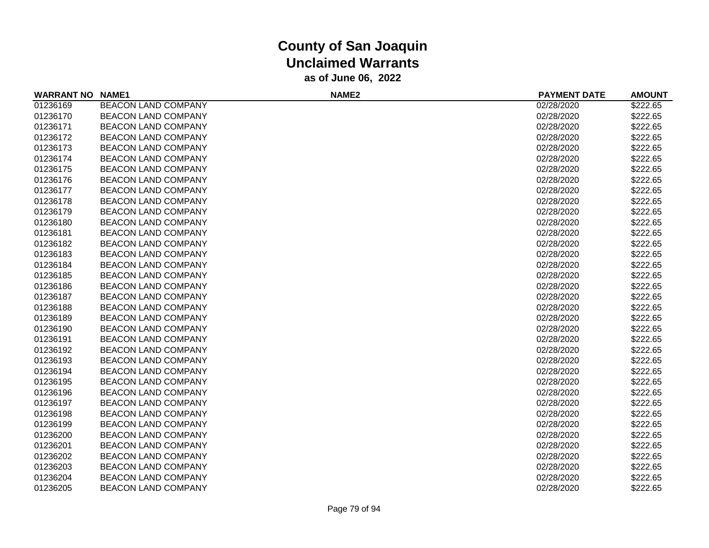| <b>WARRANT NO NAME1</b> |                            | NAME <sub>2</sub> | <b>PAYMENT DATE</b> | <b>AMOUNT</b> |
|-------------------------|----------------------------|-------------------|---------------------|---------------|
| 01236169                | <b>BEACON LAND COMPANY</b> |                   | 02/28/2020          | \$222.65      |
| 01236170                | <b>BEACON LAND COMPANY</b> |                   | 02/28/2020          | \$222.65      |
| 01236171                | <b>BEACON LAND COMPANY</b> |                   | 02/28/2020          | \$222.65      |
| 01236172                | <b>BEACON LAND COMPANY</b> |                   | 02/28/2020          | \$222.65      |
| 01236173                | <b>BEACON LAND COMPANY</b> |                   | 02/28/2020          | \$222.65      |
| 01236174                | <b>BEACON LAND COMPANY</b> |                   | 02/28/2020          | \$222.65      |
| 01236175                | <b>BEACON LAND COMPANY</b> |                   | 02/28/2020          | \$222.65      |
| 01236176                | <b>BEACON LAND COMPANY</b> |                   | 02/28/2020          | \$222.65      |
| 01236177                | BEACON LAND COMPANY        |                   | 02/28/2020          | \$222.65      |
| 01236178                | <b>BEACON LAND COMPANY</b> |                   | 02/28/2020          | \$222.65      |
| 01236179                | <b>BEACON LAND COMPANY</b> |                   | 02/28/2020          | \$222.65      |
| 01236180                | <b>BEACON LAND COMPANY</b> |                   | 02/28/2020          | \$222.65      |
| 01236181                | <b>BEACON LAND COMPANY</b> |                   | 02/28/2020          | \$222.65      |
| 01236182                | <b>BEACON LAND COMPANY</b> |                   | 02/28/2020          | \$222.65      |
| 01236183                | <b>BEACON LAND COMPANY</b> |                   | 02/28/2020          | \$222.65      |
| 01236184                | <b>BEACON LAND COMPANY</b> |                   | 02/28/2020          | \$222.65      |
| 01236185                | <b>BEACON LAND COMPANY</b> |                   | 02/28/2020          | \$222.65      |
| 01236186                | <b>BEACON LAND COMPANY</b> |                   | 02/28/2020          | \$222.65      |
| 01236187                | <b>BEACON LAND COMPANY</b> |                   | 02/28/2020          | \$222.65      |
| 01236188                | <b>BEACON LAND COMPANY</b> |                   | 02/28/2020          | \$222.65      |
| 01236189                | <b>BEACON LAND COMPANY</b> |                   | 02/28/2020          | \$222.65      |
| 01236190                | <b>BEACON LAND COMPANY</b> |                   | 02/28/2020          | \$222.65      |
| 01236191                | <b>BEACON LAND COMPANY</b> |                   | 02/28/2020          | \$222.65      |
| 01236192                | <b>BEACON LAND COMPANY</b> |                   | 02/28/2020          | \$222.65      |
| 01236193                | <b>BEACON LAND COMPANY</b> |                   | 02/28/2020          | \$222.65      |
| 01236194                | <b>BEACON LAND COMPANY</b> |                   | 02/28/2020          | \$222.65      |
| 01236195                | <b>BEACON LAND COMPANY</b> |                   | 02/28/2020          | \$222.65      |
| 01236196                | <b>BEACON LAND COMPANY</b> |                   | 02/28/2020          | \$222.65      |
| 01236197                | <b>BEACON LAND COMPANY</b> |                   | 02/28/2020          | \$222.65      |
| 01236198                | <b>BEACON LAND COMPANY</b> |                   | 02/28/2020          | \$222.65      |
| 01236199                | <b>BEACON LAND COMPANY</b> |                   | 02/28/2020          | \$222.65      |
| 01236200                | <b>BEACON LAND COMPANY</b> |                   | 02/28/2020          | \$222.65      |
| 01236201                | BEACON LAND COMPANY        |                   | 02/28/2020          | \$222.65      |
| 01236202                | <b>BEACON LAND COMPANY</b> |                   | 02/28/2020          | \$222.65      |
| 01236203                | <b>BEACON LAND COMPANY</b> |                   | 02/28/2020          | \$222.65      |
| 01236204                | <b>BEACON LAND COMPANY</b> |                   | 02/28/2020          | \$222.65      |
| 01236205                | <b>BEACON LAND COMPANY</b> |                   | 02/28/2020          | \$222.65      |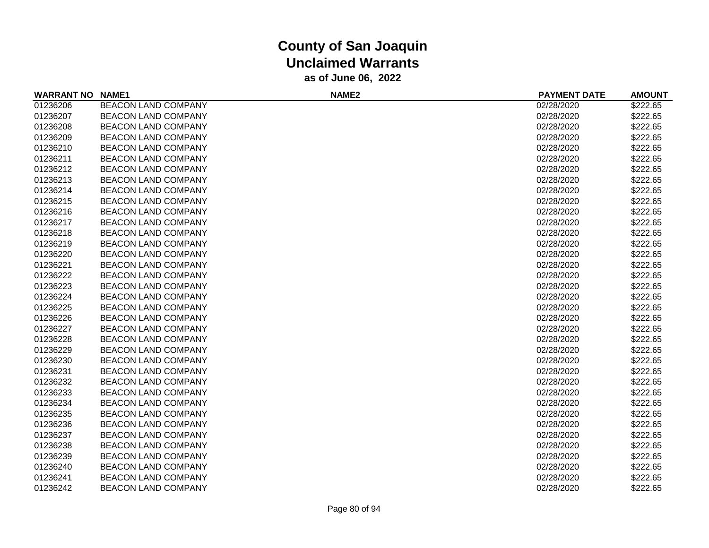| <b>WARRANT NO NAME1</b> |                            | NAME <sub>2</sub> | <b>PAYMENT DATE</b> | <b>AMOUNT</b> |
|-------------------------|----------------------------|-------------------|---------------------|---------------|
| 01236206                | <b>BEACON LAND COMPANY</b> |                   | 02/28/2020          | \$222.65      |
| 01236207                | <b>BEACON LAND COMPANY</b> |                   | 02/28/2020          | \$222.65      |
| 01236208                | <b>BEACON LAND COMPANY</b> |                   | 02/28/2020          | \$222.65      |
| 01236209                | <b>BEACON LAND COMPANY</b> |                   | 02/28/2020          | \$222.65      |
| 01236210                | <b>BEACON LAND COMPANY</b> |                   | 02/28/2020          | \$222.65      |
| 01236211                | <b>BEACON LAND COMPANY</b> |                   | 02/28/2020          | \$222.65      |
| 01236212                | <b>BEACON LAND COMPANY</b> |                   | 02/28/2020          | \$222.65      |
| 01236213                | <b>BEACON LAND COMPANY</b> |                   | 02/28/2020          | \$222.65      |
| 01236214                | <b>BEACON LAND COMPANY</b> |                   | 02/28/2020          | \$222.65      |
| 01236215                | <b>BEACON LAND COMPANY</b> |                   | 02/28/2020          | \$222.65      |
| 01236216                | <b>BEACON LAND COMPANY</b> |                   | 02/28/2020          | \$222.65      |
| 01236217                | <b>BEACON LAND COMPANY</b> |                   | 02/28/2020          | \$222.65      |
| 01236218                | <b>BEACON LAND COMPANY</b> |                   | 02/28/2020          | \$222.65      |
| 01236219                | <b>BEACON LAND COMPANY</b> |                   | 02/28/2020          | \$222.65      |
| 01236220                | <b>BEACON LAND COMPANY</b> |                   | 02/28/2020          | \$222.65      |
| 01236221                | <b>BEACON LAND COMPANY</b> |                   | 02/28/2020          | \$222.65      |
| 01236222                | <b>BEACON LAND COMPANY</b> |                   | 02/28/2020          | \$222.65      |
| 01236223                | <b>BEACON LAND COMPANY</b> |                   | 02/28/2020          | \$222.65      |
| 01236224                | <b>BEACON LAND COMPANY</b> |                   | 02/28/2020          | \$222.65      |
| 01236225                | <b>BEACON LAND COMPANY</b> |                   | 02/28/2020          | \$222.65      |
| 01236226                | <b>BEACON LAND COMPANY</b> |                   | 02/28/2020          | \$222.65      |
| 01236227                | <b>BEACON LAND COMPANY</b> |                   | 02/28/2020          | \$222.65      |
| 01236228                | <b>BEACON LAND COMPANY</b> |                   | 02/28/2020          | \$222.65      |
| 01236229                | <b>BEACON LAND COMPANY</b> |                   | 02/28/2020          | \$222.65      |
| 01236230                | <b>BEACON LAND COMPANY</b> |                   | 02/28/2020          | \$222.65      |
| 01236231                | <b>BEACON LAND COMPANY</b> |                   | 02/28/2020          | \$222.65      |
| 01236232                | <b>BEACON LAND COMPANY</b> |                   | 02/28/2020          | \$222.65      |
| 01236233                | <b>BEACON LAND COMPANY</b> |                   | 02/28/2020          | \$222.65      |
| 01236234                | <b>BEACON LAND COMPANY</b> |                   | 02/28/2020          | \$222.65      |
| 01236235                | <b>BEACON LAND COMPANY</b> |                   | 02/28/2020          | \$222.65      |
| 01236236                | <b>BEACON LAND COMPANY</b> |                   | 02/28/2020          | \$222.65      |
| 01236237                | <b>BEACON LAND COMPANY</b> |                   | 02/28/2020          | \$222.65      |
| 01236238                | <b>BEACON LAND COMPANY</b> |                   | 02/28/2020          | \$222.65      |
| 01236239                | <b>BEACON LAND COMPANY</b> |                   | 02/28/2020          | \$222.65      |
| 01236240                | <b>BEACON LAND COMPANY</b> |                   | 02/28/2020          | \$222.65      |
| 01236241                | <b>BEACON LAND COMPANY</b> |                   | 02/28/2020          | \$222.65      |
| 01236242                | <b>BEACON LAND COMPANY</b> |                   | 02/28/2020          | \$222.65      |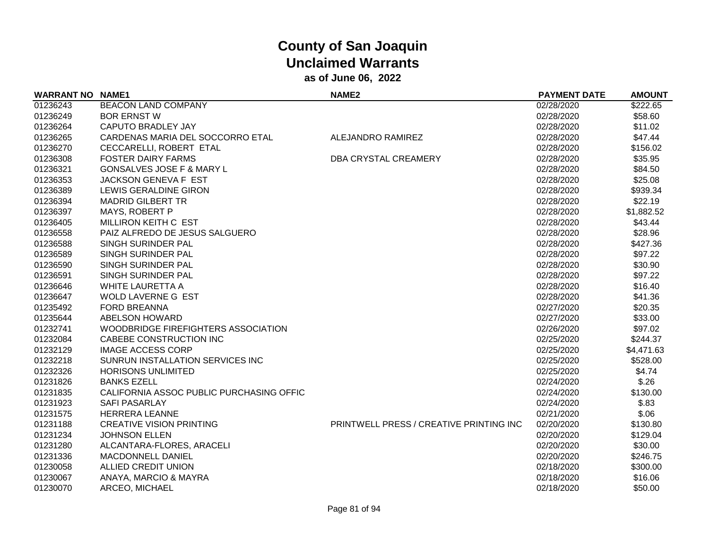| <b>WARRANT NO NAME1</b> |                                          | <b>NAME2</b>                            | <b>PAYMENT DATE</b> | <b>AMOUNT</b> |
|-------------------------|------------------------------------------|-----------------------------------------|---------------------|---------------|
| 01236243                | <b>BEACON LAND COMPANY</b>               |                                         | 02/28/2020          | \$222.65      |
| 01236249                | <b>BOR ERNST W</b>                       |                                         | 02/28/2020          | \$58.60       |
| 01236264                | <b>CAPUTO BRADLEY JAY</b>                |                                         | 02/28/2020          | \$11.02       |
| 01236265                | CARDENAS MARIA DEL SOCCORRO ETAL         | ALEJANDRO RAMIREZ                       | 02/28/2020          | \$47.44       |
| 01236270                | CECCARELLI, ROBERT ETAL                  |                                         | 02/28/2020          | \$156.02      |
| 01236308                | <b>FOSTER DAIRY FARMS</b>                | DBA CRYSTAL CREAMERY                    | 02/28/2020          | \$35.95       |
| 01236321                | GONSALVES JOSE F & MARY L                |                                         | 02/28/2020          | \$84.50       |
| 01236353                | <b>JACKSON GENEVA F EST</b>              |                                         | 02/28/2020          | \$25.08       |
| 01236389                | LEWIS GERALDINE GIRON                    |                                         | 02/28/2020          | \$939.34      |
| 01236394                | <b>MADRID GILBERT TR</b>                 |                                         | 02/28/2020          | \$22.19       |
| 01236397                | MAYS, ROBERT P                           |                                         | 02/28/2020          | \$1,882.52    |
| 01236405                | MILLIRON KEITH C EST                     |                                         | 02/28/2020          | \$43.44       |
| 01236558                | PAIZ ALFREDO DE JESUS SALGUERO           |                                         | 02/28/2020          | \$28.96       |
| 01236588                | SINGH SURINDER PAL                       |                                         | 02/28/2020          | \$427.36      |
| 01236589                | SINGH SURINDER PAL                       |                                         | 02/28/2020          | \$97.22       |
| 01236590                | SINGH SURINDER PAL                       |                                         | 02/28/2020          | \$30.90       |
| 01236591                | SINGH SURINDER PAL                       |                                         | 02/28/2020          | \$97.22       |
| 01236646                | <b>WHITE LAURETTA A</b>                  |                                         | 02/28/2020          | \$16.40       |
| 01236647                | WOLD LAVERNE G EST                       |                                         | 02/28/2020          | \$41.36       |
| 01235492                | <b>FORD BREANNA</b>                      |                                         | 02/27/2020          | \$20.35       |
| 01235644                | ABELSON HOWARD                           |                                         | 02/27/2020          | \$33.00       |
| 01232741                | WOODBRIDGE FIREFIGHTERS ASSOCIATION      |                                         | 02/26/2020          | \$97.02       |
| 01232084                | CABEBE CONSTRUCTION INC                  |                                         | 02/25/2020          | \$244.37      |
| 01232129                | <b>IMAGE ACCESS CORP</b>                 |                                         | 02/25/2020          | \$4,471.63    |
| 01232218                | SUNRUN INSTALLATION SERVICES INC         |                                         | 02/25/2020          | \$528.00      |
| 01232326                | <b>HORISONS UNLIMITED</b>                |                                         | 02/25/2020          | \$4.74        |
| 01231826                | <b>BANKS EZELL</b>                       |                                         | 02/24/2020          | \$.26         |
| 01231835                | CALIFORNIA ASSOC PUBLIC PURCHASING OFFIC |                                         | 02/24/2020          | \$130.00      |
| 01231923                | <b>SAFI PASARLAY</b>                     |                                         | 02/24/2020          | \$.83         |
| 01231575                | <b>HERRERA LEANNE</b>                    |                                         | 02/21/2020          | \$.06         |
| 01231188                | <b>CREATIVE VISION PRINTING</b>          | PRINTWELL PRESS / CREATIVE PRINTING INC | 02/20/2020          | \$130.80      |
| 01231234                | <b>JOHNSON ELLEN</b>                     |                                         | 02/20/2020          | \$129.04      |
| 01231280                | ALCANTARA-FLORES, ARACELI                |                                         | 02/20/2020          | \$30.00       |
| 01231336                | <b>MACDONNELL DANIEL</b>                 |                                         | 02/20/2020          | \$246.75      |
| 01230058                | ALLIED CREDIT UNION                      |                                         | 02/18/2020          | \$300.00      |
| 01230067                | ANAYA, MARCIO & MAYRA                    |                                         | 02/18/2020          | \$16.06       |
| 01230070                | ARCEO, MICHAEL                           |                                         | 02/18/2020          | \$50.00       |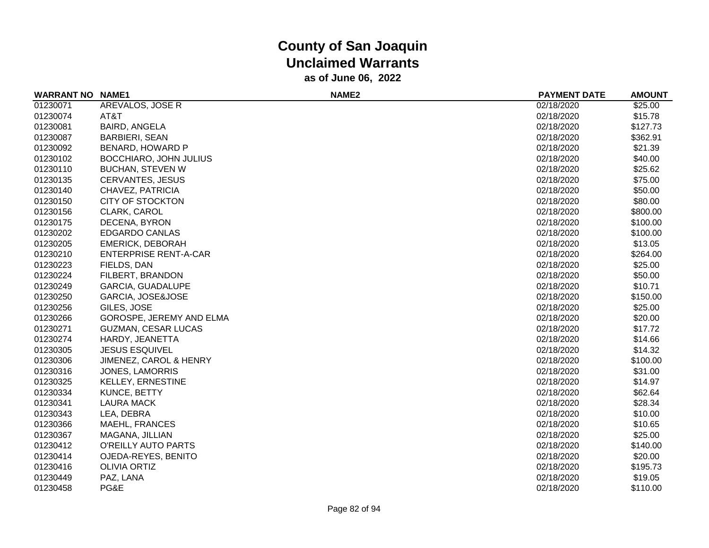| <b>WARRANT NO</b> | <b>NAME1</b>                 | <b>NAME2</b> | <b>PAYMENT DATE</b> | <b>AMOUNT</b> |
|-------------------|------------------------------|--------------|---------------------|---------------|
| 01230071          | AREVALOS, JOSE R             |              | 02/18/2020          | \$25.00       |
| 01230074          | AT&T                         |              | 02/18/2020          | \$15.78       |
| 01230081          | BAIRD, ANGELA                |              | 02/18/2020          | \$127.73      |
| 01230087          | <b>BARBIERI, SEAN</b>        |              | 02/18/2020          | \$362.91      |
| 01230092          | BENARD, HOWARD P             |              | 02/18/2020          | \$21.39       |
| 01230102          | BOCCHIARO, JOHN JULIUS       |              | 02/18/2020          | \$40.00       |
| 01230110          | <b>BUCHAN, STEVEN W</b>      |              | 02/18/2020          | \$25.62       |
| 01230135          | <b>CERVANTES, JESUS</b>      |              | 02/18/2020          | \$75.00       |
| 01230140          | CHAVEZ, PATRICIA             |              | 02/18/2020          | \$50.00       |
| 01230150          | <b>CITY OF STOCKTON</b>      |              | 02/18/2020          | \$80.00       |
| 01230156          | CLARK, CAROL                 |              | 02/18/2020          | \$800.00      |
| 01230175          | DECENA, BYRON                |              | 02/18/2020          | \$100.00      |
| 01230202          | <b>EDGARDO CANLAS</b>        |              | 02/18/2020          | \$100.00      |
| 01230205          | <b>EMERICK, DEBORAH</b>      |              | 02/18/2020          | \$13.05       |
| 01230210          | <b>ENTERPRISE RENT-A-CAR</b> |              | 02/18/2020          | \$264.00      |
| 01230223          | FIELDS, DAN                  |              | 02/18/2020          | \$25.00       |
| 01230224          | FILBERT, BRANDON             |              | 02/18/2020          | \$50.00       |
| 01230249          | <b>GARCIA, GUADALUPE</b>     |              | 02/18/2020          | \$10.71       |
| 01230250          | GARCIA, JOSE&JOSE            |              | 02/18/2020          | \$150.00      |
| 01230256          | GILES, JOSE                  |              | 02/18/2020          | \$25.00       |
| 01230266          | GOROSPE, JEREMY AND ELMA     |              | 02/18/2020          | \$20.00       |
| 01230271          | <b>GUZMAN, CESAR LUCAS</b>   |              | 02/18/2020          | \$17.72       |
| 01230274          | HARDY, JEANETTA              |              | 02/18/2020          | \$14.66       |
| 01230305          | <b>JESUS ESQUIVEL</b>        |              | 02/18/2020          | \$14.32       |
| 01230306          | JIMENEZ, CAROL & HENRY       |              | 02/18/2020          | \$100.00      |
| 01230316          | <b>JONES, LAMORRIS</b>       |              | 02/18/2020          | \$31.00       |
| 01230325          | <b>KELLEY, ERNESTINE</b>     |              | 02/18/2020          | \$14.97       |
| 01230334          | <b>KUNCE, BETTY</b>          |              | 02/18/2020          | \$62.64       |
| 01230341          | <b>LAURA MACK</b>            |              | 02/18/2020          | \$28.34       |
| 01230343          | LEA, DEBRA                   |              | 02/18/2020          | \$10.00       |
| 01230366          | <b>MAEHL, FRANCES</b>        |              | 02/18/2020          | \$10.65       |
| 01230367          | MAGANA, JILLIAN              |              | 02/18/2020          | \$25.00       |
| 01230412          | O'REILLY AUTO PARTS          |              | 02/18/2020          | \$140.00      |
| 01230414          | OJEDA-REYES, BENITO          |              | 02/18/2020          | \$20.00       |
| 01230416          | <b>OLIVIA ORTIZ</b>          |              | 02/18/2020          | \$195.73      |
| 01230449          | PAZ, LANA                    |              | 02/18/2020          | \$19.05       |
| 01230458          | PG&E                         |              | 02/18/2020          | \$110.00      |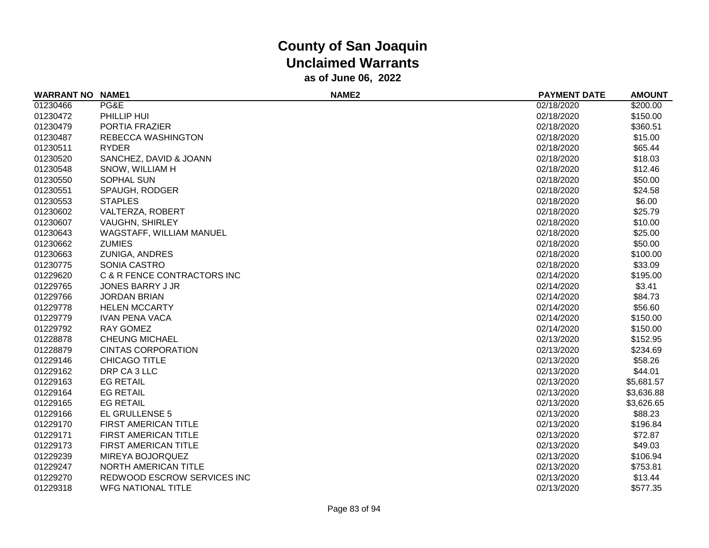| <b>WARRANT NO</b> | <b>NAME1</b>                | NAME <sub>2</sub> | <b>PAYMENT DATE</b> | <b>AMOUNT</b> |
|-------------------|-----------------------------|-------------------|---------------------|---------------|
| 01230466          | PG&E                        |                   | 02/18/2020          | \$200.00      |
| 01230472          | PHILLIP HUI                 |                   | 02/18/2020          | \$150.00      |
| 01230479          | PORTIA FRAZIER              |                   | 02/18/2020          | \$360.51      |
| 01230487          | REBECCA WASHINGTON          |                   | 02/18/2020          | \$15.00       |
| 01230511          | <b>RYDER</b>                |                   | 02/18/2020          | \$65.44       |
| 01230520          | SANCHEZ, DAVID & JOANN      |                   | 02/18/2020          | \$18.03       |
| 01230548          | SNOW, WILLIAM H             |                   | 02/18/2020          | \$12.46       |
| 01230550          | <b>SOPHAL SUN</b>           |                   | 02/18/2020          | \$50.00       |
| 01230551          | SPAUGH, RODGER              |                   | 02/18/2020          | \$24.58       |
| 01230553          | <b>STAPLES</b>              |                   | 02/18/2020          | \$6.00        |
| 01230602          | VALTERZA, ROBERT            |                   | 02/18/2020          | \$25.79       |
| 01230607          | <b>VAUGHN, SHIRLEY</b>      |                   | 02/18/2020          | \$10.00       |
| 01230643          | WAGSTAFF, WILLIAM MANUEL    |                   | 02/18/2020          | \$25.00       |
| 01230662          | <b>ZUMIES</b>               |                   | 02/18/2020          | \$50.00       |
| 01230663          | <b>ZUNIGA, ANDRES</b>       |                   | 02/18/2020          | \$100.00      |
| 01230775          | <b>SONIA CASTRO</b>         |                   | 02/18/2020          | \$33.09       |
| 01229620          | C & R FENCE CONTRACTORS INC |                   | 02/14/2020          | \$195.00      |
| 01229765          | JONES BARRY J JR            |                   | 02/14/2020          | \$3.41        |
| 01229766          | <b>JORDAN BRIAN</b>         |                   | 02/14/2020          | \$84.73       |
| 01229778          | <b>HELEN MCCARTY</b>        |                   | 02/14/2020          | \$56.60       |
| 01229779          | <b>IVAN PENA VACA</b>       |                   | 02/14/2020          | \$150.00      |
| 01229792          | <b>RAY GOMEZ</b>            |                   | 02/14/2020          | \$150.00      |
| 01228878          | <b>CHEUNG MICHAEL</b>       |                   | 02/13/2020          | \$152.95      |
| 01228879          | <b>CINTAS CORPORATION</b>   |                   | 02/13/2020          | \$234.69      |
| 01229146          | <b>CHICAGO TITLE</b>        |                   | 02/13/2020          | \$58.26       |
| 01229162          | DRP CA 3 LLC                |                   | 02/13/2020          | \$44.01       |
| 01229163          | <b>EG RETAIL</b>            |                   | 02/13/2020          | \$5,681.57    |
| 01229164          | <b>EG RETAIL</b>            |                   | 02/13/2020          | \$3,636.88    |
| 01229165          | <b>EG RETAIL</b>            |                   | 02/13/2020          | \$3,626.65    |
| 01229166          | EL GRULLENSE 5              |                   | 02/13/2020          | \$88.23       |
| 01229170          | FIRST AMERICAN TITLE        |                   | 02/13/2020          | \$196.84      |
| 01229171          | FIRST AMERICAN TITLE        |                   | 02/13/2020          | \$72.87       |
| 01229173          | FIRST AMERICAN TITLE        |                   | 02/13/2020          | \$49.03       |
| 01229239          | MIREYA BOJORQUEZ            |                   | 02/13/2020          | \$106.94      |
| 01229247          | NORTH AMERICAN TITLE        |                   | 02/13/2020          | \$753.81      |
| 01229270          | REDWOOD ESCROW SERVICES INC |                   | 02/13/2020          | \$13.44       |
| 01229318          | <b>WFG NATIONAL TITLE</b>   |                   | 02/13/2020          | \$577.35      |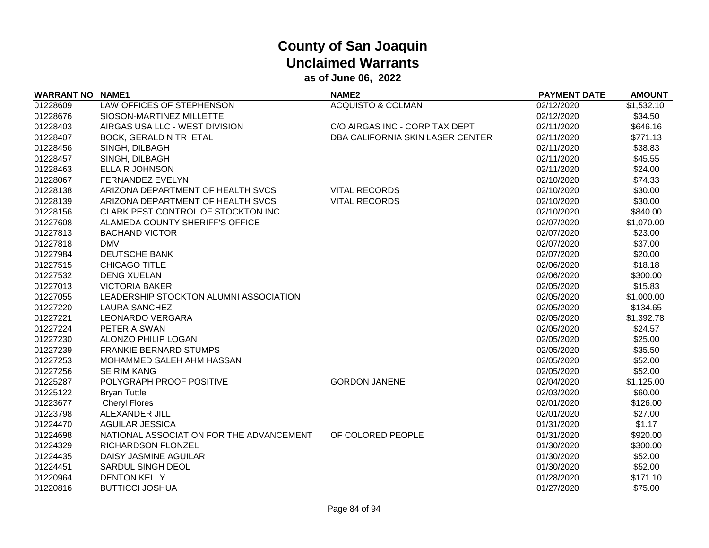| <b>WARRANT NO</b> | <b>NAME1</b>                             | NAME <sub>2</sub>                | <b>PAYMENT DATE</b> | <b>AMOUNT</b> |
|-------------------|------------------------------------------|----------------------------------|---------------------|---------------|
| 01228609          | LAW OFFICES OF STEPHENSON                | <b>ACQUISTO &amp; COLMAN</b>     | 02/12/2020          | \$1,532.10    |
| 01228676          | SIOSON-MARTINEZ MILLETTE                 |                                  | 02/12/2020          | \$34.50       |
| 01228403          | AIRGAS USA LLC - WEST DIVISION           | C/O AIRGAS INC - CORP TAX DEPT   | 02/11/2020          | \$646.16      |
| 01228407          | BOCK, GERALD N TR ETAL                   | DBA CALIFORNIA SKIN LASER CENTER | 02/11/2020          | \$771.13      |
| 01228456          | SINGH, DILBAGH                           |                                  | 02/11/2020          | \$38.83       |
| 01228457          | SINGH, DILBAGH                           |                                  | 02/11/2020          | \$45.55       |
| 01228463          | ELLA R JOHNSON                           |                                  | 02/11/2020          | \$24.00       |
| 01228067          | FERNANDEZ EVELYN                         |                                  | 02/10/2020          | \$74.33       |
| 01228138          | ARIZONA DEPARTMENT OF HEALTH SVCS        | <b>VITAL RECORDS</b>             | 02/10/2020          | \$30.00       |
| 01228139          | ARIZONA DEPARTMENT OF HEALTH SVCS        | <b>VITAL RECORDS</b>             | 02/10/2020          | \$30.00       |
| 01228156          | CLARK PEST CONTROL OF STOCKTON INC       |                                  | 02/10/2020          | \$840.00      |
| 01227608          | ALAMEDA COUNTY SHERIFF'S OFFICE          |                                  | 02/07/2020          | \$1,070.00    |
| 01227813          | <b>BACHAND VICTOR</b>                    |                                  | 02/07/2020          | \$23.00       |
| 01227818          | <b>DMV</b>                               |                                  | 02/07/2020          | \$37.00       |
| 01227984          | <b>DEUTSCHE BANK</b>                     |                                  | 02/07/2020          | \$20.00       |
| 01227515          | CHICAGO TITLE                            |                                  | 02/06/2020          | \$18.18       |
| 01227532          | <b>DENG XUELAN</b>                       |                                  | 02/06/2020          | \$300.00      |
| 01227013          | <b>VICTORIA BAKER</b>                    |                                  | 02/05/2020          | \$15.83       |
| 01227055          | LEADERSHIP STOCKTON ALUMNI ASSOCIATION   |                                  | 02/05/2020          | \$1,000.00    |
| 01227220          | <b>LAURA SANCHEZ</b>                     |                                  | 02/05/2020          | \$134.65      |
| 01227221          | LEONARDO VERGARA                         |                                  | 02/05/2020          | \$1,392.78    |
| 01227224          | PETER A SWAN                             |                                  | 02/05/2020          | \$24.57       |
| 01227230          | ALONZO PHILIP LOGAN                      |                                  | 02/05/2020          | \$25.00       |
| 01227239          | <b>FRANKIE BERNARD STUMPS</b>            |                                  | 02/05/2020          | \$35.50       |
| 01227253          | MOHAMMED SALEH AHM HASSAN                |                                  | 02/05/2020          | \$52.00       |
| 01227256          | <b>SE RIM KANG</b>                       |                                  | 02/05/2020          | \$52.00       |
| 01225287          | POLYGRAPH PROOF POSITIVE                 | <b>GORDON JANENE</b>             | 02/04/2020          | \$1,125.00    |
| 01225122          | <b>Bryan Tuttle</b>                      |                                  | 02/03/2020          | \$60.00       |
| 01223677          | <b>Cheryl Flores</b>                     |                                  | 02/01/2020          | \$126.00      |
| 01223798          | ALEXANDER JILL                           |                                  | 02/01/2020          | \$27.00       |
| 01224470          | <b>AGUILAR JESSICA</b>                   |                                  | 01/31/2020          | \$1.17        |
| 01224698          | NATIONAL ASSOCIATION FOR THE ADVANCEMENT | OF COLORED PEOPLE                | 01/31/2020          | \$920.00      |
| 01224329          | <b>RICHARDSON FLONZEL</b>                |                                  | 01/30/2020          | \$300.00      |
| 01224435          | DAISY JASMINE AGUILAR                    |                                  | 01/30/2020          | \$52.00       |
| 01224451          | SARDUL SINGH DEOL                        |                                  | 01/30/2020          | \$52.00       |
| 01220964          | <b>DENTON KELLY</b>                      |                                  | 01/28/2020          | \$171.10      |
| 01220816          | <b>BUTTICCI JOSHUA</b>                   |                                  | 01/27/2020          | \$75.00       |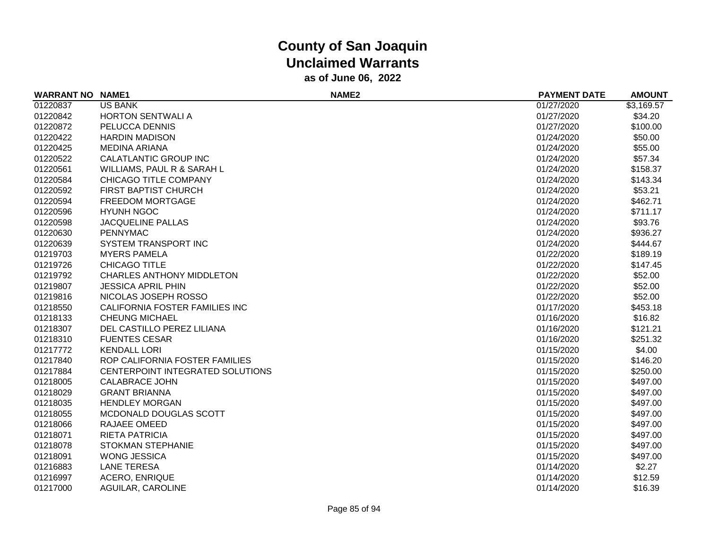| <b>WARRANT NO NAME1</b> |                                  | NAME <sub>2</sub> | <b>PAYMENT DATE</b> | <b>AMOUNT</b> |
|-------------------------|----------------------------------|-------------------|---------------------|---------------|
| 01220837                | <b>US BANK</b>                   |                   | 01/27/2020          | \$3,169.57    |
| 01220842                | <b>HORTON SENTWALI A</b>         |                   | 01/27/2020          | \$34.20       |
| 01220872                | PELUCCA DENNIS                   |                   | 01/27/2020          | \$100.00      |
| 01220422                | <b>HARDIN MADISON</b>            |                   | 01/24/2020          | \$50.00       |
| 01220425                | <b>MEDINA ARIANA</b>             |                   | 01/24/2020          | \$55.00       |
| 01220522                | CALATLANTIC GROUP INC            |                   | 01/24/2020          | \$57.34       |
| 01220561                | WILLIAMS, PAUL R & SARAH L       |                   | 01/24/2020          | \$158.37      |
| 01220584                | CHICAGO TITLE COMPANY            |                   | 01/24/2020          | \$143.34      |
| 01220592                | FIRST BAPTIST CHURCH             |                   | 01/24/2020          | \$53.21       |
| 01220594                | FREEDOM MORTGAGE                 |                   | 01/24/2020          | \$462.71      |
| 01220596                | <b>HYUNH NGOC</b>                |                   | 01/24/2020          | \$711.17      |
| 01220598                | <b>JACQUELINE PALLAS</b>         |                   | 01/24/2020          | \$93.76       |
| 01220630                | <b>PENNYMAC</b>                  |                   | 01/24/2020          | \$936.27      |
| 01220639                | SYSTEM TRANSPORT INC             |                   | 01/24/2020          | \$444.67      |
| 01219703                | <b>MYERS PAMELA</b>              |                   | 01/22/2020          | \$189.19      |
| 01219726                | CHICAGO TITLE                    |                   | 01/22/2020          | \$147.45      |
| 01219792                | <b>CHARLES ANTHONY MIDDLETON</b> |                   | 01/22/2020          | \$52.00       |
| 01219807                | <b>JESSICA APRIL PHIN</b>        |                   | 01/22/2020          | \$52.00       |
| 01219816                | NICOLAS JOSEPH ROSSO             |                   | 01/22/2020          | \$52.00       |
| 01218550                | CALIFORNIA FOSTER FAMILIES INC   |                   | 01/17/2020          | \$453.18      |
| 01218133                | <b>CHEUNG MICHAEL</b>            |                   | 01/16/2020          | \$16.82       |
| 01218307                | DEL CASTILLO PEREZ LILIANA       |                   | 01/16/2020          | \$121.21      |
| 01218310                | <b>FUENTES CESAR</b>             |                   | 01/16/2020          | \$251.32      |
| 01217772                | <b>KENDALL LORI</b>              |                   | 01/15/2020          | \$4.00        |
| 01217840                | ROP CALIFORNIA FOSTER FAMILIES   |                   | 01/15/2020          | \$146.20      |
| 01217884                | CENTERPOINT INTEGRATED SOLUTIONS |                   | 01/15/2020          | \$250.00      |
| 01218005                | <b>CALABRACE JOHN</b>            |                   | 01/15/2020          | \$497.00      |
| 01218029                | <b>GRANT BRIANNA</b>             |                   | 01/15/2020          | \$497.00      |
| 01218035                | <b>HENDLEY MORGAN</b>            |                   | 01/15/2020          | \$497.00      |
| 01218055                | MCDONALD DOUGLAS SCOTT           |                   | 01/15/2020          | \$497.00      |
| 01218066                | RAJAEE OMEED                     |                   | 01/15/2020          | \$497.00      |
| 01218071                | <b>RIETA PATRICIA</b>            |                   | 01/15/2020          | \$497.00      |
| 01218078                | <b>STOKMAN STEPHANIE</b>         |                   | 01/15/2020          | \$497.00      |
| 01218091                | <b>WONG JESSICA</b>              |                   | 01/15/2020          | \$497.00      |
| 01216883                | <b>LANE TERESA</b>               |                   | 01/14/2020          | \$2.27        |
| 01216997                | <b>ACERO, ENRIQUE</b>            |                   | 01/14/2020          | \$12.59       |
| 01217000                | AGUILAR, CAROLINE                |                   | 01/14/2020          | \$16.39       |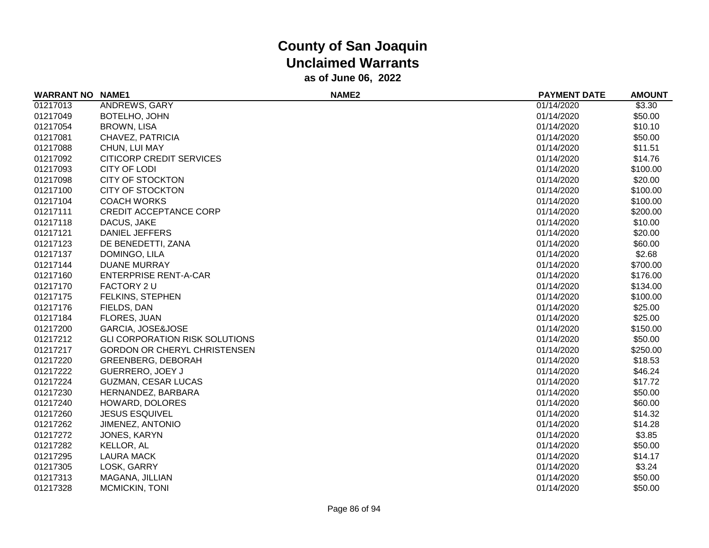| <b>WARRANT NO NAME1</b> |                                       | NAME <sub>2</sub> | <b>PAYMENT DATE</b> | <b>AMOUNT</b> |
|-------------------------|---------------------------------------|-------------------|---------------------|---------------|
| 01217013                | ANDREWS, GARY                         |                   | 01/14/2020          | \$3.30        |
| 01217049                | BOTELHO, JOHN                         |                   | 01/14/2020          | \$50.00       |
| 01217054                | <b>BROWN, LISA</b>                    |                   | 01/14/2020          | \$10.10       |
| 01217081                | CHAVEZ, PATRICIA                      |                   | 01/14/2020          | \$50.00       |
| 01217088                | CHUN, LUI MAY                         |                   | 01/14/2020          | \$11.51       |
| 01217092                | CITICORP CREDIT SERVICES              |                   | 01/14/2020          | \$14.76       |
| 01217093                | <b>CITY OF LODI</b>                   |                   | 01/14/2020          | \$100.00      |
| 01217098                | <b>CITY OF STOCKTON</b>               |                   | 01/14/2020          | \$20.00       |
| 01217100                | <b>CITY OF STOCKTON</b>               |                   | 01/14/2020          | \$100.00      |
| 01217104                | <b>COACH WORKS</b>                    |                   | 01/14/2020          | \$100.00      |
| 01217111                | <b>CREDIT ACCEPTANCE CORP</b>         |                   | 01/14/2020          | \$200.00      |
| 01217118                | DACUS, JAKE                           |                   | 01/14/2020          | \$10.00       |
| 01217121                | <b>DANIEL JEFFERS</b>                 |                   | 01/14/2020          | \$20.00       |
| 01217123                | DE BENEDETTI, ZANA                    |                   | 01/14/2020          | \$60.00       |
| 01217137                | DOMINGO, LILA                         |                   | 01/14/2020          | \$2.68        |
| 01217144                | <b>DUANE MURRAY</b>                   |                   | 01/14/2020          | \$700.00      |
| 01217160                | <b>ENTERPRISE RENT-A-CAR</b>          |                   | 01/14/2020          | \$176.00      |
| 01217170                | <b>FACTORY 2 U</b>                    |                   | 01/14/2020          | \$134.00      |
| 01217175                | FELKINS, STEPHEN                      |                   | 01/14/2020          | \$100.00      |
| 01217176                | FIELDS, DAN                           |                   | 01/14/2020          | \$25.00       |
| 01217184                | FLORES, JUAN                          |                   | 01/14/2020          | \$25.00       |
| 01217200                | GARCIA, JOSE&JOSE                     |                   | 01/14/2020          | \$150.00      |
| 01217212                | <b>GLI CORPORATION RISK SOLUTIONS</b> |                   | 01/14/2020          | \$50.00       |
| 01217217                | <b>GORDON OR CHERYL CHRISTENSEN</b>   |                   | 01/14/2020          | \$250.00      |
| 01217220                | <b>GREENBERG, DEBORAH</b>             |                   | 01/14/2020          | \$18.53       |
| 01217222                | <b>GUERRERO, JOEY J</b>               |                   | 01/14/2020          | \$46.24       |
| 01217224                | <b>GUZMAN, CESAR LUCAS</b>            |                   | 01/14/2020          | \$17.72       |
| 01217230                | HERNANDEZ, BARBARA                    |                   | 01/14/2020          | \$50.00       |
| 01217240                | HOWARD, DOLORES                       |                   | 01/14/2020          | \$60.00       |
| 01217260                | <b>JESUS ESQUIVEL</b>                 |                   | 01/14/2020          | \$14.32       |
| 01217262                | JIMENEZ, ANTONIO                      |                   | 01/14/2020          | \$14.28       |
| 01217272                | JONES, KARYN                          |                   | 01/14/2020          | \$3.85        |
| 01217282                | KELLOR, AL                            |                   | 01/14/2020          | \$50.00       |
| 01217295                | <b>LAURA MACK</b>                     |                   | 01/14/2020          | \$14.17       |
| 01217305                | LOSK, GARRY                           |                   | 01/14/2020          | \$3.24        |
| 01217313                | MAGANA, JILLIAN                       |                   | 01/14/2020          | \$50.00       |
| 01217328                | MCMICKIN, TONI                        |                   | 01/14/2020          | \$50.00       |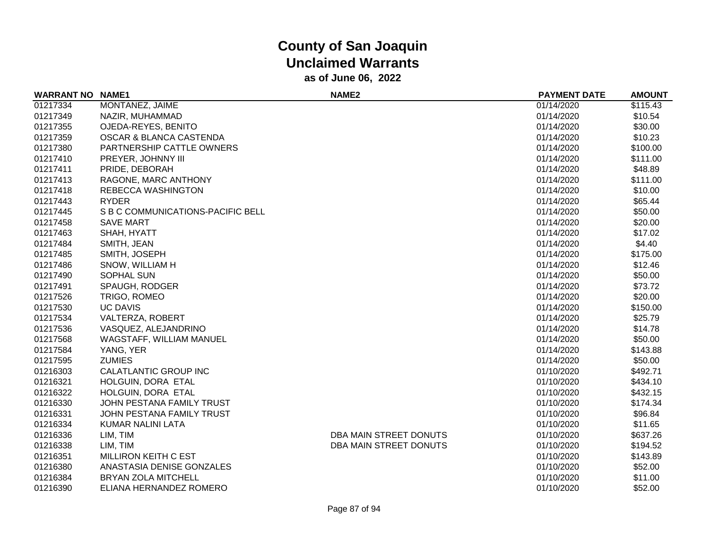| <b>WARRANT NO</b> | <b>NAME1</b>                      | <b>NAME2</b>           | <b>PAYMENT DATE</b> | <b>AMOUNT</b> |
|-------------------|-----------------------------------|------------------------|---------------------|---------------|
| 01217334          | MONTANEZ, JAIME                   |                        | 01/14/2020          | \$115.43      |
| 01217349          | NAZIR, MUHAMMAD                   |                        | 01/14/2020          | \$10.54       |
| 01217355          | OJEDA-REYES, BENITO               |                        | 01/14/2020          | \$30.00       |
| 01217359          | OSCAR & BLANCA CASTENDA           |                        | 01/14/2020          | \$10.23       |
| 01217380          | PARTNERSHIP CATTLE OWNERS         |                        | 01/14/2020          | \$100.00      |
| 01217410          | PREYER, JOHNNY III                |                        | 01/14/2020          | \$111.00      |
| 01217411          | PRIDE, DEBORAH                    |                        | 01/14/2020          | \$48.89       |
| 01217413          | RAGONE, MARC ANTHONY              |                        | 01/14/2020          | \$111.00      |
| 01217418          | REBECCA WASHINGTON                |                        | 01/14/2020          | \$10.00       |
| 01217443          | <b>RYDER</b>                      |                        | 01/14/2020          | \$65.44       |
| 01217445          | S B C COMMUNICATIONS-PACIFIC BELL |                        | 01/14/2020          | \$50.00       |
| 01217458          | <b>SAVE MART</b>                  |                        | 01/14/2020          | \$20.00       |
| 01217463          | SHAH, HYATT                       |                        | 01/14/2020          | \$17.02       |
| 01217484          | SMITH, JEAN                       |                        | 01/14/2020          | \$4.40        |
| 01217485          | SMITH, JOSEPH                     |                        | 01/14/2020          | \$175.00      |
| 01217486          | SNOW, WILLIAM H                   |                        | 01/14/2020          | \$12.46       |
| 01217490          | SOPHAL SUN                        |                        | 01/14/2020          | \$50.00       |
| 01217491          | SPAUGH, RODGER                    |                        | 01/14/2020          | \$73.72       |
| 01217526          | TRIGO, ROMEO                      |                        | 01/14/2020          | \$20.00       |
| 01217530          | <b>UC DAVIS</b>                   |                        | 01/14/2020          | \$150.00      |
| 01217534          | VALTERZA, ROBERT                  |                        | 01/14/2020          | \$25.79       |
| 01217536          | VASQUEZ, ALEJANDRINO              |                        | 01/14/2020          | \$14.78       |
| 01217568          | WAGSTAFF, WILLIAM MANUEL          |                        | 01/14/2020          | \$50.00       |
| 01217584          | YANG, YER                         |                        | 01/14/2020          | \$143.88      |
| 01217595          | <b>ZUMIES</b>                     |                        | 01/14/2020          | \$50.00       |
| 01216303          | CALATLANTIC GROUP INC             |                        | 01/10/2020          | \$492.71      |
| 01216321          | HOLGUIN, DORA ETAL                |                        | 01/10/2020          | \$434.10      |
| 01216322          | HOLGUIN, DORA ETAL                |                        | 01/10/2020          | \$432.15      |
| 01216330          | JOHN PESTANA FAMILY TRUST         |                        | 01/10/2020          | \$174.34      |
| 01216331          | JOHN PESTANA FAMILY TRUST         |                        | 01/10/2020          | \$96.84       |
| 01216334          | KUMAR NALINI LATA                 |                        | 01/10/2020          | \$11.65       |
| 01216336          | LIM, TIM                          | DBA MAIN STREET DONUTS | 01/10/2020          | \$637.26      |
| 01216338          | LIM, TIM                          | DBA MAIN STREET DONUTS | 01/10/2020          | \$194.52      |
| 01216351          | <b>MILLIRON KEITH C EST</b>       |                        | 01/10/2020          | \$143.89      |
| 01216380          | ANASTASIA DENISE GONZALES         |                        | 01/10/2020          | \$52.00       |
| 01216384          | BRYAN ZOLA MITCHELL               |                        | 01/10/2020          | \$11.00       |
| 01216390          | ELIANA HERNANDEZ ROMERO           |                        | 01/10/2020          | \$52.00       |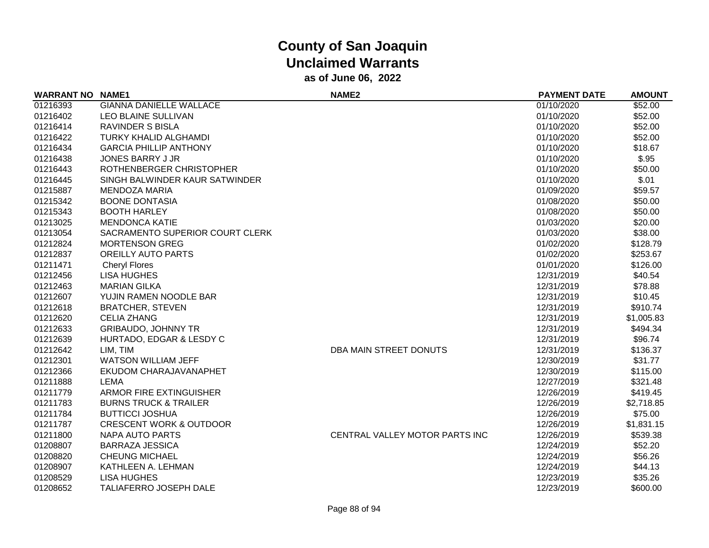| <b>WARRANT NO</b> | <b>NAME1</b>                       | <b>NAME2</b>                   | <b>PAYMENT DATE</b> | <b>AMOUNT</b> |
|-------------------|------------------------------------|--------------------------------|---------------------|---------------|
| 01216393          | <b>GIANNA DANIELLE WALLACE</b>     |                                | 01/10/2020          | \$52.00       |
| 01216402          | LEO BLAINE SULLIVAN                |                                | 01/10/2020          | \$52.00       |
| 01216414          | <b>RAVINDER S BISLA</b>            |                                | 01/10/2020          | \$52.00       |
| 01216422          | TURKY KHALID ALGHAMDI              |                                | 01/10/2020          | \$52.00       |
| 01216434          | <b>GARCIA PHILLIP ANTHONY</b>      |                                | 01/10/2020          | \$18.67       |
| 01216438          | <b>JONES BARRY J JR</b>            |                                | 01/10/2020          | \$.95         |
| 01216443          | ROTHENBERGER CHRISTOPHER           |                                | 01/10/2020          | \$50.00       |
| 01216445          | SINGH BALWINDER KAUR SATWINDER     |                                | 01/10/2020          | \$.01         |
| 01215887          | <b>MENDOZA MARIA</b>               |                                | 01/09/2020          | \$59.57       |
| 01215342          | <b>BOONE DONTASIA</b>              |                                | 01/08/2020          | \$50.00       |
| 01215343          | <b>BOOTH HARLEY</b>                |                                | 01/08/2020          | \$50.00       |
| 01213025          | <b>MENDONCA KATIE</b>              |                                | 01/03/2020          | \$20.00       |
| 01213054          | SACRAMENTO SUPERIOR COURT CLERK    |                                | 01/03/2020          | \$38.00       |
| 01212824          | <b>MORTENSON GREG</b>              |                                | 01/02/2020          | \$128.79      |
| 01212837          | <b>OREILLY AUTO PARTS</b>          |                                | 01/02/2020          | \$253.67      |
| 01211471          | <b>Cheryl Flores</b>               |                                | 01/01/2020          | \$126.00      |
| 01212456          | <b>LISA HUGHES</b>                 |                                | 12/31/2019          | \$40.54       |
| 01212463          | <b>MARIAN GILKA</b>                |                                | 12/31/2019          | \$78.88       |
| 01212607          | YUJIN RAMEN NOODLE BAR             |                                | 12/31/2019          | \$10.45       |
| 01212618          | <b>BRATCHER, STEVEN</b>            |                                | 12/31/2019          | \$910.74      |
| 01212620          | <b>CELIA ZHANG</b>                 |                                | 12/31/2019          | \$1,005.83    |
| 01212633          | <b>GRIBAUDO, JOHNNY TR</b>         |                                | 12/31/2019          | \$494.34      |
| 01212639          | HURTADO, EDGAR & LESDY C           |                                | 12/31/2019          | \$96.74       |
| 01212642          | LIM, TIM                           | DBA MAIN STREET DONUTS         | 12/31/2019          | \$136.37      |
| 01212301          | <b>WATSON WILLIAM JEFF</b>         |                                | 12/30/2019          | \$31.77       |
| 01212366          | EKUDOM CHARAJAVANAPHET             |                                | 12/30/2019          | \$115.00      |
| 01211888          | <b>LEMA</b>                        |                                | 12/27/2019          | \$321.48      |
| 01211779          | ARMOR FIRE EXTINGUISHER            |                                | 12/26/2019          | \$419.45      |
| 01211783          | <b>BURNS TRUCK &amp; TRAILER</b>   |                                | 12/26/2019          | \$2,718.85    |
| 01211784          | <b>BUTTICCI JOSHUA</b>             |                                | 12/26/2019          | \$75.00       |
| 01211787          | <b>CRESCENT WORK &amp; OUTDOOR</b> |                                | 12/26/2019          | \$1,831.15    |
| 01211800          | <b>NAPA AUTO PARTS</b>             | CENTRAL VALLEY MOTOR PARTS INC | 12/26/2019          | \$539.38      |
| 01208807          | <b>BARRAZA JESSICA</b>             |                                | 12/24/2019          | \$52.20       |
| 01208820          | <b>CHEUNG MICHAEL</b>              |                                | 12/24/2019          | \$56.26       |
| 01208907          | KATHLEEN A. LEHMAN                 |                                | 12/24/2019          | \$44.13       |
| 01208529          | <b>LISA HUGHES</b>                 |                                | 12/23/2019          | \$35.26       |
| 01208652          | <b>TALIAFERRO JOSEPH DALE</b>      |                                | 12/23/2019          | \$600.00      |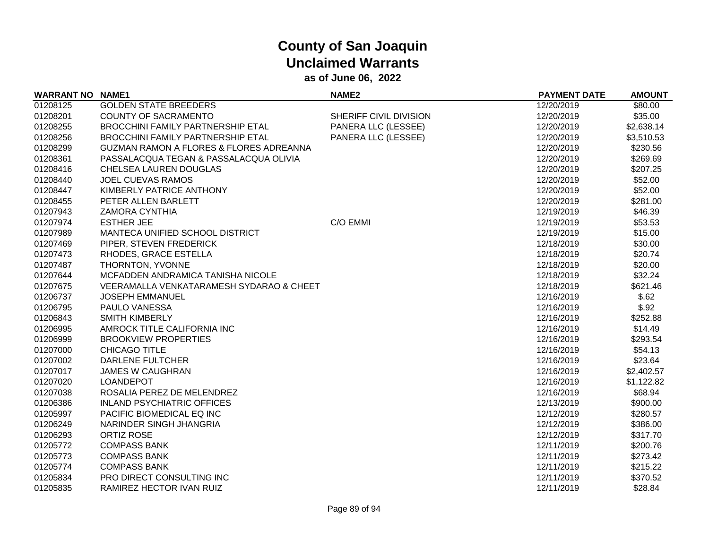| <b>WARRANT NO NAME1</b> |                                                    | NAME <sub>2</sub>      | <b>PAYMENT DATE</b> | <b>AMOUNT</b> |
|-------------------------|----------------------------------------------------|------------------------|---------------------|---------------|
| 01208125                | <b>GOLDEN STATE BREEDERS</b>                       |                        | 12/20/2019          | \$80.00       |
| 01208201                | <b>COUNTY OF SACRAMENTO</b>                        | SHERIFF CIVIL DIVISION | 12/20/2019          | \$35.00       |
| 01208255                | BROCCHINI FAMILY PARTNERSHIP ETAL                  | PANERA LLC (LESSEE)    | 12/20/2019          | \$2,638.14    |
| 01208256                | BROCCHINI FAMILY PARTNERSHIP ETAL                  | PANERA LLC (LESSEE)    | 12/20/2019          | \$3,510.53    |
| 01208299                | <b>GUZMAN RAMON A FLORES &amp; FLORES ADREANNA</b> |                        | 12/20/2019          | \$230.56      |
| 01208361                | PASSALACQUA TEGAN & PASSALACQUA OLIVIA             |                        | 12/20/2019          | \$269.69      |
| 01208416                | CHELSEA LAUREN DOUGLAS                             |                        | 12/20/2019          | \$207.25      |
| 01208440                | <b>JOEL CUEVAS RAMOS</b>                           |                        | 12/20/2019          | \$52.00       |
| 01208447                | KIMBERLY PATRICE ANTHONY                           |                        | 12/20/2019          | \$52.00       |
| 01208455                | PETER ALLEN BARLETT                                |                        | 12/20/2019          | \$281.00      |
| 01207943                | <b>ZAMORA CYNTHIA</b>                              |                        | 12/19/2019          | \$46.39       |
| 01207974                | <b>ESTHER JEE</b>                                  | C/O EMMI               | 12/19/2019          | \$53.53       |
| 01207989                | MANTECA UNIFIED SCHOOL DISTRICT                    |                        | 12/19/2019          | \$15.00       |
| 01207469                | PIPER, STEVEN FREDERICK                            |                        | 12/18/2019          | \$30.00       |
| 01207473                | RHODES, GRACE ESTELLA                              |                        | 12/18/2019          | \$20.74       |
| 01207487                | THORNTON, YVONNE                                   |                        | 12/18/2019          | \$20.00       |
| 01207644                | MCFADDEN ANDRAMICA TANISHA NICOLE                  |                        | 12/18/2019          | \$32.24       |
| 01207675                | VEERAMALLA VENKATARAMESH SYDARAO & CHEET           |                        | 12/18/2019          | \$621.46      |
| 01206737                | <b>JOSEPH EMMANUEL</b>                             |                        | 12/16/2019          | \$.62         |
| 01206795                | PAULO VANESSA                                      |                        | 12/16/2019          | \$.92         |
| 01206843                | <b>SMITH KIMBERLY</b>                              |                        | 12/16/2019          | \$252.88      |
| 01206995                | AMROCK TITLE CALIFORNIA INC                        |                        | 12/16/2019          | \$14.49       |
| 01206999                | <b>BROOKVIEW PROPERTIES</b>                        |                        | 12/16/2019          | \$293.54      |
| 01207000                | <b>CHICAGO TITLE</b>                               |                        | 12/16/2019          | \$54.13       |
| 01207002                | <b>DARLENE FULTCHER</b>                            |                        | 12/16/2019          | \$23.64       |
| 01207017                | <b>JAMES W CAUGHRAN</b>                            |                        | 12/16/2019          | \$2,402.57    |
| 01207020                | LOANDEPOT                                          |                        | 12/16/2019          | \$1,122.82    |
| 01207038                | ROSALIA PEREZ DE MELENDREZ                         |                        | 12/16/2019          | \$68.94       |
| 01206386                | <b>INLAND PSYCHIATRIC OFFICES</b>                  |                        | 12/13/2019          | \$900.00      |
| 01205997                | PACIFIC BIOMEDICAL EQ INC                          |                        | 12/12/2019          | \$280.57      |
| 01206249                | NARINDER SINGH JHANGRIA                            |                        | 12/12/2019          | \$386.00      |
| 01206293                | <b>ORTIZ ROSE</b>                                  |                        | 12/12/2019          | \$317.70      |
| 01205772                | <b>COMPASS BANK</b>                                |                        | 12/11/2019          | \$200.76      |
| 01205773                | <b>COMPASS BANK</b>                                |                        | 12/11/2019          | \$273.42      |
| 01205774                | <b>COMPASS BANK</b>                                |                        | 12/11/2019          | \$215.22      |
| 01205834                | PRO DIRECT CONSULTING INC                          |                        | 12/11/2019          | \$370.52      |
| 01205835                | RAMIREZ HECTOR IVAN RUIZ                           |                        | 12/11/2019          | \$28.84       |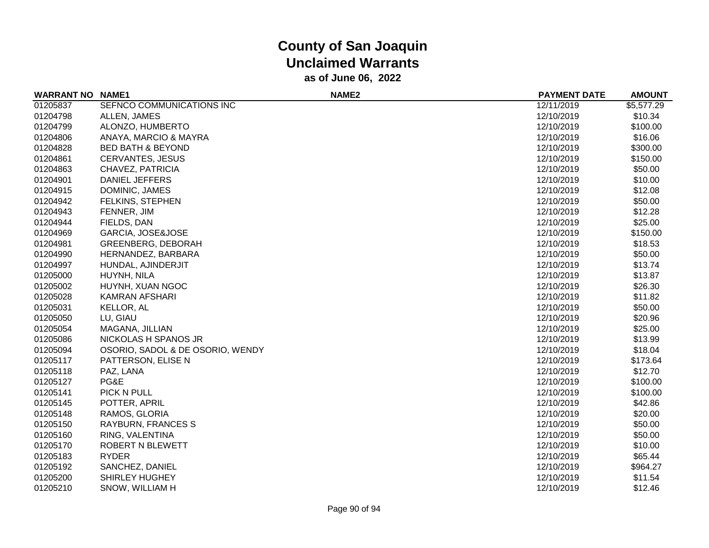| <b>WARRANT NO</b> | <b>NAME1</b>                     | NAME <sub>2</sub> | <b>PAYMENT DATE</b> | <b>AMOUNT</b> |
|-------------------|----------------------------------|-------------------|---------------------|---------------|
| 01205837          | SEFNCO COMMUNICATIONS INC        |                   | 12/11/2019          | \$5,577.29    |
| 01204798          | ALLEN, JAMES                     |                   | 12/10/2019          | \$10.34       |
| 01204799          | ALONZO, HUMBERTO                 |                   | 12/10/2019          | \$100.00      |
| 01204806          | ANAYA, MARCIO & MAYRA            |                   | 12/10/2019          | \$16.06       |
| 01204828          | <b>BED BATH &amp; BEYOND</b>     |                   | 12/10/2019          | \$300.00      |
| 01204861          | <b>CERVANTES, JESUS</b>          |                   | 12/10/2019          | \$150.00      |
| 01204863          | CHAVEZ, PATRICIA                 |                   | 12/10/2019          | \$50.00       |
| 01204901          | <b>DANIEL JEFFERS</b>            |                   | 12/10/2019          | \$10.00       |
| 01204915          | DOMINIC, JAMES                   |                   | 12/10/2019          | \$12.08       |
| 01204942          | FELKINS, STEPHEN                 |                   | 12/10/2019          | \$50.00       |
| 01204943          | FENNER, JIM                      |                   | 12/10/2019          | \$12.28       |
| 01204944          | FIELDS, DAN                      |                   | 12/10/2019          | \$25.00       |
| 01204969          | GARCIA, JOSE&JOSE                |                   | 12/10/2019          | \$150.00      |
| 01204981          | <b>GREENBERG, DEBORAH</b>        |                   | 12/10/2019          | \$18.53       |
| 01204990          | HERNANDEZ, BARBARA               |                   | 12/10/2019          | \$50.00       |
| 01204997          | HUNDAL, AJINDERJIT               |                   | 12/10/2019          | \$13.74       |
| 01205000          | HUYNH, NILA                      |                   | 12/10/2019          | \$13.87       |
| 01205002          | HUYNH, XUAN NGOC                 |                   | 12/10/2019          | \$26.30       |
| 01205028          | <b>KAMRAN AFSHARI</b>            |                   | 12/10/2019          | \$11.82       |
| 01205031          | <b>KELLOR, AL</b>                |                   | 12/10/2019          | \$50.00       |
| 01205050          | LU, GIAU                         |                   | 12/10/2019          | \$20.96       |
| 01205054          | MAGANA, JILLIAN                  |                   | 12/10/2019          | \$25.00       |
| 01205086          | NICKOLAS H SPANOS JR             |                   | 12/10/2019          | \$13.99       |
| 01205094          | OSORIO, SADOL & DE OSORIO, WENDY |                   | 12/10/2019          | \$18.04       |
| 01205117          | PATTERSON, ELISE N               |                   | 12/10/2019          | \$173.64      |
| 01205118          | PAZ, LANA                        |                   | 12/10/2019          | \$12.70       |
| 01205127          | PG&E                             |                   | 12/10/2019          | \$100.00      |
| 01205141          | PICK N PULL                      |                   | 12/10/2019          | \$100.00      |
| 01205145          | POTTER, APRIL                    |                   | 12/10/2019          | \$42.86       |
| 01205148          | RAMOS, GLORIA                    |                   | 12/10/2019          | \$20.00       |
| 01205150          | <b>RAYBURN, FRANCES S</b>        |                   | 12/10/2019          | \$50.00       |
| 01205160          | RING, VALENTINA                  |                   | 12/10/2019          | \$50.00       |
| 01205170          | ROBERT N BLEWETT                 |                   | 12/10/2019          | \$10.00       |
| 01205183          | <b>RYDER</b>                     |                   | 12/10/2019          | \$65.44       |
| 01205192          | SANCHEZ, DANIEL                  |                   | 12/10/2019          | \$964.27      |
| 01205200          | <b>SHIRLEY HUGHEY</b>            |                   | 12/10/2019          | \$11.54       |
| 01205210          | SNOW, WILLIAM H                  |                   | 12/10/2019          | \$12.46       |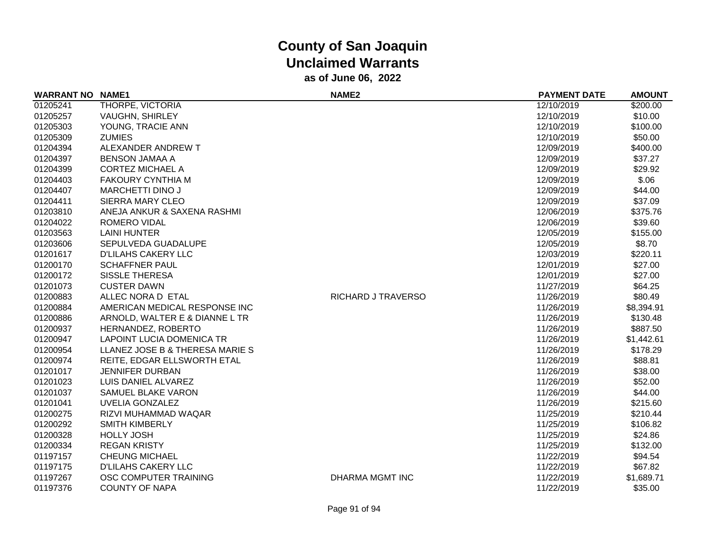| <b>WARRANT NO NAME1</b> |                                  | NAME <sub>2</sub>  | <b>PAYMENT DATE</b> | <b>AMOUNT</b> |
|-------------------------|----------------------------------|--------------------|---------------------|---------------|
| 01205241                | THORPE, VICTORIA                 |                    | 12/10/2019          | \$200.00      |
| 01205257                | VAUGHN, SHIRLEY                  |                    | 12/10/2019          | \$10.00       |
| 01205303                | YOUNG, TRACIE ANN                |                    | 12/10/2019          | \$100.00      |
| 01205309                | <b>ZUMIES</b>                    |                    | 12/10/2019          | \$50.00       |
| 01204394                | ALEXANDER ANDREW T               |                    | 12/09/2019          | \$400.00      |
| 01204397                | <b>BENSON JAMAA A</b>            |                    | 12/09/2019          | \$37.27       |
| 01204399                | <b>CORTEZ MICHAEL A</b>          |                    | 12/09/2019          | \$29.92       |
| 01204403                | <b>FAKOURY CYNTHIA M</b>         |                    | 12/09/2019          | \$.06         |
| 01204407                | <b>MARCHETTI DINO J</b>          |                    | 12/09/2019          | \$44.00       |
| 01204411                | <b>SIERRA MARY CLEO</b>          |                    | 12/09/2019          | \$37.09       |
| 01203810                | ANEJA ANKUR & SAXENA RASHMI      |                    | 12/06/2019          | \$375.76      |
| 01204022                | ROMERO VIDAL                     |                    | 12/06/2019          | \$39.60       |
| 01203563                | <b>LAINI HUNTER</b>              |                    | 12/05/2019          | \$155.00      |
| 01203606                | SEPULVEDA GUADALUPE              |                    | 12/05/2019          | \$8.70        |
| 01201617                | <b>D'LILAHS CAKERY LLC</b>       |                    | 12/03/2019          | \$220.11      |
| 01200170                | <b>SCHAFFNER PAUL</b>            |                    | 12/01/2019          | \$27.00       |
| 01200172                | <b>SISSLE THERESA</b>            |                    | 12/01/2019          | \$27.00       |
| 01201073                | <b>CUSTER DAWN</b>               |                    | 11/27/2019          | \$64.25       |
| 01200883                | ALLEC NORA D ETAL                | RICHARD J TRAVERSO | 11/26/2019          | \$80.49       |
| 01200884                | AMERICAN MEDICAL RESPONSE INC    |                    | 11/26/2019          | \$8,394.91    |
| 01200886                | ARNOLD, WALTER E & DIANNE L TR   |                    | 11/26/2019          | \$130.48      |
| 01200937                | HERNANDEZ, ROBERTO               |                    | 11/26/2019          | \$887.50      |
| 01200947                | <b>LAPOINT LUCIA DOMENICA TR</b> |                    | 11/26/2019          | \$1,442.61    |
| 01200954                | LLANEZ JOSE B & THERESA MARIE S  |                    | 11/26/2019          | \$178.29      |
| 01200974                | REITE, EDGAR ELLSWORTH ETAL      |                    | 11/26/2019          | \$88.81       |
| 01201017                | <b>JENNIFER DURBAN</b>           |                    | 11/26/2019          | \$38.00       |
| 01201023                | LUIS DANIEL ALVAREZ              |                    | 11/26/2019          | \$52.00       |
| 01201037                | SAMUEL BLAKE VARON               |                    | 11/26/2019          | \$44.00       |
| 01201041                | <b>UVELIA GONZALEZ</b>           |                    | 11/26/2019          | \$215.60      |
| 01200275                | RIZVI MUHAMMAD WAQAR             |                    | 11/25/2019          | \$210.44      |
| 01200292                | <b>SMITH KIMBERLY</b>            |                    | 11/25/2019          | \$106.82      |
| 01200328                | <b>HOLLY JOSH</b>                |                    | 11/25/2019          | \$24.86       |
| 01200334                | <b>REGAN KRISTY</b>              |                    | 11/25/2019          | \$132.00      |
| 01197157                | <b>CHEUNG MICHAEL</b>            |                    | 11/22/2019          | \$94.54       |
| 01197175                | <b>D'LILAHS CAKERY LLC</b>       |                    | 11/22/2019          | \$67.82       |
| 01197267                | OSC COMPUTER TRAINING            | DHARMA MGMT INC    | 11/22/2019          | \$1,689.71    |
| 01197376                | <b>COUNTY OF NAPA</b>            |                    | 11/22/2019          | \$35.00       |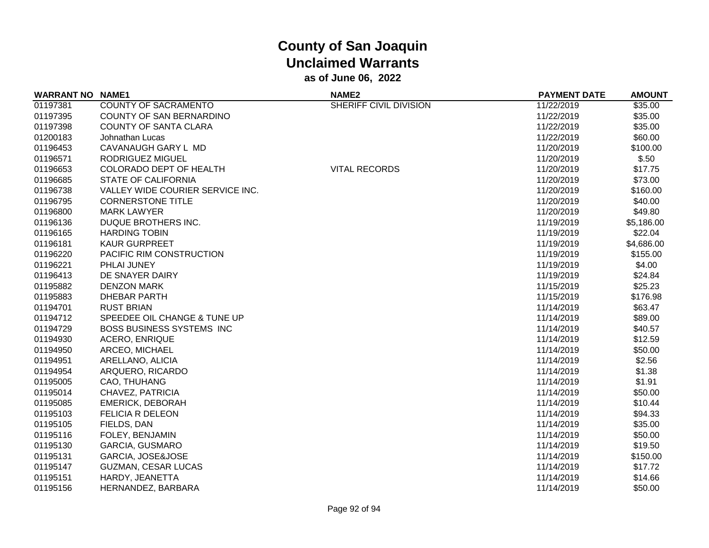| <b>WARRANT NO NAME1</b> |                                  | NAME <sub>2</sub>      | <b>PAYMENT DATE</b> | <b>AMOUNT</b> |
|-------------------------|----------------------------------|------------------------|---------------------|---------------|
| 01197381                | <b>COUNTY OF SACRAMENTO</b>      | SHERIFF CIVIL DIVISION | 11/22/2019          | \$35.00       |
| 01197395                | <b>COUNTY OF SAN BERNARDINO</b>  |                        | 11/22/2019          | \$35.00       |
| 01197398                | <b>COUNTY OF SANTA CLARA</b>     |                        | 11/22/2019          | \$35.00       |
| 01200183                | Johnathan Lucas                  |                        | 11/22/2019          | \$60.00       |
| 01196453                | CAVANAUGH GARY L MD              |                        | 11/20/2019          | \$100.00      |
| 01196571                | RODRIGUEZ MIGUEL                 |                        | 11/20/2019          | \$.50         |
| 01196653                | COLORADO DEPT OF HEALTH          | <b>VITAL RECORDS</b>   | 11/20/2019          | \$17.75       |
| 01196685                | <b>STATE OF CALIFORNIA</b>       |                        | 11/20/2019          | \$73.00       |
| 01196738                | VALLEY WIDE COURIER SERVICE INC. |                        | 11/20/2019          | \$160.00      |
| 01196795                | <b>CORNERSTONE TITLE</b>         |                        | 11/20/2019          | \$40.00       |
| 01196800                | <b>MARK LAWYER</b>               |                        | 11/20/2019          | \$49.80       |
| 01196136                | DUQUE BROTHERS INC.              |                        | 11/19/2019          | \$5,186.00    |
| 01196165                | <b>HARDING TOBIN</b>             |                        | 11/19/2019          | \$22.04       |
| 01196181                | <b>KAUR GURPREET</b>             |                        | 11/19/2019          | \$4,686.00    |
| 01196220                | PACIFIC RIM CONSTRUCTION         |                        | 11/19/2019          | \$155.00      |
| 01196221                | <b>PHLAI JUNEY</b>               |                        | 11/19/2019          | \$4.00        |
| 01196413                | DE SNAYER DAIRY                  |                        | 11/19/2019          | \$24.84       |
| 01195882                | <b>DENZON MARK</b>               |                        | 11/15/2019          | \$25.23       |
| 01195883                | DHEBAR PARTH                     |                        | 11/15/2019          | \$176.98      |
| 01194701                | <b>RUST BRIAN</b>                |                        | 11/14/2019          | \$63.47       |
| 01194712                | SPEEDEE OIL CHANGE & TUNE UP     |                        | 11/14/2019          | \$89.00       |
| 01194729                | <b>BOSS BUSINESS SYSTEMS INC</b> |                        | 11/14/2019          | \$40.57       |
| 01194930                | <b>ACERO, ENRIQUE</b>            |                        | 11/14/2019          | \$12.59       |
| 01194950                | ARCEO, MICHAEL                   |                        | 11/14/2019          | \$50.00       |
| 01194951                | ARELLANO, ALICIA                 |                        | 11/14/2019          | \$2.56        |
| 01194954                | ARQUERO, RICARDO                 |                        | 11/14/2019          | \$1.38        |
| 01195005                | CAO, THUHANG                     |                        | 11/14/2019          | \$1.91        |
| 01195014                | CHAVEZ, PATRICIA                 |                        | 11/14/2019          | \$50.00       |
| 01195085                | <b>EMERICK, DEBORAH</b>          |                        | 11/14/2019          | \$10.44       |
| 01195103                | <b>FELICIA R DELEON</b>          |                        | 11/14/2019          | \$94.33       |
| 01195105                | FIELDS, DAN                      |                        | 11/14/2019          | \$35.00       |
| 01195116                | FOLEY, BENJAMIN                  |                        | 11/14/2019          | \$50.00       |
| 01195130                | <b>GARCIA, GUSMARO</b>           |                        | 11/14/2019          | \$19.50       |
| 01195131                | GARCIA, JOSE&JOSE                |                        | 11/14/2019          | \$150.00      |
| 01195147                | <b>GUZMAN, CESAR LUCAS</b>       |                        | 11/14/2019          | \$17.72       |
| 01195151                | HARDY, JEANETTA                  |                        | 11/14/2019          | \$14.66       |
| 01195156                | HERNANDEZ, BARBARA               |                        | 11/14/2019          | \$50.00       |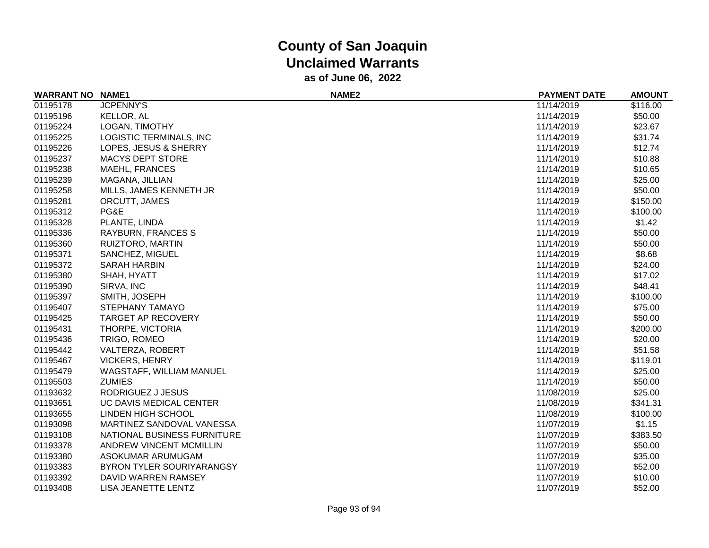| <b>WARRANT NO NAME1</b> |                                | NAME <sub>2</sub> | <b>PAYMENT DATE</b> | <b>AMOUNT</b> |
|-------------------------|--------------------------------|-------------------|---------------------|---------------|
| 01195178                | <b>JCPENNY'S</b>               |                   | 11/14/2019          | \$116.00      |
| 01195196                | KELLOR, AL                     |                   | 11/14/2019          | \$50.00       |
| 01195224                | LOGAN, TIMOTHY                 |                   | 11/14/2019          | \$23.67       |
| 01195225                | LOGISTIC TERMINALS, INC        |                   | 11/14/2019          | \$31.74       |
| 01195226                | LOPES, JESUS & SHERRY          |                   | 11/14/2019          | \$12.74       |
| 01195237                | <b>MACYS DEPT STORE</b>        |                   | 11/14/2019          | \$10.88       |
| 01195238                | <b>MAEHL, FRANCES</b>          |                   | 11/14/2019          | \$10.65       |
| 01195239                | MAGANA, JILLIAN                |                   | 11/14/2019          | \$25.00       |
| 01195258                | MILLS, JAMES KENNETH JR        |                   | 11/14/2019          | \$50.00       |
| 01195281                | ORCUTT, JAMES                  |                   | 11/14/2019          | \$150.00      |
| 01195312                | PG&E                           |                   | 11/14/2019          | \$100.00      |
| 01195328                | PLANTE, LINDA                  |                   | 11/14/2019          | \$1.42        |
| 01195336                | <b>RAYBURN, FRANCES S</b>      |                   | 11/14/2019          | \$50.00       |
| 01195360                | RUIZTORO, MARTIN               |                   | 11/14/2019          | \$50.00       |
| 01195371                | SANCHEZ, MIGUEL                |                   | 11/14/2019          | \$8.68        |
| 01195372                | <b>SARAH HARBIN</b>            |                   | 11/14/2019          | \$24.00       |
| 01195380                | SHAH, HYATT                    |                   | 11/14/2019          | \$17.02       |
| 01195390                | SIRVA, INC                     |                   | 11/14/2019          | \$48.41       |
| 01195397                | SMITH, JOSEPH                  |                   | 11/14/2019          | \$100.00      |
| 01195407                | <b>STEPHANY TAMAYO</b>         |                   | 11/14/2019          | \$75.00       |
| 01195425                | <b>TARGET AP RECOVERY</b>      |                   | 11/14/2019          | \$50.00       |
| 01195431                | THORPE, VICTORIA               |                   | 11/14/2019          | \$200.00      |
| 01195436                | TRIGO, ROMEO                   |                   | 11/14/2019          | \$20.00       |
| 01195442                | VALTERZA, ROBERT               |                   | 11/14/2019          | \$51.58       |
| 01195467                | <b>VICKERS, HENRY</b>          |                   | 11/14/2019          | \$119.01      |
| 01195479                | WAGSTAFF, WILLIAM MANUEL       |                   | 11/14/2019          | \$25.00       |
| 01195503                | <b>ZUMIES</b>                  |                   | 11/14/2019          | \$50.00       |
| 01193632                | RODRIGUEZ J JESUS              |                   | 11/08/2019          | \$25.00       |
| 01193651                | UC DAVIS MEDICAL CENTER        |                   | 11/08/2019          | \$341.31      |
| 01193655                | LINDEN HIGH SCHOOL             |                   | 11/08/2019          | \$100.00      |
| 01193098                | MARTINEZ SANDOVAL VANESSA      |                   | 11/07/2019          | \$1.15        |
| 01193108                | NATIONAL BUSINESS FURNITURE    |                   | 11/07/2019          | \$383.50      |
| 01193378                | <b>ANDREW VINCENT MCMILLIN</b> |                   | 11/07/2019          | \$50.00       |
| 01193380                | ASOKUMAR ARUMUGAM              |                   | 11/07/2019          | \$35.00       |
| 01193383                | BYRON TYLER SOURIYARANGSY      |                   | 11/07/2019          | \$52.00       |
| 01193392                | DAVID WARREN RAMSEY            |                   | 11/07/2019          | \$10.00       |
| 01193408                | LISA JEANETTE LENTZ            |                   | 11/07/2019          | \$52.00       |